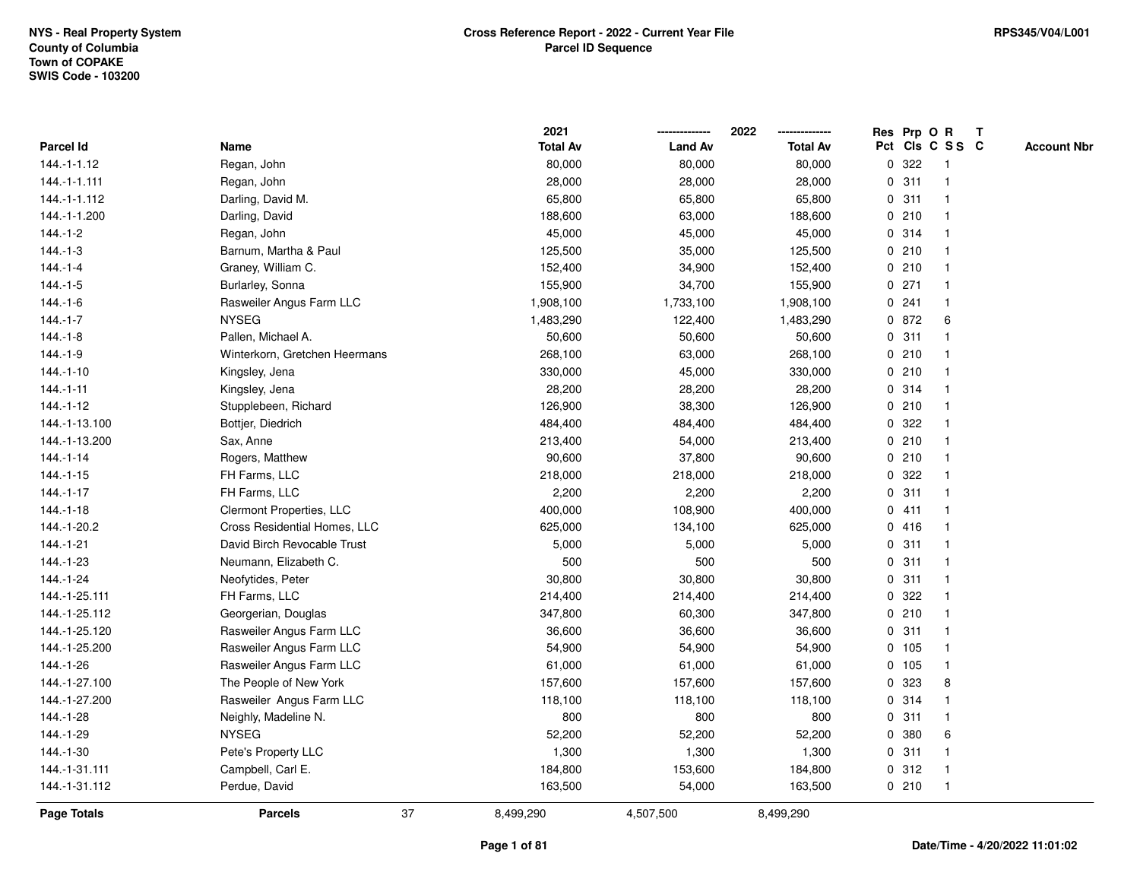|                    |                               | 2021            |                | 2022<br>-------------- | Res Prp O R |         |                 | $\mathbf{T}$ |                    |
|--------------------|-------------------------------|-----------------|----------------|------------------------|-------------|---------|-----------------|--------------|--------------------|
| Parcel Id          | Name                          | <b>Total Av</b> | <b>Land Av</b> | <b>Total Av</b>        |             |         | Pct Cls C S S C |              | <b>Account Nbr</b> |
| 144.-1-1.12        | Regan, John                   | 80,000          | 80,000         | 80,000                 | 0           | 322     |                 |              |                    |
| 144.-1-1.111       | Regan, John                   | 28,000          | 28,000         | 28,000                 | 0           | 311     |                 |              |                    |
| 144.-1-1.112       | Darling, David M.             | 65,800          | 65,800         | 65,800                 |             | 0.311   | -1              |              |                    |
| 144.-1-1.200       | Darling, David                | 188,600         | 63,000         | 188,600                | 0           | 210     | -1              |              |                    |
| $144 - 1 - 2$      | Regan, John                   | 45,000          | 45,000         | 45,000                 |             | 0.314   | $\mathbf{1}$    |              |                    |
| $144 - 1 - 3$      | Barnum, Martha & Paul         | 125,500         | 35,000         | 125,500                |             | 0210    | $\mathbf{1}$    |              |                    |
| $144 - 1 - 4$      | Graney, William C.            | 152,400         | 34,900         | 152,400                |             | 0210    |                 |              |                    |
| $144 - 1 - 5$      | Burlarley, Sonna              | 155,900         | 34,700         | 155,900                |             | $0$ 271 |                 |              |                    |
| 144.-1-6           | Rasweiler Angus Farm LLC      | 1,908,100       | 1,733,100      | 1,908,100              |             | 0.241   | 1               |              |                    |
| $144 - 1 - 7$      | <b>NYSEG</b>                  | 1,483,290       | 122,400        | 1,483,290              |             | 0 872   | 6               |              |                    |
| $144.-1-8$         | Pallen, Michael A.            | 50,600          | 50,600         | 50,600                 | 0           | 311     | 1               |              |                    |
| 144.-1-9           | Winterkorn, Gretchen Heermans | 268,100         | 63,000         | 268,100                |             | 0210    | -1              |              |                    |
| $144.-1-10$        | Kingsley, Jena                | 330,000         | 45,000         | 330,000                |             | 0210    | -1              |              |                    |
| $144.-1-11$        | Kingsley, Jena                | 28,200          | 28,200         | 28,200                 |             | 0.314   |                 |              |                    |
| 144.-1-12          | Stupplebeen, Richard          | 126,900         | 38,300         | 126,900                |             | 0210    |                 |              |                    |
| 144.-1-13.100      | Bottjer, Diedrich             | 484,400         | 484,400        | 484,400                | 0           | 322     |                 |              |                    |
| 144.-1-13.200      | Sax, Anne                     | 213,400         | 54,000         | 213,400                | $\mathbf 0$ | 210     |                 |              |                    |
| $144. - 1 - 14$    | Rogers, Matthew               | 90,600          | 37,800         | 90,600                 | 0           | 210     | -1              |              |                    |
| $144.-1-15$        | FH Farms, LLC                 | 218,000         | 218,000        | 218,000                |             | 0.322   | $\mathbf{1}$    |              |                    |
| 144.-1-17          | FH Farms, LLC                 | 2,200           | 2,200          | 2,200                  |             | 0.311   |                 |              |                    |
| $144.-1-18$        | Clermont Properties, LLC      | 400,000         | 108,900        | 400,000                |             | 0411    |                 |              |                    |
| 144.-1-20.2        | Cross Residential Homes, LLC  | 625,000         | 134,100        | 625,000                |             | 0416    |                 |              |                    |
| 144.-1-21          | David Birch Revocable Trust   | 5,000           | 5,000          | 5,000                  |             | 0.311   | $\mathbf 1$     |              |                    |
| 144.-1-23          | Neumann, Elizabeth C.         | 500             | 500            | 500                    | 0           | 311     |                 |              |                    |
| 144.-1-24          | Neofytides, Peter             | 30,800          | 30,800         | 30,800                 | $\mathbf 0$ | 311     | -1              |              |                    |
| 144.-1-25.111      | FH Farms, LLC                 | 214,400         | 214,400        | 214,400                |             | 0.322   | 1               |              |                    |
| 144.-1-25.112      | Georgerian, Douglas           | 347,800         | 60,300         | 347,800                |             | 0210    |                 |              |                    |
| 144.-1-25.120      | Rasweiler Angus Farm LLC      | 36,600          | 36,600         | 36,600                 |             | 0.311   |                 |              |                    |
| 144.-1-25.200      | Rasweiler Angus Farm LLC      | 54,900          | 54,900         | 54,900                 |             | $0$ 105 |                 |              |                    |
| 144.-1-26          | Rasweiler Angus Farm LLC      | 61,000          | 61,000         | 61,000                 |             | 0 105   | $\mathbf{1}$    |              |                    |
| 144.-1-27.100      | The People of New York        | 157,600         | 157,600        | 157,600                | 0           | 323     | 8               |              |                    |
| 144.-1-27.200      | Rasweiler Angus Farm LLC      | 118,100         | 118,100        | 118,100                | 0           | 314     | $\mathbf{1}$    |              |                    |
| 144.-1-28          | Neighly, Madeline N.          | 800             | 800            | 800                    |             | 0.311   | $\mathbf{1}$    |              |                    |
| 144.-1-29          | <b>NYSEG</b>                  | 52,200          | 52,200         | 52,200                 |             | 0 380   | 6               |              |                    |
| 144.-1-30          | Pete's Property LLC           | 1,300           | 1,300          | 1,300                  |             | 0.311   |                 |              |                    |
| 144.-1-31.111      | Campbell, Carl E.             | 184,800         | 153,600        | 184,800                |             | 0.312   | $\mathbf 1$     |              |                    |
| 144.-1-31.112      | Perdue, David                 | 163,500         | 54,000         | 163,500                |             | 0210    | -1              |              |                    |
| <b>Page Totals</b> | 37<br><b>Parcels</b>          | 8,499,290       | 4,507,500      | 8,499,290              |             |         |                 |              |                    |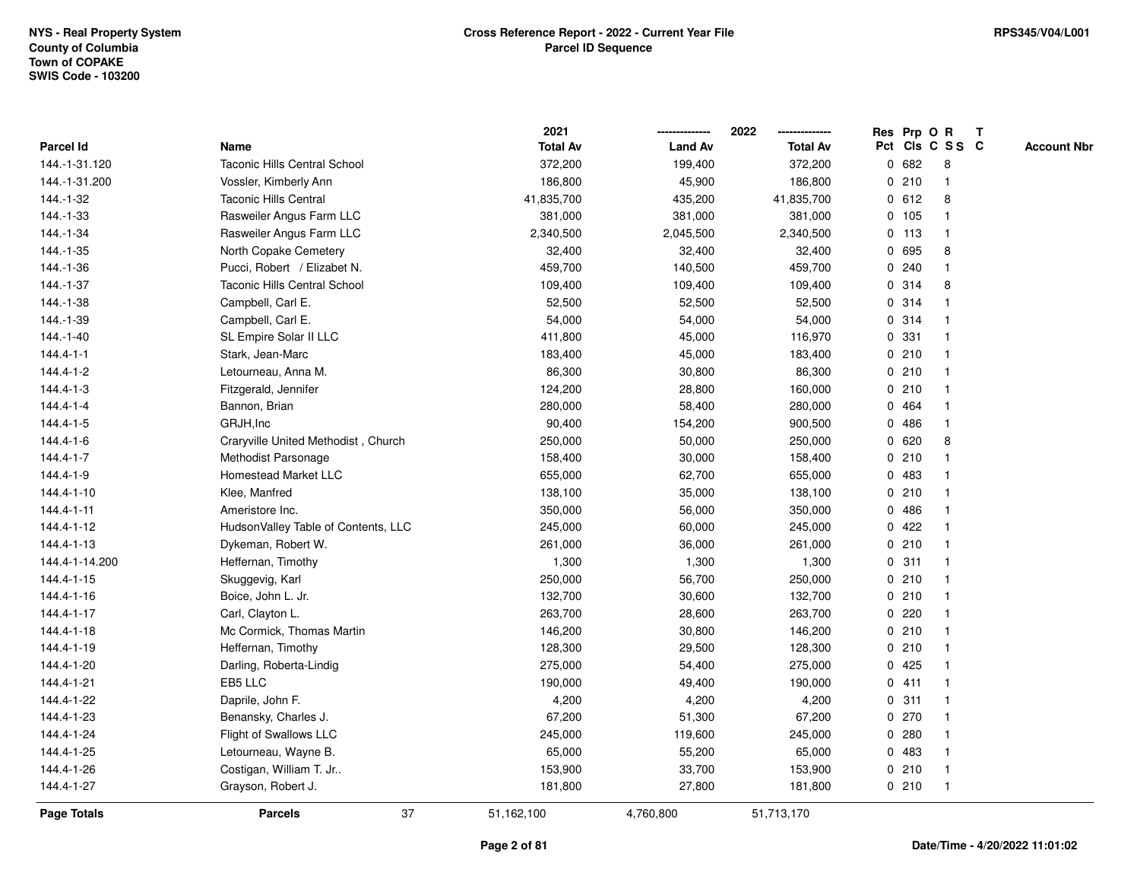|                 |                                     | 2021            |                | 2022            | Res Prp O R |         |                 | $\mathbf{T}$ |                    |
|-----------------|-------------------------------------|-----------------|----------------|-----------------|-------------|---------|-----------------|--------------|--------------------|
| Parcel Id       | Name                                | <b>Total Av</b> | <b>Land Av</b> | <b>Total Av</b> |             |         | Pct Cls C S S C |              | <b>Account Nbr</b> |
| 144.-1-31.120   | <b>Taconic Hills Central School</b> | 372,200         | 199,400        | 372,200         | 0           | 682     | 8               |              |                    |
| 144.-1-31.200   | Vossler, Kimberly Ann               | 186,800         | 45,900         | 186,800         |             | 0210    |                 |              |                    |
| 144.-1-32       | <b>Taconic Hills Central</b>        | 41,835,700      | 435,200        | 41,835,700      |             | 0 612   | 8               |              |                    |
| 144.-1-33       | Rasweiler Angus Farm LLC            | 381,000         | 381,000        | 381,000         |             | 0, 105  | -1              |              |                    |
| 144.-1-34       | Rasweiler Angus Farm LLC            | 2,340,500       | 2,045,500      | 2,340,500       |             | $0$ 113 | $\mathbf{1}$    |              |                    |
| 144.-1-35       | North Copake Cemetery               | 32,400          | 32,400         | 32,400          |             | 0 695   | 8               |              |                    |
| 144.-1-36       | Pucci, Robert / Elizabet N.         | 459,700         | 140,500        | 459,700         |             | 0.240   |                 |              |                    |
| 144.-1-37       | <b>Taconic Hills Central School</b> | 109,400         | 109,400        | 109,400         |             | 0 314   | 8               |              |                    |
| 144.-1-38       | Campbell, Carl E.                   | 52,500          | 52,500         | 52,500          |             | 0.314   |                 |              |                    |
| 144.-1-39       | Campbell, Carl E.                   | 54,000          | 54,000         | 54,000          | 0           | 314     |                 |              |                    |
| 144.-1-40       | SL Empire Solar II LLC              | 411,800         | 45,000         | 116,970         | 0           | 331     | -1              |              |                    |
| $144.4 - 1 - 1$ | Stark, Jean-Marc                    | 183,400         | 45,000         | 183,400         |             | 0210    | $\mathbf 1$     |              |                    |
| 144.4-1-2       | Letourneau, Anna M.                 | 86,300          | 30,800         | 86,300          |             | 0210    |                 |              |                    |
| 144.4-1-3       | Fitzgerald, Jennifer                | 124,200         | 28,800         | 160,000         |             | 0210    |                 |              |                    |
| $144.4 - 1 - 4$ | Bannon, Brian                       | 280,000         | 58,400         | 280,000         |             | 0 464   |                 |              |                    |
| 144.4-1-5       | GRJH, Inc                           | 90,400          | 154,200        | 900,500         | 0           | 486     |                 |              |                    |
| 144.4-1-6       | Craryville United Methodist, Church | 250,000         | 50,000         | 250,000         | 0           | 620     | 8               |              |                    |
| 144.4-1-7       | Methodist Parsonage                 | 158,400         | 30,000         | 158,400         | 0           | 210     | -1              |              |                    |
| 144.4-1-9       | <b>Homestead Market LLC</b>         | 655,000         | 62,700         | 655,000         | $\mathbf 0$ | 483     |                 |              |                    |
| 144.4-1-10      | Klee, Manfred                       | 138,100         | 35,000         | 138,100         |             | 0210    |                 |              |                    |
| 144.4-1-11      | Ameristore Inc.                     | 350,000         | 56,000         | 350,000         |             | 0486    |                 |              |                    |
| 144.4-1-12      | HudsonValley Table of Contents, LLC | 245,000         | 60,000         | 245,000         |             | 0422    |                 |              |                    |
| 144.4-1-13      | Dykeman, Robert W.                  | 261,000         | 36,000         | 261,000         |             | 0210    |                 |              |                    |
| 144.4-1-14.200  | Heffernan, Timothy                  | 1,300           | 1,300          | 1,300           | 0           | 311     | $\mathbf{1}$    |              |                    |
| 144.4-1-15      | Skuggevig, Karl                     | 250,000         | 56,700         | 250,000         |             | 0210    | -1              |              |                    |
| 144.4-1-16      | Boice, John L. Jr.                  | 132,700         | 30,600         | 132,700         |             | 0210    | $\mathbf 1$     |              |                    |
| 144.4-1-17      | Carl, Clayton L.                    | 263,700         | 28,600         | 263,700         |             | 0.220   |                 |              |                    |
| 144.4-1-18      | Mc Cormick, Thomas Martin           | 146,200         | 30,800         | 146,200         |             | 0210    |                 |              |                    |
| 144.4-1-19      | Heffernan, Timothy                  | 128,300         | 29,500         | 128,300         |             | 0210    |                 |              |                    |
| 144.4-1-20      | Darling, Roberta-Lindig             | 275,000         | 54,400         | 275,000         | 0           | 425     |                 |              |                    |
| 144.4-1-21      | EB5 LLC                             | 190,000         | 49,400         | 190,000         |             | 0411    | -1              |              |                    |
| 144.4-1-22      | Daprile, John F.                    | 4,200           | 4,200          | 4,200           |             | 0.311   | -1              |              |                    |
| 144.4-1-23      | Benansky, Charles J.                | 67,200          | 51,300         | 67,200          |             | 0270    |                 |              |                    |
| 144.4-1-24      | Flight of Swallows LLC              | 245,000         | 119,600        | 245,000         |             | 0.280   |                 |              |                    |
| 144.4-1-25      | Letourneau, Wayne B.                | 65,000          | 55,200         | 65,000          |             | 0 483   |                 |              |                    |
| 144.4-1-26      | Costigan, William T. Jr             | 153,900         | 33,700         | 153,900         |             | 0210    | $\mathbf 1$     |              |                    |
| 144.4-1-27      | Grayson, Robert J.                  | 181,800         | 27,800         | 181,800         |             | 0210    | $\mathbf 1$     |              |                    |
| Page Totals     | 37<br><b>Parcels</b>                | 51,162,100      | 4,760,800      | 51,713,170      |             |         |                 |              |                    |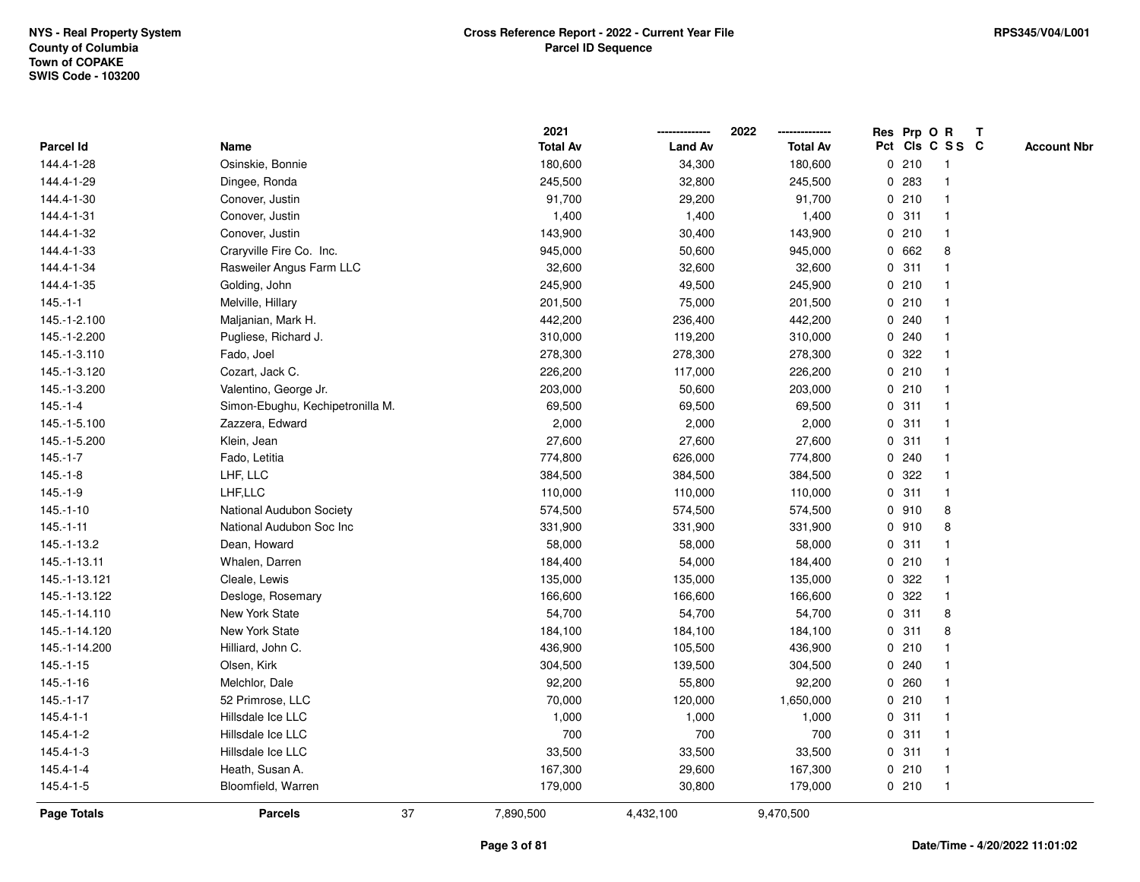|                 |                                  |    | 2021            |                | 2022            |             |       | Res Prp O R     | T |                    |
|-----------------|----------------------------------|----|-----------------|----------------|-----------------|-------------|-------|-----------------|---|--------------------|
| Parcel Id       | Name                             |    | <b>Total Av</b> | <b>Land Av</b> | <b>Total Av</b> |             |       | Pct Cls C S S C |   | <b>Account Nbr</b> |
| 144.4-1-28      | Osinskie, Bonnie                 |    | 180,600         | 34,300         | 180,600         |             | 0210  | -1              |   |                    |
| 144.4-1-29      | Dingee, Ronda                    |    | 245,500         | 32,800         | 245,500         | 0           | 283   | $\mathbf 1$     |   |                    |
| 144.4-1-30      | Conover, Justin                  |    | 91,700          | 29,200         | 91,700          |             | 0210  | $\mathbf 1$     |   |                    |
| 144.4-1-31      | Conover, Justin                  |    | 1,400           | 1,400          | 1,400           |             | 0.311 |                 |   |                    |
| 144.4-1-32      | Conover, Justin                  |    | 143,900         | 30,400         | 143,900         |             | 0210  |                 |   |                    |
| 144.4-1-33      | Craryville Fire Co. Inc.         |    | 945,000         | 50,600         | 945,000         |             | 0 662 | 8               |   |                    |
| 144.4-1-34      | Rasweiler Angus Farm LLC         |    | 32,600          | 32,600         | 32,600          |             | 0.311 |                 |   |                    |
| 144.4-1-35      | Golding, John                    |    | 245,900         | 49,500         | 245,900         | 0           | 210   | $\overline{1}$  |   |                    |
| $145.-1-1$      | Melville, Hillary                |    | 201,500         | 75,000         | 201,500         |             | 0210  |                 |   |                    |
| 145.-1-2.100    | Maljanian, Mark H.               |    | 442,200         | 236,400        | 442,200         |             | 0.240 | 1               |   |                    |
| 145.-1-2.200    | Pugliese, Richard J.             |    | 310,000         | 119,200        | 310,000         |             | 0.240 |                 |   |                    |
| 145.-1-3.110    | Fado, Joel                       |    | 278,300         | 278,300        | 278,300         |             | 0.322 |                 |   |                    |
| 145.-1-3.120    | Cozart, Jack C.                  |    | 226,200         | 117,000        | 226,200         |             | 0210  |                 |   |                    |
| 145.-1-3.200    | Valentino, George Jr.            |    | 203,000         | 50,600         | 203,000         |             | 0210  |                 |   |                    |
| $145.-1-4$      | Simon-Ebughu, Kechipetronilla M. |    | 69,500          | 69,500         | 69,500          | $\mathbf 0$ | 311   |                 |   |                    |
| 145.-1-5.100    | Zazzera, Edward                  |    | 2,000           | 2,000          | 2,000           | $\mathbf 0$ | 311   | $\overline{1}$  |   |                    |
| 145.-1-5.200    | Klein, Jean                      |    | 27,600          | 27,600         | 27,600          |             | 0.311 | $\mathbf{1}$    |   |                    |
| $145.-1-7$      | Fado, Letitia                    |    | 774,800         | 626,000        | 774,800         |             | 0.240 |                 |   |                    |
| $145.-1-8$      | LHF, LLC                         |    | 384,500         | 384,500        | 384,500         |             | 0.322 |                 |   |                    |
| $145.-1-9$      | LHF,LLC                          |    | 110,000         | 110,000        | 110,000         |             | 0.311 |                 |   |                    |
| $145.-1-10$     | National Audubon Society         |    | 574,500         | 574,500        | 574,500         |             | 0 910 | 8               |   |                    |
| $145.-1-11$     | National Audubon Soc Inc         |    | 331,900         | 331,900        | 331,900         | 0           | 910   | 8               |   |                    |
| 145.-1-13.2     | Dean, Howard                     |    | 58,000          | 58,000         | 58,000          | 0           | 311   | -1              |   |                    |
| 145.-1-13.11    | Whalen, Darren                   |    | 184,400         | 54,000         | 184,400         |             | 0210  | $\mathbf{1}$    |   |                    |
| 145.-1-13.121   | Cleale, Lewis                    |    | 135,000         | 135,000        | 135,000         |             | 0 322 |                 |   |                    |
| 145.-1-13.122   | Desloge, Rosemary                |    | 166,600         | 166,600        | 166,600         |             | 0 322 |                 |   |                    |
| 145.-1-14.110   | New York State                   |    | 54,700          | 54,700         | 54,700          |             | 0.311 | 8               |   |                    |
| 145.-1-14.120   | New York State                   |    | 184,100         | 184,100        | 184,100         | 0           | 311   | 8               |   |                    |
| 145.-1-14.200   | Hilliard, John C.                |    | 436,900         | 105,500        | 436,900         |             | 0210  |                 |   |                    |
| $145.-1-15$     | Olsen, Kirk                      |    | 304,500         | 139,500        | 304,500         | 0           | 240   |                 |   |                    |
| 145.-1-16       | Melchlor, Dale                   |    | 92,200          | 55,800         | 92,200          | 0           | 260   | $\mathbf 1$     |   |                    |
| $145.-1-17$     | 52 Primrose, LLC                 |    | 70,000          | 120,000        | 1,650,000       |             | 0210  | $\mathbf 1$     |   |                    |
| $145.4 - 1 - 1$ | Hillsdale Ice LLC                |    | 1,000           | 1,000          | 1,000           |             | 0.311 |                 |   |                    |
| 145.4-1-2       | Hillsdale Ice LLC                |    | 700             | 700            | 700             |             | 0.311 |                 |   |                    |
| $145.4 - 1 - 3$ | Hillsdale Ice LLC                |    | 33,500          | 33,500         | 33,500          |             | 0.311 | 1               |   |                    |
| 145.4-1-4       | Heath, Susan A.                  |    | 167,300         | 29,600         | 167,300         |             | 0210  | -1              |   |                    |
| 145.4-1-5       | Bloomfield, Warren               |    | 179,000         | 30,800         | 179,000         |             | 0210  | $\overline{1}$  |   |                    |
| Page Totals     | <b>Parcels</b>                   | 37 | 7,890,500       | 4,432,100      | 9,470,500       |             |       |                 |   |                    |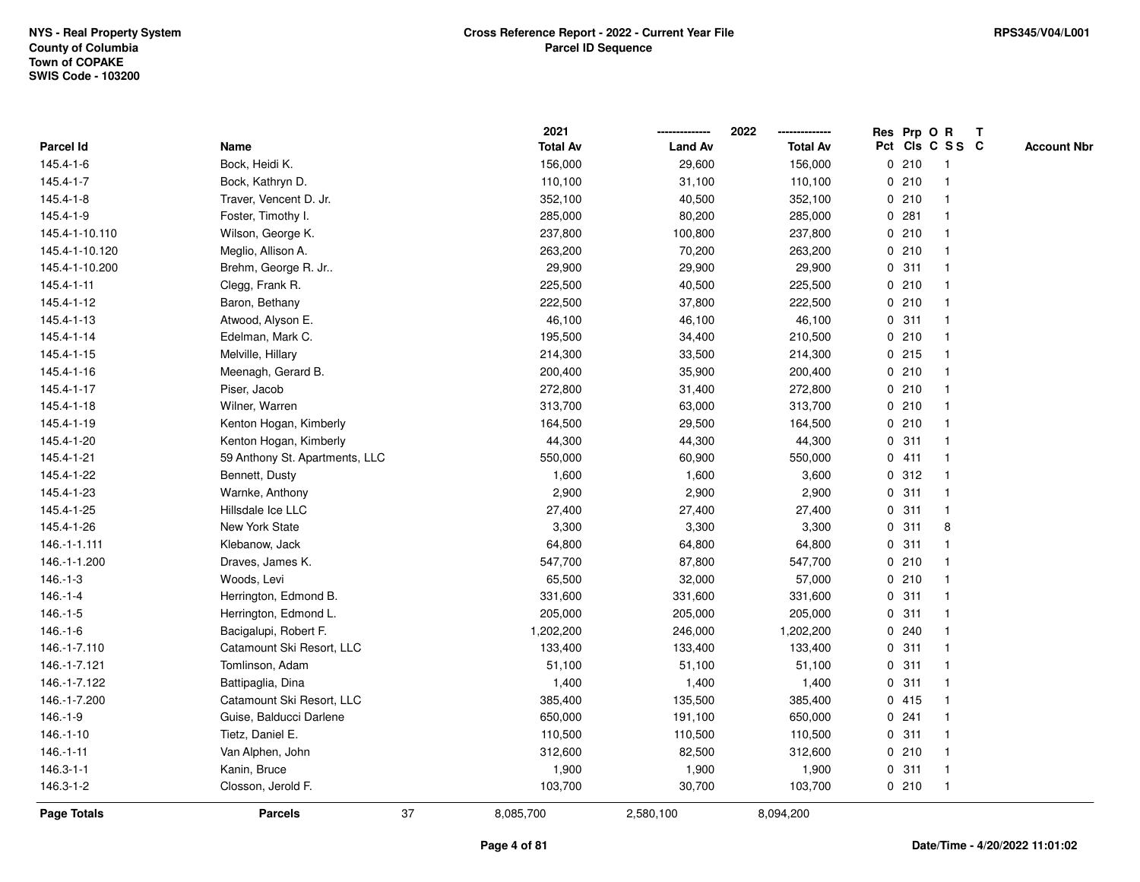|                    |                                | 2021            |                | 2022<br>-------------- |   |       | Res Prp O R     | T |                    |
|--------------------|--------------------------------|-----------------|----------------|------------------------|---|-------|-----------------|---|--------------------|
| <b>Parcel Id</b>   | Name                           | <b>Total Av</b> | <b>Land Av</b> | <b>Total Av</b>        |   |       | Pct Cls C S S C |   | <b>Account Nbr</b> |
| 145.4-1-6          | Bock, Heidi K.                 | 156,000         | 29,600         | 156,000                |   | 0210  | -1              |   |                    |
| $145.4 - 1 - 7$    | Bock, Kathryn D.               | 110,100         | 31,100         | 110,100                |   | 0210  |                 |   |                    |
| 145.4-1-8          | Traver, Vencent D. Jr.         | 352,100         | 40,500         | 352,100                |   | 0210  |                 |   |                    |
| 145.4-1-9          | Foster, Timothy I.             | 285,000         | 80,200         | 285,000                |   | 0.281 | $\mathbf 1$     |   |                    |
| 145.4-1-10.110     | Wilson, George K.              | 237,800         | 100,800        | 237,800                |   | 0210  | 1               |   |                    |
| 145.4-1-10.120     | Meglio, Allison A.             | 263,200         | 70,200         | 263,200                |   | 0210  | $\mathbf 1$     |   |                    |
| 145.4-1-10.200     | Brehm, George R. Jr            | 29,900          | 29,900         | 29,900                 |   | 0.311 | $\mathbf 1$     |   |                    |
| 145.4-1-11         | Clegg, Frank R.                | 225,500         | 40,500         | 225,500                |   | 0210  | 1               |   |                    |
| 145.4-1-12         | Baron, Bethany                 | 222,500         | 37,800         | 222,500                |   | 0210  |                 |   |                    |
| 145.4-1-13         | Atwood, Alyson E.              | 46,100          | 46,100         | 46,100                 |   | 0.311 | $\mathbf 1$     |   |                    |
| 145.4-1-14         | Edelman, Mark C.               | 195,500         | 34,400         | 210,500                |   | 0210  | $\mathbf{1}$    |   |                    |
| 145.4-1-15         | Melville, Hillary              | 214,300         | 33,500         | 214,300                |   | 0215  | $\mathbf{1}$    |   |                    |
| 145.4-1-16         | Meenagh, Gerard B.             | 200,400         | 35,900         | 200,400                |   | 0210  | 1               |   |                    |
| 145.4-1-17         | Piser, Jacob                   | 272,800         | 31,400         | 272,800                |   | 0210  | $\mathbf 1$     |   |                    |
| 145.4-1-18         | Wilner, Warren                 | 313,700         | 63,000         | 313,700                |   | 0210  |                 |   |                    |
| 145.4-1-19         | Kenton Hogan, Kimberly         | 164,500         | 29,500         | 164,500                |   | 0210  |                 |   |                    |
| 145.4-1-20         | Kenton Hogan, Kimberly         | 44,300          | 44,300         | 44,300                 |   | 0.311 | $\mathbf 1$     |   |                    |
| 145.4-1-21         | 59 Anthony St. Apartments, LLC | 550,000         | 60,900         | 550,000                | 0 | 411   | $\mathbf{1}$    |   |                    |
| 145.4-1-22         | Bennett, Dusty                 | 1,600           | 1,600          | 3,600                  |   | 0.312 | $\mathbf{1}$    |   |                    |
| 145.4-1-23         | Warnke, Anthony                | 2,900           | 2,900          | 2,900                  |   | 0.311 | 1               |   |                    |
| 145.4-1-25         | Hillsdale Ice LLC              | 27,400          | 27,400         | 27,400                 |   | 0.311 | 1               |   |                    |
| 145.4-1-26         | New York State                 | 3,300           | 3,300          | 3,300                  |   | 0.311 | 8               |   |                    |
| 146.-1-1.111       | Klebanow, Jack                 | 64,800          | 64,800         | 64,800                 |   | 0.311 | -1              |   |                    |
| 146.-1-1.200       | Draves, James K.               | 547,700         | 87,800         | 547,700                |   | 0210  | $\mathbf{1}$    |   |                    |
| $146.-1-3$         | Woods, Levi                    | 65,500          | 32,000         | 57,000                 |   | 0210  | $\mathbf{1}$    |   |                    |
| $146.-1-4$         | Herrington, Edmond B.          | 331,600         | 331,600        | 331,600                |   | 0.311 | $\mathbf 1$     |   |                    |
| $146.-1-5$         | Herrington, Edmond L.          | 205,000         | 205,000        | 205,000                |   | 0.311 | -1              |   |                    |
| $146.-1-6$         | Bacigalupi, Robert F.          | 1,202,200       | 246,000        | 1,202,200              |   | 0.240 | 1               |   |                    |
| 146.-1-7.110       | Catamount Ski Resort, LLC      | 133,400         | 133,400        | 133,400                |   | 0.311 |                 |   |                    |
| 146.-1-7.121       | Tomlinson, Adam                | 51,100          | 51,100         | 51,100                 |   | 0.311 | $\mathbf 1$     |   |                    |
| 146.-1-7.122       | Battipaglia, Dina              | 1,400           | 1,400          | 1,400                  | 0 | 311   | $\mathbf{1}$    |   |                    |
| 146.-1-7.200       | Catamount Ski Resort, LLC      | 385,400         | 135,500        | 385,400                |   | 0415  | 1               |   |                    |
| $146.-1-9$         | Guise, Balducci Darlene        | 650,000         | 191,100        | 650,000                |   | 0.241 | $\mathbf 1$     |   |                    |
| 146.-1-10          | Tietz, Daniel E.               | 110,500         | 110,500        | 110,500                |   | 0.311 | -1              |   |                    |
| $146.-1-11$        | Van Alphen, John               | 312,600         | 82,500         | 312,600                |   | 0210  |                 |   |                    |
| $146.3 - 1 - 1$    | Kanin, Bruce                   | 1,900           | 1,900          | 1,900                  |   | 0.311 | $\mathbf{1}$    |   |                    |
| 146.3-1-2          | Closson, Jerold F.             | 103,700         | 30,700         | 103,700                |   | 0210  | $\mathbf 1$     |   |                    |
| <b>Page Totals</b> | <b>Parcels</b>                 | 37<br>8,085,700 | 2,580,100      | 8,094,200              |   |       |                 |   |                    |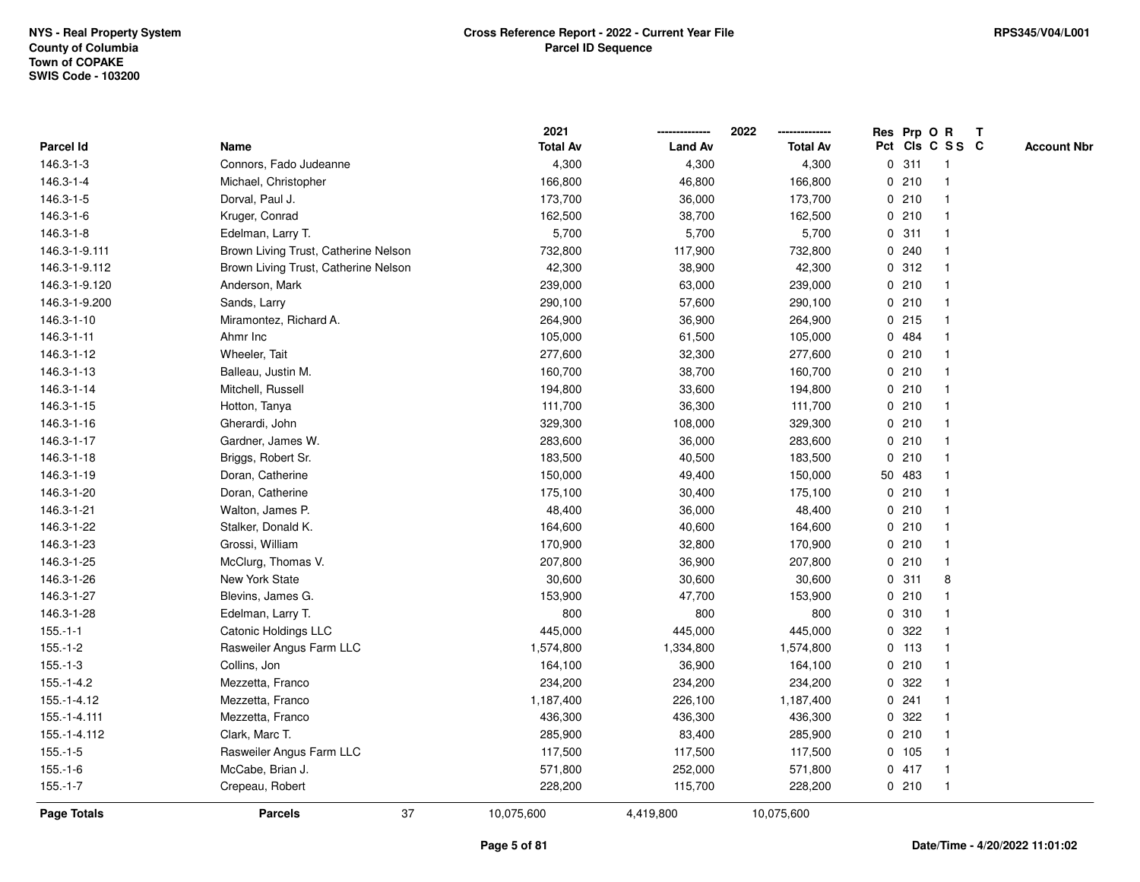|                    |                                      | 2021            |                | 2022            |             |        | Res Prp O R     | T |                    |
|--------------------|--------------------------------------|-----------------|----------------|-----------------|-------------|--------|-----------------|---|--------------------|
| Parcel Id          | Name                                 | <b>Total Av</b> | <b>Land Av</b> | <b>Total Av</b> |             |        | Pct Cls C S S C |   | <b>Account Nbr</b> |
| 146.3-1-3          | Connors, Fado Judeanne               | 4,300           | 4,300          | 4,300           |             | 0.311  | $\mathbf{1}$    |   |                    |
| 146.3-1-4          | Michael, Christopher                 | 166,800         | 46,800         | 166,800         |             | 0210   | -1              |   |                    |
| 146.3-1-5          | Dorval, Paul J.                      | 173,700         | 36,000         | 173,700         |             | 0210   |                 |   |                    |
| 146.3-1-6          | Kruger, Conrad                       | 162,500         | 38,700         | 162,500         |             | 0210   |                 |   |                    |
| 146.3-1-8          | Edelman, Larry T.                    | 5,700           | 5,700          | 5,700           |             | 0.311  |                 |   |                    |
| 146.3-1-9.111      | Brown Living Trust, Catherine Nelson | 732,800         | 117,900        | 732,800         |             | 0.240  |                 |   |                    |
| 146.3-1-9.112      | Brown Living Trust, Catherine Nelson | 42,300          | 38,900         | 42,300          |             | 0.312  |                 |   |                    |
| 146.3-1-9.120      | Anderson, Mark                       | 239,000         | 63,000         | 239,000         |             | 0210   | $\overline{1}$  |   |                    |
| 146.3-1-9.200      | Sands, Larry                         | 290,100         | 57,600         | 290,100         |             | 0210   | $\overline{1}$  |   |                    |
| 146.3-1-10         | Miramontez, Richard A.               | 264,900         | 36,900         | 264,900         |             | 0215   |                 |   |                    |
| 146.3-1-11         | Ahmr Inc                             | 105,000         | 61,500         | 105,000         |             | 0 484  |                 |   |                    |
| 146.3-1-12         | Wheeler, Tait                        | 277,600         | 32,300         | 277,600         |             | 0210   |                 |   |                    |
| 146.3-1-13         | Balleau, Justin M.                   | 160,700         | 38,700         | 160,700         |             | 0210   |                 |   |                    |
| 146.3-1-14         | Mitchell, Russell                    | 194,800         | 33,600         | 194,800         |             | 0210   |                 |   |                    |
| 146.3-1-15         | Hotton, Tanya                        | 111,700         | 36,300         | 111,700         |             | 0210   | -1              |   |                    |
| 146.3-1-16         | Gherardi, John                       | 329,300         | 108,000        | 329,300         |             | 0210   | $\overline{1}$  |   |                    |
| 146.3-1-17         | Gardner, James W.                    | 283,600         | 36,000         | 283,600         |             | 0210   |                 |   |                    |
| 146.3-1-18         | Briggs, Robert Sr.                   | 183,500         | 40,500         | 183,500         |             | 0210   |                 |   |                    |
| 146.3-1-19         | Doran, Catherine                     | 150,000         | 49,400         | 150,000         |             | 50 483 |                 |   |                    |
| 146.3-1-20         | Doran, Catherine                     | 175,100         | 30,400         | 175,100         |             | 0210   |                 |   |                    |
| 146.3-1-21         | Walton, James P.                     | 48,400          | 36,000         | 48,400          |             | 0210   |                 |   |                    |
| 146.3-1-22         | Stalker, Donald K.                   | 164,600         | 40,600         | 164,600         |             | 0210   | -1              |   |                    |
| 146.3-1-23         | Grossi, William                      | 170,900         | 32,800         | 170,900         |             | 0210   |                 |   |                    |
| 146.3-1-25         | McClurg, Thomas V.                   | 207,800         | 36,900         | 207,800         |             | 0210   | $\mathbf{1}$    |   |                    |
| 146.3-1-26         | New York State                       | 30,600          | 30,600         | 30,600          |             | 0.311  | 8               |   |                    |
| 146.3-1-27         | Blevins, James G.                    | 153,900         | 47,700         | 153,900         |             | 0210   |                 |   |                    |
| 146.3-1-28         | Edelman, Larry T.                    | 800             | 800            | 800             |             | 0 310  |                 |   |                    |
| $155.-1-1$         | Catonic Holdings LLC                 | 445,000         | 445,000        | 445,000         | 0           | 322    |                 |   |                    |
| $155.-1-2$         | Rasweiler Angus Farm LLC             | 1,574,800       | 1,334,800      | 1,574,800       | $\mathbf 0$ | 113    | $\overline{1}$  |   |                    |
| $155.-1-3$         | Collins, Jon                         | 164,100         | 36,900         | 164,100         | 0           | 210    | $\overline{1}$  |   |                    |
| 155.-1-4.2         | Mezzetta, Franco                     | 234,200         | 234,200        | 234,200         |             | 0 322  |                 |   |                    |
| 155.-1-4.12        | Mezzetta, Franco                     | 1,187,400       | 226,100        | 1,187,400       |             | 0.241  |                 |   |                    |
| 155.-1-4.111       | Mezzetta, Franco                     | 436,300         | 436,300        | 436,300         |             | 0 322  |                 |   |                    |
| 155.-1-4.112       | Clark, Marc T.                       | 285,900         | 83,400         | 285,900         |             | 0210   |                 |   |                    |
| $155.-1-5$         | Rasweiler Angus Farm LLC             | 117,500         | 117,500        | 117,500         |             | 0 105  | -1              |   |                    |
| $155.-1-6$         | McCabe, Brian J.                     | 571,800         | 252,000        | 571,800         |             | 0417   | -1              |   |                    |
| $155.-1-7$         | Crepeau, Robert                      | 228,200         | 115,700        | 228,200         |             | 0210   | $\mathbf{1}$    |   |                    |
| <b>Page Totals</b> | 37<br><b>Parcels</b>                 | 10,075,600      | 4,419,800      | 10,075,600      |             |        |                 |   |                    |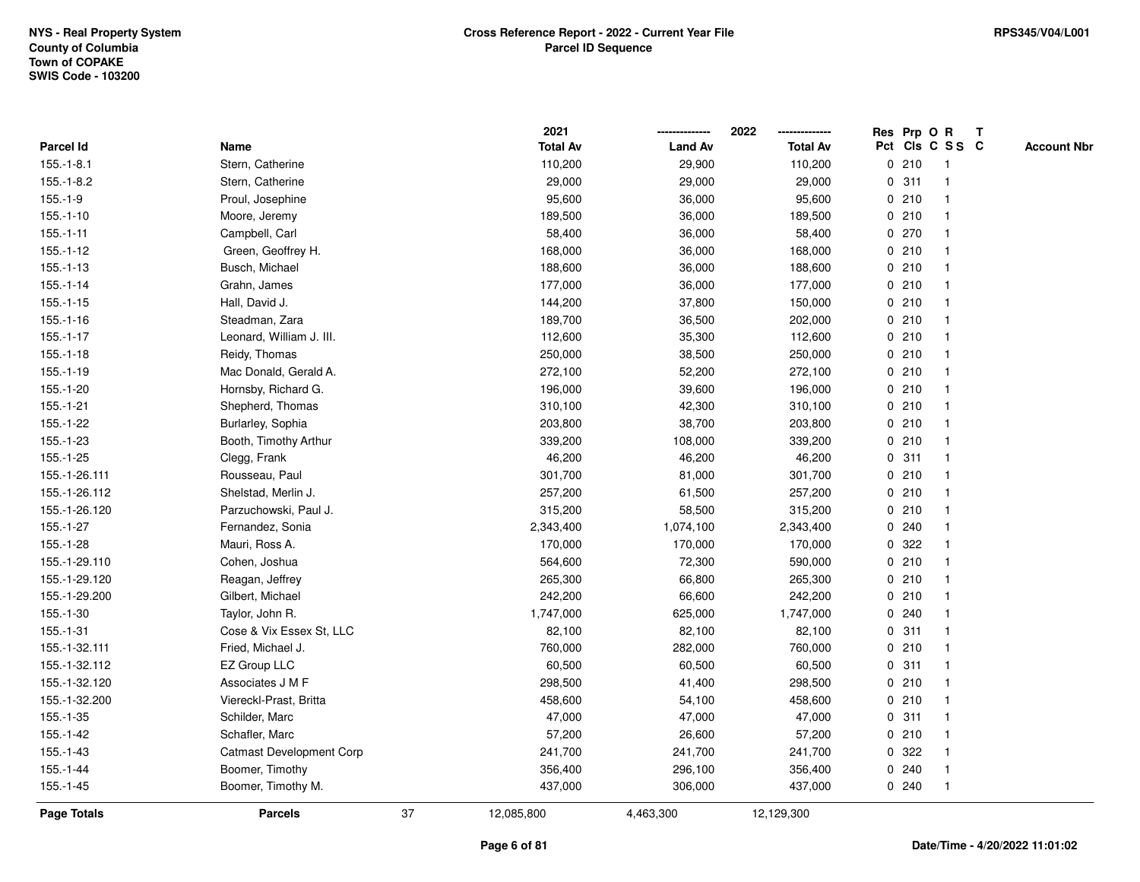|               |                                 |    | 2021            |                | 2022            |              |       | Res Prp O R     | Т |                    |
|---------------|---------------------------------|----|-----------------|----------------|-----------------|--------------|-------|-----------------|---|--------------------|
| Parcel Id     | Name                            |    | <b>Total Av</b> | <b>Land Av</b> | <b>Total Av</b> |              |       | Pct Cls C S S C |   | <b>Account Nbr</b> |
| $155.-1-8.1$  | Stern, Catherine                |    | 110,200         | 29,900         | 110,200         |              | 0210  | -1              |   |                    |
| $155.-1-8.2$  | Stern, Catherine                |    | 29,000          | 29,000         | 29,000          | 0            | 311   | $\mathbf 1$     |   |                    |
| $155.-1-9$    | Proul, Josephine                |    | 95,600          | 36,000         | 95,600          |              | 0210  | $\mathbf 1$     |   |                    |
| $155.-1-10$   | Moore, Jeremy                   |    | 189,500         | 36,000         | 189,500         |              | 0210  |                 |   |                    |
| $155.-1-11$   | Campbell, Carl                  |    | 58,400          | 36,000         | 58,400          |              | 0270  |                 |   |                    |
| $155.-1-12$   | Green, Geoffrey H.              |    | 168,000         | 36,000         | 168,000         |              | 0210  |                 |   |                    |
| $155.-1-13$   | Busch, Michael                  |    | 188,600         | 36,000         | 188,600         |              | 0210  |                 |   |                    |
| $155.-1-14$   | Grahn, James                    |    | 177,000         | 36,000         | 177,000         |              | 0210  | $\mathbf{1}$    |   |                    |
| $155.-1-15$   | Hall, David J.                  |    | 144,200         | 37,800         | 150,000         |              | 0210  | -1              |   |                    |
| $155.-1-16$   | Steadman, Zara                  |    | 189,700         | 36,500         | 202,000         |              | 0210  | $\mathbf 1$     |   |                    |
| $155.-1-17$   | Leonard, William J. III.        |    | 112,600         | 35,300         | 112,600         |              | 0210  |                 |   |                    |
| $155.-1-18$   | Reidy, Thomas                   |    | 250,000         | 38,500         | 250,000         |              | 0210  |                 |   |                    |
| $155.-1-19$   | Mac Donald, Gerald A.           |    | 272,100         | 52,200         | 272,100         |              | 0210  |                 |   |                    |
| 155.-1-20     | Hornsby, Richard G.             |    | 196,000         | 39,600         | 196,000         |              | 0210  |                 |   |                    |
| $155.-1-21$   | Shepherd, Thomas                |    | 310,100         | 42,300         | 310,100         | $\mathbf 0$  | 210   |                 |   |                    |
| 155.-1-22     | Burlarley, Sophia               |    | 203,800         | 38,700         | 203,800         |              | 0210  | $\overline{1}$  |   |                    |
| $155.-1-23$   | Booth, Timothy Arthur           |    | 339,200         | 108,000        | 339,200         |              | 0210  | $\mathbf{1}$    |   |                    |
| 155.-1-25     | Clegg, Frank                    |    | 46,200          | 46,200         | 46,200          |              | 0.311 |                 |   |                    |
| 155.-1-26.111 | Rousseau, Paul                  |    | 301,700         | 81,000         | 301,700         |              | 0210  |                 |   |                    |
| 155.-1-26.112 | Shelstad, Merlin J.             |    | 257,200         | 61,500         | 257,200         |              | 0210  |                 |   |                    |
| 155.-1-26.120 | Parzuchowski, Paul J.           |    | 315,200         | 58,500         | 315,200         |              | 0210  |                 |   |                    |
| 155.-1-27     | Fernandez, Sonia                |    | 2,343,400       | 1,074,100      | 2,343,400       | 0            | 240   |                 |   |                    |
| $155.-1-28$   | Mauri, Ross A.                  |    | 170,000         | 170,000        | 170,000         | 0            | 322   |                 |   |                    |
| 155.-1-29.110 | Cohen, Joshua                   |    | 564,600         | 72,300         | 590,000         | $\mathbf{0}$ | 210   | -1              |   |                    |
| 155.-1-29.120 | Reagan, Jeffrey                 |    | 265,300         | 66,800         | 265,300         |              | 0210  |                 |   |                    |
| 155.-1-29.200 | Gilbert, Michael                |    | 242,200         | 66,600         | 242,200         |              | 0210  |                 |   |                    |
| 155.-1-30     | Taylor, John R.                 |    | 1,747,000       | 625,000        | 1,747,000       |              | 0.240 |                 |   |                    |
| 155.-1-31     | Cose & Vix Essex St, LLC        |    | 82,100          | 82,100         | 82,100          | 0            | 311   |                 |   |                    |
| 155.-1-32.111 | Fried, Michael J.               |    | 760,000         | 282,000        | 760,000         | 0            | 210   |                 |   |                    |
| 155.-1-32.112 | EZ Group LLC                    |    | 60,500          | 60,500         | 60,500          | 0            | 311   | 1               |   |                    |
| 155.-1-32.120 | Associates J M F                |    | 298,500         | 41,400         | 298,500         | 0            | 210   | -1              |   |                    |
| 155.-1-32.200 | Viereckl-Prast, Britta          |    | 458,600         | 54,100         | 458,600         |              | 0210  | $\mathbf 1$     |   |                    |
| $155.-1-35$   | Schilder, Marc                  |    | 47,000          | 47,000         | 47,000          |              | 0.311 |                 |   |                    |
| 155.-1-42     | Schafler, Marc                  |    | 57,200          | 26,600         | 57,200          |              | 0210  |                 |   |                    |
| $155.-1-43$   | <b>Catmast Development Corp</b> |    | 241,700         | 241,700        | 241,700         |              | 0.322 |                 |   |                    |
| $155.-1-44$   | Boomer, Timothy                 |    | 356,400         | 296,100        | 356,400         | 0            | 240   |                 |   |                    |
| $155.-1-45$   | Boomer, Timothy M.              |    | 437,000         | 306,000        | 437,000         |              | 0.240 | $\overline{1}$  |   |                    |
| Page Totals   | <b>Parcels</b>                  | 37 | 12,085,800      | 4,463,300      | 12,129,300      |              |       |                 |   |                    |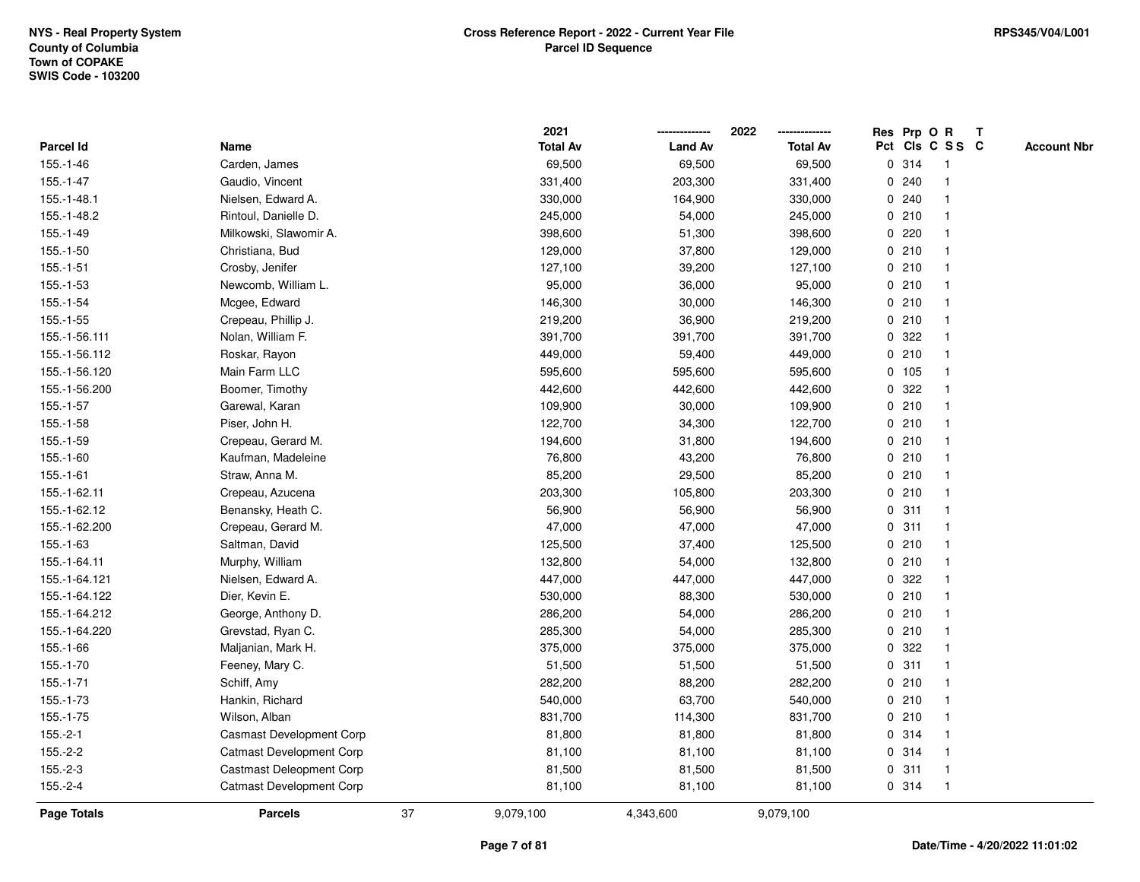|               |                                 |    | 2021            |                | 2022            |             |       | Res Prp O R             | T |                    |
|---------------|---------------------------------|----|-----------------|----------------|-----------------|-------------|-------|-------------------------|---|--------------------|
| Parcel Id     | Name                            |    | <b>Total Av</b> | <b>Land Av</b> | <b>Total Av</b> |             |       | Pct Cls C S S C         |   | <b>Account Nbr</b> |
| 155.-1-46     | Carden, James                   |    | 69,500          | 69,500         | 69,500          | 0           | 314   | $\mathbf{1}$            |   |                    |
| 155.-1-47     | Gaudio, Vincent                 |    | 331,400         | 203,300        | 331,400         | 0           | 240   |                         |   |                    |
| 155.-1-48.1   | Nielsen, Edward A.              |    | 330,000         | 164,900        | 330,000         |             | 0.240 | -1                      |   |                    |
| 155.-1-48.2   | Rintoul, Danielle D.            |    | 245,000         | 54,000         | 245,000         |             | 0210  |                         |   |                    |
| 155.-1-49     | Milkowski, Slawomir A.          |    | 398,600         | 51,300         | 398,600         |             | 0.220 |                         |   |                    |
| $155.-1-50$   | Christiana, Bud                 |    | 129,000         | 37,800         | 129,000         |             | 0210  |                         |   |                    |
| $155.-1-51$   | Crosby, Jenifer                 |    | 127,100         | 39,200         | 127,100         |             | 0210  |                         |   |                    |
| 155.-1-53     | Newcomb, William L.             |    | 95,000          | 36,000         | 95,000          | 0           | 210   |                         |   |                    |
| $155.-1-54$   | Mcgee, Edward                   |    | 146,300         | 30,000         | 146,300         |             | 0210  | -1                      |   |                    |
| $155.-1-55$   | Crepeau, Phillip J.             |    | 219,200         | 36,900         | 219,200         |             | 0210  | $\mathbf{1}$            |   |                    |
| 155.-1-56.111 | Nolan, William F.               |    | 391,700         | 391,700        | 391,700         |             | 0.322 |                         |   |                    |
| 155.-1-56.112 | Roskar, Rayon                   |    | 449,000         | 59,400         | 449,000         |             | 0210  |                         |   |                    |
| 155.-1-56.120 | Main Farm LLC                   |    | 595,600         | 595,600        | 595,600         |             | 0 105 |                         |   |                    |
| 155.-1-56.200 | Boomer, Timothy                 |    | 442,600         | 442,600        | 442,600         |             | 0 322 |                         |   |                    |
| 155.-1-57     | Garewal, Karan                  |    | 109,900         | 30,000         | 109,900         | $\mathbf 0$ | 210   |                         |   |                    |
| 155.-1-58     | Piser, John H.                  |    | 122,700         | 34,300         | 122,700         | $\mathbf 0$ | 210   | $\overline{\mathbf{1}}$ |   |                    |
| 155.-1-59     | Crepeau, Gerard M.              |    | 194,600         | 31,800         | 194,600         | $\mathbf 0$ | 210   | $\mathbf{1}$            |   |                    |
| 155.-1-60     | Kaufman, Madeleine              |    | 76,800          | 43,200         | 76,800          |             | 0210  |                         |   |                    |
| $155.-1-61$   | Straw, Anna M.                  |    | 85,200          | 29,500         | 85,200          |             | 0210  |                         |   |                    |
| 155.-1-62.11  | Crepeau, Azucena                |    | 203,300         | 105,800        | 203,300         |             | 0210  |                         |   |                    |
| 155.-1-62.12  | Benansky, Heath C.              |    | 56,900          | 56,900         | 56,900          |             | 0.311 |                         |   |                    |
| 155.-1-62.200 | Crepeau, Gerard M.              |    | 47,000          | 47,000         | 47,000          |             | 0.311 |                         |   |                    |
| 155.-1-63     | Saltman, David                  |    | 125,500         | 37,400         | 125,500         |             | 0210  | -1                      |   |                    |
| 155.-1-64.11  | Murphy, William                 |    | 132,800         | 54,000         | 132,800         | $\mathbf 0$ | 210   | $\overline{\mathbf{1}}$ |   |                    |
| 155.-1-64.121 | Nielsen, Edward A.              |    | 447,000         | 447,000        | 447,000         |             | 0 322 |                         |   |                    |
| 155.-1-64.122 | Dier, Kevin E.                  |    | 530,000         | 88,300         | 530,000         |             | 0210  |                         |   |                    |
| 155.-1-64.212 | George, Anthony D.              |    | 286,200         | 54,000         | 286,200         |             | 0210  |                         |   |                    |
| 155.-1-64.220 | Grevstad, Ryan C.               |    | 285,300         | 54,000         | 285,300         |             | 0210  |                         |   |                    |
| 155.-1-66     | Maljanian, Mark H.              |    | 375,000         | 375,000        | 375,000         | 0           | 322   |                         |   |                    |
| 155.-1-70     | Feeney, Mary C.                 |    | 51,500          | 51,500         | 51,500          | 0           | 311   | -1                      |   |                    |
| 155.-1-71     | Schiff, Amy                     |    | 282,200         | 88,200         | 282,200         | 0           | 210   | -1                      |   |                    |
| 155.-1-73     | Hankin, Richard                 |    | 540,000         | 63,700         | 540,000         |             | 0210  | $\mathbf 1$             |   |                    |
| $155.-1-75$   | Wilson, Alban                   |    | 831,700         | 114,300        | 831,700         |             | 0210  |                         |   |                    |
| $155.-2-1$    | <b>Casmast Development Corp</b> |    | 81,800          | 81,800         | 81,800          |             | 0 314 |                         |   |                    |
| $155.-2-2$    | <b>Catmast Development Corp</b> |    | 81,100          | 81,100         | 81,100          |             | 0 314 |                         |   |                    |
| $155.-2-3$    | <b>Castmast Deleopment Corp</b> |    | 81,500          | 81,500         | 81,500          |             | 0.311 | -1                      |   |                    |
| $155.-2-4$    | <b>Catmast Development Corp</b> |    | 81,100          | 81,100         | 81,100          |             | 0.314 | $\mathbf{1}$            |   |                    |
| Page Totals   | <b>Parcels</b>                  | 37 | 9,079,100       | 4,343,600      | 9,079,100       |             |       |                         |   |                    |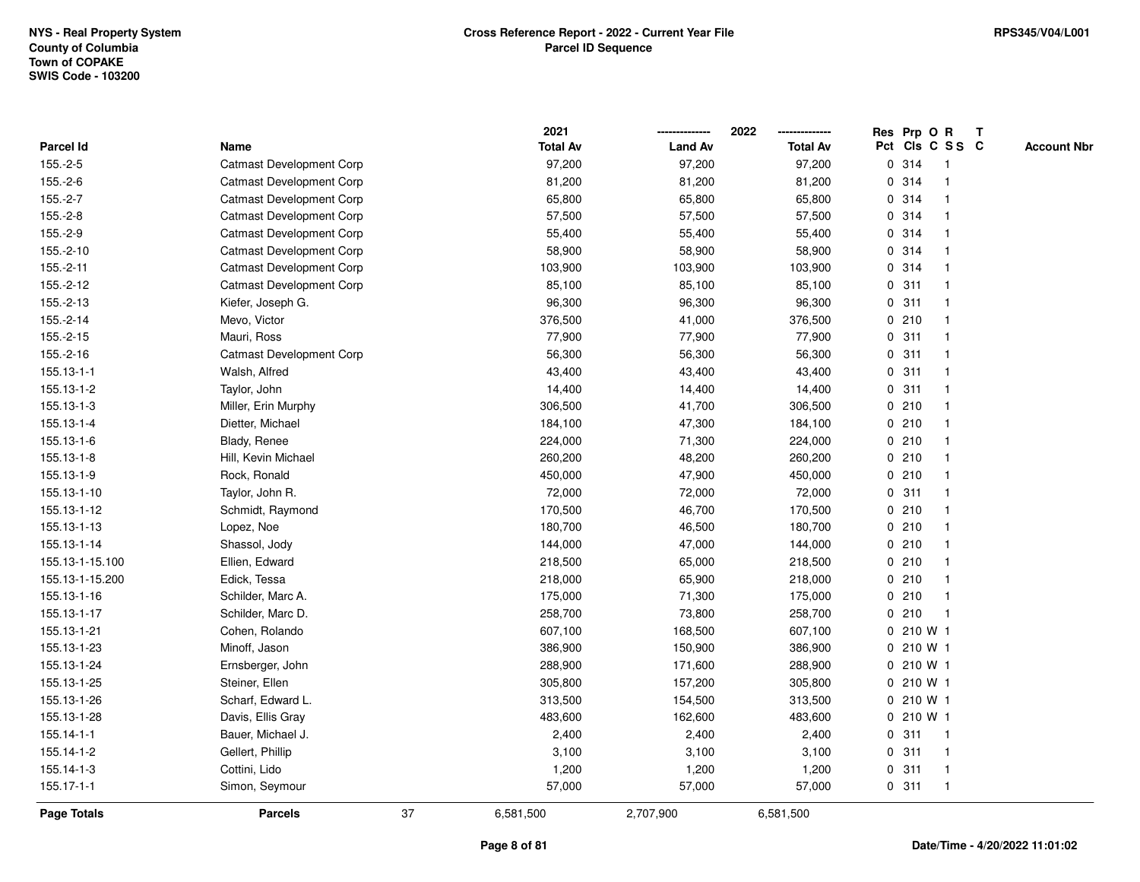|                    |                                 |    | 2021            |                | 2022            | Res Prp O R |                         | Т |                    |
|--------------------|---------------------------------|----|-----------------|----------------|-----------------|-------------|-------------------------|---|--------------------|
| Parcel Id          | Name                            |    | <b>Total Av</b> | <b>Land Av</b> | <b>Total Av</b> |             | Pct Cls C S S C         |   | <b>Account Nbr</b> |
| $155.-2-5$         | <b>Catmast Development Corp</b> |    | 97,200          | 97,200         | 97,200          | 0.314       | $\mathbf{1}$            |   |                    |
| $155.-2-6$         | <b>Catmast Development Corp</b> |    | 81,200          | 81,200         | 81,200          | 0.314       | -1                      |   |                    |
| $155.-2-7$         | <b>Catmast Development Corp</b> |    | 65,800          | 65,800         | 65,800          | 0.314       | -1                      |   |                    |
| $155.-2-8$         | <b>Catmast Development Corp</b> |    | 57,500          | 57,500         | 57,500          | 0.314       |                         |   |                    |
| 155.-2-9           | <b>Catmast Development Corp</b> |    | 55,400          | 55,400         | 55,400          | 0.314       |                         |   |                    |
| 155.-2-10          | <b>Catmast Development Corp</b> |    | 58,900          | 58,900         | 58,900          | 0.314       |                         |   |                    |
| $155.-2-11$        | <b>Catmast Development Corp</b> |    | 103,900         | 103,900        | 103,900         | 0.314       |                         |   |                    |
| 155.-2-12          | <b>Catmast Development Corp</b> |    | 85,100          | 85,100         | 85,100          | 0.311       | -1                      |   |                    |
| 155.-2-13          | Kiefer, Joseph G.               |    | 96,300          | 96,300         | 96,300          | 0.311       | -1                      |   |                    |
| 155.-2-14          | Mevo, Victor                    |    | 376,500         | 41,000         | 376,500         | 0210        | -1                      |   |                    |
| 155.-2-15          | Mauri, Ross                     |    | 77,900          | 77,900         | 77,900          | 0.311       |                         |   |                    |
| 155.-2-16          | <b>Catmast Development Corp</b> |    | 56,300          | 56,300         | 56,300          | 0.311       |                         |   |                    |
| 155.13-1-1         | Walsh, Alfred                   |    | 43,400          | 43,400         | 43,400          | 0.311       |                         |   |                    |
| 155.13-1-2         | Taylor, John                    |    | 14,400          | 14,400         | 14,400          | 0.311       | -1                      |   |                    |
| 155.13-1-3         | Miller, Erin Murphy             |    | 306,500         | 41,700         | 306,500         | 0210        | $\mathbf{1}$            |   |                    |
| 155.13-1-4         | Dietter, Michael                |    | 184,100         | 47,300         | 184,100         | 0210        | $\mathbf 1$             |   |                    |
| 155.13-1-6         | Blady, Renee                    |    | 224,000         | 71,300         | 224,000         | 0210        | -1                      |   |                    |
| 155.13-1-8         | Hill, Kevin Michael             |    | 260,200         | 48,200         | 260,200         | 0210        |                         |   |                    |
| 155.13-1-9         | Rock, Ronald                    |    | 450,000         | 47,900         | 450,000         | 0210        |                         |   |                    |
| 155.13-1-10        | Taylor, John R.                 |    | 72,000          | 72,000         | 72,000          | 0.311       |                         |   |                    |
| 155.13-1-12        | Schmidt, Raymond                |    | 170,500         | 46,700         | 170,500         | 0210        |                         |   |                    |
| 155.13-1-13        | Lopez, Noe                      |    | 180,700         | 46,500         | 180,700         | 0210        | $\overline{\mathbf{1}}$ |   |                    |
| 155.13-1-14        | Shassol, Jody                   |    | 144,000         | 47,000         | 144,000         | 0210        | -1                      |   |                    |
| 155.13-1-15.100    | Ellien, Edward                  |    | 218,500         | 65,000         | 218,500         | 0210        | $\mathbf 1$             |   |                    |
| 155.13-1-15.200    | Edick, Tessa                    |    | 218,000         | 65,900         | 218,000         | 0210        | -1                      |   |                    |
| 155.13-1-16        | Schilder, Marc A.               |    | 175,000         | 71,300         | 175,000         | 0210        |                         |   |                    |
| 155.13-1-17        | Schilder, Marc D.               |    | 258,700         | 73,800         | 258,700         | 0210        |                         |   |                    |
| 155.13-1-21        | Cohen, Rolando                  |    | 607,100         | 168,500        | 607,100         | 0 210 W 1   |                         |   |                    |
| 155.13-1-23        | Minoff, Jason                   |    | 386,900         | 150,900        | 386,900         | 0 210 W 1   |                         |   |                    |
| 155.13-1-24        | Ernsberger, John                |    | 288,900         | 171,600        | 288,900         | 0 210 W 1   |                         |   |                    |
| 155.13-1-25        | Steiner, Ellen                  |    | 305,800         | 157,200        | 305,800         | 0 210 W 1   |                         |   |                    |
| 155.13-1-26        | Scharf, Edward L.               |    | 313,500         | 154,500        | 313,500         | 0 210 W 1   |                         |   |                    |
| 155.13-1-28        | Davis, Ellis Gray               |    | 483,600         | 162,600        | 483,600         | 0 210 W 1   |                         |   |                    |
| 155.14-1-1         | Bauer, Michael J.               |    | 2,400           | 2,400          | 2,400           | 0.311       | -1                      |   |                    |
| 155.14-1-2         | Gellert, Phillip                |    | 3,100           | 3,100          | 3,100           | 0.311       | $\mathbf 1$             |   |                    |
| 155.14-1-3         | Cottini, Lido                   |    | 1,200           | 1,200          | 1,200           | 0.311       | $\mathbf{1}$            |   |                    |
| 155.17-1-1         | Simon, Seymour                  |    | 57,000          | 57,000         | 57,000          | 0.311       | $\mathbf{1}$            |   |                    |
| <b>Page Totals</b> | <b>Parcels</b>                  | 37 | 6,581,500       | 2,707,900      | 6,581,500       |             |                         |   |                    |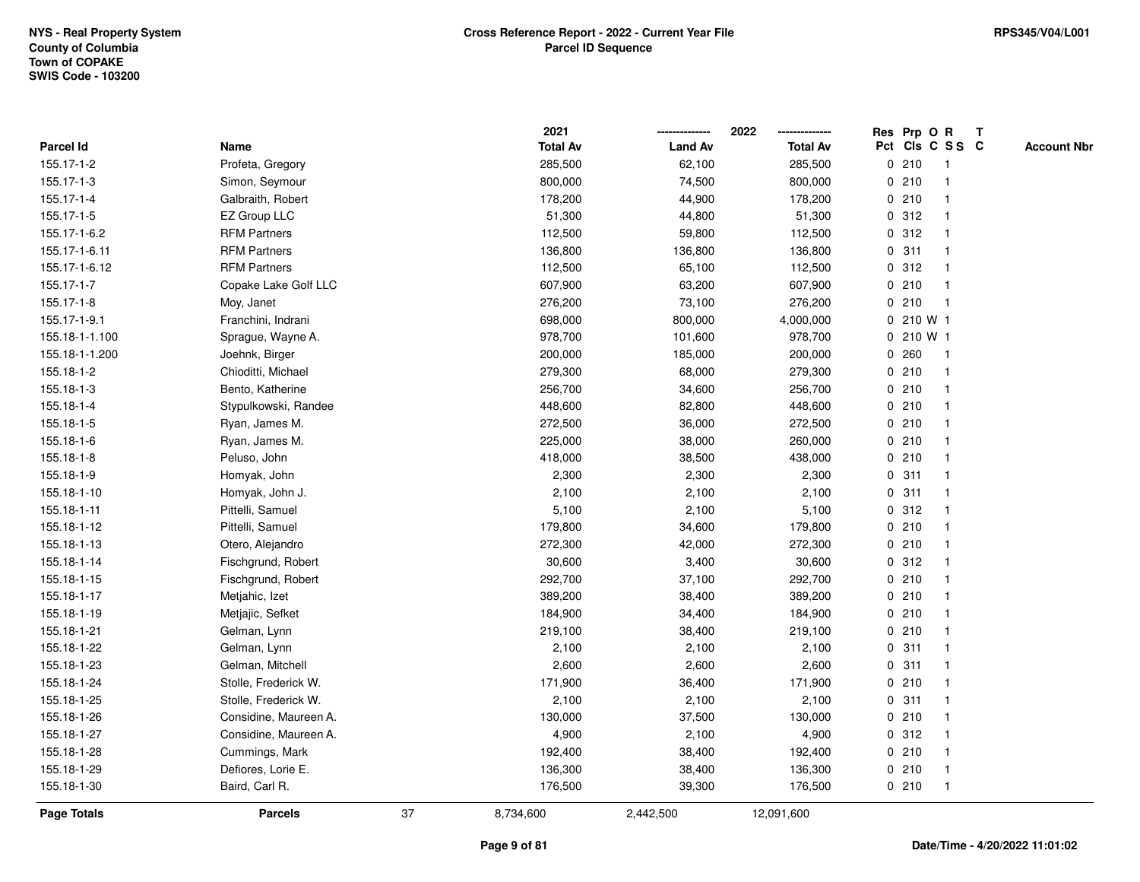|                    |                       |    | 2021            |                | 2022            |   | Res Prp O R |                 | T |                    |
|--------------------|-----------------------|----|-----------------|----------------|-----------------|---|-------------|-----------------|---|--------------------|
| Parcel Id          | Name                  |    | <b>Total Av</b> | <b>Land Av</b> | <b>Total Av</b> |   |             | Pct Cls C S S C |   | <b>Account Nbr</b> |
| 155.17-1-2         | Profeta, Gregory      |    | 285,500         | 62,100         | 285,500         |   | 0210        | $\mathbf{1}$    |   |                    |
| 155.17-1-3         | Simon, Seymour        |    | 800,000         | 74,500         | 800,000         | 0 | 210         | $\overline{1}$  |   |                    |
| 155.17-1-4         | Galbraith, Robert     |    | 178,200         | 44,900         | 178,200         |   | 0210        | $\mathbf{1}$    |   |                    |
| 155.17-1-5         | EZ Group LLC          |    | 51,300          | 44,800         | 51,300          |   | 0.312       |                 |   |                    |
| 155.17-1-6.2       | <b>RFM Partners</b>   |    | 112,500         | 59,800         | 112,500         |   | 0.312       |                 |   |                    |
| 155.17-1-6.11      | <b>RFM Partners</b>   |    | 136,800         | 136,800        | 136,800         |   | 0.311       |                 |   |                    |
| 155.17-1-6.12      | <b>RFM Partners</b>   |    | 112,500         | 65,100         | 112,500         |   | 0.312       |                 |   |                    |
| 155.17-1-7         | Copake Lake Golf LLC  |    | 607,900         | 63,200         | 607,900         | 0 | 210         | $\overline{1}$  |   |                    |
| 155.17-1-8         | Moy, Janet            |    | 276,200         | 73,100         | 276,200         | 0 | 210         | $\mathbf{1}$    |   |                    |
| 155.17-1-9.1       | Franchini, Indrani    |    | 698,000         | 800,000        | 4,000,000       |   | 0210 W1     |                 |   |                    |
| 155.18-1-1.100     | Sprague, Wayne A.     |    | 978,700         | 101,600        | 978,700         |   | 0 210 W 1   |                 |   |                    |
| 155.18-1-1.200     | Joehnk, Birger        |    | 200,000         | 185,000        | 200,000         |   | 0.260       |                 |   |                    |
| 155.18-1-2         | Chioditti, Michael    |    | 279,300         | 68,000         | 279,300         |   | 0210        |                 |   |                    |
| 155.18-1-3         | Bento, Katherine      |    | 256,700         | 34,600         | 256,700         |   | 0210        | -1              |   |                    |
| 155.18-1-4         | Stypulkowski, Randee  |    | 448,600         | 82,800         | 448,600         |   | 0210        |                 |   |                    |
| 155.18-1-5         | Ryan, James M.        |    | 272,500         | 36,000         | 272,500         |   | 0210        | $\overline{1}$  |   |                    |
| 155.18-1-6         | Ryan, James M.        |    | 225,000         | 38,000         | 260,000         |   | 0210        | $\overline{1}$  |   |                    |
| 155.18-1-8         | Peluso, John          |    | 418,000         | 38,500         | 438,000         |   | 0210        |                 |   |                    |
| 155.18-1-9         | Homyak, John          |    | 2,300           | 2,300          | 2,300           |   | 0.311       |                 |   |                    |
| 155.18-1-10        | Homyak, John J.       |    | 2,100           | 2,100          | 2,100           |   | 0.311       |                 |   |                    |
| 155.18-1-11        | Pittelli, Samuel      |    | 5,100           | 2,100          | 5,100           |   | 0.312       |                 |   |                    |
| 155.18-1-12        | Pittelli, Samuel      |    | 179,800         | 34,600         | 179,800         |   | 0210        |                 |   |                    |
| 155.18-1-13        | Otero, Alejandro      |    | 272,300         | 42,000         | 272,300         |   | 0210        | $\overline{1}$  |   |                    |
| 155.18-1-14        | Fischgrund, Robert    |    | 30,600          | 3,400          | 30,600          |   | 0.312       | $\overline{1}$  |   |                    |
| 155.18-1-15        | Fischgrund, Robert    |    | 292,700         | 37,100         | 292,700         |   | 0210        |                 |   |                    |
| 155.18-1-17        | Metjahic, Izet        |    | 389,200         | 38,400         | 389,200         |   | 0210        |                 |   |                    |
| 155.18-1-19        | Metjajic, Sefket      |    | 184,900         | 34,400         | 184,900         |   | 0210        |                 |   |                    |
| 155.18-1-21        | Gelman, Lynn          |    | 219,100         | 38,400         | 219,100         |   | 0210        |                 |   |                    |
| 155.18-1-22        | Gelman, Lynn          |    | 2,100           | 2,100          | 2,100           |   | 0.311       |                 |   |                    |
| 155.18-1-23        | Gelman, Mitchell      |    | 2,600           | 2,600          | 2,600           | 0 | 311         | -1              |   |                    |
| 155.18-1-24        | Stolle, Frederick W.  |    | 171,900         | 36,400         | 171,900         |   | 0210        | $\overline{1}$  |   |                    |
| 155.18-1-25        | Stolle, Frederick W.  |    | 2,100           | 2,100          | 2,100           |   | 0.311       | -1              |   |                    |
| 155.18-1-26        | Considine, Maureen A. |    | 130,000         | 37,500         | 130,000         |   | 0210        |                 |   |                    |
| 155.18-1-27        | Considine, Maureen A. |    | 4,900           | 2,100          | 4,900           |   | 0.312       |                 |   |                    |
| 155.18-1-28        | Cummings, Mark        |    | 192,400         | 38,400         | 192,400         |   | 0210        |                 |   |                    |
| 155.18-1-29        | Defiores, Lorie E.    |    | 136,300         | 38,400         | 136,300         |   | 0210        | -1              |   |                    |
| 155.18-1-30        | Baird, Carl R.        |    | 176,500         | 39,300         | 176,500         |   | 0210        | $\mathbf{1}$    |   |                    |
| <b>Page Totals</b> | <b>Parcels</b>        | 37 | 8,734,600       | 2,442,500      | 12,091,600      |   |             |                 |   |                    |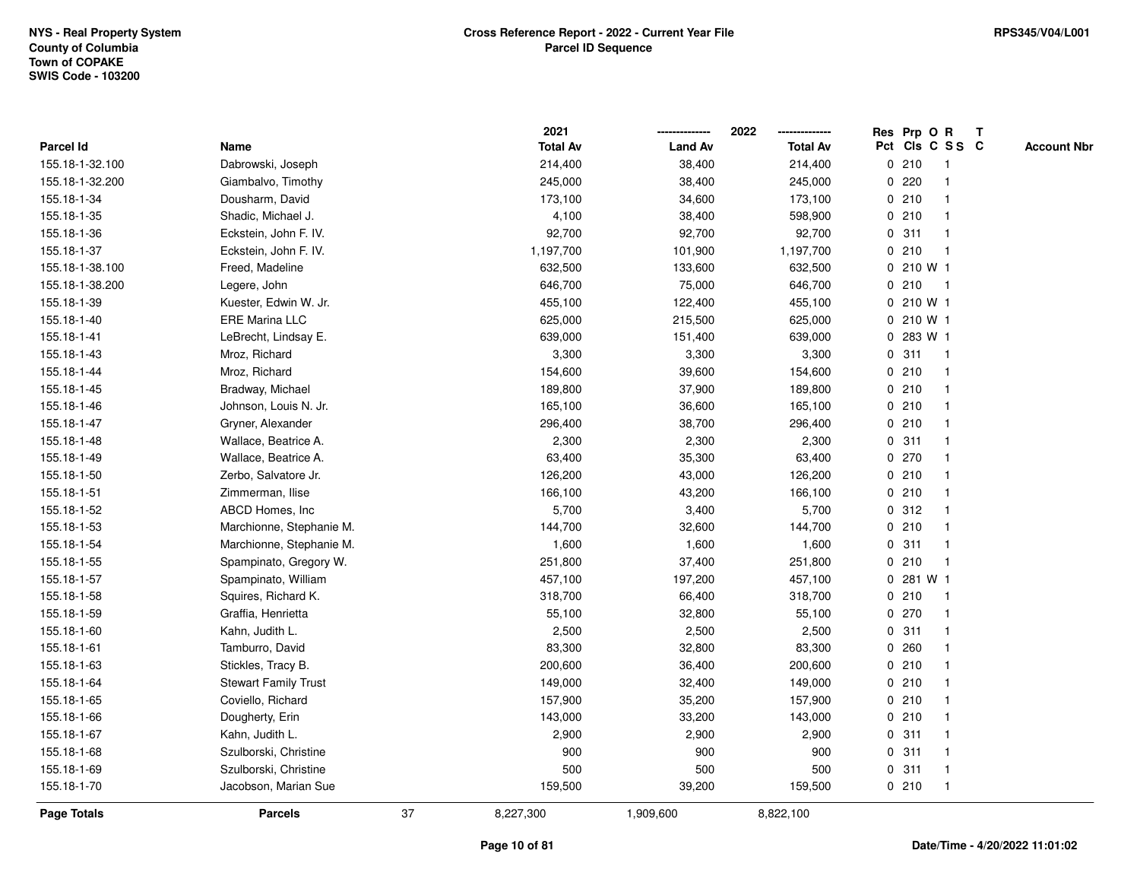|                    |                             |    | 2021            |                | 2022            | Res Prp O R |           |                 | $\mathbf{T}$ |                    |
|--------------------|-----------------------------|----|-----------------|----------------|-----------------|-------------|-----------|-----------------|--------------|--------------------|
| Parcel Id          | Name                        |    | <b>Total Av</b> | <b>Land Av</b> | <b>Total Av</b> |             |           | Pct Cls C S S C |              | <b>Account Nbr</b> |
| 155.18-1-32.100    | Dabrowski, Joseph           |    | 214,400         | 38,400         | 214,400         |             | 0210      |                 |              |                    |
| 155.18-1-32.200    | Giambalvo, Timothy          |    | 245,000         | 38,400         | 245,000         | 0           | 220       |                 |              |                    |
| 155.18-1-34        | Dousharm, David             |    | 173,100         | 34,600         | 173,100         |             | 0210      | -1              |              |                    |
| 155.18-1-35        | Shadic, Michael J.          |    | 4,100           | 38,400         | 598,900         | $\mathbf 0$ | 210       | $\mathbf{1}$    |              |                    |
| 155.18-1-36        | Eckstein, John F. IV.       |    | 92,700          | 92,700         | 92,700          | 0           | 311       | $\mathbf{1}$    |              |                    |
| 155.18-1-37        | Eckstein, John F. IV.       |    | 1,197,700       | 101,900        | 1,197,700       |             | 0210      | -1              |              |                    |
| 155.18-1-38.100    | Freed, Madeline             |    | 632,500         | 133,600        | 632,500         |             | 0 210 W 1 |                 |              |                    |
| 155.18-1-38.200    | Legere, John                |    | 646,700         | 75,000         | 646,700         |             | 0210      | -1              |              |                    |
| 155.18-1-39        | Kuester, Edwin W. Jr.       |    | 455,100         | 122,400        | 455,100         |             | 0 210 W 1 |                 |              |                    |
| 155.18-1-40        | ERE Marina LLC              |    | 625,000         | 215,500        | 625,000         |             | 0 210 W 1 |                 |              |                    |
| 155.18-1-41        | LeBrecht, Lindsay E.        |    | 639,000         | 151,400        | 639,000         |             | 0 283 W 1 |                 |              |                    |
| 155.18-1-43        | Mroz, Richard               |    | 3,300           | 3,300          | 3,300           |             | 0.311     | $\mathbf{1}$    |              |                    |
| 155.18-1-44        | Mroz, Richard               |    | 154,600         | 39,600         | 154,600         |             | 0210      | -1              |              |                    |
| 155.18-1-45        | Bradway, Michael            |    | 189,800         | 37,900         | 189,800         |             | 0210      |                 |              |                    |
| 155.18-1-46        | Johnson, Louis N. Jr.       |    | 165,100         | 36,600         | 165,100         |             | 0210      |                 |              |                    |
| 155.18-1-47        | Gryner, Alexander           |    | 296,400         | 38,700         | 296,400         |             | 0210      | -1              |              |                    |
| 155.18-1-48        | Wallace, Beatrice A.        |    | 2,300           | 2,300          | 2,300           | $\mathbf 0$ | 311       | -1              |              |                    |
| 155.18-1-49        | Wallace, Beatrice A.        |    | 63,400          | 35,300         | 63,400          | 0           | 270       | -1              |              |                    |
| 155.18-1-50        | Zerbo, Salvatore Jr.        |    | 126,200         | 43,000         | 126,200         |             | 0210      | $\mathbf{1}$    |              |                    |
| 155.18-1-51        | Zimmerman, Ilise            |    | 166,100         | 43,200         | 166,100         |             | 0210      |                 |              |                    |
| 155.18-1-52        | ABCD Homes, Inc.            |    | 5,700           | 3,400          | 5,700           |             | 0.312     |                 |              |                    |
| 155.18-1-53        | Marchionne, Stephanie M.    |    | 144,700         | 32,600         | 144,700         |             | 0210      |                 |              |                    |
| 155.18-1-54        | Marchionne, Stephanie M.    |    | 1,600           | 1,600          | 1,600           |             | 0.311     | -1              |              |                    |
| 155.18-1-55        | Spampinato, Gregory W.      |    | 251,800         | 37,400         | 251,800         | $\mathbf 0$ | 210       | $\mathbf{1}$    |              |                    |
| 155.18-1-57        | Spampinato, William         |    | 457,100         | 197,200        | 457,100         | 0           | 281 W 1   |                 |              |                    |
| 155.18-1-58        | Squires, Richard K.         |    | 318,700         | 66,400         | 318,700         |             | 0210      | $\mathbf 1$     |              |                    |
| 155.18-1-59        | Graffia, Henrietta          |    | 55,100          | 32,800         | 55,100          |             | 0 270     |                 |              |                    |
| 155.18-1-60        | Kahn, Judith L.             |    | 2,500           | 2,500          | 2,500           |             | 0.311     |                 |              |                    |
| 155.18-1-61        | Tamburro, David             |    | 83,300          | 32,800         | 83,300          |             | 0.260     |                 |              |                    |
| 155.18-1-63        | Stickles, Tracy B.          |    | 200,600         | 36,400         | 200,600         |             | 0210      | -1              |              |                    |
| 155.18-1-64        | <b>Stewart Family Trust</b> |    | 149,000         | 32,400         | 149,000         |             | 0210      | -1              |              |                    |
| 155.18-1-65        | Coviello, Richard           |    | 157,900         | 35,200         | 157,900         |             | 0210      | $\mathbf 1$     |              |                    |
| 155.18-1-66        | Dougherty, Erin             |    | 143,000         | 33,200         | 143,000         |             | 0210      |                 |              |                    |
| 155.18-1-67        | Kahn, Judith L.             |    | 2,900           | 2,900          | 2,900           |             | 0.311     |                 |              |                    |
| 155.18-1-68        | Szulborski, Christine       |    | 900             | 900            | 900             |             | 0.311     |                 |              |                    |
| 155.18-1-69        | Szulborski, Christine       |    | 500             | 500            | 500             |             | 0.311     | $\mathbf{1}$    |              |                    |
| 155.18-1-70        | Jacobson, Marian Sue        |    | 159,500         | 39,200         | 159,500         |             | 0210      | $\mathbf{1}$    |              |                    |
| <b>Page Totals</b> | <b>Parcels</b>              | 37 | 8,227,300       | 1,909,600      | 8,822,100       |             |           |                 |              |                    |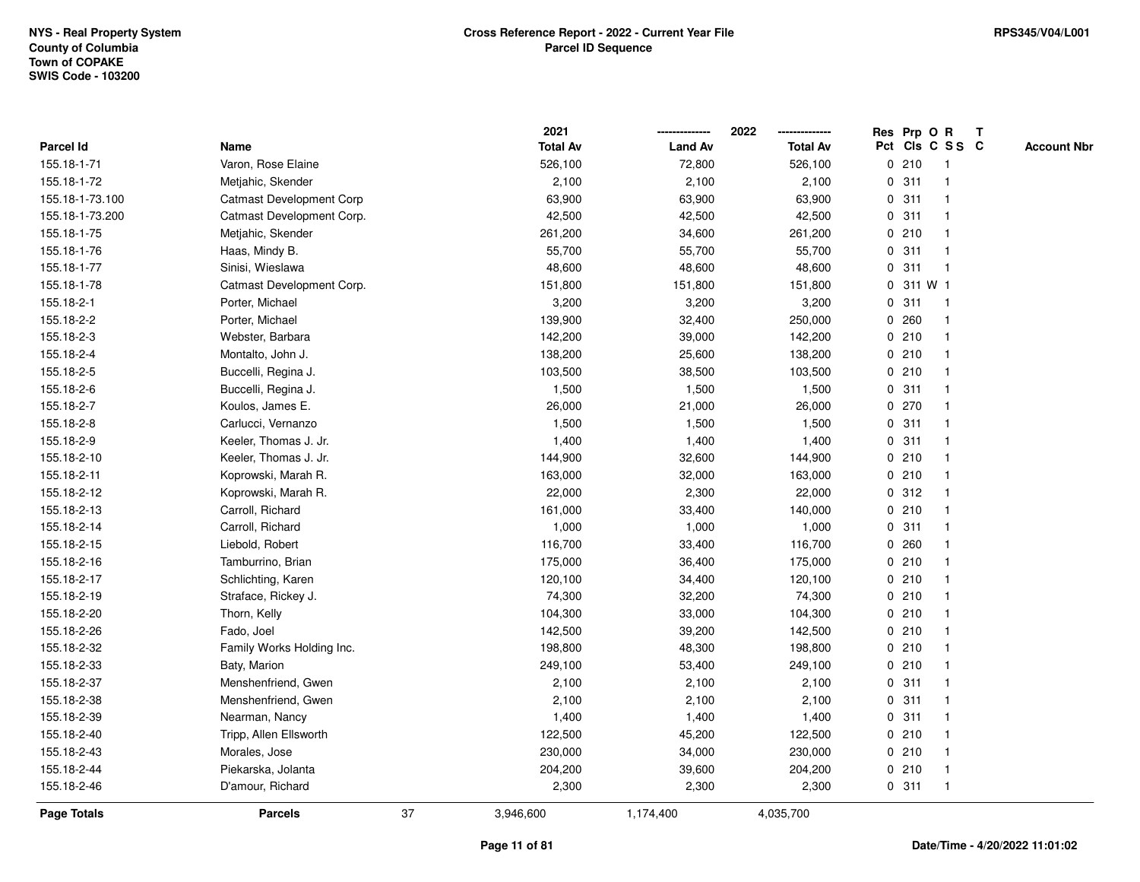|                    |                                 |    | 2021            |                | 2022            |             | Res Prp O R |                         | T |                    |
|--------------------|---------------------------------|----|-----------------|----------------|-----------------|-------------|-------------|-------------------------|---|--------------------|
| Parcel Id          | Name                            |    | <b>Total Av</b> | <b>Land Av</b> | <b>Total Av</b> |             |             | Pct Cls C S S C         |   | <b>Account Nbr</b> |
| 155.18-1-71        | Varon, Rose Elaine              |    | 526,100         | 72,800         | 526,100         |             | 0210        | -1                      |   |                    |
| 155.18-1-72        | Metjahic, Skender               |    | 2,100           | 2,100          | 2,100           |             | 0.311       |                         |   |                    |
| 155.18-1-73.100    | <b>Catmast Development Corp</b> |    | 63,900          | 63,900         | 63,900          |             | 0.311       |                         |   |                    |
| 155.18-1-73.200    | Catmast Development Corp.       |    | 42,500          | 42,500         | 42,500          |             | 0.311       |                         |   |                    |
| 155.18-1-75        | Metjahic, Skender               |    | 261,200         | 34,600         | 261,200         |             | 0210        |                         |   |                    |
| 155.18-1-76        | Haas, Mindy B.                  |    | 55,700          | 55,700         | 55,700          |             | 0.311       | $\overline{\mathbf{1}}$ |   |                    |
| 155.18-1-77        | Sinisi, Wieslawa                |    | 48,600          | 48,600         | 48,600          | 0           | 311         | $\mathbf{1}$            |   |                    |
| 155.18-1-78        | Catmast Development Corp.       |    | 151,800         | 151,800        | 151,800         | 0           | 311 W 1     |                         |   |                    |
| 155.18-2-1         | Porter, Michael                 |    | 3,200           | 3,200          | 3,200           | 0           | 311         | $\mathbf 1$             |   |                    |
| 155.18-2-2         | Porter, Michael                 |    | 139,900         | 32,400         | 250,000         |             | 0.260       | -1                      |   |                    |
| 155.18-2-3         | Webster, Barbara                |    | 142,200         | 39,000         | 142,200         |             | 0210        |                         |   |                    |
| 155.18-2-4         | Montalto, John J.               |    | 138,200         | 25,600         | 138,200         |             | 0210        |                         |   |                    |
| 155.18-2-5         | Buccelli, Regina J.             |    | 103,500         | 38,500         | 103,500         |             | 0210        |                         |   |                    |
| 155.18-2-6         | Buccelli, Regina J.             |    | 1,500           | 1,500          | 1,500           |             | 0.311       | -1                      |   |                    |
| 155.18-2-7         | Koulos, James E.                |    | 26,000          | 21,000         | 26,000          | $\mathbf 0$ | 270         | $\mathbf{1}$            |   |                    |
| 155.18-2-8         | Carlucci, Vernanzo              |    | 1,500           | 1,500          | 1,500           | 0           | 311         | -1                      |   |                    |
| 155.18-2-9         | Keeler, Thomas J. Jr.           |    | 1,400           | 1,400          | 1,400           |             | 0.311       | -1                      |   |                    |
| 155.18-2-10        | Keeler, Thomas J. Jr.           |    | 144,900         | 32,600         | 144,900         |             | 0210        |                         |   |                    |
| 155.18-2-11        | Koprowski, Marah R.             |    | 163,000         | 32,000         | 163,000         |             | 0210        |                         |   |                    |
| 155.18-2-12        | Koprowski, Marah R.             |    | 22,000          | 2,300          | 22,000          |             | 0.312       |                         |   |                    |
| 155.18-2-13        | Carroll, Richard                |    | 161,000         | 33,400         | 140,000         |             | 0210        |                         |   |                    |
| 155.18-2-14        | Carroll, Richard                |    | 1,000           | 1,000          | 1,000           | $\mathbf 0$ | 311         | $\overline{\mathbf{1}}$ |   |                    |
| 155.18-2-15        | Liebold, Robert                 |    | 116,700         | 33,400         | 116,700         | 0           | 260         | -1                      |   |                    |
| 155.18-2-16        | Tamburrino, Brian               |    | 175,000         | 36,400         | 175,000         |             | 0210        | $\mathbf 1$             |   |                    |
| 155.18-2-17        | Schlichting, Karen              |    | 120,100         | 34,400         | 120,100         |             | 0210        |                         |   |                    |
| 155.18-2-19        | Straface, Rickey J.             |    | 74,300          | 32,200         | 74,300          |             | 0210        |                         |   |                    |
| 155.18-2-20        | Thorn, Kelly                    |    | 104,300         | 33,000         | 104,300         |             | 0210        |                         |   |                    |
| 155.18-2-26        | Fado, Joel                      |    | 142,500         | 39,200         | 142,500         |             | 0210        |                         |   |                    |
| 155.18-2-32        | Family Works Holding Inc.       |    | 198,800         | 48,300         | 198,800         |             | 0210        |                         |   |                    |
| 155.18-2-33        | Baty, Marion                    |    | 249,100         | 53,400         | 249,100         |             | 0210        | -1                      |   |                    |
| 155.18-2-37        | Menshenfriend, Gwen             |    | 2,100           | 2,100          | 2,100           |             | 0.311       |                         |   |                    |
| 155.18-2-38        | Menshenfriend, Gwen             |    | 2,100           | 2,100          | 2,100           |             | 0.311       | -1                      |   |                    |
| 155.18-2-39        | Nearman, Nancy                  |    | 1,400           | 1,400          | 1,400           |             | 0.311       |                         |   |                    |
| 155.18-2-40        | Tripp, Allen Ellsworth          |    | 122,500         | 45,200         | 122,500         |             | 0210        |                         |   |                    |
| 155.18-2-43        | Morales, Jose                   |    | 230,000         | 34,000         | 230,000         |             | 0210        |                         |   |                    |
| 155.18-2-44        | Piekarska, Jolanta              |    | 204,200         | 39,600         | 204,200         |             | 0210        | $\mathbf 1$             |   |                    |
| 155.18-2-46        | D'amour, Richard                |    | 2,300           | 2,300          | 2,300           |             | 0.311       | $\mathbf{1}$            |   |                    |
| <b>Page Totals</b> | <b>Parcels</b>                  | 37 | 3,946,600       | 1,174,400      | 4,035,700       |             |             |                         |   |                    |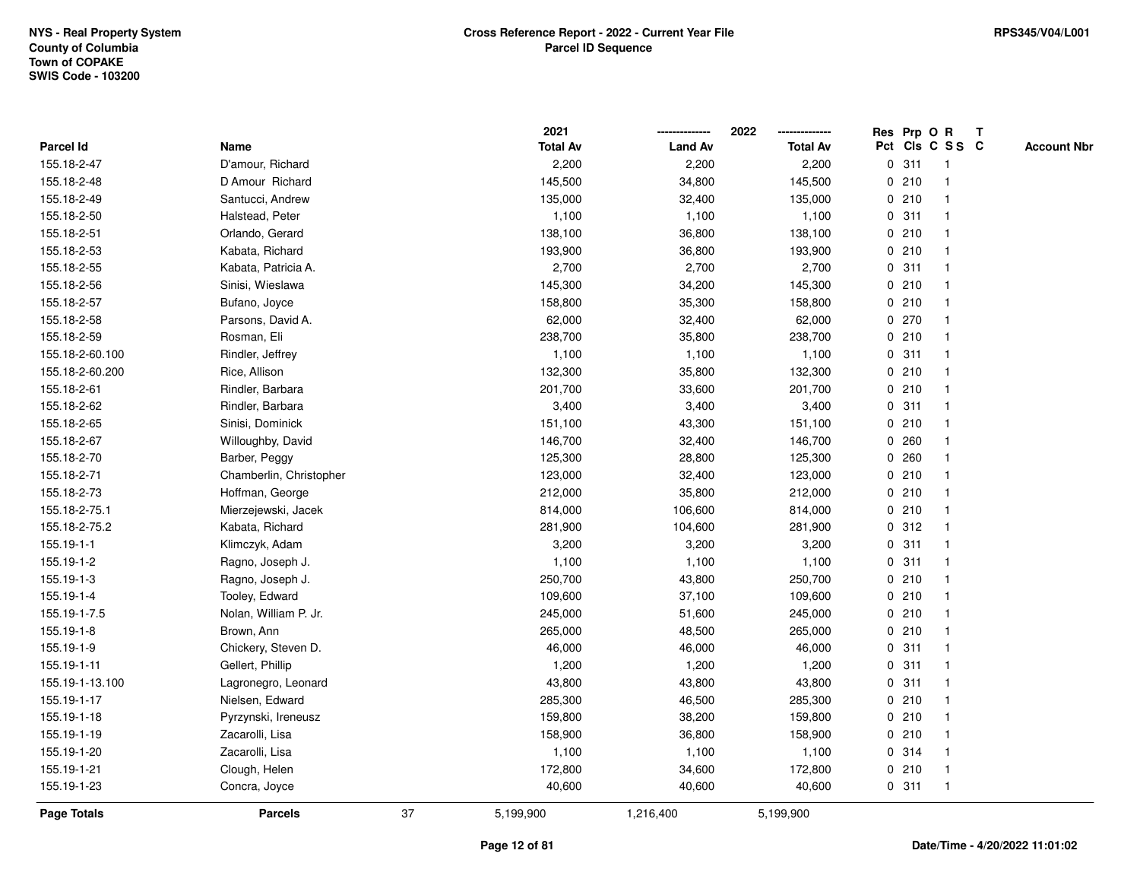|                    |                         |    | 2021            |                | 2022            |   |       | Res Prp O R     | T |                    |
|--------------------|-------------------------|----|-----------------|----------------|-----------------|---|-------|-----------------|---|--------------------|
| Parcel Id          | Name                    |    | <b>Total Av</b> | <b>Land Av</b> | <b>Total Av</b> |   |       | Pct Cls C S S C |   | <b>Account Nbr</b> |
| 155.18-2-47        | D'amour, Richard        |    | 2,200           | 2,200          | 2,200           | 0 | 311   | $\mathbf{1}$    |   |                    |
| 155.18-2-48        | D Amour Richard         |    | 145,500         | 34,800         | 145,500         |   | 0210  |                 |   |                    |
| 155.18-2-49        | Santucci, Andrew        |    | 135,000         | 32,400         | 135,000         |   | 0210  | $\mathbf 1$     |   |                    |
| 155.18-2-50        | Halstead, Peter         |    | 1,100           | 1,100          | 1,100           |   | 0.311 |                 |   |                    |
| 155.18-2-51        | Orlando, Gerard         |    | 138,100         | 36,800         | 138,100         |   | 0210  |                 |   |                    |
| 155.18-2-53        | Kabata, Richard         |    | 193,900         | 36,800         | 193,900         |   | 0210  |                 |   |                    |
| 155.18-2-55        | Kabata, Patricia A.     |    | 2,700           | 2,700          | 2,700           |   | 0.311 |                 |   |                    |
| 155.18-2-56        | Sinisi, Wieslawa        |    | 145,300         | 34,200         | 145,300         | 0 | 210   |                 |   |                    |
| 155.18-2-57        | Bufano, Joyce           |    | 158,800         | 35,300         | 158,800         |   | 0210  |                 |   |                    |
| 155.18-2-58        | Parsons, David A.       |    | 62,000          | 32,400         | 62,000          |   | 0 270 |                 |   |                    |
| 155.18-2-59        | Rosman, Eli             |    | 238,700         | 35,800         | 238,700         |   | 0210  |                 |   |                    |
| 155.18-2-60.100    | Rindler, Jeffrey        |    | 1,100           | 1,100          | 1,100           |   | 0.311 |                 |   |                    |
| 155.18-2-60.200    | Rice, Allison           |    | 132,300         | 35,800         | 132,300         |   | 0210  |                 |   |                    |
| 155.18-2-61        | Rindler, Barbara        |    | 201,700         | 33,600         | 201,700         |   | 0210  |                 |   |                    |
| 155.18-2-62        | Rindler, Barbara        |    | 3,400           | 3,400          | 3,400           | 0 | 311   | $\mathbf 1$     |   |                    |
| 155.18-2-65        | Sinisi, Dominick        |    | 151,100         | 43,300         | 151,100         |   | 0210  |                 |   |                    |
| 155.18-2-67        | Willoughby, David       |    | 146,700         | 32,400         | 146,700         |   | 0.260 |                 |   |                    |
| 155.18-2-70        | Barber, Peggy           |    | 125,300         | 28,800         | 125,300         |   | 0.260 |                 |   |                    |
| 155.18-2-71        | Chamberlin, Christopher |    | 123,000         | 32,400         | 123,000         |   | 0210  |                 |   |                    |
| 155.18-2-73        | Hoffman, George         |    | 212,000         | 35,800         | 212,000         |   | 0210  |                 |   |                    |
| 155.18-2-75.1      | Mierzejewski, Jacek     |    | 814,000         | 106,600        | 814,000         |   | 0210  |                 |   |                    |
| 155.18-2-75.2      | Kabata, Richard         |    | 281,900         | 104,600        | 281,900         | 0 | 312   |                 |   |                    |
| 155.19-1-1         | Klimczyk, Adam          |    | 3,200           | 3,200          | 3,200           |   | 0.311 |                 |   |                    |
| 155.19-1-2         | Ragno, Joseph J.        |    | 1,100           | 1,100          | 1,100           |   | 0.311 |                 |   |                    |
| 155.19-1-3         | Ragno, Joseph J.        |    | 250,700         | 43,800         | 250,700         |   | 0210  |                 |   |                    |
| 155.19-1-4         | Tooley, Edward          |    | 109,600         | 37,100         | 109,600         |   | 0210  |                 |   |                    |
| 155.19-1-7.5       | Nolan, William P. Jr.   |    | 245,000         | 51,600         | 245,000         |   | 0210  |                 |   |                    |
| 155.19-1-8         | Brown, Ann              |    | 265,000         | 48,500         | 265,000         |   | 0210  |                 |   |                    |
| 155.19-1-9         | Chickery, Steven D.     |    | 46,000          | 46,000         | 46,000          | 0 | 311   |                 |   |                    |
| 155.19-1-11        | Gellert, Phillip        |    | 1,200           | 1,200          | 1,200           | 0 | 311   | $\mathbf 1$     |   |                    |
| 155.19-1-13.100    | Lagronegro, Leonard     |    | 43,800          | 43,800         | 43,800          |   | 0.311 | $\mathbf 1$     |   |                    |
| 155.19-1-17        | Nielsen, Edward         |    | 285,300         | 46,500         | 285,300         |   | 0210  |                 |   |                    |
| 155.19-1-18        | Pyrzynski, Ireneusz     |    | 159,800         | 38,200         | 159,800         |   | 0210  |                 |   |                    |
| 155.19-1-19        | Zacarolli, Lisa         |    | 158,900         | 36,800         | 158,900         |   | 0210  |                 |   |                    |
| 155.19-1-20        | Zacarolli, Lisa         |    | 1,100           | 1,100          | 1,100           |   | 0.314 | $\mathbf{1}$    |   |                    |
| 155.19-1-21        | Clough, Helen           |    | 172,800         | 34,600         | 172,800         | 0 | 210   | $\mathbf{1}$    |   |                    |
| 155.19-1-23        | Concra, Joyce           |    | 40,600          | 40,600         | 40,600          |   | 0.311 | $\overline{1}$  |   |                    |
| <b>Page Totals</b> | <b>Parcels</b>          | 37 | 5,199,900       | 1,216,400      | 5,199,900       |   |       |                 |   |                    |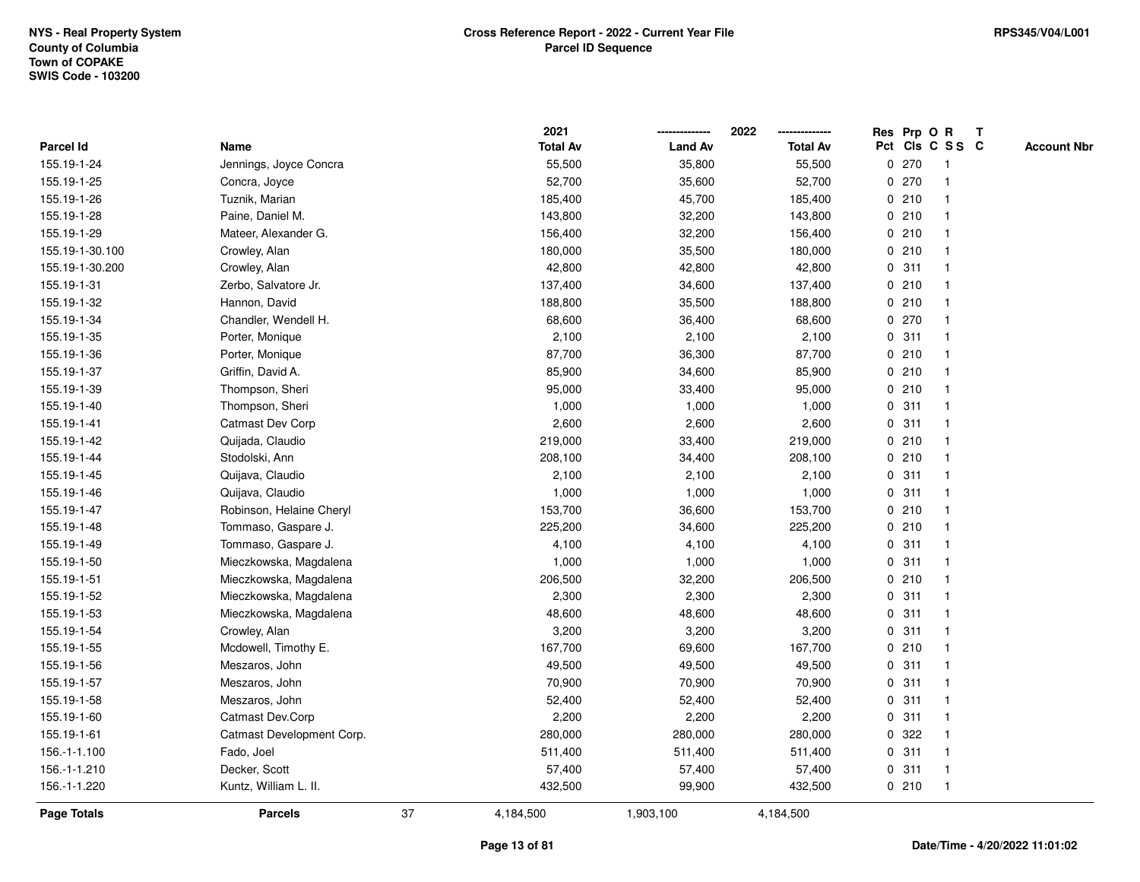|                    |                           |    | 2021            |                | 2022<br>--------------- |   | Res Prp O R |                         | T |                    |
|--------------------|---------------------------|----|-----------------|----------------|-------------------------|---|-------------|-------------------------|---|--------------------|
| Parcel Id          | Name                      |    | <b>Total Av</b> | <b>Land Av</b> | <b>Total Av</b>         |   |             | Pct Cls C S S C         |   | <b>Account Nbr</b> |
| 155.19-1-24        | Jennings, Joyce Concra    |    | 55,500          | 35,800         | 55,500                  | 0 | 270         | $\overline{\mathbf{1}}$ |   |                    |
| 155.19-1-25        | Concra, Joyce             |    | 52,700          | 35,600         | 52,700                  |   | 0270        | $\overline{1}$          |   |                    |
| 155.19-1-26        | Tuznik, Marian            |    | 185,400         | 45,700         | 185,400                 |   | 0210        | $\mathbf{1}$            |   |                    |
| 155.19-1-28        | Paine, Daniel M.          |    | 143,800         | 32,200         | 143,800                 |   | 0210        | -1                      |   |                    |
| 155.19-1-29        | Mateer, Alexander G.      |    | 156,400         | 32,200         | 156,400                 |   | 0210        |                         |   |                    |
| 155.19-1-30.100    | Crowley, Alan             |    | 180,000         | 35,500         | 180,000                 |   | 0210        |                         |   |                    |
| 155.19-1-30.200    | Crowley, Alan             |    | 42,800          | 42,800         | 42,800                  |   | 0.311       | $\mathbf{1}$            |   |                    |
| 155.19-1-31        | Zerbo, Salvatore Jr.      |    | 137,400         | 34,600         | 137,400                 | 0 | 210         | $\overline{1}$          |   |                    |
| 155.19-1-32        | Hannon, David             |    | 188,800         | 35,500         | 188,800                 |   | 0210        | $\overline{1}$          |   |                    |
| 155.19-1-34        | Chandler, Wendell H.      |    | 68,600          | 36,400         | 68,600                  |   | 0270        | $\mathbf{1}$            |   |                    |
| 155.19-1-35        | Porter, Monique           |    | 2,100           | 2,100          | 2,100                   |   | 0.311       | 1                       |   |                    |
| 155.19-1-36        | Porter, Monique           |    | 87,700          | 36,300         | 87,700                  |   | 0210        |                         |   |                    |
| 155.19-1-37        | Griffin, David A.         |    | 85,900          | 34,600         | 85,900                  |   | 0210        |                         |   |                    |
| 155.19-1-39        | Thompson, Sheri           |    | 95,000          | 33,400         | 95,000                  |   | 0210        | 1                       |   |                    |
| 155.19-1-40        | Thompson, Sheri           |    | 1,000           | 1,000          | 1,000                   |   | 0.311       | $\overline{1}$          |   |                    |
| 155.19-1-41        | Catmast Dev Corp          |    | 2,600           | 2,600          | 2,600                   |   | 0.311       | $\overline{1}$          |   |                    |
| 155.19-1-42        | Quijada, Claudio          |    | 219,000         | 33,400         | 219,000                 |   | 0210        | $\mathbf{1}$            |   |                    |
| 155.19-1-44        | Stodolski, Ann            |    | 208,100         | 34,400         | 208,100                 |   | 0210        | 1                       |   |                    |
| 155.19-1-45        | Quijava, Claudio          |    | 2,100           | 2,100          | 2,100                   |   | 0.311       |                         |   |                    |
| 155.19-1-46        | Quijava, Claudio          |    | 1,000           | 1,000          | 1,000                   |   | 0.311       |                         |   |                    |
| 155.19-1-47        | Robinson, Helaine Cheryl  |    | 153,700         | 36,600         | 153,700                 |   | 0210        | -1                      |   |                    |
| 155.19-1-48        | Tommaso, Gaspare J.       |    | 225,200         | 34,600         | 225,200                 |   | 0210        | -1                      |   |                    |
| 155.19-1-49        | Tommaso, Gaspare J.       |    | 4,100           | 4,100          | 4,100                   |   | 0.311       | $\overline{1}$          |   |                    |
| 155.19-1-50        | Mieczkowska, Magdalena    |    | 1,000           | 1,000          | 1,000                   | 0 | 311         | $\overline{1}$          |   |                    |
| 155.19-1-51        | Mieczkowska, Magdalena    |    | 206,500         | 32,200         | 206,500                 |   | 0210        | -1                      |   |                    |
| 155.19-1-52        | Mieczkowska, Magdalena    |    | 2,300           | 2,300          | 2,300                   |   | 0.311       | -1                      |   |                    |
| 155.19-1-53        | Mieczkowska, Magdalena    |    | 48,600          | 48,600         | 48,600                  |   | 0.311       |                         |   |                    |
| 155.19-1-54        | Crowley, Alan             |    | 3,200           | 3,200          | 3,200                   |   | 0.311       | 1                       |   |                    |
| 155.19-1-55        | Mcdowell, Timothy E.      |    | 167,700         | 69,600         | 167,700                 |   | 0210        | $\overline{\mathbf{1}}$ |   |                    |
| 155.19-1-56        | Meszaros, John            |    | 49,500          | 49,500         | 49,500                  |   | 0.311       | $\overline{1}$          |   |                    |
| 155.19-1-57        | Meszaros, John            |    | 70,900          | 70,900         | 70,900                  |   | 0.311       | $\overline{1}$          |   |                    |
| 155.19-1-58        | Meszaros, John            |    | 52,400          | 52,400         | 52,400                  |   | 0.311       | $\mathbf 1$             |   |                    |
| 155.19-1-60        | Catmast Dev.Corp          |    | 2,200           | 2,200          | 2,200                   |   | 0.311       | 1                       |   |                    |
| 155.19-1-61        | Catmast Development Corp. |    | 280,000         | 280,000        | 280,000                 |   | 0.322       |                         |   |                    |
| 156.-1-1.100       | Fado, Joel                |    | 511,400         | 511,400        | 511,400                 |   | 0.311       | $\mathbf{1}$            |   |                    |
| 156.-1-1.210       | Decker, Scott             |    | 57,400          | 57,400         | 57,400                  |   | 0.311       | $\overline{1}$          |   |                    |
| 156.-1-1.220       | Kuntz, William L. II.     |    | 432,500         | 99,900         | 432,500                 |   | 0210        | $\overline{1}$          |   |                    |
| <b>Page Totals</b> | <b>Parcels</b>            | 37 | 4,184,500       | 1,903,100      | 4,184,500               |   |             |                         |   |                    |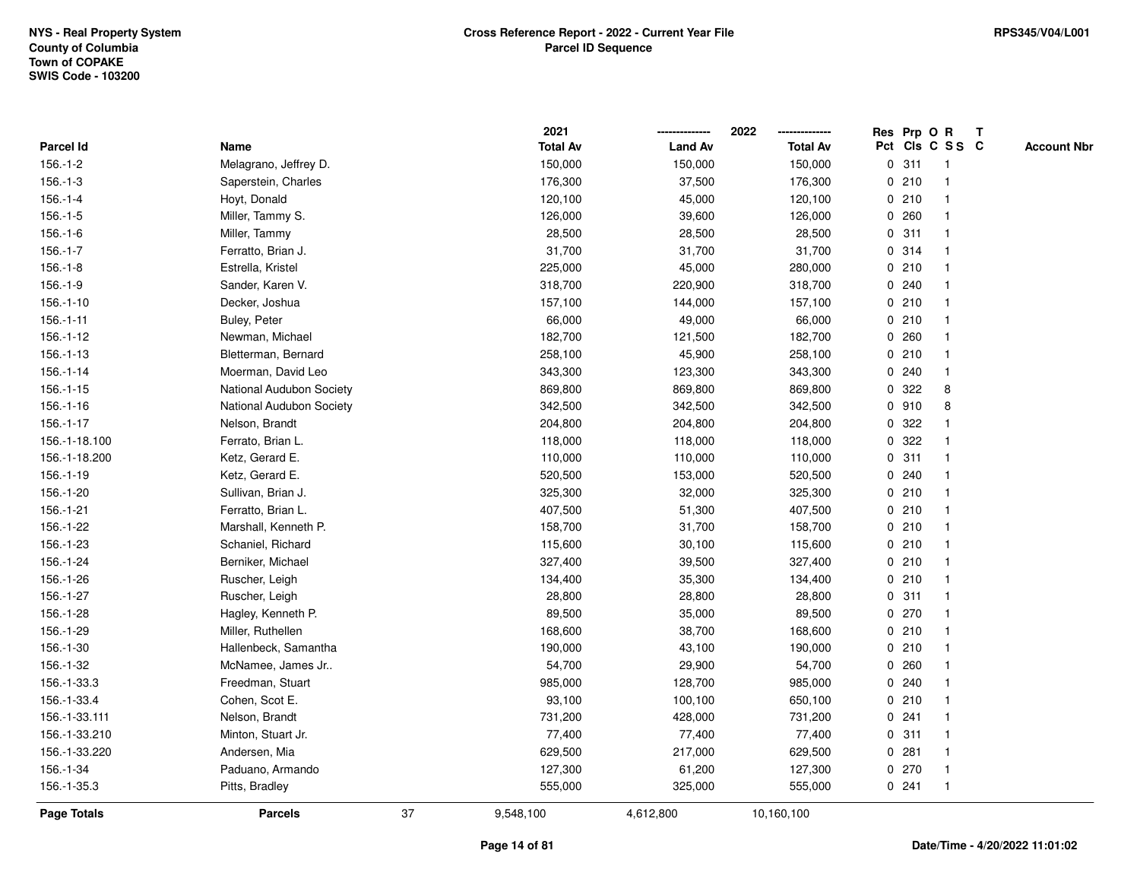|                    |                          |    | 2021            |                | 2022            |             |       | Res Prp O R             | Т |                    |
|--------------------|--------------------------|----|-----------------|----------------|-----------------|-------------|-------|-------------------------|---|--------------------|
| Parcel Id          | Name                     |    | <b>Total Av</b> | <b>Land Av</b> | <b>Total Av</b> |             |       | Pct Cls C S S C         |   | <b>Account Nbr</b> |
| $156.-1-2$         | Melagrano, Jeffrey D.    |    | 150,000         | 150,000        | 150,000         |             | 0.311 | $\mathbf{1}$            |   |                    |
| $156.-1-3$         | Saperstein, Charles      |    | 176,300         | 37,500         | 176,300         |             | 0210  | -1                      |   |                    |
| $156.-1-4$         | Hoyt, Donald             |    | 120,100         | 45,000         | 120,100         |             | 0210  | $\mathbf{1}$            |   |                    |
| $156.-1-5$         | Miller, Tammy S.         |    | 126,000         | 39,600         | 126,000         |             | 0.260 |                         |   |                    |
| $156.-1-6$         | Miller, Tammy            |    | 28,500          | 28,500         | 28,500          |             | 0.311 |                         |   |                    |
| $156.-1-7$         | Ferratto, Brian J.       |    | 31,700          | 31,700         | 31,700          |             | 0.314 |                         |   |                    |
| $156.-1-8$         | Estrella, Kristel        |    | 225,000         | 45,000         | 280,000         |             | 0210  |                         |   |                    |
| $156.-1-9$         | Sander, Karen V.         |    | 318,700         | 220,900        | 318,700         |             | 0.240 |                         |   |                    |
| $156.-1-10$        | Decker, Joshua           |    | 157,100         | 144,000        | 157,100         |             | 0210  | -1                      |   |                    |
| $156.-1-11$        | Buley, Peter             |    | 66,000          | 49,000         | 66,000          |             | 0210  | $\mathbf{1}$            |   |                    |
| $156.-1-12$        | Newman, Michael          |    | 182,700         | 121,500        | 182,700         |             | 0.260 | -1                      |   |                    |
| $156.-1-13$        | Bletterman, Bernard      |    | 258,100         | 45,900         | 258,100         |             | 0210  |                         |   |                    |
| $156.-1-14$        | Moerman, David Leo       |    | 343,300         | 123,300        | 343,300         |             | 0.240 |                         |   |                    |
| $156.-1-15$        | National Audubon Society |    | 869,800         | 869,800        | 869,800         |             | 0.322 | 8                       |   |                    |
| $156.-1-16$        | National Audubon Society |    | 342,500         | 342,500        | 342,500         | 0           | 910   | 8                       |   |                    |
| $156.-1-17$        | Nelson, Brandt           |    | 204,800         | 204,800        | 204,800         | 0           | 322   |                         |   |                    |
| 156.-1-18.100      | Ferrato, Brian L.        |    | 118,000         | 118,000        | 118,000         | $\mathbf 0$ | 322   |                         |   |                    |
| 156.-1-18.200      | Ketz, Gerard E.          |    | 110,000         | 110,000        | 110,000         |             | 0.311 |                         |   |                    |
| 156.-1-19          | Ketz, Gerard E.          |    | 520,500         | 153,000        | 520,500         |             | 0.240 |                         |   |                    |
| 156.-1-20          | Sullivan, Brian J.       |    | 325,300         | 32,000         | 325,300         |             | 0210  |                         |   |                    |
| 156.-1-21          | Ferratto, Brian L.       |    | 407,500         | 51,300         | 407,500         |             | 0210  | $\overline{\mathbf{1}}$ |   |                    |
| 156.-1-22          | Marshall, Kenneth P.     |    | 158,700         | 31,700         | 158,700         |             | 0210  |                         |   |                    |
| 156.-1-23          | Schaniel, Richard        |    | 115,600         | 30,100         | 115,600         |             | 0210  | $\mathbf{1}$            |   |                    |
| 156.-1-24          | Berniker, Michael        |    | 327,400         | 39,500         | 327,400         |             | 0210  | $\mathbf 1$             |   |                    |
| 156.-1-26          | Ruscher, Leigh           |    | 134,400         | 35,300         | 134,400         |             | 0210  | -1                      |   |                    |
| 156.-1-27          | Ruscher, Leigh           |    | 28,800          | 28,800         | 28,800          |             | 0.311 |                         |   |                    |
| 156.-1-28          | Hagley, Kenneth P.       |    | 89,500          | 35,000         | 89,500          |             | 0270  |                         |   |                    |
| 156.-1-29          | Miller, Ruthellen        |    | 168,600         | 38,700         | 168,600         |             | 0210  | $\overline{\mathbf{1}}$ |   |                    |
| 156.-1-30          | Hallenbeck, Samantha     |    | 190,000         | 43,100         | 190,000         |             | 0210  | $\overline{\mathbf{1}}$ |   |                    |
| 156.-1-32          | McNamee, James Jr        |    | 54,700          | 29,900         | 54,700          | $\mathbf 0$ | 260   | -1                      |   |                    |
| 156.-1-33.3        | Freedman, Stuart         |    | 985,000         | 128,700        | 985,000         |             | 0.240 | -1                      |   |                    |
| 156.-1-33.4        | Cohen, Scot E.           |    | 93,100          | 100,100        | 650,100         |             | 0210  | -1                      |   |                    |
| 156.-1-33.111      | Nelson, Brandt           |    | 731,200         | 428,000        | 731,200         |             | 0.241 |                         |   |                    |
| 156.-1-33.210      | Minton, Stuart Jr.       |    | 77,400          | 77,400         | 77,400          |             | 0.311 |                         |   |                    |
| 156.-1-33.220      | Andersen, Mia            |    | 629,500         | 217,000        | 629,500         |             | 0.281 | $\mathbf 1$             |   |                    |
| 156.-1-34          | Paduano, Armando         |    | 127,300         | 61,200         | 127,300         |             | 0270  | $\mathbf{1}$            |   |                    |
| 156.-1-35.3        | Pitts, Bradley           |    | 555,000         | 325,000        | 555,000         |             | 0.241 | $\mathbf{1}$            |   |                    |
| <b>Page Totals</b> | <b>Parcels</b>           | 37 | 9,548,100       | 4,612,800      | 10,160,100      |             |       |                         |   |                    |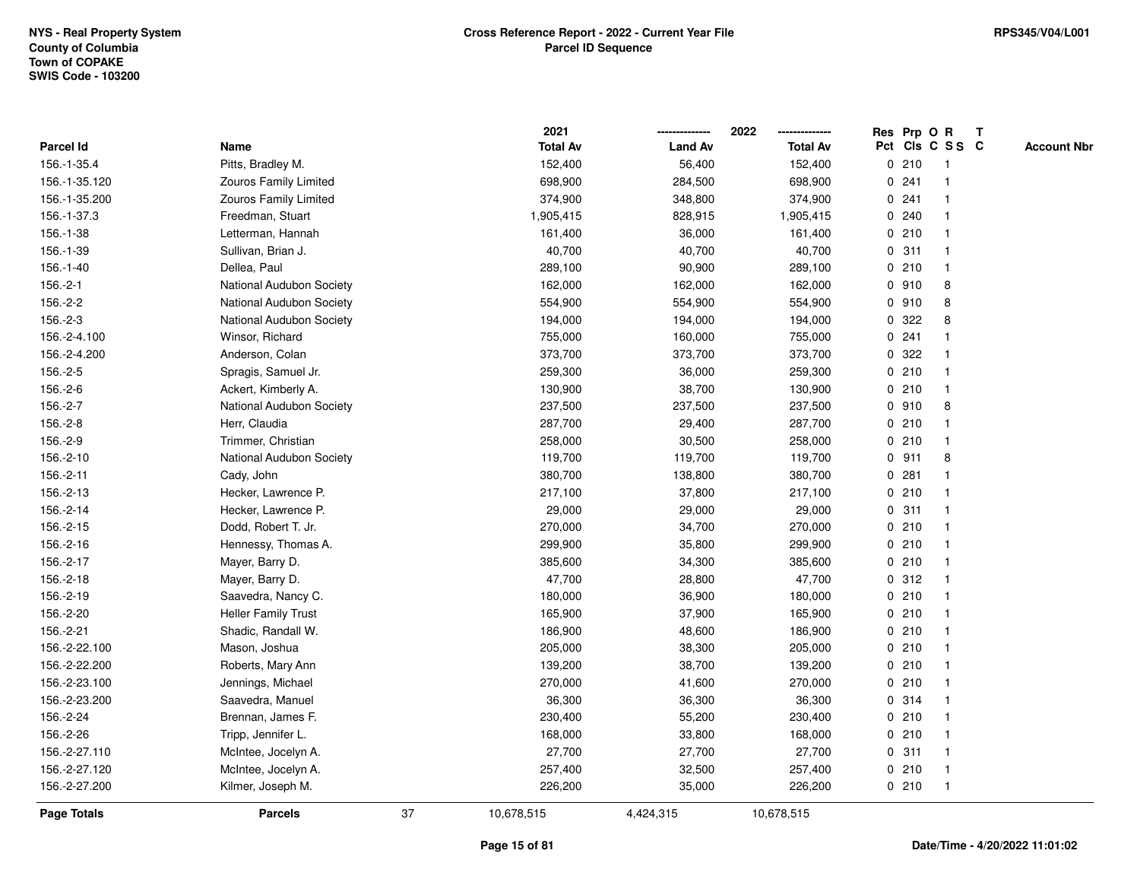|                    |                              |    | 2021            |                | 2022            |         | Res Prp O R             | $\mathbf{T}$ |                    |
|--------------------|------------------------------|----|-----------------|----------------|-----------------|---------|-------------------------|--------------|--------------------|
| Parcel Id          | Name                         |    | <b>Total Av</b> | <b>Land Av</b> | <b>Total Av</b> |         | Pct Cls C S S C         |              | <b>Account Nbr</b> |
| 156.-1-35.4        | Pitts, Bradley M.            |    | 152,400         | 56,400         | 152,400         | 0210    | -1                      |              |                    |
| 156.-1-35.120      | <b>Zouros Family Limited</b> |    | 698,900         | 284,500        | 698,900         | 0.241   |                         |              |                    |
| 156.-1-35.200      | Zouros Family Limited        |    | 374,900         | 348,800        | 374,900         | 0.241   | -1                      |              |                    |
| 156.-1-37.3        | Freedman, Stuart             |    | 1,905,415       | 828,915        | 1,905,415       | 0.240   | $\mathbf{1}$            |              |                    |
| 156.-1-38          | Letterman, Hannah            |    | 161,400         | 36,000         | 161,400         | 0210    | $\mathbf{1}$            |              |                    |
| 156.-1-39          | Sullivan, Brian J.           |    | 40,700          | 40,700         | 40,700          | 0.311   | -1                      |              |                    |
| 156.-1-40          | Dellea, Paul                 |    | 289,100         | 90,900         | 289,100         | 0210    | -1                      |              |                    |
| $156.-2-1$         | National Audubon Society     |    | 162,000         | 162,000        | 162,000         | 0.910   | 8                       |              |                    |
| 156.-2-2           | National Audubon Society     |    | 554,900         | 554,900        | 554,900         | 0.910   | 8                       |              |                    |
| 156.-2-3           | National Audubon Society     |    | 194,000         | 194,000        | 194,000         | 0.322   | 8                       |              |                    |
| 156.-2-4.100       | Winsor, Richard              |    | 755,000         | 160,000        | 755,000         | 0.241   | -1                      |              |                    |
| 156.-2-4.200       | Anderson, Colan              |    | 373,700         | 373,700        | 373,700         | 0.322   | -1                      |              |                    |
| 156.-2-5           | Spragis, Samuel Jr.          |    | 259,300         | 36,000         | 259,300         | 0210    | $\mathbf 1$             |              |                    |
| 156.-2-6           | Ackert, Kimberly A.          |    | 130,900         | 38,700         | 130,900         | 0210    | -1                      |              |                    |
| 156.-2-7           | National Audubon Society     |    | 237,500         | 237,500        | 237,500         | 0.910   | 8                       |              |                    |
| 156.-2-8           | Herr, Claudia                |    | 287,700         | 29,400         | 287,700         | 0210    | -1                      |              |                    |
| 156.-2-9           | Trimmer, Christian           |    | 258,000         | 30,500         | 258,000         | 0210    | $\mathbf{1}$            |              |                    |
| 156.-2-10          | National Audubon Society     |    | 119,700         | 119,700        | 119,700         | $0$ 911 | 8                       |              |                    |
| 156.-2-11          | Cady, John                   |    | 380,700         | 138,800        | 380,700         | 0.281   | $\mathbf 1$             |              |                    |
| 156.-2-13          | Hecker, Lawrence P.          |    | 217,100         | 37,800         | 217,100         | 0210    |                         |              |                    |
| 156.-2-14          | Hecker, Lawrence P.          |    | 29,000          | 29,000         | 29,000          | 0.311   |                         |              |                    |
| 156.-2-15          | Dodd, Robert T. Jr.          |    | 270,000         | 34,700         | 270,000         | 0210    |                         |              |                    |
| 156.-2-16          | Hennessy, Thomas A.          |    | 299,900         | 35,800         | 299,900         | 0210    | $\mathbf{1}$            |              |                    |
| 156.-2-17          | Mayer, Barry D.              |    | 385,600         | 34,300         | 385,600         | 0210    | $\mathbf{1}$            |              |                    |
| 156.-2-18          | Mayer, Barry D.              |    | 47,700          | 28,800         | 47,700          | 0.312   | $\mathbf 1$             |              |                    |
| 156.-2-19          | Saavedra, Nancy C.           |    | 180,000         | 36,900         | 180,000         | 0210    | -1                      |              |                    |
| 156.-2-20          | <b>Heller Family Trust</b>   |    | 165,900         | 37,900         | 165,900         | 0210    |                         |              |                    |
| 156.-2-21          | Shadic, Randall W.           |    | 186,900         | 48,600         | 186,900         | 0210    |                         |              |                    |
| 156.-2-22.100      | Mason, Joshua                |    | 205,000         | 38,300         | 205,000         | 0210    | $\overline{\mathbf{1}}$ |              |                    |
| 156.-2-22.200      | Roberts, Mary Ann            |    | 139,200         | 38,700         | 139,200         | 0210    | -1                      |              |                    |
| 156.-2-23.100      | Jennings, Michael            |    | 270,000         | 41,600         | 270,000         | 0210    | $\mathbf{1}$            |              |                    |
| 156.-2-23.200      | Saavedra, Manuel             |    | 36,300          | 36,300         | 36,300          | 0.314   | $\mathbf 1$             |              |                    |
| 156.-2-24          | Brennan, James F.            |    | 230,400         | 55,200         | 230,400         | 0210    | -1                      |              |                    |
| 156.-2-26          | Tripp, Jennifer L.           |    | 168,000         | 33,800         | 168,000         | 0210    |                         |              |                    |
| 156.-2-27.110      | McIntee, Jocelyn A.          |    | 27,700          | 27,700         | 27,700          | 0.311   |                         |              |                    |
| 156.-2-27.120      | McIntee, Jocelyn A.          |    | 257,400         | 32,500         | 257,400         | 0210    | $\mathbf{1}$            |              |                    |
| 156.-2-27.200      | Kilmer, Joseph M.            |    | 226,200         | 35,000         | 226,200         | 0210    | $\mathbf{1}$            |              |                    |
| <b>Page Totals</b> | <b>Parcels</b>               | 37 | 10,678,515      | 4,424,315      | 10,678,515      |         |                         |              |                    |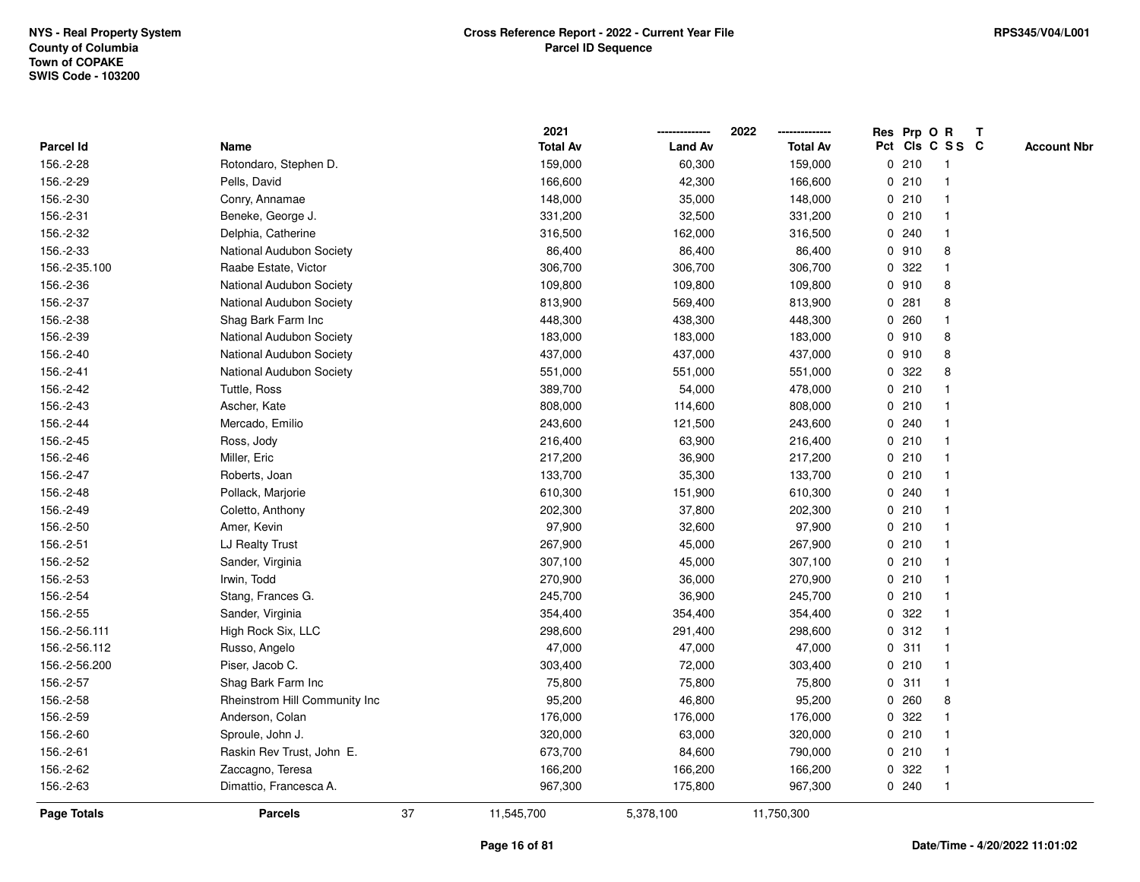|                    |                                 | 2021            |                | 2022            |             |       | Res Prp O R     | T |                    |
|--------------------|---------------------------------|-----------------|----------------|-----------------|-------------|-------|-----------------|---|--------------------|
| Parcel Id          | Name                            | <b>Total Av</b> | <b>Land Av</b> | <b>Total Av</b> |             |       | Pct Cls C S S C |   | <b>Account Nbr</b> |
| 156.-2-28          | Rotondaro, Stephen D.           | 159,000         | 60,300         | 159,000         |             | 0210  | $\mathbf{1}$    |   |                    |
| 156.-2-29          | Pells, David                    | 166,600         | 42,300         | 166,600         | 0           | 210   | $\mathbf{1}$    |   |                    |
| 156.-2-30          | Conry, Annamae                  | 148,000         | 35,000         | 148,000         |             | 0210  | 1               |   |                    |
| 156.-2-31          | Beneke, George J.               | 331,200         | 32,500         | 331,200         |             | 0210  | $\mathbf{1}$    |   |                    |
| 156.-2-32          | Delphia, Catherine              | 316,500         | 162,000        | 316,500         |             | 0.240 |                 |   |                    |
| 156.-2-33          | National Audubon Society        | 86,400          | 86,400         | 86,400          |             | 0.910 | 8               |   |                    |
| 156.-2-35.100      | Raabe Estate, Victor            | 306,700         | 306,700        | 306,700         | $\mathbf 0$ | 322   | $\mathbf{1}$    |   |                    |
| 156.-2-36          | <b>National Audubon Society</b> | 109,800         | 109,800        | 109,800         |             | 0.910 | 8               |   |                    |
| 156.-2-37          | National Audubon Society        | 813,900         | 569,400        | 813,900         | 0           | 281   | 8               |   |                    |
| 156.-2-38          | Shag Bark Farm Inc              | 448,300         | 438,300        | 448,300         |             | 0.260 | $\mathbf{1}$    |   |                    |
| 156.-2-39          | National Audubon Society        | 183,000         | 183,000        | 183,000         |             | 0.910 | 8               |   |                    |
| 156.-2-40          | National Audubon Society        | 437,000         | 437,000        | 437,000         |             | 0.910 | 8               |   |                    |
| 156.-2-41          | <b>National Audubon Society</b> | 551,000         | 551,000        | 551,000         | 0           | 322   | 8               |   |                    |
| 156.-2-42          | Tuttle, Ross                    | 389,700         | 54,000         | 478,000         | 0           | 210   | $\mathbf{1}$    |   |                    |
| 156.-2-43          | Ascher, Kate                    | 808,000         | 114,600        | 808,000         | $\mathbf 0$ | 210   | $\mathbf{1}$    |   |                    |
| 156.-2-44          | Mercado, Emilio                 | 243,600         | 121,500        | 243,600         |             | 0.240 | $\mathbf 1$     |   |                    |
| 156.-2-45          | Ross, Jody                      | 216,400         | 63,900         | 216,400         |             | 0210  | $\mathbf{1}$    |   |                    |
| 156.-2-46          | Miller, Eric                    | 217,200         | 36,900         | 217,200         |             | 0210  |                 |   |                    |
| 156.-2-47          | Roberts, Joan                   | 133,700         | 35,300         | 133,700         |             | 0210  |                 |   |                    |
| 156.-2-48          | Pollack, Marjorie               | 610,300         | 151,900        | 610,300         |             | 0.240 | $\mathbf{1}$    |   |                    |
| 156.-2-49          | Coletto, Anthony                | 202,300         | 37,800         | 202,300         | 0           | 210   | $\mathbf{1}$    |   |                    |
| 156.-2-50          | Amer, Kevin                     | 97,900          | 32,600         | 97,900          |             | 0210  | $\mathbf{1}$    |   |                    |
| 156.-2-51          | LJ Realty Trust                 | 267,900         | 45,000         | 267,900         |             | 0210  | $\mathbf{1}$    |   |                    |
| 156.-2-52          | Sander, Virginia                | 307,100         | 45,000         | 307,100         |             | 0210  | -1              |   |                    |
| 156.-2-53          | Irwin, Todd                     | 270,900         | 36,000         | 270,900         |             | 0210  |                 |   |                    |
| 156.-2-54          | Stang, Frances G.               | 245,700         | 36,900         | 245,700         |             | 0210  |                 |   |                    |
| 156.-2-55          | Sander, Virginia                | 354,400         | 354,400        | 354,400         | 0           | 322   | $\mathbf{1}$    |   |                    |
| 156.-2-56.111      | High Rock Six, LLC              | 298,600         | 291,400        | 298,600         | 0           | 312   | $\mathbf{1}$    |   |                    |
| 156.-2-56.112      | Russo, Angelo                   | 47,000          | 47,000         | 47,000          | 0           | 311   | $\mathbf{1}$    |   |                    |
| 156.-2-56.200      | Piser, Jacob C.                 | 303,400         | 72,000         | 303,400         |             | 0210  | $\mathbf{1}$    |   |                    |
| 156.-2-57          | Shag Bark Farm Inc              | 75,800          | 75,800         | 75,800          |             | 0.311 | $\mathbf 1$     |   |                    |
| 156.-2-58          | Rheinstrom Hill Community Inc   | 95,200          | 46,800         | 95,200          |             | 0.260 | 8               |   |                    |
| 156.-2-59          | Anderson, Colan                 | 176,000         | 176,000        | 176,000         | 0           | 322   |                 |   |                    |
| 156.-2-60          | Sproule, John J.                | 320,000         | 63,000         | 320,000         |             | 0210  | $\overline{1}$  |   |                    |
| 156.-2-61          | Raskin Rev Trust, John E.       | 673,700         | 84,600         | 790,000         |             | 0210  | $\mathbf{1}$    |   |                    |
| 156.-2-62          | Zaccagno, Teresa                | 166,200         | 166,200        | 166,200         | $\mathbf 0$ | 322   | $\mathbf{1}$    |   |                    |
| 156.-2-63          | Dimattio, Francesca A.          | 967,300         | 175,800        | 967,300         |             | 0.240 | $\mathbf{1}$    |   |                    |
| <b>Page Totals</b> | 37<br><b>Parcels</b>            | 11,545,700      | 5,378,100      | 11,750,300      |             |       |                 |   |                    |
|                    |                                 |                 |                |                 |             |       |                 |   |                    |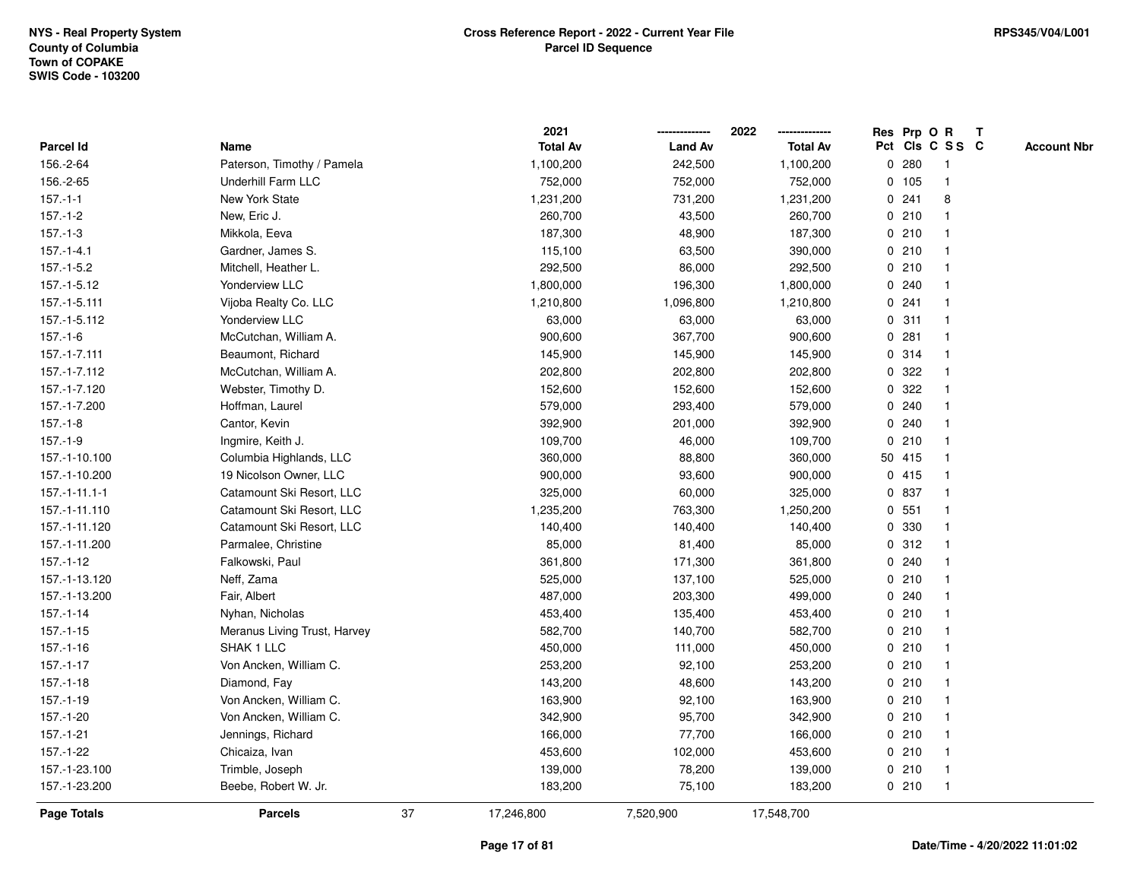|                 |                              |    | 2021            |                | 2022<br>-------------- |   | Res Prp O R |                 | Т |                    |
|-----------------|------------------------------|----|-----------------|----------------|------------------------|---|-------------|-----------------|---|--------------------|
| Parcel Id       | Name                         |    | <b>Total Av</b> | <b>Land Av</b> | <b>Total Av</b>        |   |             | Pct Cls C S S C |   | <b>Account Nbr</b> |
| 156.-2-64       | Paterson, Timothy / Pamela   |    | 1,100,200       | 242,500        | 1,100,200              | 0 | 280         | $\mathbf{1}$    |   |                    |
| 156.-2-65       | Underhill Farm LLC           |    | 752,000         | 752,000        | 752,000                |   | 0 105       | $\overline{1}$  |   |                    |
| $157 - 1 - 1$   | New York State               |    | 1,231,200       | 731,200        | 1,231,200              |   | 0.241       | 8               |   |                    |
| $157.-1-2$      | New, Eric J.                 |    | 260,700         | 43,500         | 260,700                |   | 0210        |                 |   |                    |
| $157.-1-3$      | Mikkola, Eeva                |    | 187,300         | 48,900         | 187,300                |   | 0210        |                 |   |                    |
| $157 - 1 - 4.1$ | Gardner, James S.            |    | 115,100         | 63,500         | 390,000                |   | 0210        |                 |   |                    |
| 157.-1-5.2      | Mitchell, Heather L.         |    | 292,500         | 86,000         | 292,500                |   | 0210        | $\mathbf{1}$    |   |                    |
| 157.-1-5.12     | Yonderview LLC               |    | 1,800,000       | 196,300        | 1,800,000              | 0 | 240         | -1              |   |                    |
| 157.-1-5.111    | Vijoba Realty Co. LLC        |    | 1,210,800       | 1,096,800      | 1,210,800              |   | 0.241       | $\mathbf{1}$    |   |                    |
| 157.-1-5.112    | <b>Yonderview LLC</b>        |    | 63,000          | 63,000         | 63,000                 |   | 0.311       | $\mathbf{1}$    |   |                    |
| $157.-1-6$      | McCutchan, William A.        |    | 900,600         | 367,700        | 900,600                |   | 0.281       |                 |   |                    |
| 157.-1-7.111    | Beaumont, Richard            |    | 145,900         | 145,900        | 145,900                |   | 0.314       |                 |   |                    |
| 157.-1-7.112    | McCutchan, William A.        |    | 202,800         | 202,800        | 202,800                |   | 0.322       |                 |   |                    |
| 157.-1-7.120    | Webster, Timothy D.          |    | 152,600         | 152,600        | 152,600                |   | 0.322       |                 |   |                    |
| 157.-1-7.200    | Hoffman, Laurel              |    | 579,000         | 293,400        | 579,000                | 0 | 240         | 1               |   |                    |
| $157 - 1 - 8$   | Cantor, Kevin                |    | 392,900         | 201,000        | 392,900                | 0 | 240         | -1              |   |                    |
| $157.-1-9$      | Ingmire, Keith J.            |    | 109,700         | 46,000         | 109,700                |   | 0210        | $\mathbf{1}$    |   |                    |
| 157.-1-10.100   | Columbia Highlands, LLC      |    | 360,000         | 88,800         | 360,000                |   | 50 415      | 1               |   |                    |
| 157.-1-10.200   | 19 Nicolson Owner, LLC       |    | 900,000         | 93,600         | 900,000                |   | 0415        |                 |   |                    |
| $157.-1-11.1-1$ | Catamount Ski Resort, LLC    |    | 325,000         | 60,000         | 325,000                |   | 0 837       |                 |   |                    |
| 157.-1-11.110   | Catamount Ski Resort, LLC    |    | 1,235,200       | 763,300        | 1,250,200              |   | 0, 551      |                 |   |                    |
| 157.-1-11.120   | Catamount Ski Resort, LLC    |    | 140,400         | 140,400        | 140,400                | 0 | 330         | $\overline{1}$  |   |                    |
| 157.-1-11.200   | Parmalee, Christine          |    | 85,000          | 81,400         | 85,000                 |   | 0.312       | $\overline{1}$  |   |                    |
| 157.-1-12       | Falkowski, Paul              |    | 361,800         | 171,300        | 361,800                |   | 0.240       | $\mathbf 1$     |   |                    |
| 157.-1-13.120   | Neff, Zama                   |    | 525,000         | 137,100        | 525,000                |   | 0210        |                 |   |                    |
| 157.-1-13.200   | Fair, Albert                 |    | 487,000         | 203,300        | 499,000                |   | 0.240       |                 |   |                    |
| $157 - 1 - 14$  | Nyhan, Nicholas              |    | 453,400         | 135,400        | 453,400                |   | 0210        |                 |   |                    |
| 157.-1-15       | Meranus Living Trust, Harvey |    | 582,700         | 140,700        | 582,700                |   | 0210        | 1               |   |                    |
| 157.-1-16       | SHAK 1 LLC                   |    | 450,000         | 111,000        | 450,000                |   | 0210        | $\mathbf 1$     |   |                    |
| $157 - 1 - 17$  | Von Ancken, William C.       |    | 253,200         | 92,100         | 253,200                |   | 0210        | $\mathbf{1}$    |   |                    |
| $157 - 1 - 18$  | Diamond, Fay                 |    | 143,200         | 48,600         | 143,200                |   | 0210        | $\mathbf{1}$    |   |                    |
| 157.-1-19       | Von Ancken, William C.       |    | 163,900         | 92,100         | 163,900                |   | 0210        | 1               |   |                    |
| 157.-1-20       | Von Ancken, William C.       |    | 342,900         | 95,700         | 342,900                |   | 0210        |                 |   |                    |
| $157.-1-21$     | Jennings, Richard            |    | 166,000         | 77,700         | 166,000                |   | 0210        |                 |   |                    |
| 157.-1-22       | Chicaiza, Ivan               |    | 453,600         | 102,000        | 453,600                |   | 0210        | $\mathbf{1}$    |   |                    |
| 157.-1-23.100   | Trimble, Joseph              |    | 139,000         | 78,200         | 139,000                |   | 0210        | $\overline{1}$  |   |                    |
| 157.-1-23.200   | Beebe, Robert W. Jr.         |    | 183,200         | 75,100         | 183,200                |   | 0210        | $\overline{1}$  |   |                    |
| Page Totals     | <b>Parcels</b>               | 37 | 17,246,800      | 7,520,900      | 17,548,700             |   |             |                 |   |                    |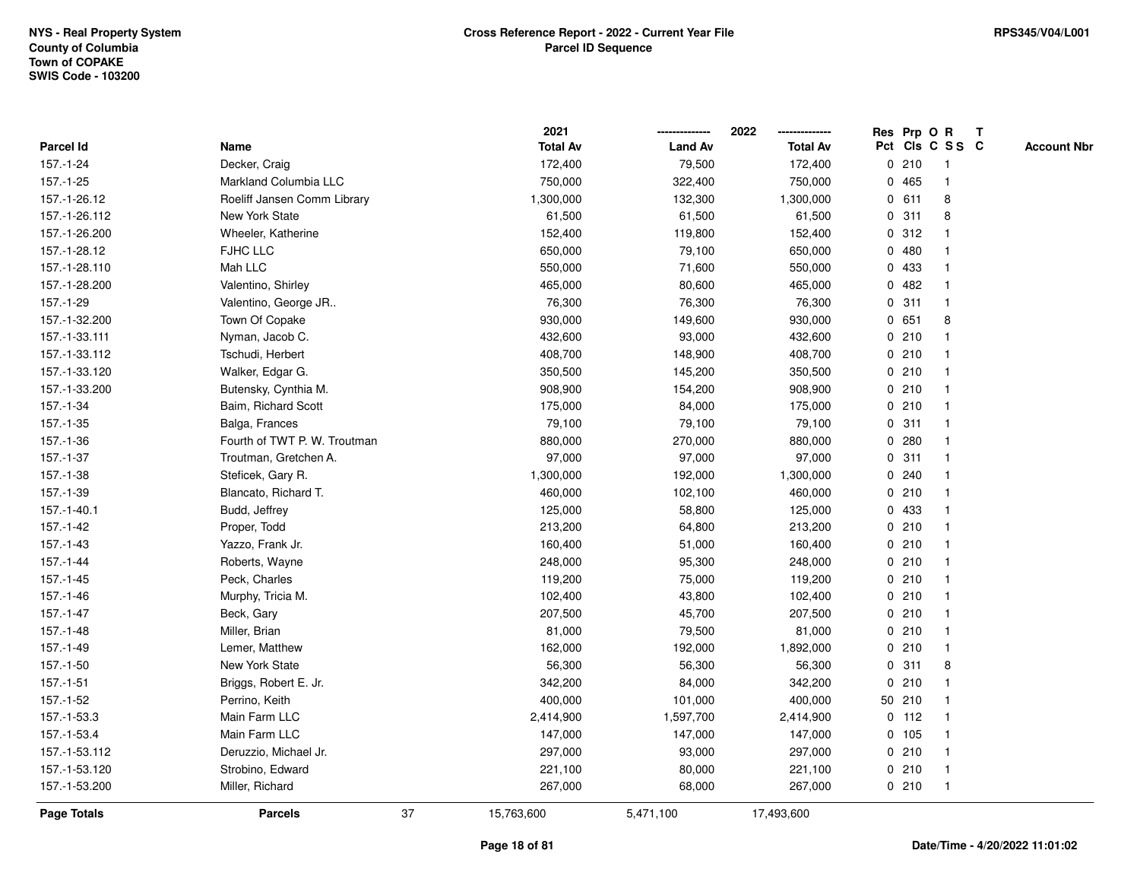|                    |                              |    | 2021            |                | 2022            |   | Res Prp O R |                 | T |                    |
|--------------------|------------------------------|----|-----------------|----------------|-----------------|---|-------------|-----------------|---|--------------------|
| Parcel Id          | Name                         |    | <b>Total Av</b> | <b>Land Av</b> | <b>Total Av</b> |   |             | Pct Cls C S S C |   | <b>Account Nbr</b> |
| 157.-1-24          | Decker, Craig                |    | 172,400         | 79,500         | 172,400         |   | 0210        | $\mathbf{1}$    |   |                    |
| 157.-1-25          | Markland Columbia LLC        |    | 750,000         | 322,400        | 750,000         |   | 0 465       | $\mathbf{1}$    |   |                    |
| 157.-1-26.12       | Roeliff Jansen Comm Library  |    | 1,300,000       | 132,300        | 1,300,000       |   | 0 611       | 8               |   |                    |
| 157.-1-26.112      | New York State               |    | 61,500          | 61,500         | 61,500          |   | 0.311       | 8               |   |                    |
| 157.-1-26.200      | Wheeler, Katherine           |    | 152,400         | 119,800        | 152,400         |   | 0.312       |                 |   |                    |
| 157.-1-28.12       | FJHC LLC                     |    | 650,000         | 79,100         | 650,000         |   | 0480        |                 |   |                    |
| 157.-1-28.110      | Mah LLC                      |    | 550,000         | 71,600         | 550,000         |   | 0 433       | $\mathbf{1}$    |   |                    |
| 157.-1-28.200      | Valentino, Shirley           |    | 465,000         | 80,600         | 465,000         |   | 0482        | $\mathbf{1}$    |   |                    |
| 157.-1-29          | Valentino, George JR         |    | 76,300          | 76,300         | 76,300          | 0 | 311         | $\mathbf{1}$    |   |                    |
| 157.-1-32.200      | Town Of Copake               |    | 930,000         | 149,600        | 930,000         |   | 0 651       | 8               |   |                    |
| 157.-1-33.111      | Nyman, Jacob C.              |    | 432,600         | 93,000         | 432,600         |   | 0210        | $\mathbf 1$     |   |                    |
| 157.-1-33.112      | Tschudi, Herbert             |    | 408,700         | 148,900        | 408,700         |   | 0210        | 1               |   |                    |
| 157.-1-33.120      | Walker, Edgar G.             |    | 350,500         | 145,200        | 350,500         |   | 0210        |                 |   |                    |
| 157.-1-33.200      | Butensky, Cynthia M.         |    | 908,900         | 154,200        | 908,900         |   | 0210        | $\mathbf 1$     |   |                    |
| 157.-1-34          | Baim, Richard Scott          |    | 175,000         | 84,000         | 175,000         |   | 0210        | $\mathbf{1}$    |   |                    |
| $157 - 1 - 35$     | Balga, Frances               |    | 79,100          | 79,100         | 79,100          |   | 0.311       | $\mathbf{1}$    |   |                    |
| 157.-1-36          | Fourth of TWT P. W. Troutman |    | 880,000         | 270,000        | 880,000         |   | 0.280       | $\mathbf{1}$    |   |                    |
| 157.-1-37          | Troutman, Gretchen A.        |    | 97,000          | 97,000         | 97,000          |   | 0.311       | $\mathbf{1}$    |   |                    |
| 157.-1-38          | Steficek, Gary R.            |    | 1,300,000       | 192,000        | 1,300,000       |   | 0.240       | $\mathbf{1}$    |   |                    |
| 157.-1-39          | Blancato, Richard T.         |    | 460,000         | 102,100        | 460,000         |   | 0210        |                 |   |                    |
| 157.-1-40.1        | Budd, Jeffrey                |    | 125,000         | 58,800         | 125,000         |   | 0 433       | $\mathbf{1}$    |   |                    |
| 157.-1-42          | Proper, Todd                 |    | 213,200         | 64,800         | 213,200         |   | 0210        | $\mathbf{1}$    |   |                    |
| $157 - 1 - 43$     | Yazzo, Frank Jr.             |    | 160,400         | 51,000         | 160,400         |   | 0210        | $\mathbf{1}$    |   |                    |
| $157 - 1 - 44$     | Roberts, Wayne               |    | 248,000         | 95,300         | 248,000         |   | 0210        | $\mathbf{1}$    |   |                    |
| $157 - 1 - 45$     | Peck, Charles                |    | 119,200         | 75,000         | 119,200         |   | 0210        | $\mathbf 1$     |   |                    |
| 157.-1-46          | Murphy, Tricia M.            |    | 102,400         | 43,800         | 102,400         |   | 0210        | $\mathbf 1$     |   |                    |
| 157.-1-47          | Beck, Gary                   |    | 207,500         | 45,700         | 207,500         |   | 0210        | $\mathbf 1$     |   |                    |
| $157.-1-48$        | Miller, Brian                |    | 81,000          | 79,500         | 81,000          |   | 0210        | $\mathbf{1}$    |   |                    |
| 157.-1-49          | Lemer, Matthew               |    | 162,000         | 192,000        | 1,892,000       |   | 0210        | $\mathbf{1}$    |   |                    |
| $157.-1-50$        | New York State               |    | 56,300          | 56,300         | 56,300          | 0 | 311         | 8               |   |                    |
| 157.-1-51          | Briggs, Robert E. Jr.        |    | 342,200         | 84,000         | 342,200         |   | 0210        | $\mathbf{1}$    |   |                    |
| 157.-1-52          | Perrino, Keith               |    | 400,000         | 101,000        | 400,000         |   | 50 210      | $\mathbf{1}$    |   |                    |
| 157.-1-53.3        | Main Farm LLC                |    | 2,414,900       | 1,597,700      | 2,414,900       |   | $0$ 112     | $\mathbf 1$     |   |                    |
| 157.-1-53.4        | Main Farm LLC                |    | 147,000         | 147,000        | 147,000         |   | 0, 105      |                 |   |                    |
| 157.-1-53.112      | Deruzzio, Michael Jr.        |    | 297,000         | 93,000         | 297,000         |   | 0210        | $\mathbf{1}$    |   |                    |
| 157.-1-53.120      | Strobino, Edward             |    | 221,100         | 80,000         | 221,100         |   | 0210        | $\mathbf{1}$    |   |                    |
| 157.-1-53.200      | Miller, Richard              |    | 267,000         | 68,000         | 267,000         |   | 0210        | $\mathbf{1}$    |   |                    |
| <b>Page Totals</b> | <b>Parcels</b>               | 37 | 15,763,600      | 5,471,100      | 17,493,600      |   |             |                 |   |                    |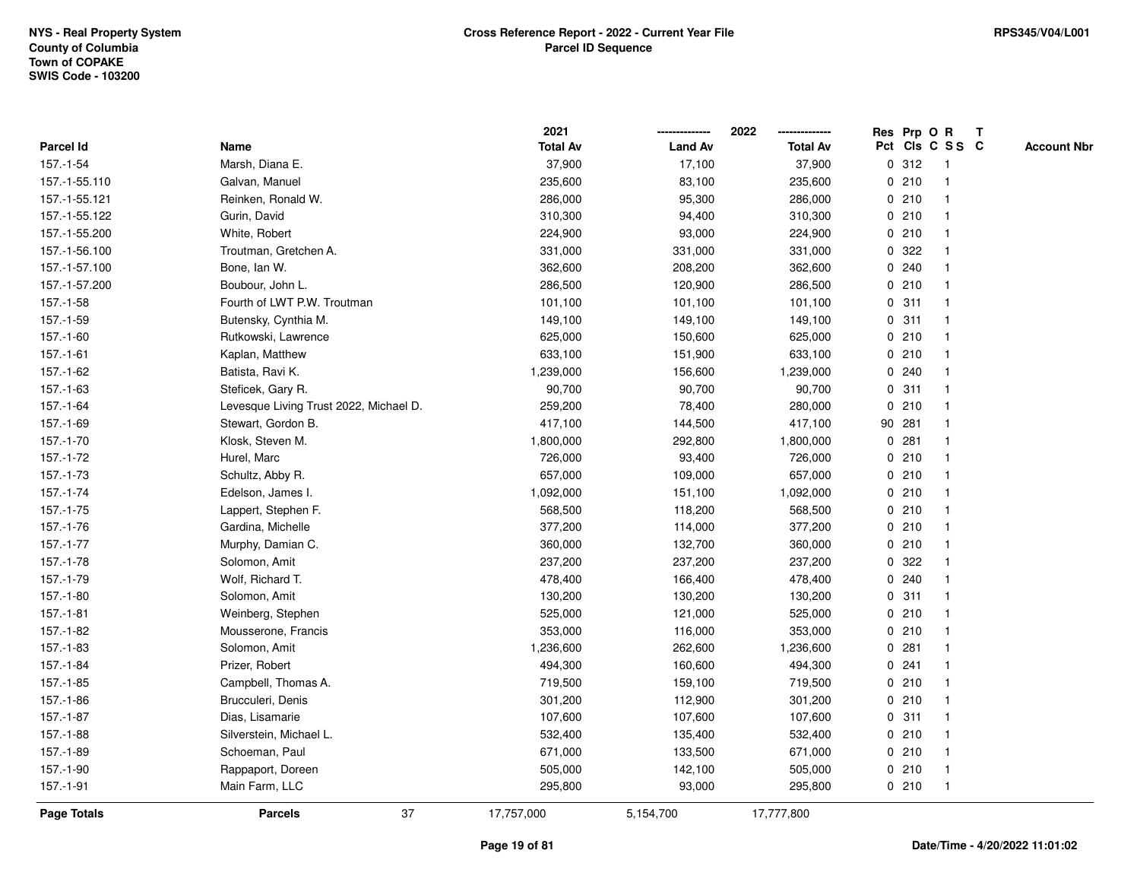|                    |                                        | 2021            |                | 2022            |             |        | Res Prp O R     | $\mathbf{T}$ |                    |
|--------------------|----------------------------------------|-----------------|----------------|-----------------|-------------|--------|-----------------|--------------|--------------------|
| Parcel Id          | Name                                   | <b>Total Av</b> | <b>Land Av</b> | <b>Total Av</b> |             |        | Pct Cls C S S C |              | <b>Account Nbr</b> |
| 157.-1-54          | Marsh, Diana E.                        | 37,900          | 17,100         | 37,900          |             | 0.312  | -1              |              |                    |
| 157.-1-55.110      | Galvan, Manuel                         | 235,600         | 83,100         | 235,600         |             | 0210   |                 |              |                    |
| 157.-1-55.121      | Reinken, Ronald W.                     | 286,000         | 95,300         | 286,000         |             | 0210   | -1              |              |                    |
| 157.-1-55.122      | Gurin, David                           | 310,300         | 94,400         | 310,300         |             | 0210   | $\mathbf{1}$    |              |                    |
| 157.-1-55.200      | White, Robert                          | 224,900         | 93,000         | 224,900         |             | 0210   | $\mathbf{1}$    |              |                    |
| 157.-1-56.100      | Troutman, Gretchen A.                  | 331,000         | 331,000        | 331,000         |             | 0.322  |                 |              |                    |
| 157.-1-57.100      | Bone, Ian W.                           | 362,600         | 208,200        | 362,600         |             | 0.240  |                 |              |                    |
| 157.-1-57.200      | Boubour, John L.                       | 286,500         | 120,900        | 286,500         |             | 0210   |                 |              |                    |
| 157.-1-58          | Fourth of LWT P.W. Troutman            | 101,100         | 101,100        | 101,100         |             | 0.311  | -1              |              |                    |
| 157.-1-59          | Butensky, Cynthia M.                   | 149,100         | 149,100        | 149,100         |             | 0.311  |                 |              |                    |
| $157.-1-60$        | Rutkowski, Lawrence                    | 625,000         | 150,600        | 625,000         |             | 0210   | $\mathbf{1}$    |              |                    |
| $157.-1-61$        | Kaplan, Matthew                        | 633,100         | 151,900        | 633,100         |             | 0210   | $\mathbf{1}$    |              |                    |
| 157.-1-62          | Batista, Ravi K.                       | 1,239,000       | 156,600        | 1,239,000       |             | 0.240  | -1              |              |                    |
| 157.-1-63          | Steficek, Gary R.                      | 90,700          | 90,700         | 90,700          |             | 0.311  |                 |              |                    |
| 157.-1-64          | Levesque Living Trust 2022, Michael D. | 259,200         | 78,400         | 280,000         |             | 0210   |                 |              |                    |
| 157.-1-69          | Stewart, Gordon B.                     | 417,100         | 144,500        | 417,100         |             | 90 281 |                 |              |                    |
| 157.-1-70          | Klosk, Steven M.                       | 1,800,000       | 292,800        | 1,800,000       | $\mathbf 0$ | 281    |                 |              |                    |
| 157.-1-72          | Hurel, Marc                            | 726,000         | 93,400         | 726,000         | 0           | 210    | -1              |              |                    |
| 157.-1-73          | Schultz, Abby R.                       | 657,000         | 109,000        | 657,000         |             | 0210   | $\mathbf 1$     |              |                    |
| $157.-1-74$        | Edelson, James I.                      | 1,092,000       | 151,100        | 1,092,000       |             | 0210   |                 |              |                    |
| $157 - 1 - 75$     | Lappert, Stephen F.                    | 568,500         | 118,200        | 568,500         |             | 0210   |                 |              |                    |
| 157.-1-76          | Gardina, Michelle                      | 377,200         | 114,000        | 377,200         |             | 0210   |                 |              |                    |
| 157.-1-77          | Murphy, Damian C.                      | 360,000         | 132,700        | 360,000         |             | 0210   | -1              |              |                    |
| $157.-1-78$        | Solomon, Amit                          | 237,200         | 237,200        | 237,200         | $\mathbf 0$ | 322    | $\mathbf{1}$    |              |                    |
| 157.-1-79          | Wolf, Richard T.                       | 478,400         | 166,400        | 478,400         |             | 0.240  | $\mathbf 1$     |              |                    |
| 157.-1-80          | Solomon, Amit                          | 130,200         | 130,200        | 130,200         |             | 0.311  | -1              |              |                    |
| $157.-1-81$        | Weinberg, Stephen                      | 525,000         | 121,000        | 525,000         |             | 0210   |                 |              |                    |
| 157.-1-82          | Mousserone, Francis                    | 353,000         | 116,000        | 353,000         |             | 0210   |                 |              |                    |
| 157.-1-83          | Solomon, Amit                          | 1,236,600       | 262,600        | 1,236,600       |             | 0.281  |                 |              |                    |
| 157.-1-84          | Prizer, Robert                         | 494,300         | 160,600        | 494,300         |             | 0.241  |                 |              |                    |
| 157.-1-85          | Campbell, Thomas A.                    | 719,500         | 159,100        | 719,500         |             | 0210   | $\mathbf{1}$    |              |                    |
| 157.-1-86          | Brucculeri, Denis                      | 301,200         | 112,900        | 301,200         |             | 0210   | -1              |              |                    |
| $157.-1-87$        | Dias, Lisamarie                        | 107,600         | 107,600        | 107,600         |             | 0.311  |                 |              |                    |
| 157.-1-88          | Silverstein, Michael L.                | 532,400         | 135,400        | 532,400         |             | 0210   |                 |              |                    |
| 157.-1-89          | Schoeman, Paul                         | 671,000         | 133,500        | 671,000         |             | 0210   |                 |              |                    |
| 157.-1-90          | Rappaport, Doreen                      | 505,000         | 142,100        | 505,000         |             | 0210   | $\mathbf{1}$    |              |                    |
| 157.-1-91          | Main Farm, LLC                         | 295,800         | 93,000         | 295,800         |             | 0210   | $\mathbf{1}$    |              |                    |
| <b>Page Totals</b> | 37<br><b>Parcels</b>                   | 17,757,000      | 5,154,700      | 17,777,800      |             |        |                 |              |                    |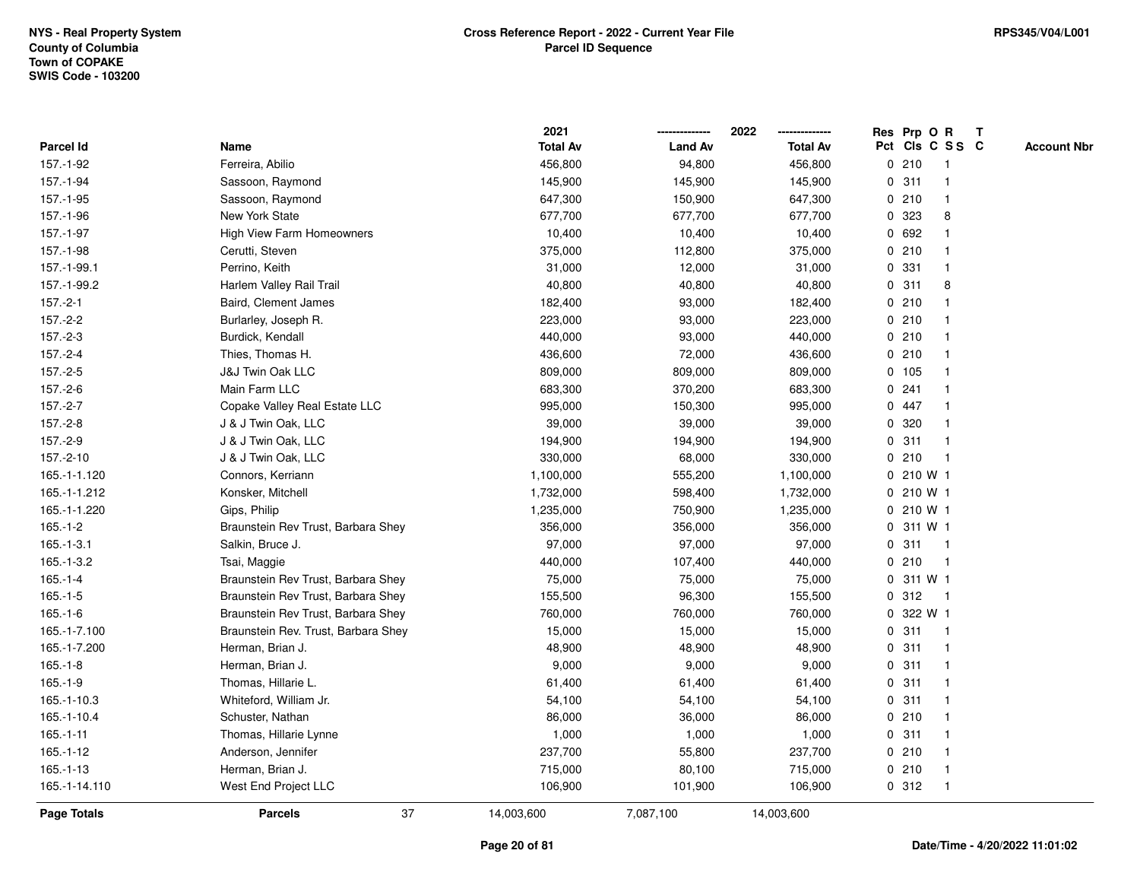|               |                                     | 2021            |                | 2022            | Res Prp O R<br>$\mathbf{T}$           |
|---------------|-------------------------------------|-----------------|----------------|-----------------|---------------------------------------|
| Parcel Id     | Name                                | <b>Total Av</b> | <b>Land Av</b> | <b>Total Av</b> | Pct Cls C S S C<br><b>Account Nbr</b> |
| 157.-1-92     | Ferreira, Abilio                    | 456,800         | 94,800         | 456,800         | 0210<br>1                             |
| 157.-1-94     | Sassoon, Raymond                    | 145,900         | 145,900        | 145,900         | 0.311                                 |
| 157.-1-95     | Sassoon, Raymond                    | 647,300         | 150,900        | 647,300         | 0210<br>1                             |
| 157.-1-96     | <b>New York State</b>               | 677,700         | 677,700        | 677,700         | 323<br>8<br>0                         |
| 157.-1-97     | <b>High View Farm Homeowners</b>    | 10,400          | 10,400         | 10,400          | 0 692<br>$\mathbf 1$                  |
| 157.-1-98     | Cerutti, Steven                     | 375,000         | 112,800        | 375,000         | 0210<br>$\mathbf 1$                   |
| 157.-1-99.1   | Perrino, Keith                      | 31,000          | 12,000         | 31,000          | 0 331<br>$\mathbf 1$                  |
| 157.-1-99.2   | Harlem Valley Rail Trail            | 40,800          | 40,800         | 40,800          | 0.311<br>8                            |
| $157.-2-1$    | Baird, Clement James                | 182,400         | 93,000         | 182,400         | 0210<br>-1                            |
| $157.-2-2$    | Burlarley, Joseph R.                | 223,000         | 93,000         | 223,000         | 0210<br>$\mathbf{1}$                  |
| $157.-2-3$    | Burdick, Kendall                    | 440,000         | 93,000         | 440,000         | 0210<br>$\mathbf{1}$                  |
| $157.-2-4$    | Thies, Thomas H.                    | 436,600         | 72,000         | 436,600         | 0210<br>$\mathbf{1}$                  |
| 157.-2-5      | <b>J&amp;J Twin Oak LLC</b>         | 809,000         | 809,000        | 809,000         | 0 105<br>-1                           |
| $157.-2-6$    | Main Farm LLC                       | 683,300         | 370,200        | 683,300         | 0.241                                 |
| $157.-2-7$    | Copake Valley Real Estate LLC       | 995,000         | 150,300        | 995,000         | 0 447                                 |
| $157.-2-8$    | J & J Twin Oak, LLC                 | 39,000          | 39,000         | 39,000          | 0 320<br>$\mathbf 1$                  |
| 157.-2-9      | J & J Twin Oak, LLC                 | 194,900         | 194,900        | 194,900         | 311<br>0<br>$\mathbf{1}$              |
| 157.-2-10     | J & J Twin Oak, LLC                 | 330,000         | 68,000         | 330,000         | 210<br>0<br>$\mathbf{1}$              |
| 165.-1-1.120  | Connors, Kerriann                   | 1,100,000       | 555,200        | 1,100,000       | 0 210 W 1                             |
| 165.-1-1.212  | Konsker, Mitchell                   | 1,732,000       | 598,400        | 1,732,000       | 0 210 W 1                             |
| 165.-1-1.220  | Gips, Philip                        | 1,235,000       | 750,900        | 1,235,000       | 0 210 W 1                             |
| $165.-1-2$    | Braunstein Rev Trust, Barbara Shey  | 356,000         | 356,000        | 356,000         | 0 311 W 1                             |
| $165.-1-3.1$  | Salkin, Bruce J.                    | 97,000          | 97,000         | 97,000          | 0.311<br>$\mathbf{1}$                 |
| $165.-1-3.2$  | Tsai, Maggie                        | 440,000         | 107,400        | 440,000         | 0210<br>$\mathbf{1}$                  |
| $165.-1-4$    | Braunstein Rev Trust, Barbara Shey  | 75,000          | 75,000         | 75,000          | 311 W 1<br>0                          |
| $165.-1-5$    | Braunstein Rev Trust, Barbara Shey  | 155,500         | 96,300         | 155,500         | 0.312<br>$\mathbf{1}$                 |
| $165.-1-6$    | Braunstein Rev Trust, Barbara Shey  | 760,000         | 760,000        | 760,000         | 0 322 W 1                             |
| 165.-1-7.100  | Braunstein Rev. Trust, Barbara Shey | 15,000          | 15,000         | 15,000          | 0.311<br>1                            |
| 165.-1-7.200  | Herman, Brian J.                    | 48,900          | 48,900         | 48,900          | 0.311<br>$\mathbf{1}$                 |
| $165.-1-8$    | Herman, Brian J.                    | 9,000           | 9,000          | 9,000           | 0.311<br>1                            |
| $165.-1-9$    | Thomas, Hillarie L.                 | 61,400          | 61,400         | 61,400          | 0.311<br>$\mathbf{1}$                 |
| 165.-1-10.3   | Whiteford, William Jr.              | 54,100          | 54,100         | 54,100          | 0.311<br>1                            |
| 165.-1-10.4   | Schuster, Nathan                    | 86,000          | 36,000         | 86,000          | 0210<br>$\mathbf 1$                   |
| $165.-1-11$   | Thomas, Hillarie Lynne              | 1,000           | 1,000          | 1,000           | 0.311                                 |
| $165.-1-12$   | Anderson, Jennifer                  | 237,700         | 55,800         | 237,700         | 0210<br>-1                            |
| $165.-1-13$   | Herman, Brian J.                    | 715,000         | 80,100         | 715,000         | 0210<br>$\mathbf{1}$                  |
| 165.-1-14.110 | West End Project LLC                | 106,900         | 101,900        | 106,900         | 0.312<br>$\mathbf{1}$                 |
| Page Totals   | 37<br><b>Parcels</b>                | 14,003,600      | 7,087,100      | 14,003,600      |                                       |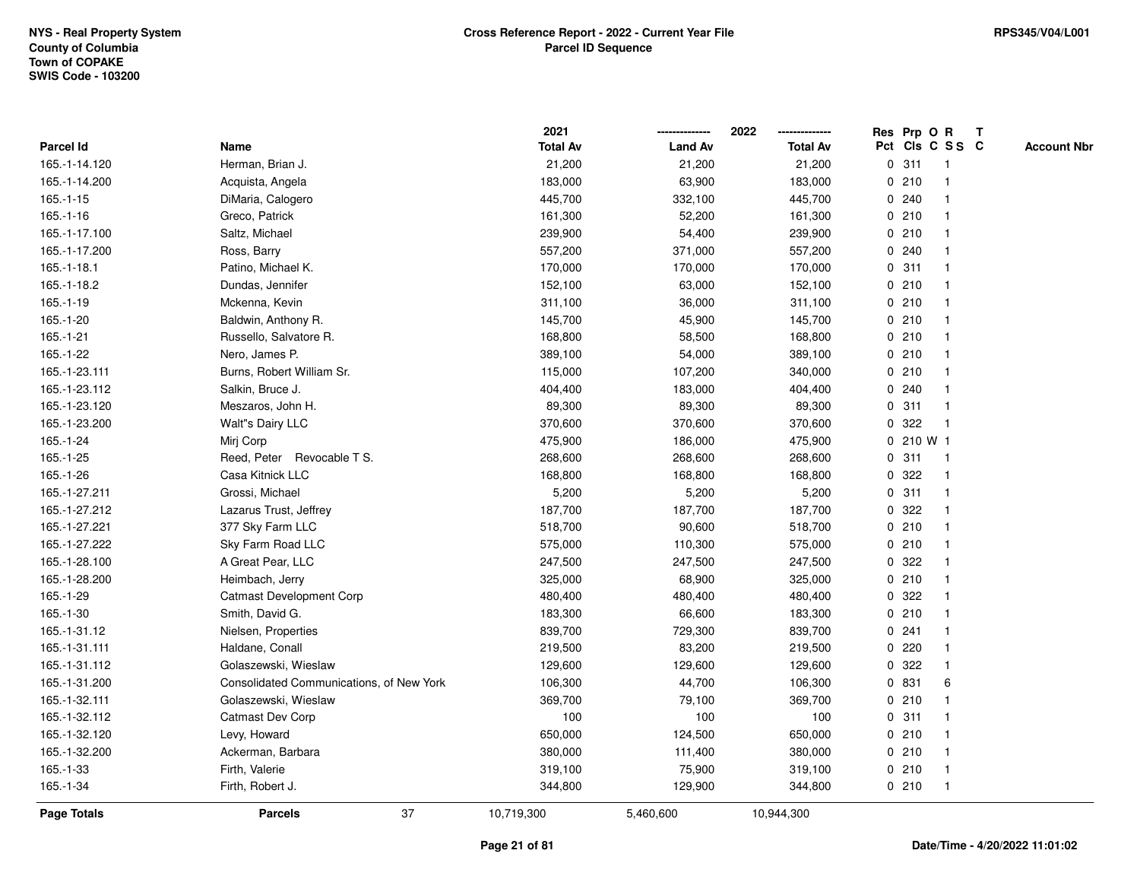|                    |                                          | 2021            |                | 2022            | Res Prp O R     |           |                | T |                    |
|--------------------|------------------------------------------|-----------------|----------------|-----------------|-----------------|-----------|----------------|---|--------------------|
| <b>Parcel Id</b>   | Name                                     | <b>Total Av</b> | <b>Land Av</b> | <b>Total Av</b> | Pct Cls C S S C |           |                |   | <b>Account Nbr</b> |
| 165.-1-14.120      | Herman, Brian J.                         | 21,200          | 21,200         | 21,200          | 0.311           |           | $\mathbf{1}$   |   |                    |
| 165.-1-14.200      | Acquista, Angela                         | 183,000         | 63,900         | 183,000         | 0210            |           | -1             |   |                    |
| $165.-1-15$        | DiMaria, Calogero                        | 445,700         | 332,100        | 445,700         | 0.240           |           | $\mathbf 1$    |   |                    |
| $165.-1-16$        | Greco, Patrick                           | 161,300         | 52,200         | 161,300         | 0210            |           |                |   |                    |
| 165.-1-17.100      | Saltz, Michael                           | 239,900         | 54,400         | 239,900         | 0210            |           |                |   |                    |
| 165.-1-17.200      | Ross, Barry                              | 557,200         | 371,000        | 557,200         | 0.240           |           |                |   |                    |
| $165.-1-18.1$      | Patino, Michael K.                       | 170,000         | 170,000        | 170,000         | 0.311           |           | -1             |   |                    |
| 165.-1-18.2        | Dundas, Jennifer                         | 152,100         | 63,000         | 152,100         | 0210            |           | $\overline{1}$ |   |                    |
| $165.-1-19$        | Mckenna, Kevin                           | 311,100         | 36,000         | 311,100         | 0210            |           | -1             |   |                    |
| 165.-1-20          | Baldwin, Anthony R.                      | 145,700         | 45,900         | 145,700         | 0210            |           | $\mathbf 1$    |   |                    |
| $165.-1-21$        | Russello, Salvatore R.                   | 168,800         | 58,500         | 168,800         | 0210            |           | -1             |   |                    |
| 165.-1-22          | Nero, James P.                           | 389,100         | 54,000         | 389,100         | 0210            |           |                |   |                    |
| 165.-1-23.111      | Burns, Robert William Sr.                | 115,000         | 107,200        | 340,000         | 0210            |           |                |   |                    |
| 165.-1-23.112      | Salkin, Bruce J.                         | 404,400         | 183,000        | 404,400         | 0.240           |           |                |   |                    |
| 165.-1-23.120      | Meszaros, John H.                        | 89,300          | 89,300         | 89,300          | 0               | 311       | -1             |   |                    |
| 165.-1-23.200      | Walt"s Dairy LLC                         | 370,600         | 370,600        | 370,600         | $\mathbf 0$     | 322       | $\mathbf{1}$   |   |                    |
| 165.-1-24          | Mirj Corp                                | 475,900         | 186,000        | 475,900         |                 | 0 210 W 1 |                |   |                    |
| 165.-1-25          | Reed, Peter Revocable T S.               | 268,600         | 268,600        | 268,600         | 0.311           |           | $\mathbf 1$    |   |                    |
| 165.-1-26          | Casa Kitnick LLC                         | 168,800         | 168,800        | 168,800         | 0 322           |           |                |   |                    |
| 165.-1-27.211      | Grossi, Michael                          | 5,200           | 5,200          | 5,200           | 0.311           |           |                |   |                    |
| 165.-1-27.212      | Lazarus Trust, Jeffrey                   | 187,700         | 187,700        | 187,700         | 0 322           |           | $\overline{1}$ |   |                    |
| 165.-1-27.221      | 377 Sky Farm LLC                         | 518,700         | 90,600         | 518,700         | 0210            |           |                |   |                    |
| 165.-1-27.222      | Sky Farm Road LLC                        | 575,000         | 110,300        | 575,000         | 0210            |           | $\mathbf{1}$   |   |                    |
| 165.-1-28.100      | A Great Pear, LLC                        | 247,500         | 247,500        | 247,500         | 0.322           |           |                |   |                    |
| 165.-1-28.200      | Heimbach, Jerry                          | 325,000         | 68,900         | 325,000         | 0210            |           | -1             |   |                    |
| 165.-1-29          | <b>Catmast Development Corp</b>          | 480,400         | 480,400        | 480,400         | 0.322           |           |                |   |                    |
| 165.-1-30          | Smith, David G.                          | 183,300         | 66,600         | 183,300         | 0210            |           |                |   |                    |
| 165.-1-31.12       | Nielsen, Properties                      | 839,700         | 729,300        | 839,700         | 0.241           |           | -1             |   |                    |
| 165.-1-31.111      | Haldane, Conall                          | 219,500         | 83,200         | 219,500         | 0220            |           | $\overline{1}$ |   |                    |
| 165.-1-31.112      | Golaszewski, Wieslaw                     | 129,600         | 129,600        | 129,600         | 0               | 322       | -1             |   |                    |
| 165.-1-31.200      | Consolidated Communications, of New York | 106,300         | 44,700         | 106,300         | 0 831           |           | 6              |   |                    |
| 165.-1-32.111      | Golaszewski, Wieslaw                     | 369,700         | 79,100         | 369,700         | 0210            |           | -1             |   |                    |
| 165.-1-32.112      | Catmast Dev Corp                         | 100             | 100            | 100             | 0.311           |           |                |   |                    |
| 165.-1-32.120      | Levy, Howard                             | 650,000         | 124,500        | 650,000         | 0210            |           |                |   |                    |
| 165.-1-32.200      | Ackerman, Barbara                        | 380,000         | 111,400        | 380,000         | 0210            |           | $\mathbf 1$    |   |                    |
| 165.-1-33          | Firth, Valerie                           | 319,100         | 75,900         | 319,100         | 0210            |           | $\mathbf 1$    |   |                    |
| 165.-1-34          | Firth, Robert J.                         | 344,800         | 129,900        | 344,800         | 0210            |           | $\mathbf{1}$   |   |                    |
| <b>Page Totals</b> | 37<br><b>Parcels</b>                     | 10,719,300      | 5,460,600      | 10,944,300      |                 |           |                |   |                    |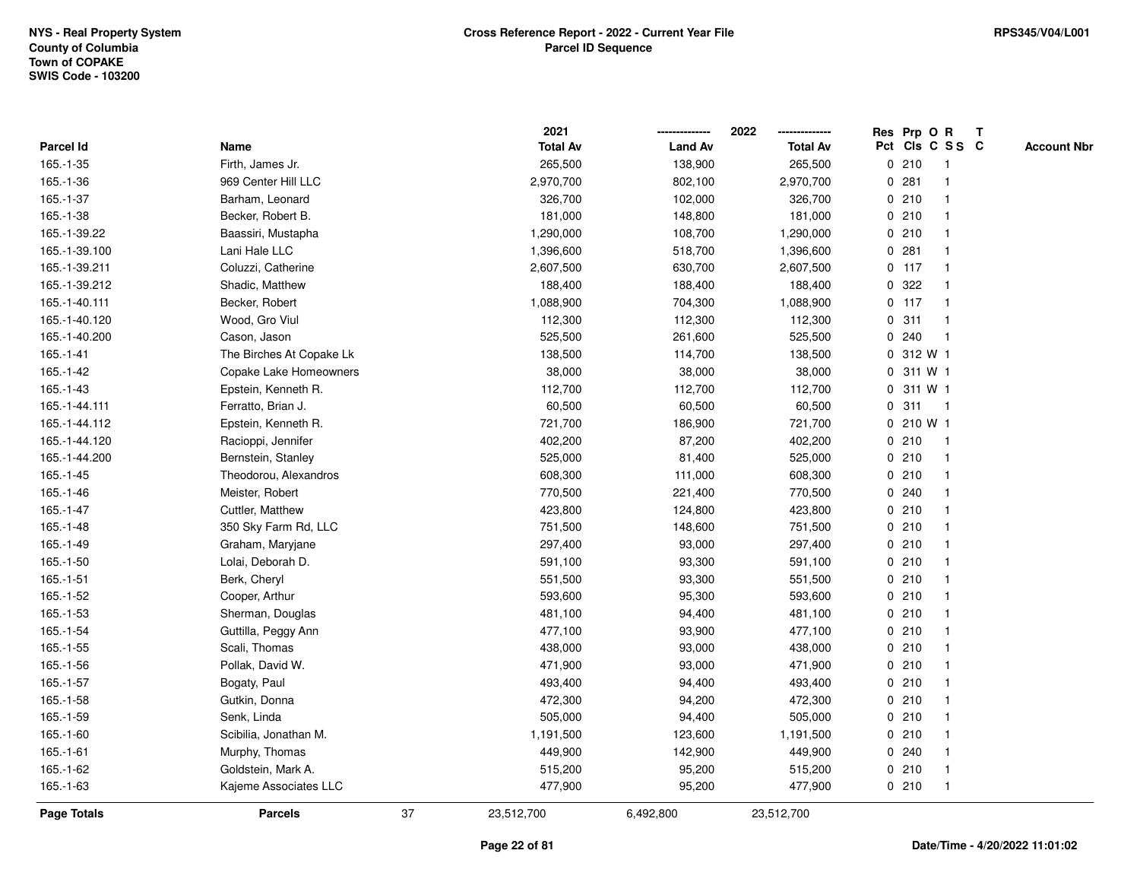|               |                          |    | 2021            |                | 2022            |             | Res Prp O R |                 | T |                    |
|---------------|--------------------------|----|-----------------|----------------|-----------------|-------------|-------------|-----------------|---|--------------------|
| Parcel Id     | Name                     |    | <b>Total Av</b> | <b>Land Av</b> | <b>Total Av</b> |             |             | Pct Cls C S S C |   | <b>Account Nbr</b> |
| 165.-1-35     | Firth, James Jr.         |    | 265,500         | 138,900        | 265,500         | 0           | 210         | $\mathbf{1}$    |   |                    |
| 165.-1-36     | 969 Center Hill LLC      |    | 2,970,700       | 802,100        | 2,970,700       | 0           | 281         | -1              |   |                    |
| 165.-1-37     | Barham, Leonard          |    | 326,700         | 102,000        | 326,700         |             | 0210        | -1              |   |                    |
| 165.-1-38     | Becker, Robert B.        |    | 181,000         | 148,800        | 181,000         |             | 0210        |                 |   |                    |
| 165.-1-39.22  | Baassiri, Mustapha       |    | 1,290,000       | 108,700        | 1,290,000       |             | 0210        |                 |   |                    |
| 165.-1-39.100 | Lani Hale LLC            |    | 1,396,600       | 518,700        | 1,396,600       |             | 0.281       |                 |   |                    |
| 165.-1-39.211 | Coluzzi, Catherine       |    | 2,607,500       | 630,700        | 2,607,500       |             | $0$ 117     | -1              |   |                    |
| 165.-1-39.212 | Shadic, Matthew          |    | 188,400         | 188,400        | 188,400         | 0           | 322         |                 |   |                    |
| 165.-1-40.111 | Becker, Robert           |    | 1,088,900       | 704,300        | 1,088,900       |             | $0$ 117     | $\mathbf{1}$    |   |                    |
| 165.-1-40.120 | Wood, Gro Viul           |    | 112,300         | 112,300        | 112,300         |             | 0.311       | $\mathbf{1}$    |   |                    |
| 165.-1-40.200 | Cason, Jason             |    | 525,500         | 261,600        | 525,500         |             | 0.240       | -1              |   |                    |
| 165.-1-41     | The Birches At Copake Lk |    | 138,500         | 114,700        | 138,500         |             | 0 312 W 1   |                 |   |                    |
| 165.-1-42     | Copake Lake Homeowners   |    | 38,000          | 38,000         | 38,000          |             | 0 311 W 1   |                 |   |                    |
| 165.-1-43     | Epstein, Kenneth R.      |    | 112,700         | 112,700        | 112,700         |             | 0 311 W 1   |                 |   |                    |
| 165.-1-44.111 | Ferratto, Brian J.       |    | 60,500          | 60,500         | 60,500          | 0           | 311         | $\overline{1}$  |   |                    |
| 165.-1-44.112 | Epstein, Kenneth R.      |    | 721,700         | 186,900        | 721,700         | 0           | 210 W 1     |                 |   |                    |
| 165.-1-44.120 | Racioppi, Jennifer       |    | 402,200         | 87,200         | 402,200         |             | 0210        | $\mathbf{1}$    |   |                    |
| 165.-1-44.200 | Bernstein, Stanley       |    | 525,000         | 81,400         | 525,000         |             | 0210        |                 |   |                    |
| $165.-1-45$   | Theodorou, Alexandros    |    | 608,300         | 111,000        | 608,300         |             | 0210        |                 |   |                    |
| 165.-1-46     | Meister, Robert          |    | 770,500         | 221,400        | 770,500         |             | 0.240       |                 |   |                    |
| 165.-1-47     | Cuttler, Matthew         |    | 423,800         | 124,800        | 423,800         |             | 0210        |                 |   |                    |
| $165.-1-48$   | 350 Sky Farm Rd, LLC     |    | 751,500         | 148,600        | 751,500         |             | 0210        |                 |   |                    |
| 165.-1-49     | Graham, Maryjane         |    | 297,400         | 93,000         | 297,400         |             | 0210        | -1              |   |                    |
| 165.-1-50     | Lolai, Deborah D.        |    | 591,100         | 93,300         | 591,100         | $\mathbf 0$ | 210         | $\mathbf{1}$    |   |                    |
| 165.-1-51     | Berk, Cheryl             |    | 551,500         | 93,300         | 551,500         |             | 0210        |                 |   |                    |
| 165.-1-52     | Cooper, Arthur           |    | 593,600         | 95,300         | 593,600         |             | 0210        |                 |   |                    |
| 165.-1-53     | Sherman, Douglas         |    | 481,100         | 94,400         | 481,100         |             | 0210        |                 |   |                    |
| 165.-1-54     | Guttilla, Peggy Ann      |    | 477,100         | 93,900         | 477,100         |             | 0210        |                 |   |                    |
| 165.-1-55     | Scali, Thomas            |    | 438,000         | 93,000         | 438,000         |             | 0210        |                 |   |                    |
| 165.-1-56     | Pollak, David W.         |    | 471,900         | 93,000         | 471,900         | 0           | 210         |                 |   |                    |
| 165.-1-57     | Bogaty, Paul             |    | 493,400         | 94,400         | 493,400         |             | 0210        | -1              |   |                    |
| 165.-1-58     | Gutkin, Donna            |    | 472,300         | 94,200         | 472,300         |             | 0210        | $\mathbf 1$     |   |                    |
| 165.-1-59     | Senk, Linda              |    | 505,000         | 94,400         | 505,000         |             | 0210        |                 |   |                    |
| 165.-1-60     | Scibilia, Jonathan M.    |    | 1,191,500       | 123,600        | 1,191,500       |             | 0210        |                 |   |                    |
| $165.-1-61$   | Murphy, Thomas           |    | 449,900         | 142,900        | 449,900         |             | 0.240       |                 |   |                    |
| 165.-1-62     | Goldstein, Mark A.       |    | 515,200         | 95,200         | 515,200         |             | 0210        | -1              |   |                    |
| 165.-1-63     | Kajeme Associates LLC    |    | 477,900         | 95,200         | 477,900         |             | 0210        | $\mathbf{1}$    |   |                    |
| Page Totals   | <b>Parcels</b>           | 37 | 23,512,700      | 6,492,800      | 23,512,700      |             |             |                 |   |                    |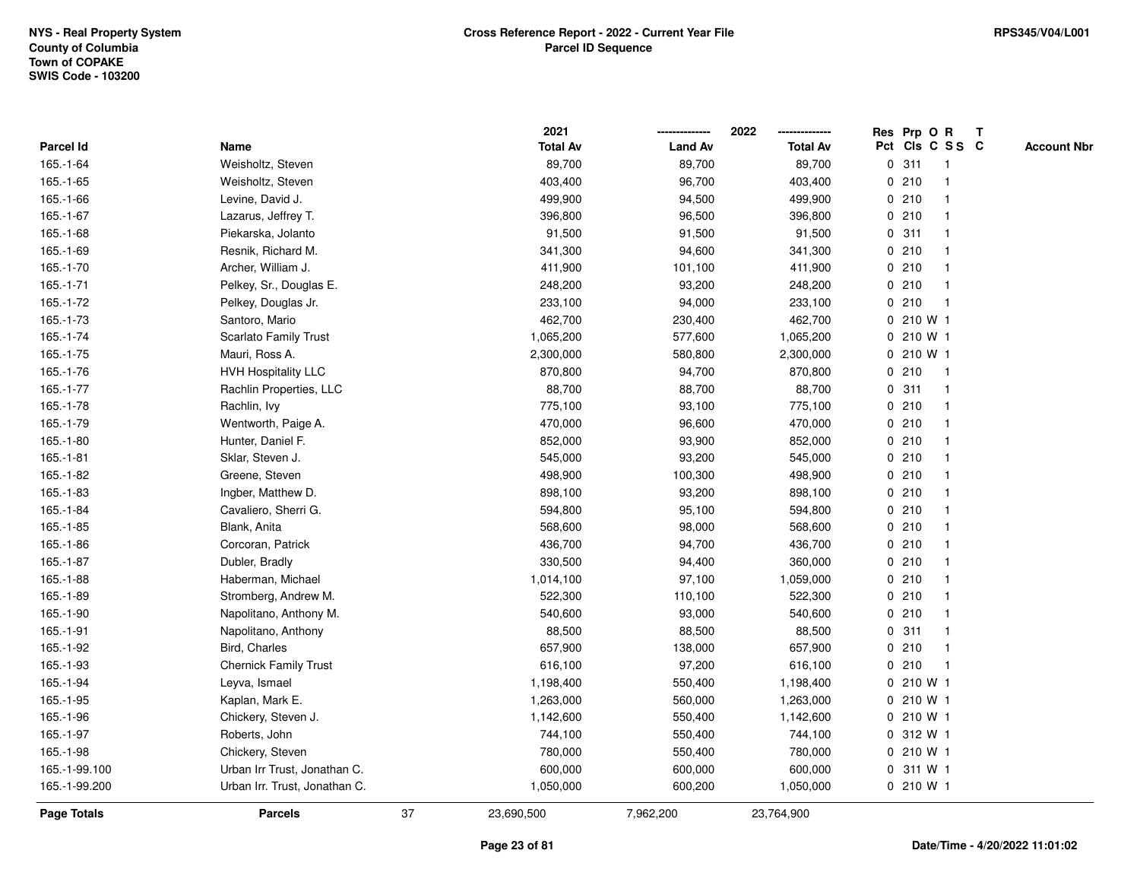|               |                               |    | 2021            |                | 2022            |   | Res Prp O R     |                         | Т |                    |
|---------------|-------------------------------|----|-----------------|----------------|-----------------|---|-----------------|-------------------------|---|--------------------|
| Parcel Id     | Name                          |    | <b>Total Av</b> | <b>Land Av</b> | <b>Total Av</b> |   | Pct Cls C S S C |                         |   | <b>Account Nbr</b> |
| 165.-1-64     | Weisholtz, Steven             |    | 89,700          | 89,700         | 89,700          | 0 | 311             | $\mathbf{1}$            |   |                    |
| $165.-1-65$   | Weisholtz, Steven             |    | 403,400         | 96,700         | 403,400         | 0 | 210             | -1                      |   |                    |
| 165.-1-66     | Levine, David J.              |    | 499,900         | 94,500         | 499,900         |   | 0210            | $\mathbf 1$             |   |                    |
| 165.-1-67     | Lazarus, Jeffrey T.           |    | 396,800         | 96,500         | 396,800         |   | 0210            |                         |   |                    |
| 165.-1-68     | Piekarska, Jolanto            |    | 91,500          | 91,500         | 91,500          |   | 0.311           |                         |   |                    |
| 165.-1-69     | Resnik, Richard M.            |    | 341,300         | 94,600         | 341,300         |   | 0210            |                         |   |                    |
| 165.-1-70     | Archer, William J.            |    | 411,900         | 101,100        | 411,900         |   | 0210            |                         |   |                    |
| 165.-1-71     | Pelkey, Sr., Douglas E.       |    | 248,200         | 93,200         | 248,200         |   | 0210            | $\overline{\mathbf{1}}$ |   |                    |
| 165.-1-72     | Pelkey, Douglas Jr.           |    | 233,100         | 94,000         | 233,100         |   | 0210            | $\mathbf{1}$            |   |                    |
| 165.-1-73     | Santoro, Mario                |    | 462,700         | 230,400        | 462,700         |   | 0 210 W 1       |                         |   |                    |
| 165.-1-74     | <b>Scarlato Family Trust</b>  |    | 1,065,200       | 577,600        | 1,065,200       |   | 0 210 W 1       |                         |   |                    |
| 165.-1-75     | Mauri, Ross A.                |    | 2,300,000       | 580,800        | 2,300,000       |   | 0 210 W 1       |                         |   |                    |
| 165.-1-76     | <b>HVH Hospitality LLC</b>    |    | 870,800         | 94,700         | 870,800         |   | 0210            |                         |   |                    |
| 165.-1-77     | Rachlin Properties, LLC       |    | 88,700          | 88,700         | 88,700          |   | 0.311           | -1                      |   |                    |
| 165.-1-78     | Rachlin, Ivy                  |    | 775,100         | 93,100         | 775,100         |   | 0210            | -1                      |   |                    |
| 165.-1-79     | Wentworth, Paige A.           |    | 470,000         | 96,600         | 470,000         |   | 0210            | -1                      |   |                    |
| $165.-1-80$   | Hunter, Daniel F.             |    | 852,000         | 93,900         | 852,000         |   | 0210            | -1                      |   |                    |
| 165.-1-81     | Sklar, Steven J.              |    | 545,000         | 93,200         | 545,000         |   | 0210            |                         |   |                    |
| 165.-1-82     | Greene, Steven                |    | 498,900         | 100,300        | 498,900         |   | 0210            |                         |   |                    |
| 165.-1-83     | Ingber, Matthew D.            |    | 898,100         | 93,200         | 898,100         |   | 0210            |                         |   |                    |
| 165.-1-84     | Cavaliero, Sherri G.          |    | 594,800         | 95,100         | 594,800         |   | 0210            |                         |   |                    |
| 165.-1-85     | Blank, Anita                  |    | 568,600         | 98,000         | 568,600         |   | 0210            |                         |   |                    |
| 165.-1-86     | Corcoran, Patrick             |    | 436,700         | 94,700         | 436,700         |   | 0210            | -1                      |   |                    |
| 165.-1-87     | Dubler, Bradly                |    | 330,500         | 94,400         | 360,000         |   | 0210            | $\mathbf 1$             |   |                    |
| 165.-1-88     | Haberman, Michael             |    | 1,014,100       | 97,100         | 1,059,000       |   | 0210            |                         |   |                    |
| 165.-1-89     | Stromberg, Andrew M.          |    | 522,300         | 110,100        | 522,300         |   | 0210            |                         |   |                    |
| 165.-1-90     | Napolitano, Anthony M.        |    | 540,600         | 93,000         | 540,600         |   | 0210            |                         |   |                    |
| 165.-1-91     | Napolitano, Anthony           |    | 88,500          | 88,500         | 88,500          |   | 0.311           |                         |   |                    |
| 165.-1-92     | Bird, Charles                 |    | 657,900         | 138,000        | 657,900         |   | 0210            | -1                      |   |                    |
| 165.-1-93     | <b>Chernick Family Trust</b>  |    | 616,100         | 97,200         | 616,100         | 0 | 210             | $\mathbf{1}$            |   |                    |
| 165.-1-94     | Leyva, Ismael                 |    | 1,198,400       | 550,400        | 1,198,400       |   | 0 210 W 1       |                         |   |                    |
| 165.-1-95     | Kaplan, Mark E.               |    | 1,263,000       | 560,000        | 1,263,000       |   | 0 210 W 1       |                         |   |                    |
| 165.-1-96     | Chickery, Steven J.           |    | 1,142,600       | 550,400        | 1,142,600       |   | 0 210 W 1       |                         |   |                    |
| 165.-1-97     | Roberts, John                 |    | 744,100         | 550,400        | 744,100         |   | 0 312 W 1       |                         |   |                    |
| 165.-1-98     | Chickery, Steven              |    | 780,000         | 550,400        | 780,000         |   | 0 210 W 1       |                         |   |                    |
| 165.-1-99.100 | Urban Irr Trust, Jonathan C.  |    | 600,000         | 600,000        | 600,000         |   | 0 311 W 1       |                         |   |                    |
| 165.-1-99.200 | Urban Irr. Trust, Jonathan C. |    | 1,050,000       | 600,200        | 1,050,000       |   | 0 210 W 1       |                         |   |                    |
| Page Totals   | <b>Parcels</b>                | 37 | 23,690,500      | 7,962,200      | 23,764,900      |   |                 |                         |   |                    |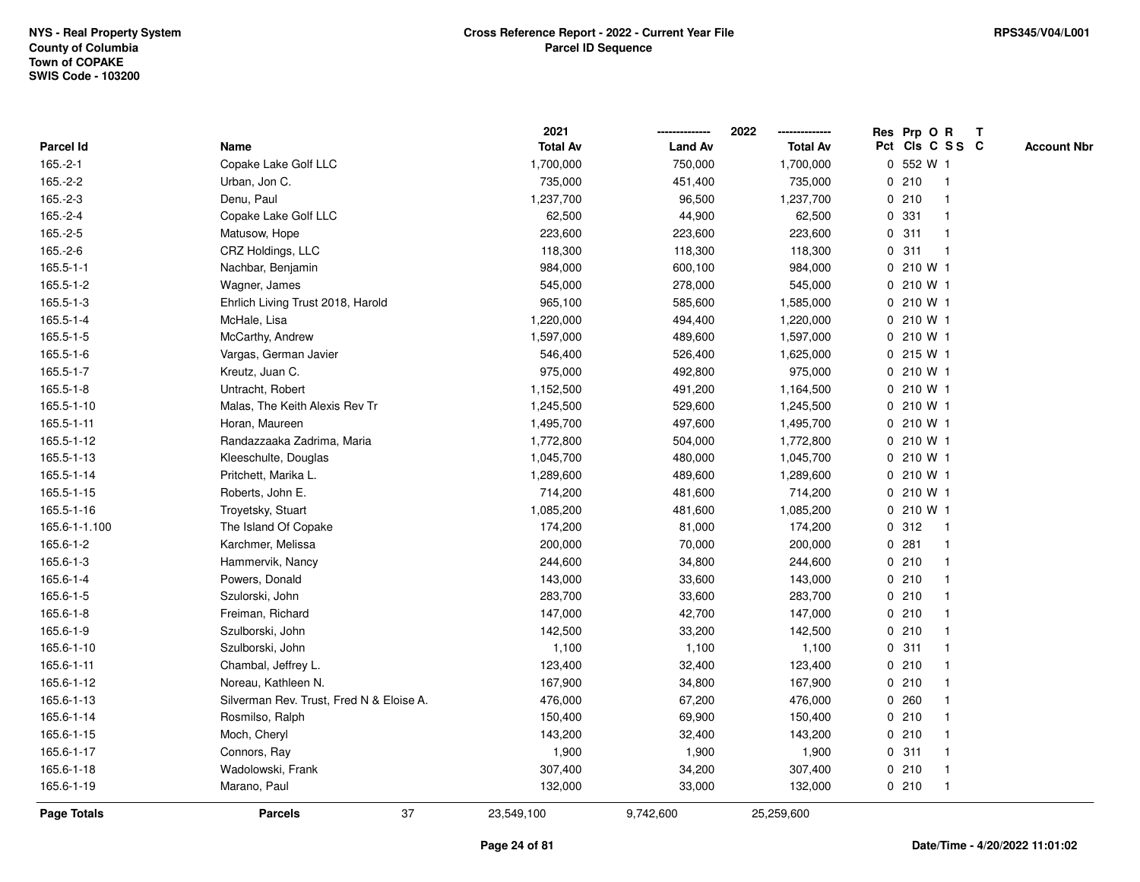|                 |                                          | 2021            |                | 2022            | Res Prp O R<br>T                      |
|-----------------|------------------------------------------|-----------------|----------------|-----------------|---------------------------------------|
| Parcel Id       | Name                                     | <b>Total Av</b> | <b>Land Av</b> | <b>Total Av</b> | Pct Cls C S S C<br><b>Account Nbr</b> |
| $165.-2-1$      | Copake Lake Golf LLC                     | 1,700,000       | 750,000        | 1,700,000       | 0 552 W 1                             |
| $165.-2-2$      | Urban, Jon C.                            | 735,000         | 451,400        | 735,000         | 210<br>0<br>$\mathbf 1$               |
| $165.-2-3$      | Denu, Paul                               | 1,237,700       | 96,500         | 1,237,700       | 0210<br>$\mathbf{1}$                  |
| 165.-2-4        | Copake Lake Golf LLC                     | 62,500          | 44,900         | 62,500          | 0 331                                 |
| $165.-2-5$      | Matusow, Hope                            | 223,600         | 223,600        | 223,600         | 0.311                                 |
| 165.-2-6        | CRZ Holdings, LLC                        | 118,300         | 118,300        | 118,300         | 0.311                                 |
| $165.5 - 1 - 1$ | Nachbar, Benjamin                        | 984,000         | 600,100        | 984,000         | 0 210 W 1                             |
| 165.5-1-2       | Wagner, James                            | 545,000         | 278,000        | 545,000         | 0 210 W 1                             |
| 165.5-1-3       | Ehrlich Living Trust 2018, Harold        | 965,100         | 585,600        | 1,585,000       | 0 210 W 1                             |
| 165.5-1-4       | McHale, Lisa                             | 1,220,000       | 494,400        | 1,220,000       | 0 210 W 1                             |
| 165.5-1-5       | McCarthy, Andrew                         | 1,597,000       | 489,600        | 1,597,000       | $0, 210$ W 1                          |
| 165.5-1-6       | Vargas, German Javier                    | 546,400         | 526,400        | 1,625,000       | 0.215 W1                              |
| 165.5-1-7       | Kreutz, Juan C.                          | 975,000         | 492,800        | 975,000         | 0 210 W 1                             |
| 165.5-1-8       | Untracht, Robert                         | 1,152,500       | 491,200        | 1,164,500       | 0 210 W 1                             |
| 165.5-1-10      | Malas, The Keith Alexis Rev Tr           | 1,245,500       | 529,600        | 1,245,500       | 0 210 W 1                             |
| 165.5-1-11      | Horan, Maureen                           | 1,495,700       | 497,600        | 1,495,700       | 0 210 W 1                             |
| 165.5-1-12      | Randazzaaka Zadrima, Maria               | 1,772,800       | 504,000        | 1,772,800       | 0 210 W 1                             |
| 165.5-1-13      | Kleeschulte, Douglas                     | 1,045,700       | 480,000        | 1,045,700       | 0 210 W 1                             |
| 165.5-1-14      | Pritchett, Marika L.                     | 1,289,600       | 489,600        | 1,289,600       | 0 210 W 1                             |
| 165.5-1-15      | Roberts, John E.                         | 714,200         | 481,600        | 714,200         | 0 210 W 1                             |
| 165.5-1-16      | Troyetsky, Stuart                        | 1,085,200       | 481,600        | 1,085,200       | 0 210 W 1                             |
| 165.6-1-1.100   | The Island Of Copake                     | 174,200         | 81,000         | 174,200         | 0.312<br>-1                           |
| 165.6-1-2       | Karchmer, Melissa                        | 200,000         | 70,000         | 200,000         | 0.281<br>-1                           |
| 165.6-1-3       | Hammervik, Nancy                         | 244,600         | 34,800         | 244,600         | 0210<br>$\mathbf 1$                   |
| 165.6-1-4       | Powers, Donald                           | 143,000         | 33,600         | 143,000         | 0210<br>-1                            |
| 165.6-1-5       | Szulorski, John                          | 283,700         | 33,600         | 283,700         | 0210                                  |
| 165.6-1-8       | Freiman, Richard                         | 147,000         | 42,700         | 147,000         | 0210                                  |
| 165.6-1-9       | Szulborski, John                         | 142,500         | 33,200         | 142,500         | 0210                                  |
| 165.6-1-10      | Szulborski, John                         | 1,100           | 1,100          | 1,100           | 0.311                                 |
| 165.6-1-11      | Chambal, Jeffrey L.                      | 123,400         | 32,400         | 123,400         | 0210<br>-1                            |
| 165.6-1-12      | Noreau, Kathleen N.                      | 167,900         | 34,800         | 167,900         | 0210<br>-1                            |
| 165.6-1-13      | Silverman Rev. Trust, Fred N & Eloise A. | 476,000         | 67,200         | 476,000         | 0.260<br>-1                           |
| 165.6-1-14      | Rosmilso, Ralph                          | 150,400         | 69,900         | 150,400         | 0210                                  |
| 165.6-1-15      | Moch, Cheryl                             | 143,200         | 32,400         | 143,200         | 0210                                  |
| 165.6-1-17      | Connors, Ray                             | 1,900           | 1,900          | 1,900           | 0.311                                 |
| 165.6-1-18      | Wadolowski, Frank                        | 307,400         | 34,200         | 307,400         | 0210<br>$\mathbf 1$                   |
| 165.6-1-19      | Marano, Paul                             | 132,000         | 33,000         | 132,000         | 0210<br>$\mathbf{1}$                  |
| Page Totals     | 37<br><b>Parcels</b>                     | 23,549,100      | 9,742,600      | 25,259,600      |                                       |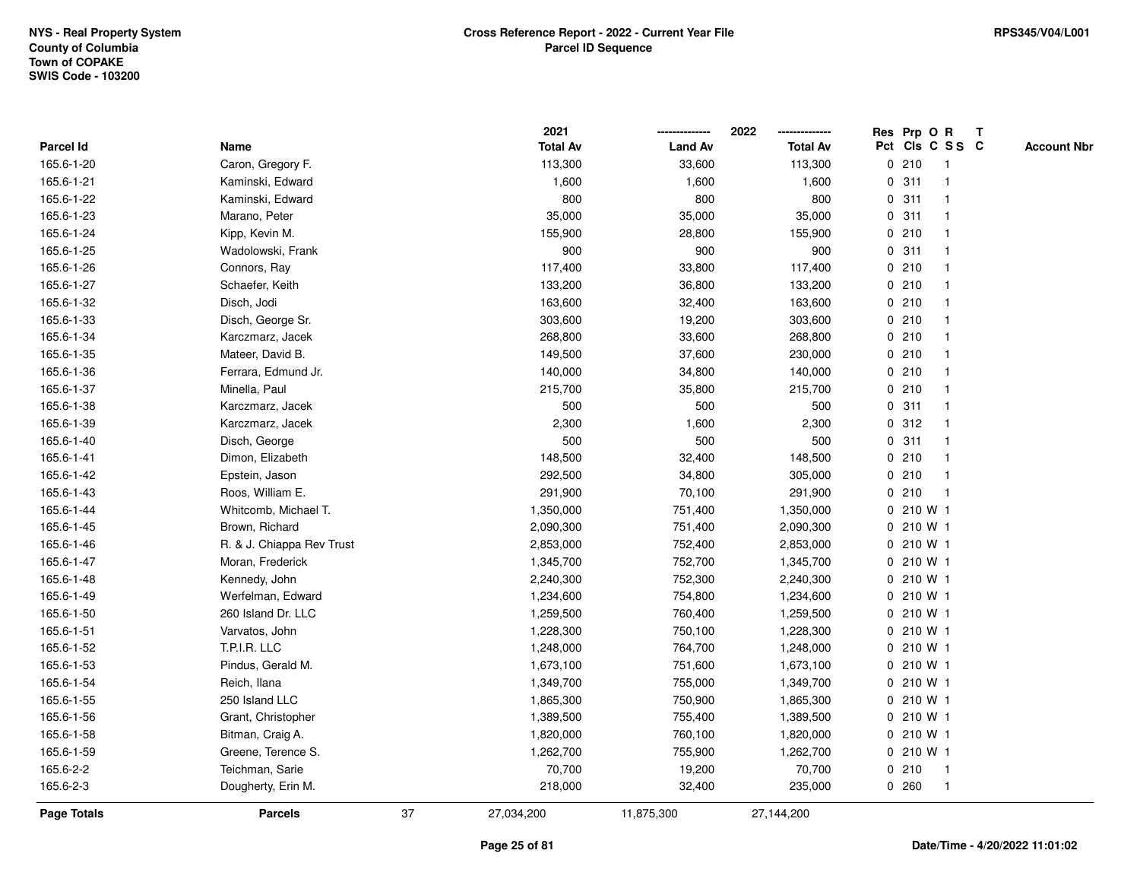|             |                           |    | 2021            |                | 2022            |   | Res Prp O R |                 | Т |                    |
|-------------|---------------------------|----|-----------------|----------------|-----------------|---|-------------|-----------------|---|--------------------|
| Parcel Id   | Name                      |    | <b>Total Av</b> | <b>Land Av</b> | <b>Total Av</b> |   |             | Pct Cls C S S C |   | <b>Account Nbr</b> |
| 165.6-1-20  | Caron, Gregory F.         |    | 113,300         | 33,600         | 113,300         |   | 0210        | $\overline{1}$  |   |                    |
| 165.6-1-21  | Kaminski, Edward          |    | 1,600           | 1,600          | 1,600           | 0 | 311         | 1               |   |                    |
| 165.6-1-22  | Kaminski, Edward          |    | 800             | 800            | 800             |   | 0.311       | 1               |   |                    |
| 165.6-1-23  | Marano, Peter             |    | 35,000          | 35,000         | 35,000          |   | 0.311       | -1              |   |                    |
| 165.6-1-24  | Kipp, Kevin M.            |    | 155,900         | 28,800         | 155,900         |   | 0210        |                 |   |                    |
| 165.6-1-25  | Wadolowski, Frank         |    | 900             | 900            | 900             |   | 0.311       |                 |   |                    |
| 165.6-1-26  | Connors, Ray              |    | 117,400         | 33,800         | 117,400         |   | 0210        | $\mathbf 1$     |   |                    |
| 165.6-1-27  | Schaefer, Keith           |    | 133,200         | 36,800         | 133,200         |   | 0210        | $\mathbf{1}$    |   |                    |
| 165.6-1-32  | Disch, Jodi               |    | 163,600         | 32,400         | 163,600         |   | 0210        | 1               |   |                    |
| 165.6-1-33  | Disch, George Sr.         |    | 303,600         | 19,200         | 303,600         |   | 0210        | 1               |   |                    |
| 165.6-1-34  | Karczmarz, Jacek          |    | 268,800         | 33,600         | 268,800         |   | 0210        | $\mathbf 1$     |   |                    |
| 165.6-1-35  | Mateer, David B.          |    | 149,500         | 37,600         | 230,000         |   | 0210        |                 |   |                    |
| 165.6-1-36  | Ferrara, Edmund Jr.       |    | 140,000         | 34,800         | 140,000         |   | 0210        |                 |   |                    |
| 165.6-1-37  | Minella, Paul             |    | 215,700         | 35,800         | 215,700         |   | 0210        | 1               |   |                    |
| 165.6-1-38  | Karczmarz, Jacek          |    | 500             | 500            | 500             |   | 0.311       | 1               |   |                    |
| 165.6-1-39  | Karczmarz, Jacek          |    | 2,300           | 1,600          | 2,300           |   | 0.312       | $\mathbf{1}$    |   |                    |
| 165.6-1-40  | Disch, George             |    | 500             | 500            | 500             |   | 0.311       | -1              |   |                    |
| 165.6-1-41  | Dimon, Elizabeth          |    | 148,500         | 32,400         | 148,500         |   | 0210        | 1               |   |                    |
| 165.6-1-42  | Epstein, Jason            |    | 292,500         | 34,800         | 305,000         |   | 0210        | 1               |   |                    |
| 165.6-1-43  | Roos, William E.          |    | 291,900         | 70,100         | 291,900         |   | 0210        |                 |   |                    |
| 165.6-1-44  | Whitcomb, Michael T.      |    | 1,350,000       | 751,400        | 1,350,000       |   | 0 210 W 1   |                 |   |                    |
| 165.6-1-45  | Brown, Richard            |    | 2,090,300       | 751,400        | 2,090,300       |   | 0 210 W 1   |                 |   |                    |
| 165.6-1-46  | R. & J. Chiappa Rev Trust |    | 2,853,000       | 752,400        | 2,853,000       |   | 0 210 W 1   |                 |   |                    |
| 165.6-1-47  | Moran, Frederick          |    | 1,345,700       | 752,700        | 1,345,700       |   | 0 210 W 1   |                 |   |                    |
| 165.6-1-48  | Kennedy, John             |    | 2,240,300       | 752,300        | 2,240,300       |   | 0 210 W 1   |                 |   |                    |
| 165.6-1-49  | Werfelman, Edward         |    | 1,234,600       | 754,800        | 1,234,600       |   | 0 210 W 1   |                 |   |                    |
| 165.6-1-50  | 260 Island Dr. LLC        |    | 1,259,500       | 760,400        | 1,259,500       |   | 0 210 W 1   |                 |   |                    |
| 165.6-1-51  | Varvatos, John            |    | 1,228,300       | 750,100        | 1,228,300       |   | 0 210 W 1   |                 |   |                    |
| 165.6-1-52  | T.P.I.R. LLC              |    | 1,248,000       | 764,700        | 1,248,000       |   | 0 210 W 1   |                 |   |                    |
| 165.6-1-53  | Pindus, Gerald M.         |    | 1,673,100       | 751,600        | 1,673,100       |   | 0 210 W 1   |                 |   |                    |
| 165.6-1-54  | Reich, Ilana              |    | 1,349,700       | 755,000        | 1,349,700       |   | 0 210 W 1   |                 |   |                    |
| 165.6-1-55  | 250 Island LLC            |    | 1,865,300       | 750,900        | 1,865,300       |   | 0 210 W 1   |                 |   |                    |
| 165.6-1-56  | Grant, Christopher        |    | 1,389,500       | 755,400        | 1,389,500       |   | 0 210 W 1   |                 |   |                    |
| 165.6-1-58  | Bitman, Craig A.          |    | 1,820,000       | 760,100        | 1,820,000       |   | 0 210 W 1   |                 |   |                    |
| 165.6-1-59  | Greene, Terence S.        |    | 1,262,700       | 755,900        | 1,262,700       |   | 0 210 W 1   |                 |   |                    |
| 165.6-2-2   | Teichman, Sarie           |    | 70,700          | 19,200         | 70,700          |   | 0210        | $\mathbf{1}$    |   |                    |
| 165.6-2-3   | Dougherty, Erin M.        |    | 218,000         | 32,400         | 235,000         |   | 0260        | $\mathbf{1}$    |   |                    |
| Page Totals | <b>Parcels</b>            | 37 | 27,034,200      | 11,875,300     | 27,144,200      |   |             |                 |   |                    |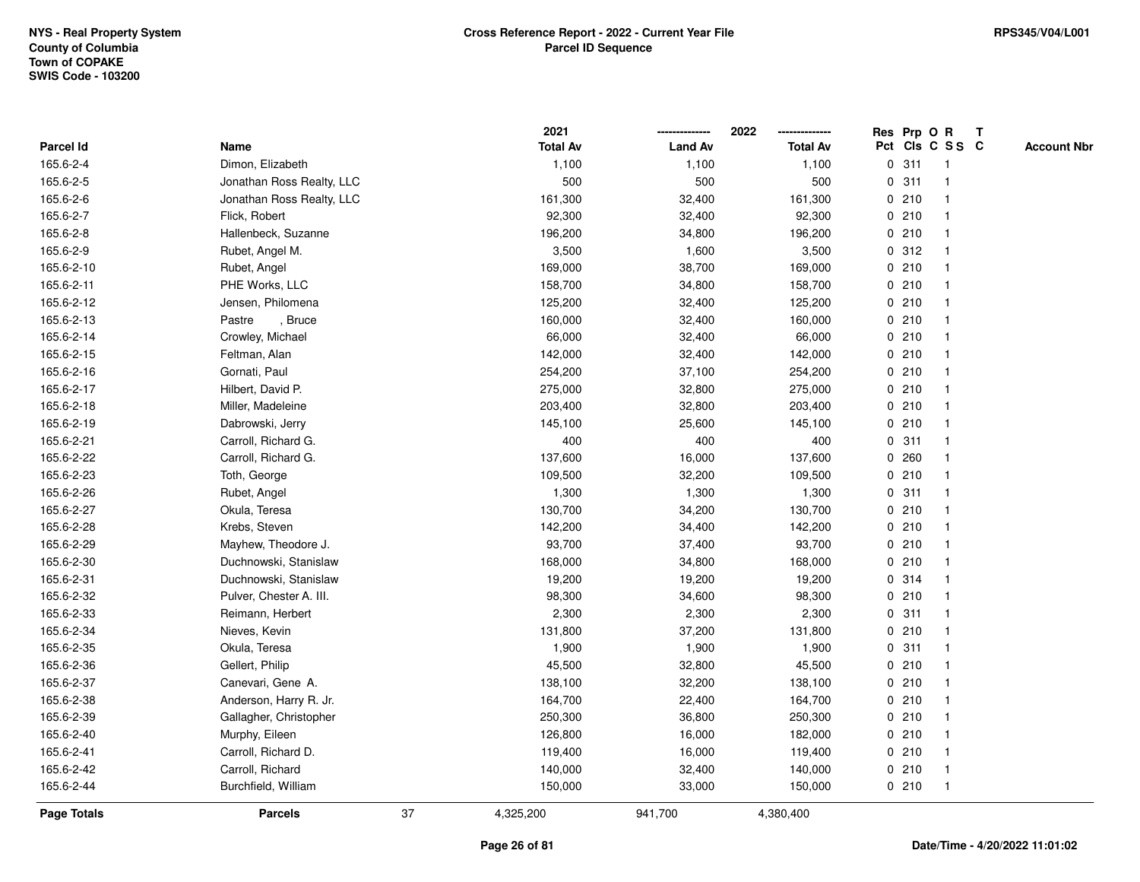|                    |                           |    | 2021            |                | 2022            |   | Res Prp O R |                         | Т |                    |
|--------------------|---------------------------|----|-----------------|----------------|-----------------|---|-------------|-------------------------|---|--------------------|
| Parcel Id          | Name                      |    | <b>Total Av</b> | <b>Land Av</b> | <b>Total Av</b> |   |             | Pct Cls C S S C         |   | <b>Account Nbr</b> |
| 165.6-2-4          | Dimon, Elizabeth          |    | 1,100           | 1,100          | 1,100           |   | 0.311       | $\overline{\mathbf{1}}$ |   |                    |
| 165.6-2-5          | Jonathan Ross Realty, LLC |    | 500             | 500            | 500             | 0 | 311         | $\overline{\mathbf{1}}$ |   |                    |
| 165.6-2-6          | Jonathan Ross Realty, LLC |    | 161,300         | 32,400         | 161,300         |   | 0210        | -1                      |   |                    |
| 165.6-2-7          | Flick, Robert             |    | 92,300          | 32,400         | 92,300          |   | 0210        | -1                      |   |                    |
| 165.6-2-8          | Hallenbeck, Suzanne       |    | 196,200         | 34,800         | 196,200         |   | 0210        |                         |   |                    |
| 165.6-2-9          | Rubet, Angel M.           |    | 3,500           | 1,600          | 3,500           |   | 0.312       |                         |   |                    |
| 165.6-2-10         | Rubet, Angel              |    | 169,000         | 38,700         | 169,000         |   | 0210        |                         |   |                    |
| 165.6-2-11         | PHE Works, LLC            |    | 158,700         | 34,800         | 158,700         |   | 0210        | $\overline{\mathbf{1}}$ |   |                    |
| 165.6-2-12         | Jensen, Philomena         |    | 125,200         | 32,400         | 125,200         |   | 0210        | -1                      |   |                    |
| 165.6-2-13         | , $\sf Bruce$<br>Pastre   |    | 160,000         | 32,400         | 160,000         |   | 0210        | $\overline{\mathbf{1}}$ |   |                    |
| 165.6-2-14         | Crowley, Michael          |    | 66,000          | 32,400         | 66,000          |   | 0210        |                         |   |                    |
| 165.6-2-15         | Feltman, Alan             |    | 142,000         | 32,400         | 142,000         |   | 0210        |                         |   |                    |
| 165.6-2-16         | Gornati, Paul             |    | 254,200         | 37,100         | 254,200         |   | 0210        |                         |   |                    |
| 165.6-2-17         | Hilbert, David P.         |    | 275,000         | 32,800         | 275,000         |   | 0210        | -1                      |   |                    |
| 165.6-2-18         | Miller, Madeleine         |    | 203,400         | 32,800         | 203,400         |   | 0210        | -1                      |   |                    |
| 165.6-2-19         | Dabrowski, Jerry          |    | 145,100         | 25,600         | 145,100         |   | 0210        | $\overline{\mathbf{1}}$ |   |                    |
| 165.6-2-21         | Carroll, Richard G.       |    | 400             | 400            | 400             |   | 0.311       | $\overline{1}$          |   |                    |
| 165.6-2-22         | Carroll, Richard G.       |    | 137,600         | 16,000         | 137,600         |   | 0.260       | -1                      |   |                    |
| 165.6-2-23         | Toth, George              |    | 109,500         | 32,200         | 109,500         |   | 0210        |                         |   |                    |
| 165.6-2-26         | Rubet, Angel              |    | 1,300           | 1,300          | 1,300           |   | 0.311       |                         |   |                    |
| 165.6-2-27         | Okula, Teresa             |    | 130,700         | 34,200         | 130,700         |   | 0210        | -1                      |   |                    |
| 165.6-2-28         | Krebs, Steven             |    | 142,200         | 34,400         | 142,200         |   | 0210        | -1                      |   |                    |
| 165.6-2-29         | Mayhew, Theodore J.       |    | 93,700          | 37,400         | 93,700          |   | 0210        | $\overline{\mathbf{1}}$ |   |                    |
| 165.6-2-30         | Duchnowski, Stanislaw     |    | 168,000         | 34,800         | 168,000         |   | 0210        | -1                      |   |                    |
| 165.6-2-31         | Duchnowski, Stanislaw     |    | 19,200          | 19,200         | 19,200          |   | 0.314       | -1                      |   |                    |
| 165.6-2-32         | Pulver, Chester A. III.   |    | 98,300          | 34,600         | 98,300          |   | 0210        |                         |   |                    |
| 165.6-2-33         | Reimann, Herbert          |    | 2,300           | 2,300          | 2,300           |   | 0.311       |                         |   |                    |
| 165.6-2-34         | Nieves, Kevin             |    | 131,800         | 37,200         | 131,800         |   | 0210        |                         |   |                    |
| 165.6-2-35         | Okula, Teresa             |    | 1,900           | 1,900          | 1,900           |   | 0.311       | $\overline{\mathbf{1}}$ |   |                    |
| 165.6-2-36         | Gellert, Philip           |    | 45,500          | 32,800         | 45,500          |   | 0210        | -1                      |   |                    |
| 165.6-2-37         | Canevari, Gene A.         |    | 138,100         | 32,200         | 138,100         |   | 0210        | $\overline{\mathbf{1}}$ |   |                    |
| 165.6-2-38         | Anderson, Harry R. Jr.    |    | 164,700         | 22,400         | 164,700         |   | 0210        | 1                       |   |                    |
| 165.6-2-39         | Gallagher, Christopher    |    | 250,300         | 36,800         | 250,300         |   | 0210        |                         |   |                    |
| 165.6-2-40         | Murphy, Eileen            |    | 126,800         | 16,000         | 182,000         |   | 0210        |                         |   |                    |
| 165.6-2-41         | Carroll, Richard D.       |    | 119,400         | 16,000         | 119,400         |   | 0210        | -1                      |   |                    |
| 165.6-2-42         | Carroll, Richard          |    | 140,000         | 32,400         | 140,000         |   | 0210        | $\overline{\mathbf{1}}$ |   |                    |
| 165.6-2-44         | Burchfield, William       |    | 150,000         | 33,000         | 150,000         |   | 0210        | $\overline{1}$          |   |                    |
| <b>Page Totals</b> | <b>Parcels</b>            | 37 | 4,325,200       | 941,700        | 4,380,400       |   |             |                         |   |                    |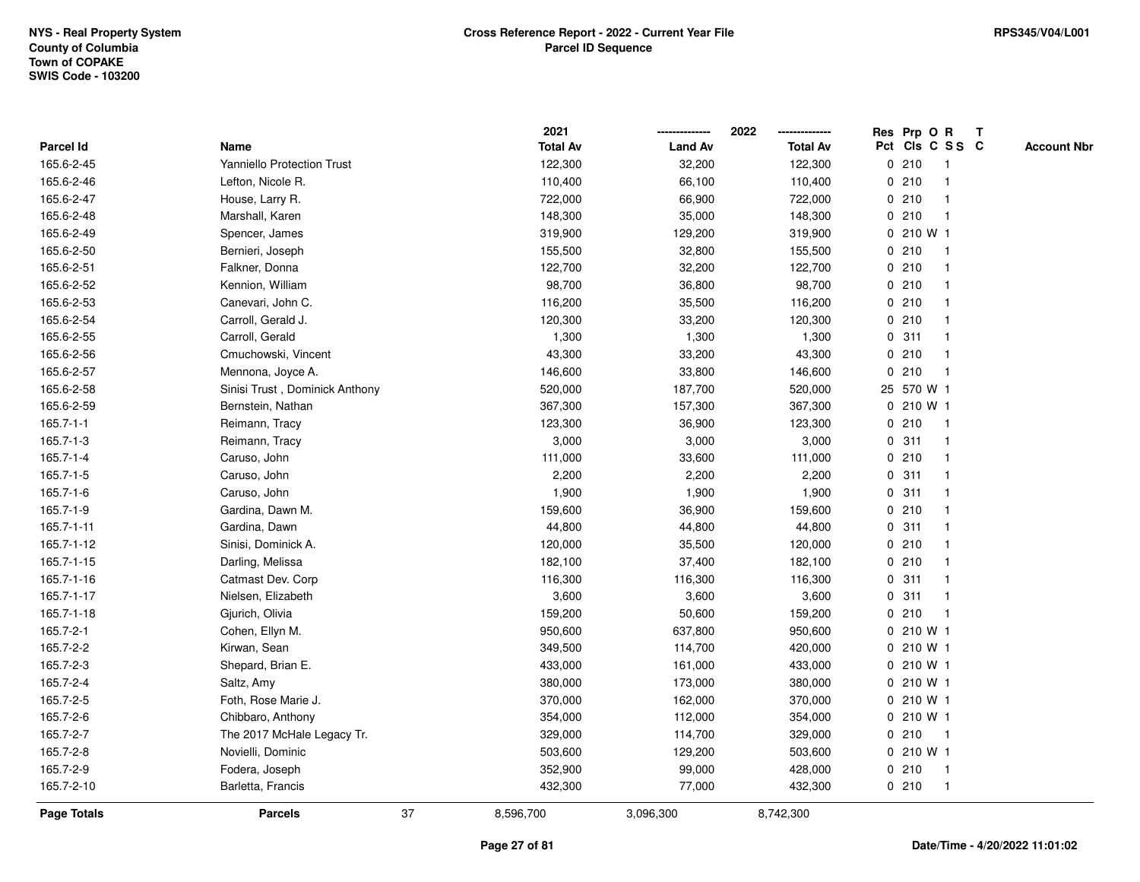|                 |                                |    | 2021            |                | 2022            |   | Res Prp O R |                 | Т |                    |
|-----------------|--------------------------------|----|-----------------|----------------|-----------------|---|-------------|-----------------|---|--------------------|
| Parcel Id       | Name                           |    | <b>Total Av</b> | <b>Land Av</b> | <b>Total Av</b> |   |             | Pct Cls C S S C |   | <b>Account Nbr</b> |
| 165.6-2-45      | Yanniello Protection Trust     |    | 122,300         | 32,200         | 122,300         |   | 0210        | $\mathbf{1}$    |   |                    |
| 165.6-2-46      | Lefton, Nicole R.              |    | 110,400         | 66,100         | 110,400         |   | 0210        | 1               |   |                    |
| 165.6-2-47      | House, Larry R.                |    | 722,000         | 66,900         | 722,000         |   | 0210        | $\mathbf{1}$    |   |                    |
| 165.6-2-48      | Marshall, Karen                |    | 148,300         | 35,000         | 148,300         |   | 0210        | 1               |   |                    |
| 165.6-2-49      | Spencer, James                 |    | 319,900         | 129,200        | 319,900         |   | 0 210 W 1   |                 |   |                    |
| 165.6-2-50      | Bernieri, Joseph               |    | 155,500         | 32,800         | 155,500         |   | 0210        | $\mathbf 1$     |   |                    |
| 165.6-2-51      | Falkner, Donna                 |    | 122,700         | 32,200         | 122,700         |   | 0210        | 1               |   |                    |
| 165.6-2-52      | Kennion, William               |    | 98,700          | 36,800         | 98,700          |   | 0210        | $\mathbf{1}$    |   |                    |
| 165.6-2-53      | Canevari, John C.              |    | 116,200         | 35,500         | 116,200         |   | 0210        | $\mathbf{1}$    |   |                    |
| 165.6-2-54      | Carroll, Gerald J.             |    | 120,300         | 33,200         | 120,300         |   | 0210        | $\mathbf{1}$    |   |                    |
| 165.6-2-55      | Carroll, Gerald                |    | 1,300           | 1,300          | 1,300           |   | 0.311       |                 |   |                    |
| 165.6-2-56      | Cmuchowski, Vincent            |    | 43,300          | 33,200         | 43,300          |   | 0210        |                 |   |                    |
| 165.6-2-57      | Mennona, Joyce A.              |    | 146,600         | 33,800         | 146,600         |   | 0210        | $\mathbf 1$     |   |                    |
| 165.6-2-58      | Sinisi Trust, Dominick Anthony |    | 520,000         | 187,700        | 520,000         |   | 25 570 W 1  |                 |   |                    |
| 165.6-2-59      | Bernstein, Nathan              |    | 367,300         | 157,300        | 367,300         |   | 0 210 W 1   |                 |   |                    |
| $165.7 - 1 - 1$ | Reimann, Tracy                 |    | 123,300         | 36,900         | 123,300         | 0 | 210         | $\mathbf{1}$    |   |                    |
| $165.7 - 1 - 3$ | Reimann, Tracy                 |    | 3,000           | 3,000          | 3,000           |   | 0.311       | $\mathbf{1}$    |   |                    |
| $165.7 - 1 - 4$ | Caruso, John                   |    | 111,000         | 33,600         | 111,000         |   | 0210        | 1               |   |                    |
| $165.7 - 1 - 5$ | Caruso, John                   |    | 2,200           | 2,200          | 2,200           |   | 0.311       |                 |   |                    |
| 165.7-1-6       | Caruso, John                   |    | 1,900           | 1,900          | 1,900           |   | 0.311       |                 |   |                    |
| 165.7-1-9       | Gardina, Dawn M.               |    | 159,600         | 36,900         | 159,600         |   | 0210        | $\mathbf{1}$    |   |                    |
| 165.7-1-11      | Gardina, Dawn                  |    | 44,800          | 44,800         | 44,800          | 0 | 311         | 1               |   |                    |
| 165.7-1-12      | Sinisi, Dominick A.            |    | 120,000         | 35,500         | 120,000         |   | 0210        | $\mathbf{1}$    |   |                    |
| 165.7-1-15      | Darling, Melissa               |    | 182,100         | 37,400         | 182,100         |   | 0210        | $\mathbf{1}$    |   |                    |
| 165.7-1-16      | Catmast Dev. Corp              |    | 116,300         | 116,300        | 116,300         |   | 0.311       |                 |   |                    |
| 165.7-1-17      | Nielsen, Elizabeth             |    | 3,600           | 3,600          | 3,600           |   | 0.311       |                 |   |                    |
| 165.7-1-18      | Gjurich, Olivia                |    | 159,200         | 50,600         | 159,200         |   | 0210        | $\mathbf 1$     |   |                    |
| 165.7-2-1       | Cohen, Ellyn M.                |    | 950,600         | 637,800        | 950,600         |   | 0 210 W 1   |                 |   |                    |
| 165.7-2-2       | Kirwan, Sean                   |    | 349,500         | 114,700        | 420,000         |   | 0 210 W 1   |                 |   |                    |
| 165.7-2-3       | Shepard, Brian E.              |    | 433,000         | 161,000        | 433,000         |   | 0 210 W 1   |                 |   |                    |
| 165.7-2-4       | Saltz, Amy                     |    | 380,000         | 173,000        | 380,000         |   | 0 210 W 1   |                 |   |                    |
| 165.7-2-5       | Foth, Rose Marie J.            |    | 370,000         | 162,000        | 370,000         |   | 0 210 W 1   |                 |   |                    |
| 165.7-2-6       | Chibbaro, Anthony              |    | 354,000         | 112,000        | 354,000         |   | 0 210 W 1   |                 |   |                    |
| 165.7-2-7       | The 2017 McHale Legacy Tr.     |    | 329,000         | 114,700        | 329,000         |   | 0210        | -1              |   |                    |
| 165.7-2-8       | Novielli, Dominic              |    | 503,600         | 129,200        | 503,600         |   | 0 210 W 1   |                 |   |                    |
| 165.7-2-9       | Fodera, Joseph                 |    | 352,900         | 99,000         | 428,000         |   | 0210        | $\mathbf{1}$    |   |                    |
| 165.7-2-10      | Barletta, Francis              |    | 432,300         | 77,000         | 432,300         |   | 0210        | $\mathbf{1}$    |   |                    |
| Page Totals     | <b>Parcels</b>                 | 37 | 8,596,700       | 3,096,300      | 8,742,300       |   |             |                 |   |                    |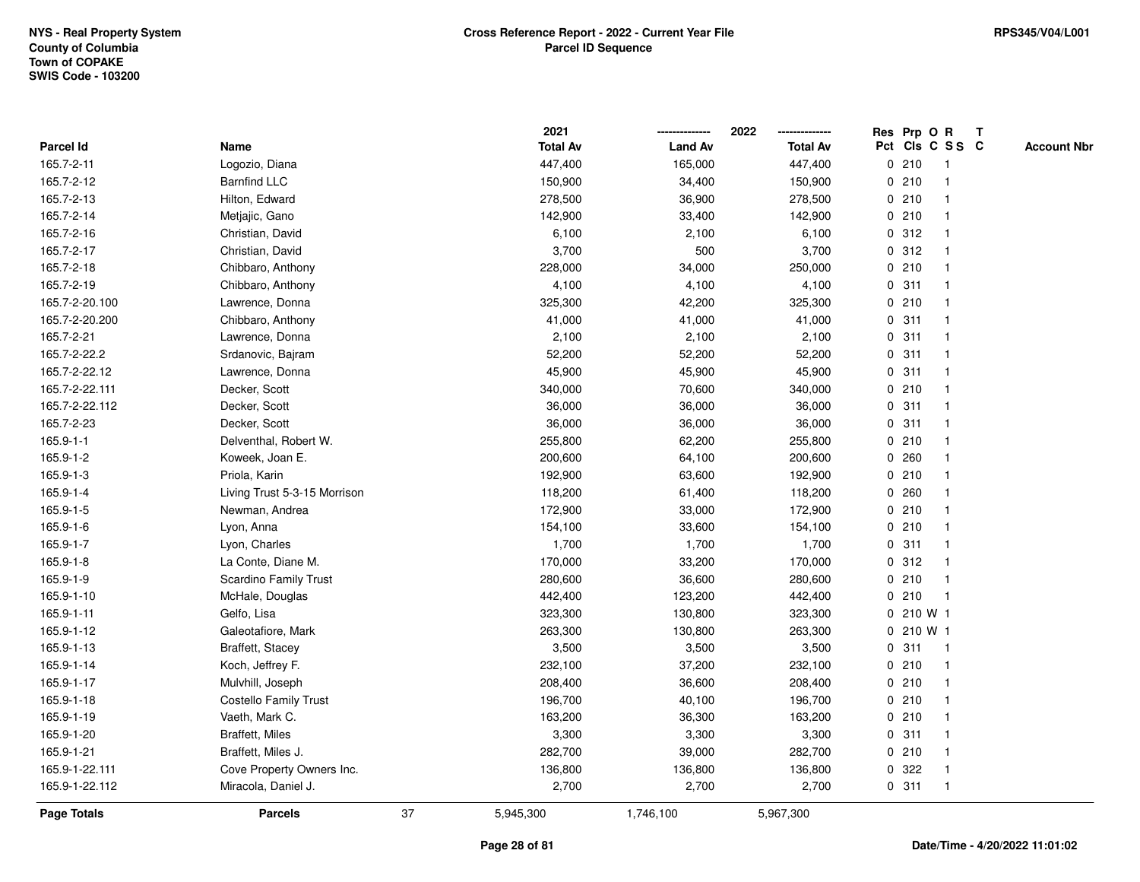|                |                              |    | 2021            |                | 2022            |             | Res Prp O R |                 | Т |                    |
|----------------|------------------------------|----|-----------------|----------------|-----------------|-------------|-------------|-----------------|---|--------------------|
| Parcel Id      | Name                         |    | <b>Total Av</b> | <b>Land Av</b> | <b>Total Av</b> |             |             | Pct Cls C S S C |   | <b>Account Nbr</b> |
| 165.7-2-11     | Logozio, Diana               |    | 447,400         | 165,000        | 447,400         |             | 0210        | $\mathbf{1}$    |   |                    |
| 165.7-2-12     | <b>Barnfind LLC</b>          |    | 150,900         | 34,400         | 150,900         | 0           | 210         | $\overline{1}$  |   |                    |
| 165.7-2-13     | Hilton, Edward               |    | 278,500         | 36,900         | 278,500         |             | 0210        | $\mathbf{1}$    |   |                    |
| 165.7-2-14     | Metjajic, Gano               |    | 142,900         | 33,400         | 142,900         |             | 0210        | -1              |   |                    |
| 165.7-2-16     | Christian, David             |    | 6,100           | 2,100          | 6,100           |             | 0.312       |                 |   |                    |
| 165.7-2-17     | Christian, David             |    | 3,700           | 500            | 3,700           |             | 0.312       |                 |   |                    |
| 165.7-2-18     | Chibbaro, Anthony            |    | 228,000         | 34,000         | 250,000         |             | 0210        | -1              |   |                    |
| 165.7-2-19     | Chibbaro, Anthony            |    | 4,100           | 4,100          | 4,100           | 0           | 311         | $\mathbf{1}$    |   |                    |
| 165.7-2-20.100 | Lawrence, Donna              |    | 325,300         | 42,200         | 325,300         |             | 0210        | -1              |   |                    |
| 165.7-2-20.200 | Chibbaro, Anthony            |    | 41,000          | 41,000         | 41,000          |             | 0.311       | $\mathbf{1}$    |   |                    |
| 165.7-2-21     | Lawrence, Donna              |    | 2,100           | 2,100          | 2,100           |             | 0.311       |                 |   |                    |
| 165.7-2-22.2   | Srdanovic, Bajram            |    | 52,200          | 52,200         | 52,200          |             | 0.311       |                 |   |                    |
| 165.7-2-22.12  | Lawrence, Donna              |    | 45,900          | 45,900         | 45,900          |             | 0.311       |                 |   |                    |
| 165.7-2-22.111 | Decker, Scott                |    | 340,000         | 70,600         | 340,000         |             | 0210        | $\mathbf 1$     |   |                    |
| 165.7-2-22.112 | Decker, Scott                |    | 36,000          | 36,000         | 36,000          | $\mathbf 0$ | 311         | $\mathbf{1}$    |   |                    |
| 165.7-2-23     | Decker, Scott                |    | 36,000          | 36,000         | 36,000          | $\mathbf 0$ | 311         | $\mathbf{1}$    |   |                    |
| 165.9-1-1      | Delventhal, Robert W.        |    | 255,800         | 62,200         | 255,800         |             | 0210        | $\mathbf{1}$    |   |                    |
| 165.9-1-2      | Koweek, Joan E.              |    | 200,600         | 64,100         | 200,600         |             | 0.260       |                 |   |                    |
| 165.9-1-3      | Priola, Karin                |    | 192,900         | 63,600         | 192,900         |             | 0210        |                 |   |                    |
| 165.9-1-4      | Living Trust 5-3-15 Morrison |    | 118,200         | 61,400         | 118,200         |             | 0.260       |                 |   |                    |
| 165.9-1-5      | Newman, Andrea               |    | 172,900         | 33,000         | 172,900         |             | 0210        |                 |   |                    |
| 165.9-1-6      | Lyon, Anna                   |    | 154,100         | 33,600         | 154,100         |             | 0210        | -1              |   |                    |
| 165.9-1-7      | Lyon, Charles                |    | 1,700           | 1,700          | 1,700           | 0           | 311         | $\mathbf{1}$    |   |                    |
| 165.9-1-8      | La Conte, Diane M.           |    | 170,000         | 33,200         | 170,000         |             | 0.312       | $\mathbf{1}$    |   |                    |
| 165.9-1-9      | Scardino Family Trust        |    | 280,600         | 36,600         | 280,600         |             | 0210        | $\mathbf{1}$    |   |                    |
| 165.9-1-10     | McHale, Douglas              |    | 442,400         | 123,200        | 442,400         |             | 0210        | -1              |   |                    |
| 165.9-1-11     | Gelfo, Lisa                  |    | 323,300         | 130,800        | 323,300         |             | 0 210 W 1   |                 |   |                    |
| 165.9-1-12     | Galeotafiore, Mark           |    | 263,300         | 130,800        | 263,300         |             | 0 210 W 1   |                 |   |                    |
| 165.9-1-13     | <b>Braffett, Stacey</b>      |    | 3,500           | 3,500          | 3,500           |             | 0.311       | $\mathbf{1}$    |   |                    |
| 165.9-1-14     | Koch, Jeffrey F.             |    | 232,100         | 37,200         | 232,100         |             | 0210        | -1              |   |                    |
| 165.9-1-17     | Mulvhill, Joseph             |    | 208,400         | 36,600         | 208,400         |             | 0210        | $\mathbf{1}$    |   |                    |
| 165.9-1-18     | <b>Costello Family Trust</b> |    | 196,700         | 40,100         | 196,700         |             | 0210        | $\mathbf{1}$    |   |                    |
| 165.9-1-19     | Vaeth, Mark C.               |    | 163,200         | 36,300         | 163,200         |             | 0210        | 1               |   |                    |
| 165.9-1-20     | Braffett, Miles              |    | 3,300           | 3,300          | 3,300           |             | 0.311       |                 |   |                    |
| 165.9-1-21     | Braffett, Miles J.           |    | 282,700         | 39,000         | 282,700         |             | 0210        | $\mathbf{1}$    |   |                    |
| 165.9-1-22.111 | Cove Property Owners Inc.    |    | 136,800         | 136,800        | 136,800         | 0           | 322         | $\mathbf{1}$    |   |                    |
| 165.9-1-22.112 | Miracola, Daniel J.          |    | 2,700           | 2,700          | 2,700           |             | 0.311       | $\mathbf{1}$    |   |                    |
| Page Totals    | <b>Parcels</b>               | 37 | 5,945,300       | 1,746,100      | 5,967,300       |             |             |                 |   |                    |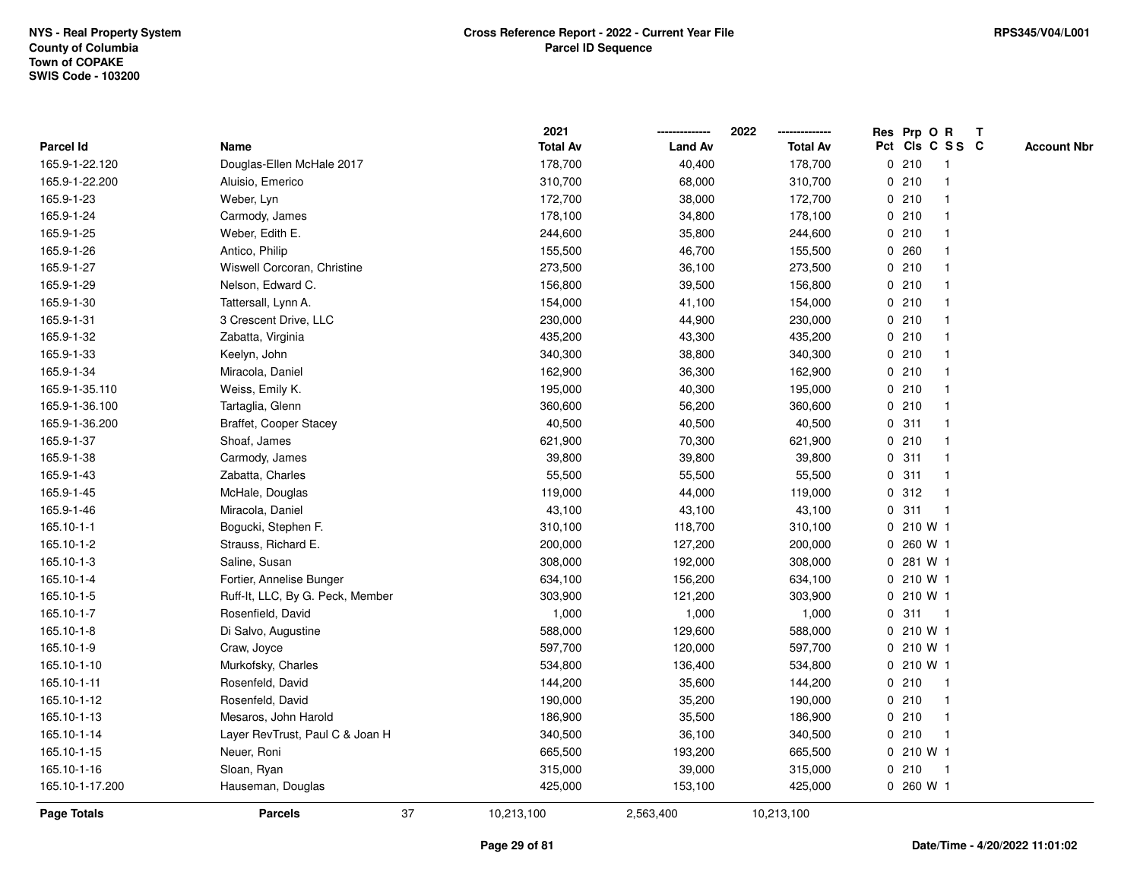|                    |                                  | 2021            |                | 2022            |             | Res Prp O R     |              | T |                    |
|--------------------|----------------------------------|-----------------|----------------|-----------------|-------------|-----------------|--------------|---|--------------------|
| Parcel Id          | Name                             | <b>Total Av</b> | <b>Land Av</b> | <b>Total Av</b> |             | Pct Cls C S S C |              |   | <b>Account Nbr</b> |
| 165.9-1-22.120     | Douglas-Ellen McHale 2017        | 178,700         | 40,400         | 178,700         |             | 0210            | $\mathbf{1}$ |   |                    |
| 165.9-1-22.200     | Aluisio, Emerico                 | 310,700         | 68,000         | 310,700         | 0           | 210             | -1           |   |                    |
| 165.9-1-23         | Weber, Lyn                       | 172,700         | 38,000         | 172,700         |             | 0210            | -1           |   |                    |
| 165.9-1-24         | Carmody, James                   | 178,100         | 34,800         | 178,100         |             | 0210            |              |   |                    |
| 165.9-1-25         | Weber, Edith E.                  | 244,600         | 35,800         | 244,600         |             | 0210            |              |   |                    |
| 165.9-1-26         | Antico, Philip                   | 155,500         | 46,700         | 155,500         |             | 0.260           |              |   |                    |
| 165.9-1-27         | Wiswell Corcoran, Christine      | 273,500         | 36,100         | 273,500         |             | 0210            |              |   |                    |
| 165.9-1-29         | Nelson, Edward C.                | 156,800         | 39,500         | 156,800         |             | 0210            |              |   |                    |
| 165.9-1-30         | Tattersall, Lynn A.              | 154,000         | 41,100         | 154,000         |             | 0210            | -1           |   |                    |
| 165.9-1-31         | 3 Crescent Drive, LLC            | 230,000         | 44,900         | 230,000         |             | 0210            | -1           |   |                    |
| 165.9-1-32         | Zabatta, Virginia                | 435,200         | 43,300         | 435,200         |             | 0210            |              |   |                    |
| 165.9-1-33         | Keelyn, John                     | 340,300         | 38,800         | 340,300         |             | 0210            |              |   |                    |
| 165.9-1-34         | Miracola, Daniel                 | 162,900         | 36,300         | 162,900         |             | 0210            |              |   |                    |
| 165.9-1-35.110     | Weiss, Emily K.                  | 195,000         | 40,300         | 195,000         |             | 0210            |              |   |                    |
| 165.9-1-36.100     | Tartaglia, Glenn                 | 360,600         | 56,200         | 360,600         | $\mathbf 0$ | 210             |              |   |                    |
| 165.9-1-36.200     | Braffet, Cooper Stacey           | 40,500          | 40,500         | 40,500          | $\mathbf 0$ | 311             | $\mathbf{1}$ |   |                    |
| 165.9-1-37         | Shoaf, James                     | 621,900         | 70,300         | 621,900         |             | 0210            | $\mathbf{1}$ |   |                    |
| 165.9-1-38         | Carmody, James                   | 39,800          | 39,800         | 39,800          |             | 0.311           |              |   |                    |
| 165.9-1-43         | Zabatta, Charles                 | 55,500          | 55,500         | 55,500          |             | 0.311           |              |   |                    |
| 165.9-1-45         | McHale, Douglas                  | 119,000         | 44,000         | 119,000         |             | 0.312           |              |   |                    |
| 165.9-1-46         | Miracola, Daniel                 | 43,100          | 43,100         | 43,100          |             | 0.311           | $\mathbf{1}$ |   |                    |
| 165.10-1-1         | Bogucki, Stephen F.              | 310,100         | 118,700        | 310,100         | 0           | 210 W 1         |              |   |                    |
| 165.10-1-2         | Strauss, Richard E.              | 200,000         | 127,200        | 200,000         | 0           | 260 W 1         |              |   |                    |
| 165.10-1-3         | Saline, Susan                    | 308,000         | 192,000        | 308,000         | 0           | 281 W 1         |              |   |                    |
| 165.10-1-4         | Fortier, Annelise Bunger         | 634,100         | 156,200        | 634,100         |             | 0 210 W 1       |              |   |                    |
| 165.10-1-5         | Ruff-It, LLC, By G. Peck, Member | 303,900         | 121,200        | 303,900         |             | 0 210 W 1       |              |   |                    |
| 165.10-1-7         | Rosenfield, David                | 1,000           | 1,000          | 1,000           |             | 0.311           | -1           |   |                    |
| 165.10-1-8         | Di Salvo, Augustine              | 588,000         | 129,600        | 588,000         |             | $0, 210$ W 1    |              |   |                    |
| 165.10-1-9         | Craw, Joyce                      | 597,700         | 120,000        | 597,700         |             | $0, 210$ W 1    |              |   |                    |
| 165.10-1-10        | Murkofsky, Charles               | 534,800         | 136,400        | 534,800         |             | 0 210 W 1       |              |   |                    |
| 165.10-1-11        | Rosenfeld, David                 | 144,200         | 35,600         | 144,200         |             | 0210            | $\mathbf{1}$ |   |                    |
| 165.10-1-12        | Rosenfeld, David                 | 190,000         | 35,200         | 190,000         |             | 0210            | -1           |   |                    |
| 165.10-1-13        | Mesaros, John Harold             | 186,900         | 35,500         | 186,900         |             | 0210            | -1           |   |                    |
| 165.10-1-14        | Layer RevTrust, Paul C & Joan H  | 340,500         | 36,100         | 340,500         |             | 0210            |              |   |                    |
| 165.10-1-15        | Neuer, Roni                      | 665,500         | 193,200        | 665,500         |             | 0 210 W 1       |              |   |                    |
| 165.10-1-16        | Sloan, Ryan                      | 315,000         | 39,000         | 315,000         |             | 0210            | -1           |   |                    |
| 165.10-1-17.200    | Hauseman, Douglas                | 425,000         | 153,100        | 425,000         |             | 0 260 W 1       |              |   |                    |
| <b>Page Totals</b> | 37<br><b>Parcels</b>             | 10,213,100      | 2,563,400      | 10,213,100      |             |                 |              |   |                    |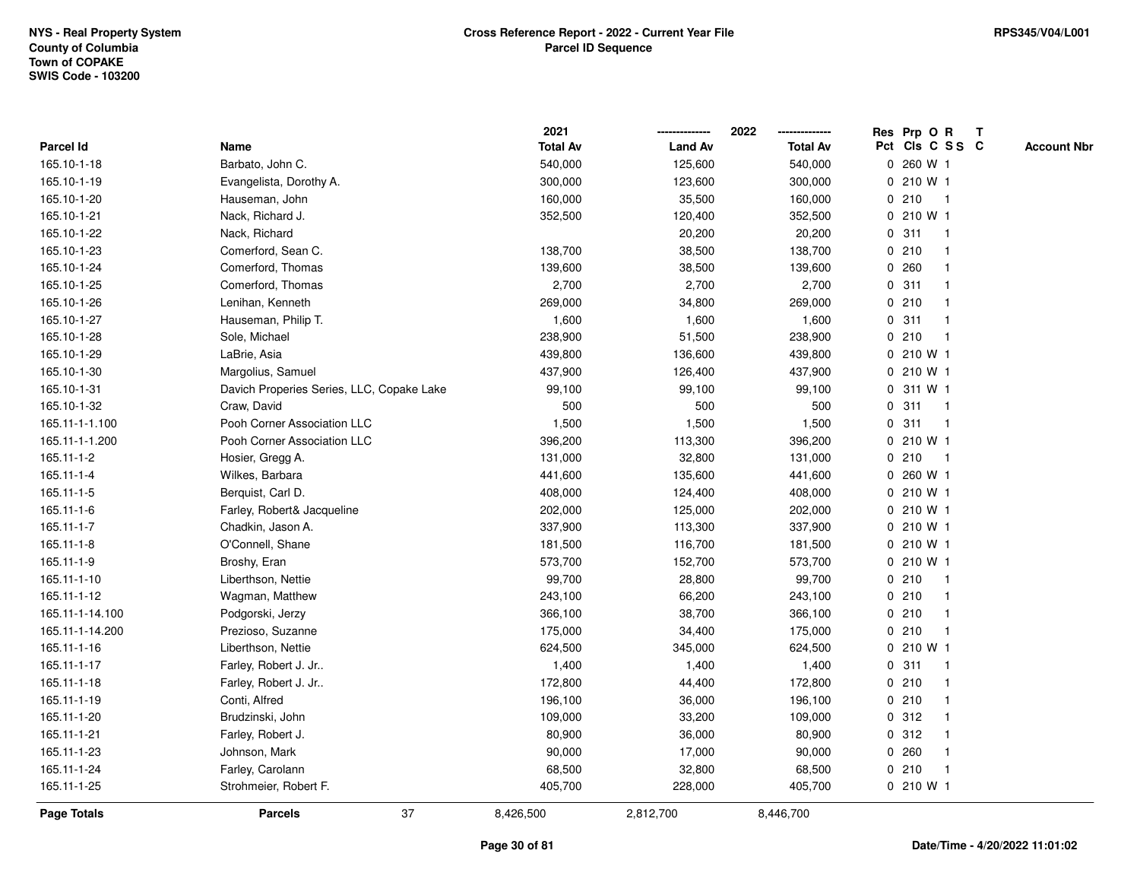|                 |                                           | 2021            |                | 2022            | Res Prp O R<br>Т                      |
|-----------------|-------------------------------------------|-----------------|----------------|-----------------|---------------------------------------|
| Parcel Id       | Name                                      | <b>Total Av</b> | <b>Land Av</b> | <b>Total Av</b> | Pct Cls C S S C<br><b>Account Nbr</b> |
| 165.10-1-18     | Barbato, John C.                          | 540,000         | 125,600        | 540,000         | 0 260 W 1                             |
| 165.10-1-19     | Evangelista, Dorothy A.                   | 300,000         | 123,600        | 300,000         | 210 W 1<br>0                          |
| 165.10-1-20     | Hauseman, John                            | 160,000         | 35,500         | 160,000         | 0210<br>$\mathbf{1}$                  |
| 165.10-1-21     | Nack, Richard J.                          | 352,500         | 120,400        | 352,500         | 0 210 W 1                             |
| 165.10-1-22     | Nack, Richard                             |                 | 20,200         | 20,200          | 0.311<br>-1                           |
| 165.10-1-23     | Comerford, Sean C.                        | 138,700         | 38,500         | 138,700         | 0210                                  |
| 165.10-1-24     | Comerford, Thomas                         | 139,600         | 38,500         | 139,600         | 0.260                                 |
| 165.10-1-25     | Comerford, Thomas                         | 2,700           | 2,700          | 2,700           | 311<br>$\mathbf 0$                    |
| 165.10-1-26     | Lenihan, Kenneth                          | 269,000         | 34,800         | 269,000         | 0210<br>$\mathbf 1$                   |
| 165.10-1-27     | Hauseman, Philip T.                       | 1,600           | 1,600          | 1,600           | 0.311<br>-1                           |
| 165.10-1-28     | Sole, Michael                             | 238,900         | 51,500         | 238,900         | 0210<br>-1                            |
| 165.10-1-29     | LaBrie, Asia                              | 439,800         | 136,600        | 439,800         | 0 210 W 1                             |
| 165.10-1-30     | Margolius, Samuel                         | 437,900         | 126,400        | 437,900         | 0 210 W 1                             |
| 165.10-1-31     | Davich Properies Series, LLC, Copake Lake | 99,100          | 99,100         | 99,100          | 0 311 W 1                             |
| 165.10-1-32     | Craw, David                               | 500             | 500            | 500             | 0<br>311<br>-1                        |
| 165.11-1-1.100  | Pooh Corner Association LLC               | 1,500           | 1,500          | 1,500           | 311<br>$\mathbf 0$<br>$\overline{1}$  |
| 165.11-1-1.200  | Pooh Corner Association LLC               | 396,200         | 113,300        | 396,200         | 0 210 W 1                             |
| 165.11-1-2      | Hosier, Gregg A.                          | 131,000         | 32,800         | 131,000         | 0210<br>$\mathbf{1}$                  |
| 165.11-1-4      | Wilkes, Barbara                           | 441,600         | 135,600        | 441,600         | 0 260 W 1                             |
| 165.11-1-5      | Berquist, Carl D.                         | 408,000         | 124,400        | 408,000         | $0, 210$ W 1                          |
| 165.11-1-6      | Farley, Robert& Jacqueline                | 202,000         | 125,000        | 202,000         | 0 210 W 1                             |
| 165.11-1-7      | Chadkin, Jason A.                         | 337,900         | 113,300        | 337,900         | 0 210 W 1                             |
| 165.11-1-8      | O'Connell, Shane                          | 181,500         | 116,700        | 181,500         | 0 210 W 1                             |
| 165.11-1-9      | Broshy, Eran                              | 573,700         | 152,700        | 573,700         | 0210W1                                |
| 165.11-1-10     | Liberthson, Nettie                        | 99,700          | 28,800         | 99,700          | 0210<br>$\mathbf 1$                   |
| 165.11-1-12     | Wagman, Matthew                           | 243,100         | 66,200         | 243,100         | 0210                                  |
| 165.11-1-14.100 | Podgorski, Jerzy                          | 366,100         | 38,700         | 366,100         | 0210                                  |
| 165.11-1-14.200 | Prezioso, Suzanne                         | 175,000         | 34,400         | 175,000         | 0210<br>-1                            |
| 165.11-1-16     | Liberthson, Nettie                        | 624,500         | 345,000        | 624,500         | $0, 210$ W 1                          |
| 165.11-1-17     | Farley, Robert J. Jr                      | 1,400           | 1,400          | 1,400           | 311<br>$\mathbf 0$<br>-1              |
| 165.11-1-18     | Farley, Robert J. Jr                      | 172,800         | 44,400         | 172,800         | 0210<br>-1                            |
| 165.11-1-19     | Conti, Alfred                             | 196,100         | 36,000         | 196,100         | 0210<br>$\mathbf 1$                   |
| 165.11-1-20     | Brudzinski, John                          | 109,000         | 33,200         | 109,000         | 0.312                                 |
| 165.11-1-21     | Farley, Robert J.                         | 80,900          | 36,000         | 80,900          | 0.312                                 |
| 165.11-1-23     | Johnson, Mark                             | 90,000          | 17,000         | 90,000          | 0.260                                 |
| 165.11-1-24     | Farley, Carolann                          | 68,500          | 32,800         | 68,500          | 0210<br>$\mathbf 1$                   |
| 165.11-1-25     | Strohmeier, Robert F.                     | 405,700         | 228,000        | 405,700         | 0 210 W 1                             |
| Page Totals     | 37<br><b>Parcels</b>                      | 8,426,500       | 2,812,700      | 8,446,700       |                                       |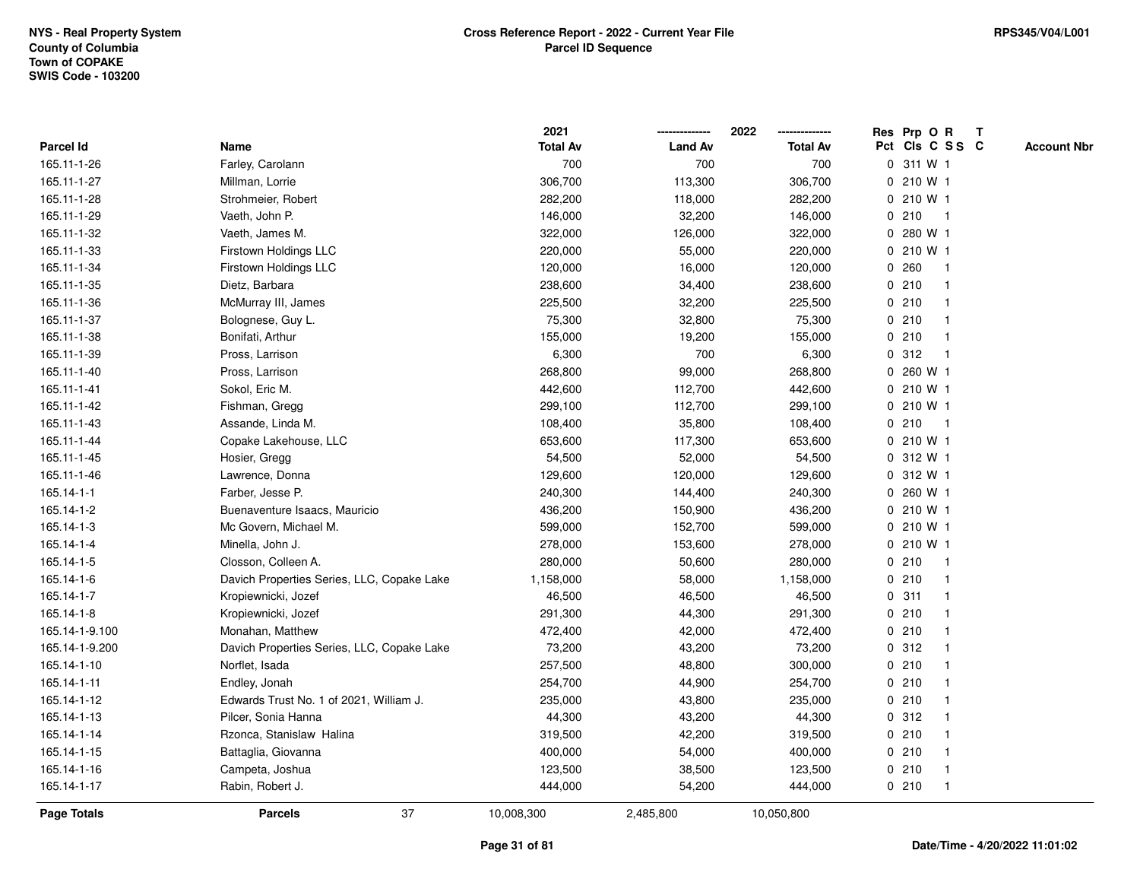|                    |                                            | 2021            |                | 2022            | Res Prp O R<br>$\mathbf{T}$           |
|--------------------|--------------------------------------------|-----------------|----------------|-----------------|---------------------------------------|
| Parcel Id          | Name                                       | <b>Total Av</b> | <b>Land Av</b> | <b>Total Av</b> | Pct Cls C S S C<br><b>Account Nbr</b> |
| 165.11-1-26        | Farley, Carolann                           | 700             | 700            | 700             | 0 311 W 1                             |
| 165.11-1-27        | Millman, Lorrie                            | 306,700         | 113,300        | 306,700         | 0 210 W 1                             |
| 165.11-1-28        | Strohmeier, Robert                         | 282,200         | 118,000        | 282,200         | 0 210 W 1                             |
| 165.11-1-29        | Vaeth, John P.                             | 146,000         | 32,200         | 146,000         | 210<br>0<br>$\mathbf{1}$              |
| 165.11-1-32        | Vaeth, James M.                            | 322,000         | 126,000        | 322,000         | 280 W 1<br>0                          |
| 165.11-1-33        | Firstown Holdings LLC                      | 220,000         | 55,000         | 220,000         | 0 210 W 1                             |
| 165.11-1-34        | Firstown Holdings LLC                      | 120,000         | 16,000         | 120,000         | 0.260                                 |
| 165.11-1-35        | Dietz, Barbara                             | 238,600         | 34,400         | 238,600         | 0210                                  |
| 165.11-1-36        | McMurray III, James                        | 225,500         | 32,200         | 225,500         | 0210                                  |
| 165.11-1-37        | Bolognese, Guy L.                          | 75,300          | 32,800         | 75,300          | 0210                                  |
| 165.11-1-38        | Bonifati, Arthur                           | 155,000         | 19,200         | 155,000         | 210<br>0<br>$\mathbf{1}$              |
| 165.11-1-39        | Pross, Larrison                            | 6,300           | 700            | 6,300           | 312<br>0<br>$\mathbf 1$               |
| 165.11-1-40        | Pross, Larrison                            | 268,800         | 99,000         | 268,800         | 0 260 W 1                             |
| 165.11-1-41        | Sokol, Eric M.                             | 442,600         | 112,700        | 442,600         | 0 210 W 1                             |
| 165.11-1-42        | Fishman, Gregg                             | 299,100         | 112,700        | 299,100         | 0210W1                                |
| 165.11-1-43        | Assande, Linda M.                          | 108,400         | 35,800         | 108,400         | 0210<br>-1                            |
| 165.11-1-44        | Copake Lakehouse, LLC                      | 653,600         | 117,300        | 653,600         | 0 210 W 1                             |
| 165.11-1-45        | Hosier, Gregg                              | 54,500          | 52,000         | 54,500          | 0 312 W 1                             |
| 165.11-1-46        | Lawrence, Donna                            | 129,600         | 120,000        | 129,600         | 0 312 W 1                             |
| 165.14-1-1         | Farber, Jesse P.                           | 240,300         | 144,400        | 240,300         | 0 260 W 1                             |
| 165.14-1-2         | Buenaventure Isaacs, Mauricio              | 436,200         | 150,900        | 436,200         | 0210W1                                |
| 165.14-1-3         | Mc Govern, Michael M.                      | 599,000         | 152,700        | 599,000         | 0 210 W 1                             |
| 165.14-1-4         | Minella, John J.                           | 278,000         | 153,600        | 278,000         | 0 210 W 1                             |
| 165.14-1-5         | Closson, Colleen A.                        | 280,000         | 50,600         | 280,000         | 0210<br>$\mathbf{1}$                  |
| 165.14-1-6         | Davich Properties Series, LLC, Copake Lake | 1,158,000       | 58,000         | 1,158,000       | 0210<br>$\mathbf 1$                   |
| 165.14-1-7         | Kropiewnicki, Jozef                        | 46,500          | 46,500         | 46,500          | 0.311                                 |
| 165.14-1-8         | Kropiewnicki, Jozef                        | 291,300         | 44,300         | 291,300         | 0210                                  |
| 165.14-1-9.100     | Monahan, Matthew                           | 472,400         | 42,000         | 472,400         | 0210                                  |
| 165.14-1-9.200     | Davich Properties Series, LLC, Copake Lake | 73,200          | 43,200         | 73,200          | 0.312                                 |
| 165.14-1-10        | Norflet, Isada                             | 257,500         | 48,800         | 300,000         | 0210                                  |
| 165.14-1-11        | Endley, Jonah                              | 254,700         | 44,900         | 254,700         | 0<br>210                              |
| 165.14-1-12        | Edwards Trust No. 1 of 2021, William J.    | 235,000         | 43,800         | 235,000         | 0210<br>-1                            |
| 165.14-1-13        | Pilcer, Sonia Hanna                        | 44,300          | 43,200         | 44,300          | 0.312                                 |
| 165.14-1-14        | Rzonca, Stanislaw Halina                   | 319,500         | 42,200         | 319,500         | 0210                                  |
| 165.14-1-15        | Battaglia, Giovanna                        | 400,000         | 54,000         | 400,000         | 0210                                  |
| 165.14-1-16        | Campeta, Joshua                            | 123,500         | 38,500         | 123,500         | 0210                                  |
| 165.14-1-17        | Rabin, Robert J.                           | 444,000         | 54,200         | 444,000         | 0210                                  |
| <b>Page Totals</b> | 37<br><b>Parcels</b>                       | 10,008,300      | 2,485,800      | 10,050,800      |                                       |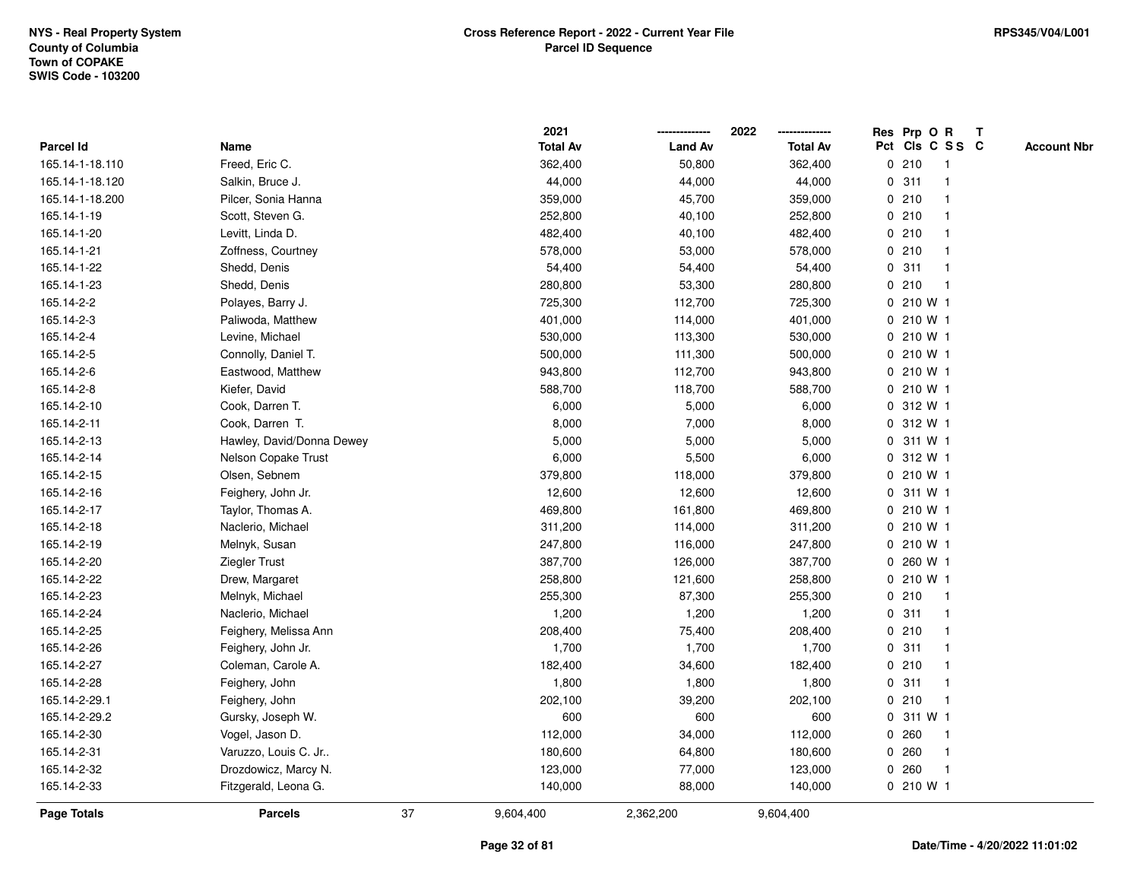|                 |                           |    | 2021            |                | 2022            |             | Res Prp O R     |                | T |                    |
|-----------------|---------------------------|----|-----------------|----------------|-----------------|-------------|-----------------|----------------|---|--------------------|
| Parcel Id       | Name                      |    | <b>Total Av</b> | <b>Land Av</b> | <b>Total Av</b> |             | Pct Cls C S S C |                |   | <b>Account Nbr</b> |
| 165.14-1-18.110 | Freed, Eric C.            |    | 362,400         | 50,800         | 362,400         |             | 0210            | -1             |   |                    |
| 165.14-1-18.120 | Salkin, Bruce J.          |    | 44,000          | 44,000         | 44,000          | 0           | 311             | -1             |   |                    |
| 165.14-1-18.200 | Pilcer, Sonia Hanna       |    | 359,000         | 45,700         | 359,000         |             | 0210            | $\mathbf{1}$   |   |                    |
| 165.14-1-19     | Scott, Steven G.          |    | 252,800         | 40,100         | 252,800         |             | 0210            |                |   |                    |
| 165.14-1-20     | Levitt, Linda D.          |    | 482,400         | 40,100         | 482,400         |             | 0210            |                |   |                    |
| 165.14-1-21     | Zoffness, Courtney        |    | 578,000         | 53,000         | 578,000         |             | 0210            |                |   |                    |
| 165.14-1-22     | Shedd, Denis              |    | 54,400          | 54,400         | 54,400          |             | 0.311           | $\overline{1}$ |   |                    |
| 165.14-1-23     | Shedd, Denis              |    | 280,800         | 53,300         | 280,800         | 0           | 210             | $\overline{1}$ |   |                    |
| 165.14-2-2      | Polayes, Barry J.         |    | 725,300         | 112,700        | 725,300         | 0           | 210 W 1         |                |   |                    |
| 165.14-2-3      | Paliwoda, Matthew         |    | 401,000         | 114,000        | 401,000         |             | 0.210 W1        |                |   |                    |
| 165.14-2-4      | Levine, Michael           |    | 530,000         | 113,300        | 530,000         |             | 0.210 W1        |                |   |                    |
| 165.14-2-5      | Connolly, Daniel T.       |    | 500,000         | 111,300        | 500,000         |             | 0210W1          |                |   |                    |
| 165.14-2-6      | Eastwood, Matthew         |    | 943,800         | 112,700        | 943,800         |             | 0 210 W 1       |                |   |                    |
| 165.14-2-8      | Kiefer, David             |    | 588,700         | 118,700        | 588,700         |             | 0210 W1         |                |   |                    |
| 165.14-2-10     | Cook, Darren T.           |    | 6,000           | 5,000          | 6,000           |             | 0 312 W 1       |                |   |                    |
| 165.14-2-11     | Cook, Darren T.           |    | 8,000           | 7,000          | 8,000           |             | 0.312 W1        |                |   |                    |
| 165.14-2-13     | Hawley, David/Donna Dewey |    | 5,000           | 5,000          | 5,000           | $\mathbf 0$ | 311 W 1         |                |   |                    |
| 165.14-2-14     | Nelson Copake Trust       |    | 6,000           | 5,500          | 6,000           |             | 0 312 W 1       |                |   |                    |
| 165.14-2-15     | Olsen, Sebnem             |    | 379,800         | 118,000        | 379,800         |             | $0, 210$ W 1    |                |   |                    |
| 165.14-2-16     | Feighery, John Jr.        |    | 12,600          | 12,600         | 12,600          |             | 0 311 W 1       |                |   |                    |
| 165.14-2-17     | Taylor, Thomas A.         |    | 469,800         | 161,800        | 469,800         |             | 0 210 W 1       |                |   |                    |
| 165.14-2-18     | Naclerio, Michael         |    | 311,200         | 114,000        | 311,200         |             | 0 210 W 1       |                |   |                    |
| 165.14-2-19     | Melnyk, Susan             |    | 247,800         | 116,000        | 247,800         |             | 0 210 W 1       |                |   |                    |
| 165.14-2-20     | Ziegler Trust             |    | 387,700         | 126,000        | 387,700         | 0           | 260 W 1         |                |   |                    |
| 165.14-2-22     | Drew, Margaret            |    | 258,800         | 121,600        | 258,800         |             | 0 210 W 1       |                |   |                    |
| 165.14-2-23     | Melnyk, Michael           |    | 255,300         | 87,300         | 255,300         |             | 0210            |                |   |                    |
| 165.14-2-24     | Naclerio, Michael         |    | 1,200           | 1,200          | 1,200           |             | 0.311           |                |   |                    |
| 165.14-2-25     | Feighery, Melissa Ann     |    | 208,400         | 75,400         | 208,400         |             | 0210            |                |   |                    |
| 165.14-2-26     | Feighery, John Jr.        |    | 1,700           | 1,700          | 1,700           |             | 0.311           |                |   |                    |
| 165.14-2-27     | Coleman, Carole A.        |    | 182,400         | 34,600         | 182,400         | 0           | 210             | $\mathbf 1$    |   |                    |
| 165.14-2-28     | Feighery, John            |    | 1,800           | 1,800          | 1,800           | 0           | 311             | $\overline{1}$ |   |                    |
| 165.14-2-29.1   | Feighery, John            |    | 202,100         | 39,200         | 202,100         |             | 0210            | -1             |   |                    |
| 165.14-2-29.2   | Gursky, Joseph W.         |    | 600             | 600            | 600             |             | 0 311 W 1       |                |   |                    |
| 165.14-2-30     | Vogel, Jason D.           |    | 112,000         | 34,000         | 112,000         |             | 0.260           |                |   |                    |
| 165.14-2-31     | Varuzzo, Louis C. Jr      |    | 180,600         | 64,800         | 180,600         |             | 0.260           | -1             |   |                    |
| 165.14-2-32     | Drozdowicz, Marcy N.      |    | 123,000         | 77,000         | 123,000         | 0           | 260             | $\overline{1}$ |   |                    |
| 165.14-2-33     | Fitzgerald, Leona G.      |    | 140,000         | 88,000         | 140,000         |             | 0210 W1         |                |   |                    |
| Page Totals     | <b>Parcels</b>            | 37 | 9,604,400       | 2,362,200      | 9,604,400       |             |                 |                |   |                    |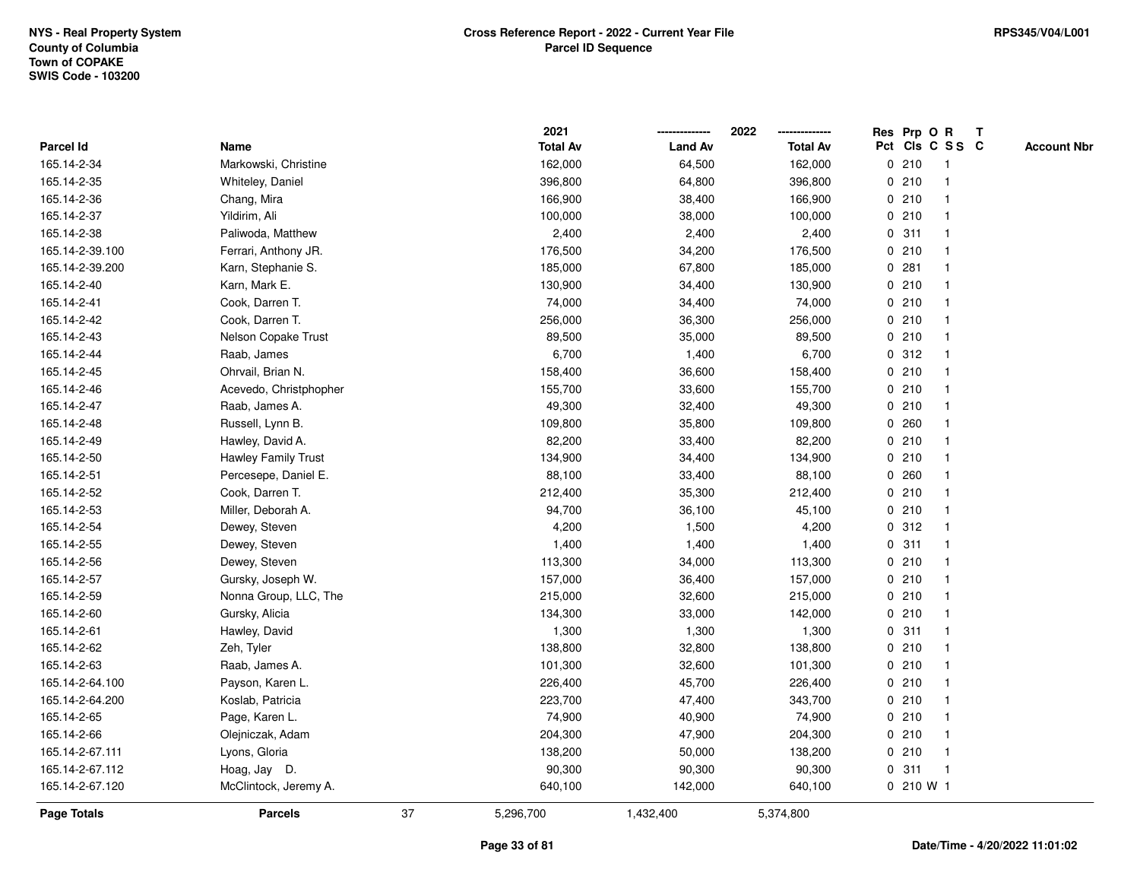|                 |                            |    | 2021            |                | 2022            |             |           | Res Prp O R     | Т |                    |
|-----------------|----------------------------|----|-----------------|----------------|-----------------|-------------|-----------|-----------------|---|--------------------|
| Parcel Id       | Name                       |    | <b>Total Av</b> | <b>Land Av</b> | <b>Total Av</b> |             |           | Pct Cls C S S C |   | <b>Account Nbr</b> |
| 165.14-2-34     | Markowski, Christine       |    | 162,000         | 64,500         | 162,000         |             | 0210      | $\mathbf{1}$    |   |                    |
| 165.14-2-35     | Whiteley, Daniel           |    | 396,800         | 64,800         | 396,800         | 0           | 210       | $\overline{1}$  |   |                    |
| 165.14-2-36     | Chang, Mira                |    | 166,900         | 38,400         | 166,900         |             | 0210      | $\mathbf{1}$    |   |                    |
| 165.14-2-37     | Yildirim, Ali              |    | 100,000         | 38,000         | 100,000         |             | 0210      | -1              |   |                    |
| 165.14-2-38     | Paliwoda, Matthew          |    | 2,400           | 2,400          | 2,400           |             | 0.311     |                 |   |                    |
| 165.14-2-39.100 | Ferrari, Anthony JR.       |    | 176,500         | 34,200         | 176,500         |             | 0210      |                 |   |                    |
| 165.14-2-39.200 | Karn, Stephanie S.         |    | 185,000         | 67,800         | 185,000         |             | 0.281     | $\mathbf{1}$    |   |                    |
| 165.14-2-40     | Karn, Mark E.              |    | 130,900         | 34,400         | 130,900         |             | 0210      | $\mathbf{1}$    |   |                    |
| 165.14-2-41     | Cook, Darren T.            |    | 74,000          | 34,400         | 74,000          |             | 0210      | $\mathbf{1}$    |   |                    |
| 165.14-2-42     | Cook, Darren T.            |    | 256,000         | 36,300         | 256,000         |             | 0210      | $\mathbf{1}$    |   |                    |
| 165.14-2-43     | Nelson Copake Trust        |    | 89,500          | 35,000         | 89,500          |             | 0210      | 1               |   |                    |
| 165.14-2-44     | Raab, James                |    | 6,700           | 1,400          | 6,700           |             | 0.312     |                 |   |                    |
| 165.14-2-45     | Ohrvail, Brian N.          |    | 158,400         | 36,600         | 158,400         |             | 0210      |                 |   |                    |
| 165.14-2-46     | Acevedo, Christphopher     |    | 155,700         | 33,600         | 155,700         |             | 0210      | $\mathbf{1}$    |   |                    |
| 165.14-2-47     | Raab, James A.             |    | 49,300          | 32,400         | 49,300          |             | 0210      | $\overline{1}$  |   |                    |
| 165.14-2-48     | Russell, Lynn B.           |    | 109,800         | 35,800         | 109,800         | $\mathbf 0$ | 260       | $\overline{1}$  |   |                    |
| 165.14-2-49     | Hawley, David A.           |    | 82,200          | 33,400         | 82,200          |             | 0210      | $\mathbf{1}$    |   |                    |
| 165.14-2-50     | <b>Hawley Family Trust</b> |    | 134,900         | 34,400         | 134,900         |             | 0210      |                 |   |                    |
| 165.14-2-51     | Percesepe, Daniel E.       |    | 88,100          | 33,400         | 88,100          |             | 0.260     |                 |   |                    |
| 165.14-2-52     | Cook, Darren T.            |    | 212,400         | 35,300         | 212,400         |             | 0210      |                 |   |                    |
| 165.14-2-53     | Miller, Deborah A.         |    | 94,700          | 36,100         | 45,100          |             | 0210      | $\mathbf{1}$    |   |                    |
| 165.14-2-54     | Dewey, Steven              |    | 4,200           | 1,500          | 4,200           | 0           | 312       | $\overline{1}$  |   |                    |
| 165.14-2-55     | Dewey, Steven              |    | 1,400           | 1,400          | 1,400           | $\mathbf 0$ | 311       | $\mathbf{1}$    |   |                    |
| 165.14-2-56     | Dewey, Steven              |    | 113,300         | 34,000         | 113,300         |             | 0210      | $\mathbf{1}$    |   |                    |
| 165.14-2-57     | Gursky, Joseph W.          |    | 157,000         | 36,400         | 157,000         |             | 0210      | $\overline{1}$  |   |                    |
| 165.14-2-59     | Nonna Group, LLC, The      |    | 215,000         | 32,600         | 215,000         |             | 0210      |                 |   |                    |
| 165.14-2-60     | Gursky, Alicia             |    | 134,300         | 33,000         | 142,000         |             | 0210      |                 |   |                    |
| 165.14-2-61     | Hawley, David              |    | 1,300           | 1,300          | 1,300           |             | 0.311     |                 |   |                    |
| 165.14-2-62     | Zeh, Tyler                 |    | 138,800         | 32,800         | 138,800         |             | 0210      | $\mathbf{1}$    |   |                    |
| 165.14-2-63     | Raab, James A.             |    | 101,300         | 32,600         | 101,300         |             | 0210      | -1              |   |                    |
| 165.14-2-64.100 | Payson, Karen L.           |    | 226,400         | 45,700         | 226,400         |             | 0210      | $\overline{1}$  |   |                    |
| 165.14-2-64.200 | Koslab, Patricia           |    | 223,700         | 47,400         | 343,700         |             | 0210      | $\mathbf{1}$    |   |                    |
| 165.14-2-65     | Page, Karen L.             |    | 74,900          | 40,900         | 74,900          |             | 0210      | 1               |   |                    |
| 165.14-2-66     | Olejniczak, Adam           |    | 204,300         | 47,900         | 204,300         |             | 0210      |                 |   |                    |
| 165.14-2-67.111 | Lyons, Gloria              |    | 138,200         | 50,000         | 138,200         |             | 0210      | $\mathbf{1}$    |   |                    |
| 165.14-2-67.112 | Hoag, Jay D.               |    | 90,300          | 90,300         | 90,300          | 0           | 311       | $\overline{1}$  |   |                    |
| 165.14-2-67.120 | McClintock, Jeremy A.      |    | 640,100         | 142,000        | 640,100         |             | 0 210 W 1 |                 |   |                    |
| Page Totals     | <b>Parcels</b>             | 37 | 5,296,700       | 1,432,400      | 5,374,800       |             |           |                 |   |                    |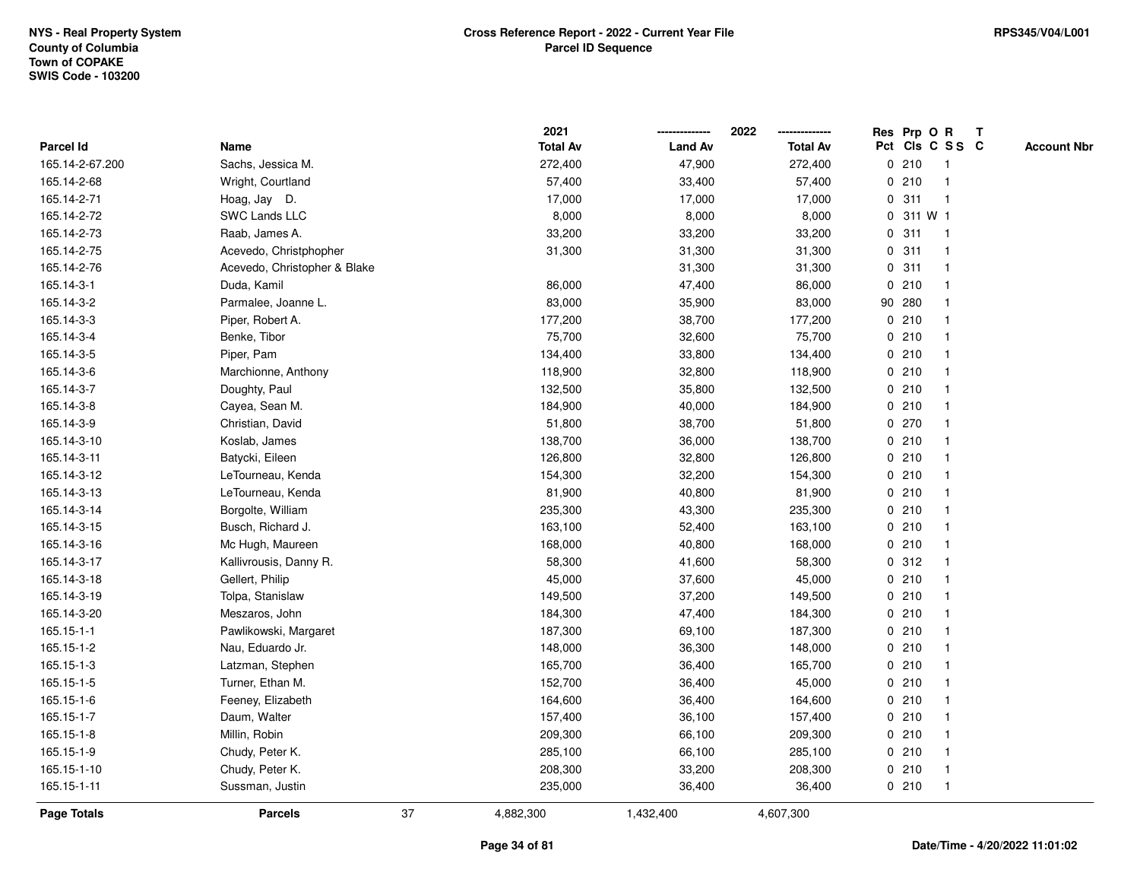|                 |                              |    | 2021            |                | 2022            | Res Prp O R |        |         |                 | $\mathbf{T}$ |                    |
|-----------------|------------------------------|----|-----------------|----------------|-----------------|-------------|--------|---------|-----------------|--------------|--------------------|
| Parcel Id       | Name                         |    | <b>Total Av</b> | <b>Land Av</b> | <b>Total Av</b> |             |        |         | Pct Cls C S S C |              | <b>Account Nbr</b> |
| 165.14-2-67.200 | Sachs, Jessica M.            |    | 272,400         | 47,900         | 272,400         |             | 0210   |         | 1               |              |                    |
| 165.14-2-68     | Wright, Courtland            |    | 57,400          | 33,400         | 57,400          |             | 0210   |         | $\mathbf 1$     |              |                    |
| 165.14-2-71     | Hoag, Jay D.                 |    | 17,000          | 17,000         | 17,000          | 0           | 311    |         | $\mathbf{1}$    |              |                    |
| 165.14-2-72     | <b>SWC Lands LLC</b>         |    | 8,000           | 8,000          | 8,000           | 0           |        | 311 W 1 |                 |              |                    |
| 165.14-2-73     | Raab, James A.               |    | 33,200          | 33,200         | 33,200          | 0           | 311    |         | $\mathbf{1}$    |              |                    |
| 165.14-2-75     | Acevedo, Christphopher       |    | 31,300          | 31,300         | 31,300          |             | 0.311  |         | $\mathbf 1$     |              |                    |
| 165.14-2-76     | Acevedo, Christopher & Blake |    |                 | 31,300         | 31,300          |             | 0.311  |         | 1               |              |                    |
| 165.14-3-1      | Duda, Kamil                  |    | 86,000          | 47,400         | 86,000          |             | 0210   |         |                 |              |                    |
| 165.14-3-2      | Parmalee, Joanne L.          |    | 83,000          | 35,900         | 83,000          |             | 90 280 |         | $\mathbf{1}$    |              |                    |
| 165.14-3-3      | Piper, Robert A.             |    | 177,200         | 38,700         | 177,200         |             | 0210   |         | $\mathbf{1}$    |              |                    |
| 165.14-3-4      | Benke, Tibor                 |    | 75,700          | 32,600         | 75,700          |             | 0210   |         | $\mathbf{1}$    |              |                    |
| 165.14-3-5      | Piper, Pam                   |    | 134,400         | 33,800         | 134,400         |             | 0210   |         | $\mathbf{1}$    |              |                    |
| 165.14-3-6      | Marchionne, Anthony          |    | 118,900         | 32,800         | 118,900         |             | 0210   |         | 1               |              |                    |
| 165.14-3-7      | Doughty, Paul                |    | 132,500         | 35,800         | 132,500         |             | 0210   |         | 1               |              |                    |
| 165.14-3-8      | Cayea, Sean M.               |    | 184,900         | 40,000         | 184,900         |             | 0210   |         |                 |              |                    |
| 165.14-3-9      | Christian, David             |    | 51,800          | 38,700         | 51,800          |             | 0270   |         | 1               |              |                    |
| 165.14-3-10     | Koslab, James                |    | 138,700         | 36,000         | 138,700         |             | 0210   |         | $\mathbf{1}$    |              |                    |
| 165.14-3-11     | Batycki, Eileen              |    | 126,800         | 32,800         | 126,800         |             | 0210   |         | 1               |              |                    |
| 165.14-3-12     | LeTourneau, Kenda            |    | 154,300         | 32,200         | 154,300         |             | 0210   |         | $\mathbf{1}$    |              |                    |
| 165.14-3-13     | LeTourneau, Kenda            |    | 81,900          | 40,800         | 81,900          |             | 0210   |         |                 |              |                    |
| 165.14-3-14     | Borgolte, William            |    | 235,300         | 43,300         | 235,300         |             | 0210   |         |                 |              |                    |
| 165.14-3-15     | Busch, Richard J.            |    | 163,100         | 52,400         | 163,100         |             | 0210   |         |                 |              |                    |
| 165.14-3-16     | Mc Hugh, Maureen             |    | 168,000         | 40,800         | 168,000         |             | 0210   |         | $\mathbf{1}$    |              |                    |
| 165.14-3-17     | Kallivrousis, Danny R.       |    | 58,300          | 41,600         | 58,300          |             | 0.312  |         | $\mathbf{1}$    |              |                    |
| 165.14-3-18     | Gellert, Philip              |    | 45,000          | 37,600         | 45,000          |             | 0210   |         | 1               |              |                    |
| 165.14-3-19     | Tolpa, Stanislaw             |    | 149,500         | 37,200         | 149,500         |             | 0210   |         | $\mathbf 1$     |              |                    |
| 165.14-3-20     | Meszaros, John               |    | 184,300         | 47,400         | 184,300         |             | 0210   |         | 1               |              |                    |
| 165.15-1-1      | Pawlikowski, Margaret        |    | 187,300         | 69,100         | 187,300         |             | 0210   |         |                 |              |                    |
| 165.15-1-2      | Nau, Eduardo Jr.             |    | 148,000         | 36,300         | 148,000         |             | 0210   |         | $\mathbf{1}$    |              |                    |
| 165.15-1-3      | Latzman, Stephen             |    | 165,700         | 36,400         | 165,700         |             | 0210   |         | $\mathbf{1}$    |              |                    |
| 165.15-1-5      | Turner, Ethan M.             |    | 152,700         | 36,400         | 45,000          |             | 0210   |         | $\mathbf{1}$    |              |                    |
| 165.15-1-6      | Feeney, Elizabeth            |    | 164,600         | 36,400         | 164,600         |             | 0210   |         | 1               |              |                    |
| 165.15-1-7      | Daum, Walter                 |    | 157,400         | 36,100         | 157,400         |             | 0210   |         | 1               |              |                    |
| 165.15-1-8      | Millin, Robin                |    | 209,300         | 66,100         | 209,300         |             | 0210   |         |                 |              |                    |
| 165.15-1-9      | Chudy, Peter K.              |    | 285,100         | 66,100         | 285,100         |             | 0210   |         | $\mathbf 1$     |              |                    |
| 165.15-1-10     | Chudy, Peter K.              |    | 208,300         | 33,200         | 208,300         |             | 0210   |         | $\mathbf{1}$    |              |                    |
| 165.15-1-11     | Sussman, Justin              |    | 235,000         | 36,400         | 36,400          |             | 0210   |         | $\mathbf{1}$    |              |                    |
| Page Totals     | <b>Parcels</b>               | 37 | 4,882,300       | 1,432,400      | 4,607,300       |             |        |         |                 |              |                    |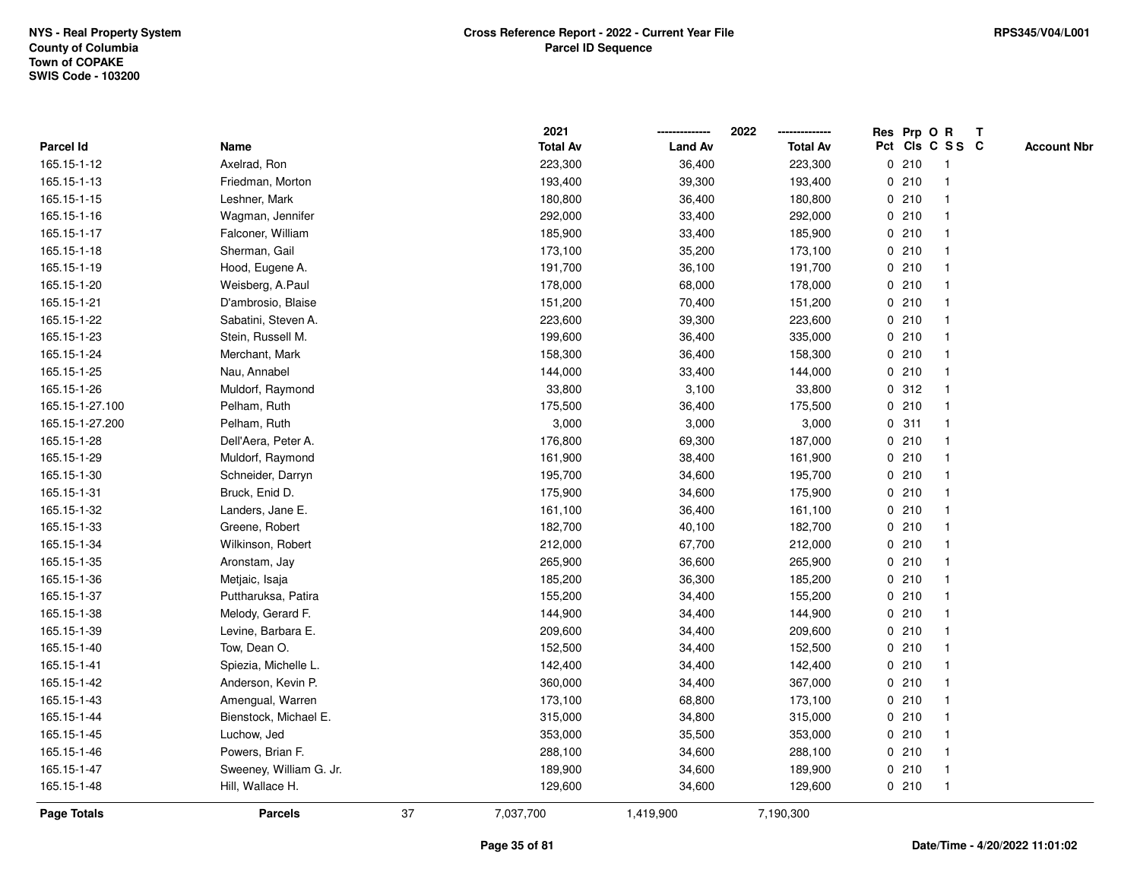|                    |                         |    | 2021            |                | 2022            |             |       | Res Prp O R     | T |                    |
|--------------------|-------------------------|----|-----------------|----------------|-----------------|-------------|-------|-----------------|---|--------------------|
| Parcel Id          | Name                    |    | <b>Total Av</b> | <b>Land Av</b> | <b>Total Av</b> |             |       | Pct Cls C S S C |   | <b>Account Nbr</b> |
| 165.15-1-12        | Axelrad, Ron            |    | 223,300         | 36,400         | 223,300         |             | 0210  | $\mathbf{1}$    |   |                    |
| 165.15-1-13        | Friedman, Morton        |    | 193,400         | 39,300         | 193,400         | 0           | 210   | $\overline{1}$  |   |                    |
| 165.15-1-15        | Leshner, Mark           |    | 180,800         | 36,400         | 180,800         |             | 0210  | -1              |   |                    |
| 165.15-1-16        | Wagman, Jennifer        |    | 292,000         | 33,400         | 292,000         |             | 0210  |                 |   |                    |
| 165.15-1-17        | Falconer, William       |    | 185,900         | 33,400         | 185,900         |             | 0210  |                 |   |                    |
| 165.15-1-18        | Sherman, Gail           |    | 173,100         | 35,200         | 173,100         |             | 0210  |                 |   |                    |
| 165.15-1-19        | Hood, Eugene A.         |    | 191,700         | 36,100         | 191,700         |             | 0210  |                 |   |                    |
| 165.15-1-20        | Weisberg, A.Paul        |    | 178,000         | 68,000         | 178,000         |             | 0210  | $\overline{1}$  |   |                    |
| 165.15-1-21        | D'ambrosio, Blaise      |    | 151,200         | 70,400         | 151,200         |             | 0210  | -1              |   |                    |
| 165.15-1-22        | Sabatini, Steven A.     |    | 223,600         | 39,300         | 223,600         |             | 0210  | -1              |   |                    |
| 165.15-1-23        | Stein, Russell M.       |    | 199,600         | 36,400         | 335,000         |             | 0210  |                 |   |                    |
| 165.15-1-24        | Merchant, Mark          |    | 158,300         | 36,400         | 158,300         |             | 0210  |                 |   |                    |
| 165.15-1-25        | Nau, Annabel            |    | 144,000         | 33,400         | 144,000         |             | 0210  |                 |   |                    |
| 165.15-1-26        | Muldorf, Raymond        |    | 33,800          | 3,100          | 33,800          |             | 0.312 | -1              |   |                    |
| 165.15-1-27.100    | Pelham, Ruth            |    | 175,500         | 36,400         | 175,500         | $\mathbf 0$ | 210   |                 |   |                    |
| 165.15-1-27.200    | Pelham, Ruth            |    | 3,000           | 3,000          | 3,000           | $\mathbf 0$ | 311   | $\overline{1}$  |   |                    |
| 165.15-1-28        | Dell'Aera, Peter A.     |    | 176,800         | 69,300         | 187,000         |             | 0210  | $\mathbf{1}$    |   |                    |
| 165.15-1-29        | Muldorf, Raymond        |    | 161,900         | 38,400         | 161,900         |             | 0210  |                 |   |                    |
| 165.15-1-30        | Schneider, Darryn       |    | 195,700         | 34,600         | 195,700         |             | 0210  |                 |   |                    |
| 165.15-1-31        | Bruck, Enid D.          |    | 175,900         | 34,600         | 175,900         |             | 0210  |                 |   |                    |
| 165.15-1-32        | Landers, Jane E.        |    | 161,100         | 36,400         | 161,100         |             | 0210  |                 |   |                    |
| 165.15-1-33        | Greene, Robert          |    | 182,700         | 40,100         | 182,700         |             | 0210  |                 |   |                    |
| 165.15-1-34        | Wilkinson, Robert       |    | 212,000         | 67,700         | 212,000         |             | 0210  | $\overline{1}$  |   |                    |
| 165.15-1-35        | Aronstam, Jay           |    | 265,900         | 36,600         | 265,900         | $\mathbf 0$ | 210   | $\overline{1}$  |   |                    |
| 165.15-1-36        | Metjaic, Isaja          |    | 185,200         | 36,300         | 185,200         |             | 0210  |                 |   |                    |
| 165.15-1-37        | Puttharuksa, Patira     |    | 155,200         | 34,400         | 155,200         |             | 0210  |                 |   |                    |
| 165.15-1-38        | Melody, Gerard F.       |    | 144,900         | 34,400         | 144,900         |             | 0210  |                 |   |                    |
| 165.15-1-39        | Levine, Barbara E.      |    | 209,600         | 34,400         | 209,600         |             | 0210  |                 |   |                    |
| 165.15-1-40        | Tow, Dean O.            |    | 152,500         | 34,400         | 152,500         |             | 0210  |                 |   |                    |
| 165.15-1-41        | Spiezia, Michelle L.    |    | 142,400         | 34,400         | 142,400         | 0           | 210   | -1              |   |                    |
| 165.15-1-42        | Anderson, Kevin P.      |    | 360,000         | 34,400         | 367,000         |             | 0210  | -1              |   |                    |
| 165.15-1-43        | Amengual, Warren        |    | 173,100         | 68,800         | 173,100         |             | 0210  | -1              |   |                    |
| 165.15-1-44        | Bienstock, Michael E.   |    | 315,000         | 34,800         | 315,000         |             | 0210  |                 |   |                    |
| 165.15-1-45        | Luchow, Jed             |    | 353,000         | 35,500         | 353,000         |             | 0210  |                 |   |                    |
| 165.15-1-46        | Powers, Brian F.        |    | 288,100         | 34,600         | 288,100         |             | 0210  |                 |   |                    |
| 165.15-1-47        | Sweeney, William G. Jr. |    | 189,900         | 34,600         | 189,900         |             | 0210  | -1              |   |                    |
| 165.15-1-48        | Hill, Wallace H.        |    | 129,600         | 34,600         | 129,600         |             | 0210  | $\overline{1}$  |   |                    |
| <b>Page Totals</b> | <b>Parcels</b>          | 37 | 7,037,700       | 1,419,900      | 7,190,300       |             |       |                 |   |                    |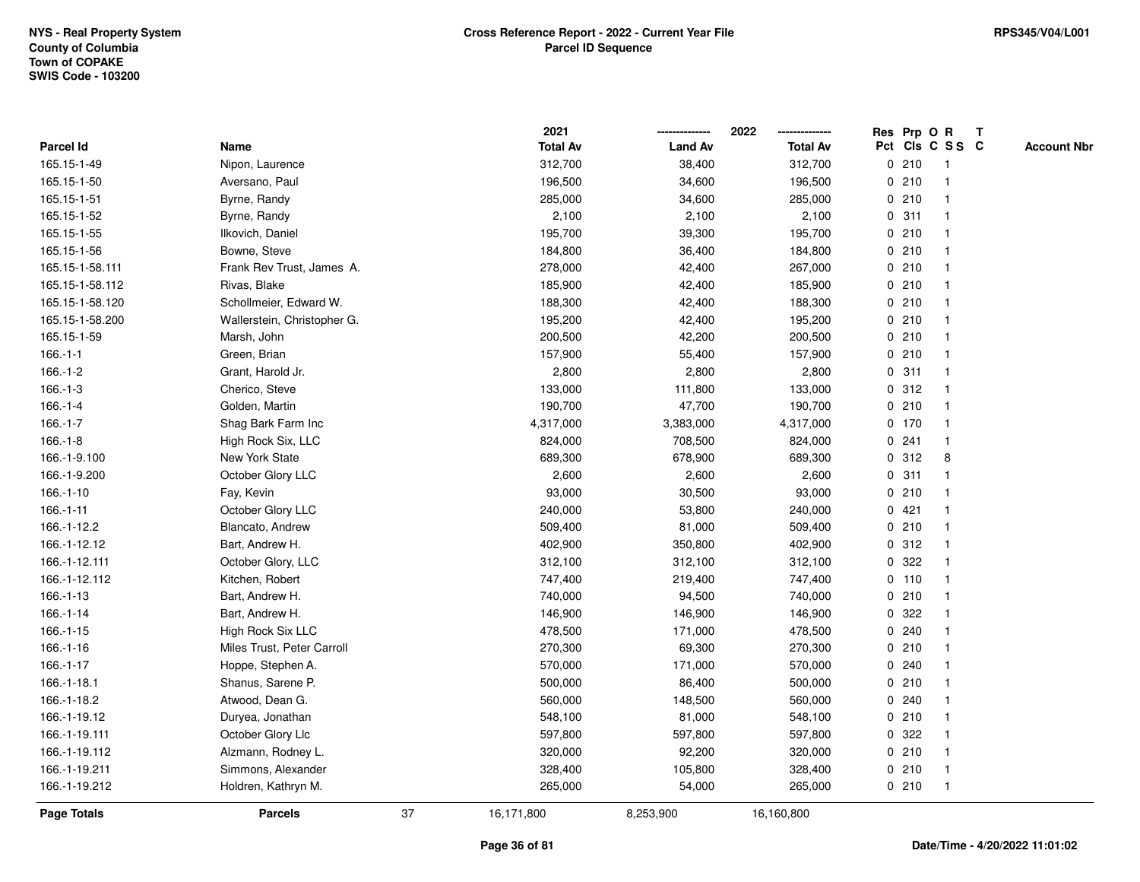|                 |                             |    | 2021            |                | 2022            |             |         | Res Prp O R     | T |                    |
|-----------------|-----------------------------|----|-----------------|----------------|-----------------|-------------|---------|-----------------|---|--------------------|
| Parcel Id       | Name                        |    | <b>Total Av</b> | <b>Land Av</b> | <b>Total Av</b> |             |         | Pct Cls C S S C |   | <b>Account Nbr</b> |
| 165.15-1-49     | Nipon, Laurence             |    | 312,700         | 38,400         | 312,700         | 0           | 210     | $\mathbf{1}$    |   |                    |
| 165.15-1-50     | Aversano, Paul              |    | 196,500         | 34,600         | 196,500         | 0           | 210     | -1              |   |                    |
| 165.15-1-51     | Byrne, Randy                |    | 285,000         | 34,600         | 285,000         |             | 0210    | $\mathbf 1$     |   |                    |
| 165.15-1-52     | Byrne, Randy                |    | 2,100           | 2,100          | 2,100           |             | 0.311   |                 |   |                    |
| 165.15-1-55     | Ilkovich, Daniel            |    | 195,700         | 39,300         | 195,700         |             | 0210    |                 |   |                    |
| 165.15-1-56     | Bowne, Steve                |    | 184,800         | 36,400         | 184,800         |             | 0210    |                 |   |                    |
| 165.15-1-58.111 | Frank Rev Trust, James A.   |    | 278,000         | 42,400         | 267,000         |             | 0210    |                 |   |                    |
| 165.15-1-58.112 | Rivas, Blake                |    | 185,900         | 42,400         | 185,900         | 0           | 210     |                 |   |                    |
| 165.15-1-58.120 | Schollmeier, Edward W.      |    | 188,300         | 42,400         | 188,300         |             | 0210    | -1              |   |                    |
| 165.15-1-58.200 | Wallerstein, Christopher G. |    | 195,200         | 42,400         | 195,200         |             | 0210    | -1              |   |                    |
| 165.15-1-59     | Marsh, John                 |    | 200,500         | 42,200         | 200,500         |             | 0210    |                 |   |                    |
| $166.-1-1$      | Green, Brian                |    | 157,900         | 55,400         | 157,900         |             | 0210    |                 |   |                    |
| $166.-1-2$      | Grant, Harold Jr.           |    | 2,800           | 2,800          | 2,800           |             | 0.311   |                 |   |                    |
| $166.-1-3$      | Cherico, Steve              |    | 133,000         | 111,800        | 133,000         |             | 0.312   |                 |   |                    |
| $166.-1-4$      | Golden, Martin              |    | 190,700         | 47,700         | 190,700         | $\mathbf 0$ | 210     |                 |   |                    |
| $166.-1-7$      | Shag Bark Farm Inc          |    | 4,317,000       | 3,383,000      | 4,317,000       |             | $0$ 170 | $\mathbf{1}$    |   |                    |
| $166.-1-8$      | High Rock Six, LLC          |    | 824,000         | 708,500        | 824,000         | $\mathbf 0$ | 241     | $\mathbf{1}$    |   |                    |
| 166.-1-9.100    | New York State              |    | 689,300         | 678,900        | 689,300         |             | 0.312   | 8               |   |                    |
| 166.-1-9.200    | October Glory LLC           |    | 2,600           | 2,600          | 2,600           |             | 0.311   |                 |   |                    |
| $166.-1-10$     | Fay, Kevin                  |    | 93,000          | 30,500         | 93,000          |             | 0210    |                 |   |                    |
| $166.-1-11$     | October Glory LLC           |    | 240,000         | 53,800         | 240,000         |             | 0421    |                 |   |                    |
| 166.-1-12.2     | Blancato, Andrew            |    | 509,400         | 81,000         | 509,400         |             | 0210    |                 |   |                    |
| 166.-1-12.12    | Bart, Andrew H.             |    | 402,900         | 350,800        | 402,900         | 0           | 312     | $\mathbf{1}$    |   |                    |
| 166.-1-12.111   | October Glory, LLC          |    | 312,100         | 312,100        | 312,100         | $\mathbf 0$ | 322     |                 |   |                    |
| 166.-1-12.112   | Kitchen, Robert             |    | 747,400         | 219,400        | 747,400         |             | $0$ 110 | -1              |   |                    |
| 166.-1-13       | Bart, Andrew H.             |    | 740,000         | 94,500         | 740,000         |             | 0210    |                 |   |                    |
| 166.-1-14       | Bart, Andrew H.             |    | 146,900         | 146,900        | 146,900         | 0           | 322     |                 |   |                    |
| 166.-1-15       | High Rock Six LLC           |    | 478,500         | 171,000        | 478,500         |             | 0.240   |                 |   |                    |
| 166.-1-16       | Miles Trust, Peter Carroll  |    | 270,300         | 69,300         | 270,300         |             | 0210    |                 |   |                    |
| 166.-1-17       | Hoppe, Stephen A.           |    | 570,000         | 171,000        | 570,000         | 0           | 240     |                 |   |                    |
| 166.-1-18.1     | Shanus, Sarene P.           |    | 500,000         | 86,400         | 500,000         |             | 0210    |                 |   |                    |
| 166.-1-18.2     | Atwood, Dean G.             |    | 560,000         | 148,500        | 560,000         |             | 0.240   | -1              |   |                    |
| 166.-1-19.12    | Duryea, Jonathan            |    | 548,100         | 81,000         | 548,100         |             | 0210    |                 |   |                    |
| 166.-1-19.111   | October Glory Llc           |    | 597,800         | 597,800        | 597,800         |             | 0 322   |                 |   |                    |
| 166.-1-19.112   | Alzmann, Rodney L.          |    | 320,000         | 92,200         | 320,000         |             | 0210    |                 |   |                    |
| 166.-1-19.211   | Simmons, Alexander          |    | 328,400         | 105,800        | 328,400         |             | 0210    | -1              |   |                    |
| 166.-1-19.212   | Holdren, Kathryn M.         |    | 265,000         | 54,000         | 265,000         |             | 0210    | $\mathbf{1}$    |   |                    |
| Page Totals     | <b>Parcels</b>              | 37 | 16,171,800      | 8,253,900      | 16,160,800      |             |         |                 |   |                    |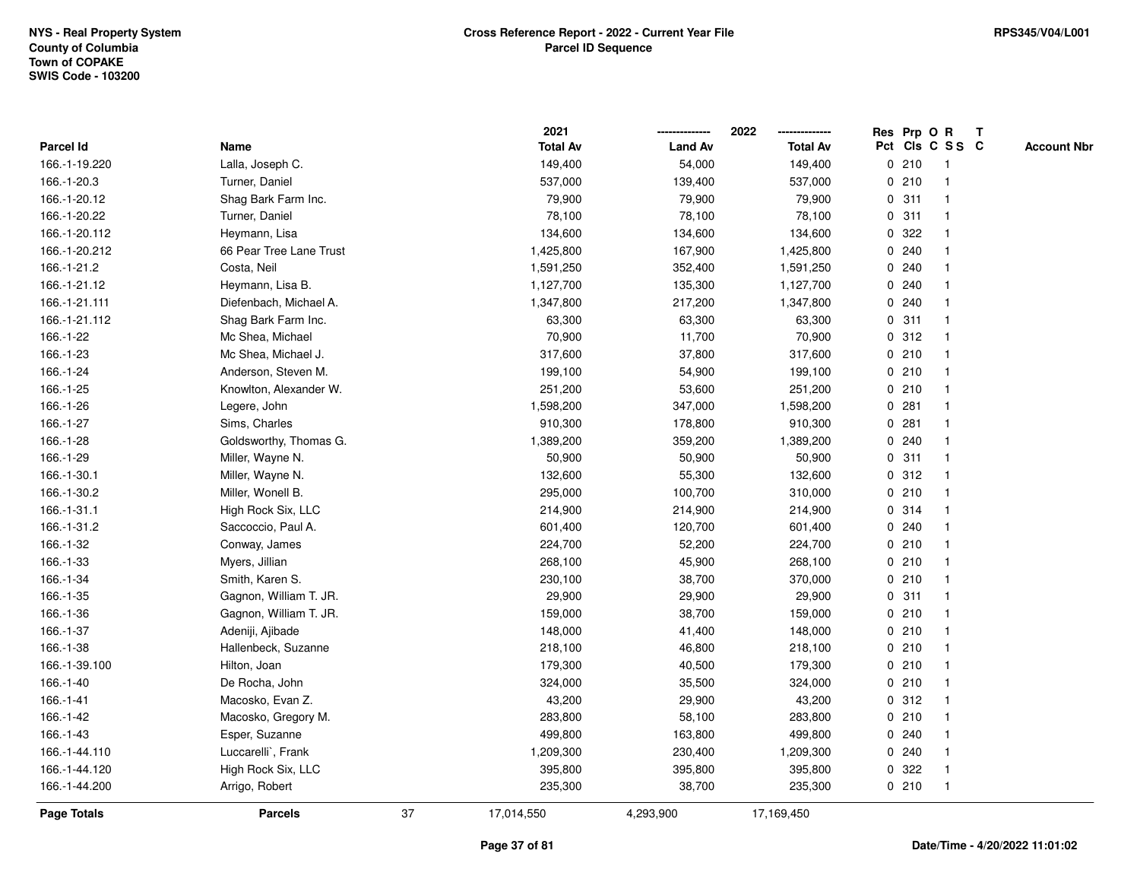|                    |                         |    | 2021            |                | 2022            |             |       | Res Prp O R     | T |                    |
|--------------------|-------------------------|----|-----------------|----------------|-----------------|-------------|-------|-----------------|---|--------------------|
| <b>Parcel Id</b>   | Name                    |    | <b>Total Av</b> | <b>Land Av</b> | <b>Total Av</b> |             |       | Pct Cls C S S C |   | <b>Account Nbr</b> |
| 166.-1-19.220      | Lalla, Joseph C.        |    | 149,400         | 54,000         | 149,400         |             | 0210  | $\mathbf{1}$    |   |                    |
| 166.-1-20.3        | Turner, Daniel          |    | 537,000         | 139,400        | 537,000         | 0           | 210   | $\overline{1}$  |   |                    |
| 166.-1-20.12       | Shag Bark Farm Inc.     |    | 79,900          | 79,900         | 79,900          |             | 0.311 | $\mathbf{1}$    |   |                    |
| 166.-1-20.22       | Turner, Daniel          |    | 78,100          | 78,100         | 78,100          |             | 0.311 |                 |   |                    |
| 166.-1-20.112      | Heymann, Lisa           |    | 134,600         | 134,600        | 134,600         |             | 0.322 |                 |   |                    |
| 166.-1-20.212      | 66 Pear Tree Lane Trust |    | 1,425,800       | 167,900        | 1,425,800       |             | 0.240 |                 |   |                    |
| 166.-1-21.2        | Costa, Neil             |    | 1,591,250       | 352,400        | 1,591,250       |             | 0.240 |                 |   |                    |
| 166.-1-21.12       | Heymann, Lisa B.        |    | 1,127,700       | 135,300        | 1,127,700       | 0           | 240   |                 |   |                    |
| 166.-1-21.111      | Diefenbach, Michael A.  |    | 1,347,800       | 217,200        | 1,347,800       | 0           | 240   |                 |   |                    |
| 166.-1-21.112      | Shag Bark Farm Inc.     |    | 63,300          | 63,300         | 63,300          |             | 0.311 | $\mathbf 1$     |   |                    |
| 166.-1-22          | Mc Shea, Michael        |    | 70,900          | 11,700         | 70,900          |             | 0.312 |                 |   |                    |
| 166.-1-23          | Mc Shea, Michael J.     |    | 317,600         | 37,800         | 317,600         |             | 0210  |                 |   |                    |
| 166.-1-24          | Anderson, Steven M.     |    | 199,100         | 54,900         | 199,100         |             | 0210  |                 |   |                    |
| 166.-1-25          | Knowlton, Alexander W.  |    | 251,200         | 53,600         | 251,200         |             | 0210  |                 |   |                    |
| 166.-1-26          | Legere, John            |    | 1,598,200       | 347,000        | 1,598,200       | $\mathbf 0$ | 281   |                 |   |                    |
| 166.-1-27          | Sims, Charles           |    | 910,300         | 178,800        | 910,300         | 0           | 281   | $\mathbf{1}$    |   |                    |
| 166.-1-28          | Goldsworthy, Thomas G.  |    | 1,389,200       | 359,200        | 1,389,200       |             | 0.240 | $\mathbf{1}$    |   |                    |
| 166.-1-29          | Miller, Wayne N.        |    | 50,900          | 50,900         | 50,900          |             | 0.311 |                 |   |                    |
| 166.-1-30.1        | Miller, Wayne N.        |    | 132,600         | 55,300         | 132,600         |             | 0.312 |                 |   |                    |
| 166.-1-30.2        | Miller, Wonell B.       |    | 295,000         | 100,700        | 310,000         |             | 0210  |                 |   |                    |
| 166.-1-31.1        | High Rock Six, LLC      |    | 214,900         | 214,900        | 214,900         |             | 0 314 |                 |   |                    |
| 166.-1-31.2        | Saccoccio, Paul A.      |    | 601,400         | 120,700        | 601,400         |             | 0.240 |                 |   |                    |
| 166.-1-32          | Conway, James           |    | 224,700         | 52,200         | 224,700         |             | 0210  | -1              |   |                    |
| 166.-1-33          | Myers, Jillian          |    | 268,100         | 45,900         | 268,100         |             | 0210  | $\overline{1}$  |   |                    |
| 166.-1-34          | Smith, Karen S.         |    | 230,100         | 38,700         | 370,000         |             | 0210  |                 |   |                    |
| 166.-1-35          | Gagnon, William T. JR.  |    | 29,900          | 29,900         | 29,900          |             | 0.311 |                 |   |                    |
| 166.-1-36          | Gagnon, William T. JR.  |    | 159,000         | 38,700         | 159,000         |             | 0210  |                 |   |                    |
| 166.-1-37          | Adeniji, Ajibade        |    | 148,000         | 41,400         | 148,000         |             | 0210  |                 |   |                    |
| 166.-1-38          | Hallenbeck, Suzanne     |    | 218,100         | 46,800         | 218,100         |             | 0210  |                 |   |                    |
| 166.-1-39.100      | Hilton, Joan            |    | 179,300         | 40,500         | 179,300         | 0           | 210   | 1               |   |                    |
| 166.-1-40          | De Rocha, John          |    | 324,000         | 35,500         | 324,000         |             | 0210  | -1              |   |                    |
| 166.-1-41          | Macosko, Evan Z.        |    | 43,200          | 29,900         | 43,200          |             | 0.312 | $\mathbf 1$     |   |                    |
| 166.-1-42          | Macosko, Gregory M.     |    | 283,800         | 58,100         | 283,800         |             | 0210  |                 |   |                    |
| 166.-1-43          | Esper, Suzanne          |    | 499,800         | 163,800        | 499,800         |             | 0.240 |                 |   |                    |
| 166.-1-44.110      | Luccarelli`, Frank      |    | 1,209,300       | 230,400        | 1,209,300       |             | 0.240 |                 |   |                    |
| 166.-1-44.120      | High Rock Six, LLC      |    | 395,800         | 395,800        | 395,800         | 0           | 322   |                 |   |                    |
| 166.-1-44.200      | Arrigo, Robert          |    | 235,300         | 38,700         | 235,300         |             | 0210  | $\overline{1}$  |   |                    |
| <b>Page Totals</b> | <b>Parcels</b>          | 37 | 17,014,550      | 4,293,900      | 17,169,450      |             |       |                 |   |                    |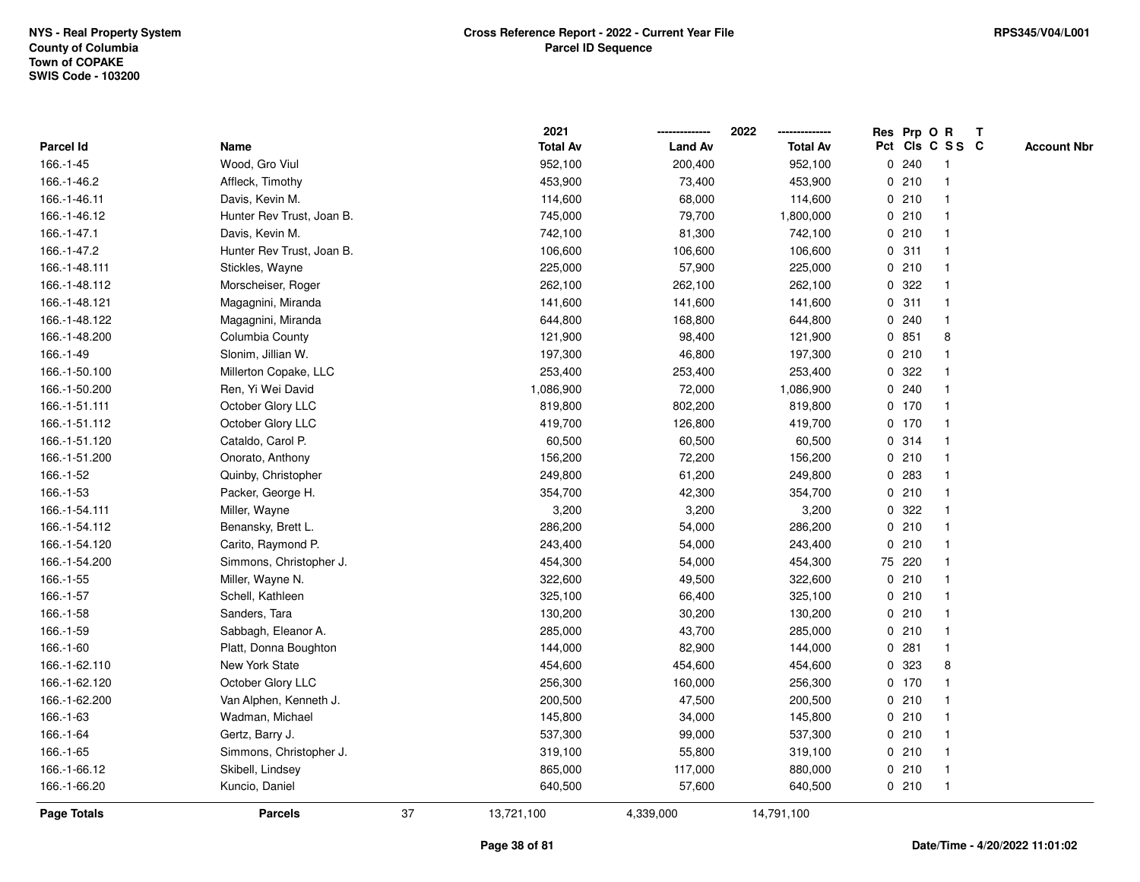|               |                           |    | 2021            |                | 2022            |             |         | Res Prp O R     | Т |                    |
|---------------|---------------------------|----|-----------------|----------------|-----------------|-------------|---------|-----------------|---|--------------------|
| Parcel Id     | Name                      |    | <b>Total Av</b> | <b>Land Av</b> | <b>Total Av</b> |             |         | Pct Cls C S S C |   | <b>Account Nbr</b> |
| 166.-1-45     | Wood, Gro Viul            |    | 952,100         | 200,400        | 952,100         | 0           | 240     | -1              |   |                    |
| 166.-1-46.2   | Affleck, Timothy          |    | 453,900         | 73,400         | 453,900         | 0           | 210     | $\overline{1}$  |   |                    |
| 166.-1-46.11  | Davis, Kevin M.           |    | 114,600         | 68,000         | 114,600         |             | 0210    | $\mathbf 1$     |   |                    |
| 166.-1-46.12  | Hunter Rev Trust, Joan B. |    | 745,000         | 79,700         | 1,800,000       |             | 0210    |                 |   |                    |
| 166.-1-47.1   | Davis, Kevin M.           |    | 742,100         | 81,300         | 742,100         |             | 0210    |                 |   |                    |
| 166.-1-47.2   | Hunter Rev Trust, Joan B. |    | 106,600         | 106,600        | 106,600         |             | 0.311   |                 |   |                    |
| 166.-1-48.111 | Stickles, Wayne           |    | 225,000         | 57,900         | 225,000         |             | 0210    |                 |   |                    |
| 166.-1-48.112 | Morscheiser, Roger        |    | 262,100         | 262,100        | 262,100         | 0           | 322     |                 |   |                    |
| 166.-1-48.121 | Magagnini, Miranda        |    | 141,600         | 141,600        | 141,600         | 0           | 311     | -1              |   |                    |
| 166.-1-48.122 | Magagnini, Miranda        |    | 644,800         | 168,800        | 644,800         |             | 0.240   | $\overline{1}$  |   |                    |
| 166.-1-48.200 | Columbia County           |    | 121,900         | 98,400         | 121,900         |             | 0851    | 8               |   |                    |
| 166.-1-49     | Slonim, Jillian W.        |    | 197,300         | 46,800         | 197,300         |             | 0210    |                 |   |                    |
| 166.-1-50.100 | Millerton Copake, LLC     |    | 253,400         | 253,400        | 253,400         | 0           | 322     |                 |   |                    |
| 166.-1-50.200 | Ren, Yi Wei David         |    | 1,086,900       | 72,000         | 1,086,900       |             | 0.240   |                 |   |                    |
| 166.-1-51.111 | October Glory LLC         |    | 819,800         | 802,200        | 819,800         |             | $0$ 170 | $\mathbf{1}$    |   |                    |
| 166.-1-51.112 | October Glory LLC         |    | 419,700         | 126,800        | 419,700         |             | $0$ 170 | -1              |   |                    |
| 166.-1-51.120 | Cataldo, Carol P.         |    | 60,500          | 60,500         | 60,500          |             | 0.314   | $\mathbf{1}$    |   |                    |
| 166.-1-51.200 | Onorato, Anthony          |    | 156,200         | 72,200         | 156,200         |             | 0210    |                 |   |                    |
| 166.-1-52     | Quinby, Christopher       |    | 249,800         | 61,200         | 249,800         |             | 0 283   |                 |   |                    |
| 166.-1-53     | Packer, George H.         |    | 354,700         | 42,300         | 354,700         |             | 0210    |                 |   |                    |
| 166.-1-54.111 | Miller, Wayne             |    | 3,200           | 3,200          | 3,200           |             | 0.322   |                 |   |                    |
| 166.-1-54.112 | Benansky, Brett L.        |    | 286,200         | 54,000         | 286,200         | $\mathbf 0$ | 210     |                 |   |                    |
| 166.-1-54.120 | Carito, Raymond P.        |    | 243,400         | 54,000         | 243,400         | $\mathbf 0$ | 210     | $\overline{1}$  |   |                    |
| 166.-1-54.200 | Simmons, Christopher J.   |    | 454,300         | 54,000         | 454,300         |             | 75 220  | -1              |   |                    |
| 166.-1-55     | Miller, Wayne N.          |    | 322,600         | 49,500         | 322,600         |             | 0210    |                 |   |                    |
| 166.-1-57     | Schell, Kathleen          |    | 325,100         | 66,400         | 325,100         |             | 0210    |                 |   |                    |
| 166.-1-58     | Sanders, Tara             |    | 130,200         | 30,200         | 130,200         |             | 0210    |                 |   |                    |
| 166.-1-59     | Sabbagh, Eleanor A.       |    | 285,000         | 43,700         | 285,000         |             | 0210    |                 |   |                    |
| 166.-1-60     | Platt, Donna Boughton     |    | 144,000         | 82,900         | 144,000         | $\mathbf 0$ | 281     |                 |   |                    |
| 166.-1-62.110 | New York State            |    | 454,600         | 454,600        | 454,600         | $\mathbf 0$ | 323     | 8               |   |                    |
| 166.-1-62.120 | October Glory LLC         |    | 256,300         | 160,000        | 256,300         |             | $0$ 170 |                 |   |                    |
| 166.-1-62.200 | Van Alphen, Kenneth J.    |    | 200,500         | 47,500         | 200,500         |             | 0210    |                 |   |                    |
| 166.-1-63     | Wadman, Michael           |    | 145,800         | 34,000         | 145,800         |             | 0210    |                 |   |                    |
| 166.-1-64     | Gertz, Barry J.           |    | 537,300         | 99,000         | 537,300         |             | 0210    |                 |   |                    |
| 166.-1-65     | Simmons, Christopher J.   |    | 319,100         | 55,800         | 319,100         |             | 0210    |                 |   |                    |
| 166.-1-66.12  | Skibell, Lindsey          |    | 865,000         | 117,000        | 880,000         |             | 0210    | $\overline{1}$  |   |                    |
| 166.-1-66.20  | Kuncio, Daniel            |    | 640,500         | 57,600         | 640,500         |             | 0210    | $\overline{1}$  |   |                    |
| Page Totals   | <b>Parcels</b>            | 37 | 13,721,100      | 4,339,000      | 14,791,100      |             |         |                 |   |                    |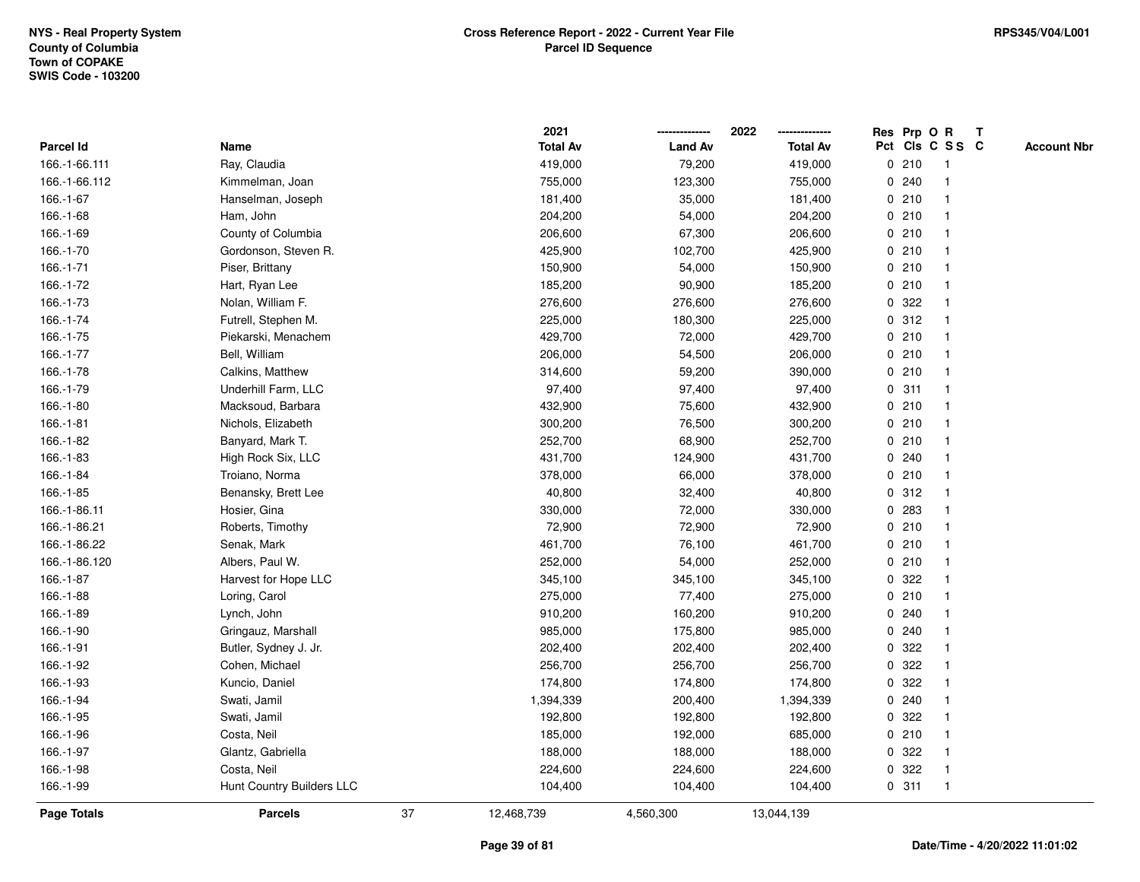|               |                           |    | 2021            |                | 2022            |             |       | Res Prp O R     | Т |                    |
|---------------|---------------------------|----|-----------------|----------------|-----------------|-------------|-------|-----------------|---|--------------------|
| Parcel Id     | Name                      |    | <b>Total Av</b> | <b>Land Av</b> | <b>Total Av</b> |             |       | Pct Cls C S S C |   | <b>Account Nbr</b> |
| 166.-1-66.111 | Ray, Claudia              |    | 419,000         | 79,200         | 419,000         | 0           | 210   | -1              |   |                    |
| 166.-1-66.112 | Kimmelman, Joan           |    | 755,000         | 123,300        | 755,000         | 0           | 240   |                 |   |                    |
| 166.-1-67     | Hanselman, Joseph         |    | 181,400         | 35,000         | 181,400         |             | 0210  | $\mathbf 1$     |   |                    |
| 166.-1-68     | Ham, John                 |    | 204,200         | 54,000         | 204,200         |             | 0210  |                 |   |                    |
| 166.-1-69     | County of Columbia        |    | 206,600         | 67,300         | 206,600         |             | 0210  |                 |   |                    |
| 166.-1-70     | Gordonson, Steven R.      |    | 425,900         | 102,700        | 425,900         |             | 0210  |                 |   |                    |
| 166.-1-71     | Piser, Brittany           |    | 150,900         | 54,000         | 150,900         |             | 0210  |                 |   |                    |
| 166.-1-72     | Hart, Ryan Lee            |    | 185,200         | 90,900         | 185,200         | 0           | 210   | $\mathbf{1}$    |   |                    |
| 166.-1-73     | Nolan, William F.         |    | 276,600         | 276,600        | 276,600         | 0           | 322   |                 |   |                    |
| 166.-1-74     | Futrell, Stephen M.       |    | 225,000         | 180,300        | 225,000         |             | 0.312 | $\mathbf 1$     |   |                    |
| 166.-1-75     | Piekarski, Menachem       |    | 429,700         | 72,000         | 429,700         |             | 0210  |                 |   |                    |
| 166.-1-77     | Bell, William             |    | 206,000         | 54,500         | 206,000         |             | 0210  |                 |   |                    |
| 166.-1-78     | Calkins, Matthew          |    | 314,600         | 59,200         | 390,000         |             | 0210  |                 |   |                    |
| 166.-1-79     | Underhill Farm, LLC       |    | 97,400          | 97,400         | 97,400          |             | 0.311 |                 |   |                    |
| 166.-1-80     | Macksoud, Barbara         |    | 432,900         | 75,600         | 432,900         | $\mathbf 0$ | 210   |                 |   |                    |
| 166.-1-81     | Nichols, Elizabeth        |    | 300,200         | 76,500         | 300,200         | 0           | 210   | $\mathbf{1}$    |   |                    |
| 166.-1-82     | Banyard, Mark T.          |    | 252,700         | 68,900         | 252,700         | $\mathbf 0$ | 210   |                 |   |                    |
| 166.-1-83     | High Rock Six, LLC        |    | 431,700         | 124,900        | 431,700         |             | 0.240 |                 |   |                    |
| 166.-1-84     | Troiano, Norma            |    | 378,000         | 66,000         | 378,000         |             | 0210  |                 |   |                    |
| 166.-1-85     | Benansky, Brett Lee       |    | 40,800          | 32,400         | 40,800          |             | 0.312 |                 |   |                    |
| 166.-1-86.11  | Hosier, Gina              |    | 330,000         | 72,000         | 330,000         |             | 0 283 |                 |   |                    |
| 166.-1-86.21  | Roberts, Timothy          |    | 72,900          | 72,900         | 72,900          | 0           | 210   |                 |   |                    |
| 166.-1-86.22  | Senak, Mark               |    | 461,700         | 76,100         | 461,700         | 0           | 210   | -1              |   |                    |
| 166.-1-86.120 | Albers, Paul W.           |    | 252,000         | 54,000         | 252,000         | $\mathbf 0$ | 210   | $\mathbf{1}$    |   |                    |
| 166.-1-87     | Harvest for Hope LLC      |    | 345,100         | 345,100        | 345,100         |             | 0 322 |                 |   |                    |
| 166.-1-88     | Loring, Carol             |    | 275,000         | 77,400         | 275,000         |             | 0210  |                 |   |                    |
| 166.-1-89     | Lynch, John               |    | 910,200         | 160,200        | 910,200         |             | 0.240 |                 |   |                    |
| 166.-1-90     | Gringauz, Marshall        |    | 985,000         | 175,800        | 985,000         | 0           | 240   |                 |   |                    |
| 166.-1-91     | Butler, Sydney J. Jr.     |    | 202,400         | 202,400        | 202,400         | 0           | 322   |                 |   |                    |
| 166.-1-92     | Cohen, Michael            |    | 256,700         | 256,700        | 256,700         | 0           | 322   |                 |   |                    |
| 166.-1-93     | Kuncio, Daniel            |    | 174,800         | 174,800        | 174,800         | 0           | 322   |                 |   |                    |
| 166.-1-94     | Swati, Jamil              |    | 1,394,339       | 200,400        | 1,394,339       |             | 0.240 |                 |   |                    |
| 166.-1-95     | Swati, Jamil              |    | 192,800         | 192,800        | 192,800         |             | 0.322 |                 |   |                    |
| 166.-1-96     | Costa, Neil               |    | 185,000         | 192,000        | 685,000         |             | 0210  |                 |   |                    |
| 166.-1-97     | Glantz, Gabriella         |    | 188,000         | 188,000        | 188,000         | 0           | 322   |                 |   |                    |
| 166.-1-98     | Costa, Neil               |    | 224,600         | 224,600        | 224,600         | 0           | 322   |                 |   |                    |
| 166.-1-99     | Hunt Country Builders LLC |    | 104,400         | 104,400        | 104,400         |             | 0.311 | $\mathbf{1}$    |   |                    |
| Page Totals   | <b>Parcels</b>            | 37 | 12,468,739      | 4,560,300      | 13,044,139      |             |       |                 |   |                    |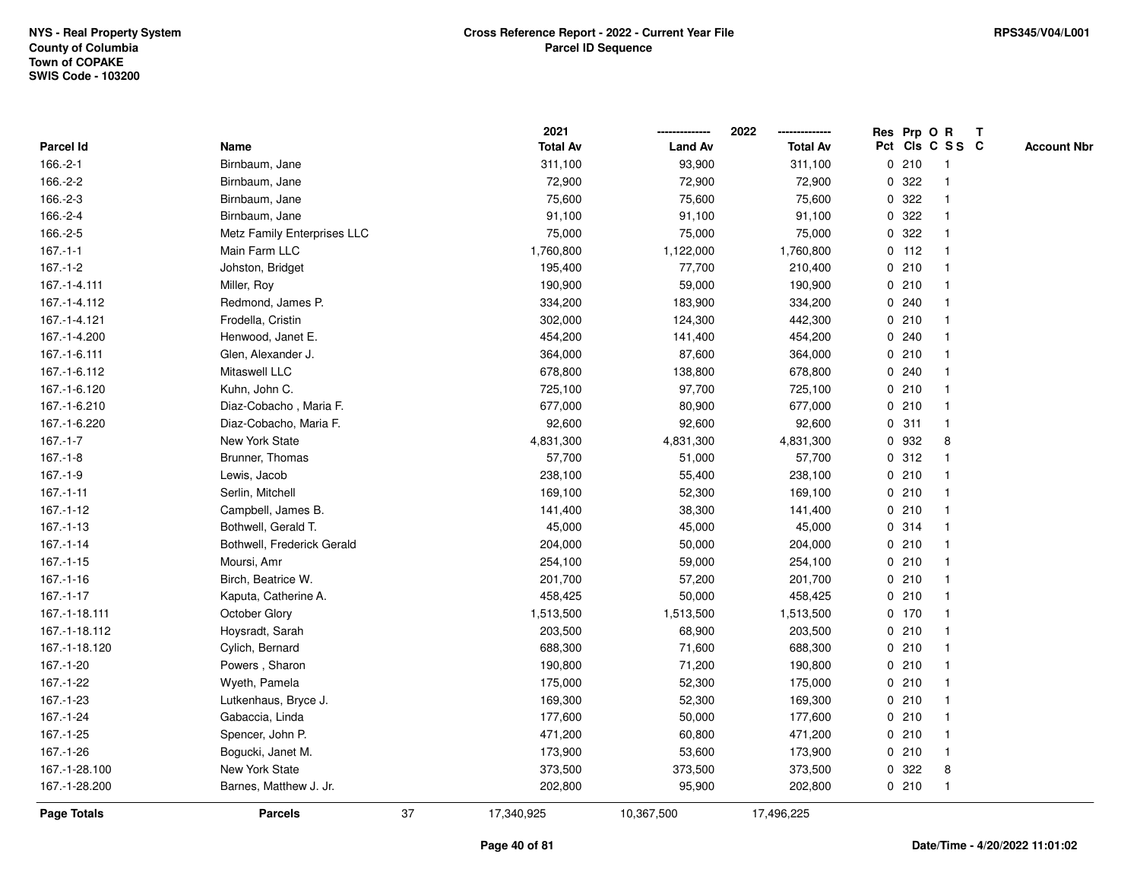|                    |                             |    | 2021            |                | 2022            |             |         | Res Prp O R     | T |                    |
|--------------------|-----------------------------|----|-----------------|----------------|-----------------|-------------|---------|-----------------|---|--------------------|
| Parcel Id          | Name                        |    | <b>Total Av</b> | <b>Land Av</b> | <b>Total Av</b> |             |         | Pct Cls C S S C |   | <b>Account Nbr</b> |
| 166.-2-1           | Birnbaum, Jane              |    | 311,100         | 93,900         | 311,100         |             | 0210    | -1              |   |                    |
| 166.-2-2           | Birnbaum, Jane              |    | 72,900          | 72,900         | 72,900          | 0           | 322     |                 |   |                    |
| 166.-2-3           | Birnbaum, Jane              |    | 75,600          | 75,600         | 75,600          |             | 0.322   |                 |   |                    |
| 166.-2-4           | Birnbaum, Jane              |    | 91,100          | 91,100         | 91,100          |             | 0.322   |                 |   |                    |
| 166.-2-5           | Metz Family Enterprises LLC |    | 75,000          | 75,000         | 75,000          |             | 0.322   |                 |   |                    |
| $167 - 1 - 1$      | Main Farm LLC               |    | 1,760,800       | 1,122,000      | 1,760,800       |             | $0$ 112 |                 |   |                    |
| $167 - 1 - 2$      | Johston, Bridget            |    | 195,400         | 77,700         | 210,400         |             | 0210    |                 |   |                    |
| 167.-1-4.111       | Miller, Roy                 |    | 190,900         | 59,000         | 190,900         |             | 0210    | $\overline{1}$  |   |                    |
| 167.-1-4.112       | Redmond, James P.           |    | 334,200         | 183,900        | 334,200         |             | 0.240   |                 |   |                    |
| 167.-1-4.121       | Frodella, Cristin           |    | 302,000         | 124,300        | 442,300         |             | 0210    | $\mathbf 1$     |   |                    |
| 167.-1-4.200       | Henwood, Janet E.           |    | 454,200         | 141,400        | 454,200         |             | 0.240   |                 |   |                    |
| 167.-1-6.111       | Glen, Alexander J.          |    | 364,000         | 87,600         | 364,000         |             | 0210    |                 |   |                    |
| 167.-1-6.112       | Mitaswell LLC               |    | 678,800         | 138,800        | 678,800         |             | 0.240   |                 |   |                    |
| 167.-1-6.120       | Kuhn, John C.               |    | 725,100         | 97,700         | 725,100         |             | 0210    |                 |   |                    |
| 167.-1-6.210       | Diaz-Cobacho, Maria F.      |    | 677,000         | 80,900         | 677,000         | $\mathbf 0$ | 210     | -1              |   |                    |
| 167.-1-6.220       | Diaz-Cobacho, Maria F.      |    | 92,600          | 92,600         | 92,600          | $\mathbf 0$ | 311     | $\mathbf{1}$    |   |                    |
| $167 - 1 - 7$      | New York State              |    | 4,831,300       | 4,831,300      | 4,831,300       | $\mathbf 0$ | 932     | 8               |   |                    |
| $167 - 1 - 8$      | Brunner, Thomas             |    | 57,700          | 51,000         | 57,700          |             | 0.312   |                 |   |                    |
| $167.-1-9$         | Lewis, Jacob                |    | 238,100         | 55,400         | 238,100         |             | 0210    |                 |   |                    |
| $167 - 1 - 11$     | Serlin, Mitchell            |    | 169,100         | 52,300         | 169,100         |             | 0210    |                 |   |                    |
| $167.-1-12$        | Campbell, James B.          |    | 141,400         | 38,300         | 141,400         |             | 0210    |                 |   |                    |
| 167.-1-13          | Bothwell, Gerald T.         |    | 45,000          | 45,000         | 45,000          |             | 0 314   |                 |   |                    |
| $167 - 1 - 14$     | Bothwell, Frederick Gerald  |    | 204,000         | 50,000         | 204,000         |             | 0210    | -1              |   |                    |
| $167.-1-15$        | Moursi, Amr                 |    | 254,100         | 59,000         | 254,100         |             | 0210    | -1              |   |                    |
| $167 - 1 - 16$     | Birch, Beatrice W.          |    | 201,700         | 57,200         | 201,700         |             | 0210    |                 |   |                    |
| 167.-1-17          | Kaputa, Catherine A.        |    | 458,425         | 50,000         | 458,425         |             | 0210    |                 |   |                    |
| 167.-1-18.111      | October Glory               |    | 1,513,500       | 1,513,500      | 1,513,500       |             | $0$ 170 |                 |   |                    |
| 167.-1-18.112      | Hoysradt, Sarah             |    | 203,500         | 68,900         | 203,500         |             | 0210    |                 |   |                    |
| 167.-1-18.120      | Cylich, Bernard             |    | 688,300         | 71,600         | 688,300         |             | 0210    |                 |   |                    |
| 167.-1-20          | Powers, Sharon              |    | 190,800         | 71,200         | 190,800         | 0           | 210     | 1               |   |                    |
| 167.-1-22          | Wyeth, Pamela               |    | 175,000         | 52,300         | 175,000         |             | 0210    | -1              |   |                    |
| 167.-1-23          | Lutkenhaus, Bryce J.        |    | 169,300         | 52,300         | 169,300         |             | 0210    | $\mathbf 1$     |   |                    |
| 167.-1-24          | Gabaccia, Linda             |    | 177,600         | 50,000         | 177,600         |             | 0210    |                 |   |                    |
| 167.-1-25          | Spencer, John P.            |    | 471,200         | 60,800         | 471,200         |             | 0210    |                 |   |                    |
| 167.-1-26          | Bogucki, Janet M.           |    | 173,900         | 53,600         | 173,900         |             | 0210    | 1               |   |                    |
| 167.-1-28.100      | New York State              |    | 373,500         | 373,500        | 373,500         | 0           | 322     | 8               |   |                    |
| 167.-1-28.200      | Barnes, Matthew J. Jr.      |    | 202,800         | 95,900         | 202,800         |             | 0210    | $\overline{1}$  |   |                    |
| <b>Page Totals</b> | <b>Parcels</b>              | 37 | 17,340,925      | 10,367,500     | 17,496,225      |             |         |                 |   |                    |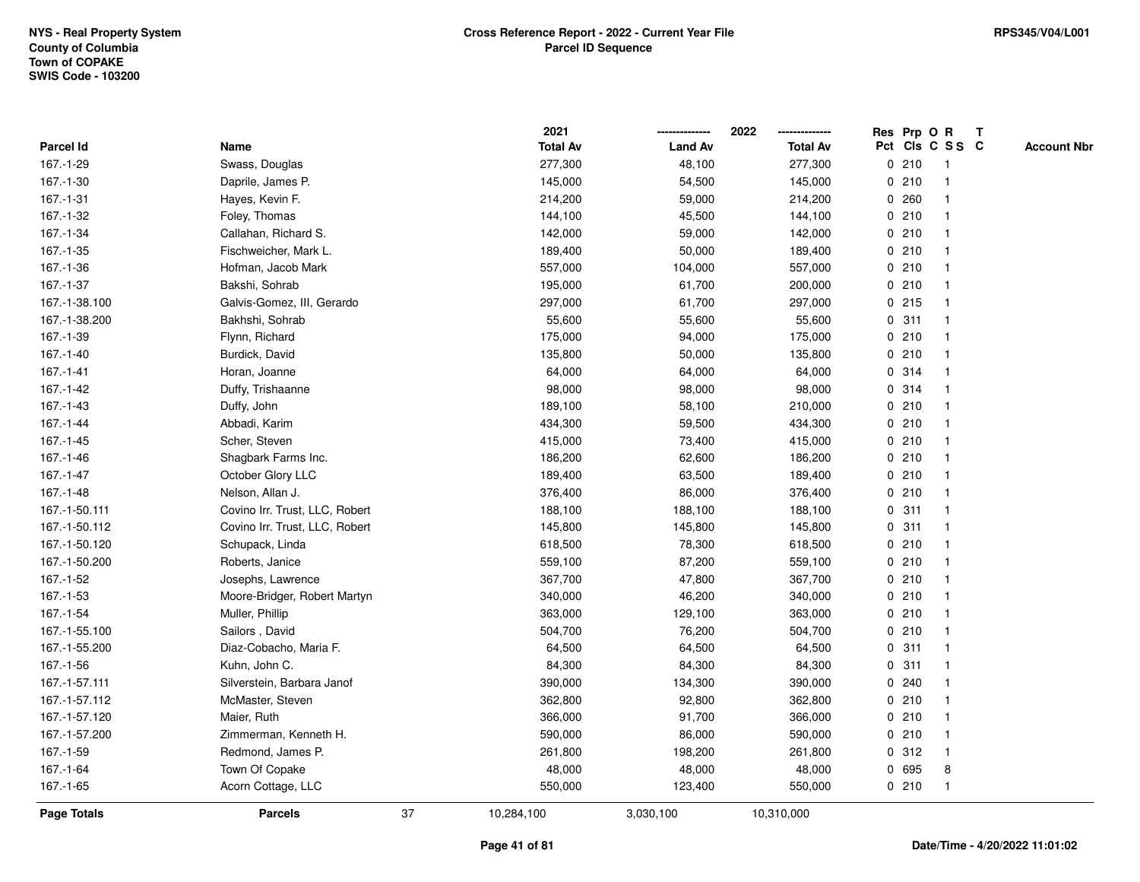|                    |                                |    | 2021            |                | 2022            |   |         | Res Prp O R     | $\mathbf{T}$ |                    |
|--------------------|--------------------------------|----|-----------------|----------------|-----------------|---|---------|-----------------|--------------|--------------------|
| Parcel Id          | Name                           |    | <b>Total Av</b> | <b>Land Av</b> | <b>Total Av</b> |   |         | Pct Cls C S S C |              | <b>Account Nbr</b> |
| 167.-1-29          | Swass, Douglas                 |    | 277,300         | 48,100         | 277,300         |   | 0210    | -1              |              |                    |
| 167.-1-30          | Daprile, James P.              |    | 145,000         | 54,500         | 145,000         |   | 0210    |                 |              |                    |
| $167 - 1 - 31$     | Hayes, Kevin F.                |    | 214,200         | 59,000         | 214,200         |   | 0260    | -1              |              |                    |
| 167.-1-32          | Foley, Thomas                  |    | 144,100         | 45,500         | 144,100         |   | 0210    | $\mathbf{1}$    |              |                    |
| 167.-1-34          | Callahan, Richard S.           |    | 142,000         | 59,000         | 142,000         |   | 0210    | -1              |              |                    |
| 167.-1-35          | Fischweicher, Mark L.          |    | 189,400         | 50,000         | 189,400         |   | 0210    | -1              |              |                    |
| 167.-1-36          | Hofman, Jacob Mark             |    | 557,000         | 104,000        | 557,000         |   | 0210    |                 |              |                    |
| 167.-1-37          | Bakshi, Sohrab                 |    | 195,000         | 61,700         | 200,000         |   | 0210    |                 |              |                    |
| 167.-1-38.100      | Galvis-Gomez, III, Gerardo     |    | 297,000         | 61,700         | 297,000         |   | $0$ 215 | -1              |              |                    |
| 167.-1-38.200      | Bakhshi, Sohrab                |    | 55,600          | 55,600         | 55,600          |   | 0.311   |                 |              |                    |
| 167.-1-39          | Flynn, Richard                 |    | 175,000         | 94,000         | 175,000         |   | 0210    | $\mathbf{1}$    |              |                    |
| $167 - 1 - 40$     | Burdick, David                 |    | 135,800         | 50,000         | 135,800         |   | 0210    | $\mathbf 1$     |              |                    |
| $167 - 1 - 41$     | Horan, Joanne                  |    | 64,000          | 64,000         | 64,000          |   | 0.314   | -1              |              |                    |
| 167.-1-42          | Duffy, Trishaanne              |    | 98,000          | 98,000         | 98,000          |   | 0.314   |                 |              |                    |
| 167.-1-43          | Duffy, John                    |    | 189,100         | 58,100         | 210,000         |   | 0210    |                 |              |                    |
| 167.-1-44          | Abbadi, Karim                  |    | 434,300         | 59,500         | 434,300         |   | 0210    |                 |              |                    |
| 167.-1-45          | Scher, Steven                  |    | 415,000         | 73,400         | 415,000         |   | 0210    | $\overline{1}$  |              |                    |
| 167.-1-46          | Shagbark Farms Inc.            |    | 186,200         | 62,600         | 186,200         |   | 0210    | -1              |              |                    |
| $167 - 1 - 47$     | October Glory LLC              |    | 189,400         | 63,500         | 189,400         |   | 0210    | $\mathbf 1$     |              |                    |
| $167.-1-48$        | Nelson, Allan J.               |    | 376,400         | 86,000         | 376,400         |   | 0210    |                 |              |                    |
| 167.-1-50.111      | Covino Irr. Trust, LLC, Robert |    | 188,100         | 188,100        | 188,100         |   | 0.311   |                 |              |                    |
| 167.-1-50.112      | Covino Irr. Trust, LLC, Robert |    | 145,800         | 145,800        | 145,800         |   | 0.311   |                 |              |                    |
| 167.-1-50.120      | Schupack, Linda                |    | 618,500         | 78,300         | 618,500         |   | 0210    | -1              |              |                    |
| 167.-1-50.200      | Roberts, Janice                |    | 559,100         | 87,200         | 559,100         |   | 0210    | $\mathbf{1}$    |              |                    |
| 167.-1-52          | Josephs, Lawrence              |    | 367,700         | 47,800         | 367,700         |   | 0210    | -1              |              |                    |
| 167.-1-53          | Moore-Bridger, Robert Martyn   |    | 340,000         | 46,200         | 340,000         |   | 0210    | -1              |              |                    |
| 167.-1-54          | Muller, Phillip                |    | 363,000         | 129,100        | 363,000         |   | 0210    |                 |              |                    |
| 167.-1-55.100      | Sailors, David                 |    | 504,700         | 76,200         | 504,700         |   | 0210    |                 |              |                    |
| 167.-1-55.200      | Diaz-Cobacho, Maria F.         |    | 64,500          | 64,500         | 64,500          |   | 0.311   | -1              |              |                    |
| 167.-1-56          | Kuhn, John C.                  |    | 84,300          | 84,300         | 84,300          | 0 | 311     |                 |              |                    |
| 167.-1-57.111      | Silverstein, Barbara Janof     |    | 390,000         | 134,300        | 390,000         |   | 0.240   | -1              |              |                    |
| 167.-1-57.112      | McMaster, Steven               |    | 362,800         | 92,800         | 362,800         |   | 0210    | -1              |              |                    |
| 167.-1-57.120      | Maier, Ruth                    |    | 366,000         | 91,700         | 366,000         |   | 0210    | -1              |              |                    |
| 167.-1-57.200      | Zimmerman, Kenneth H.          |    | 590,000         | 86,000         | 590,000         |   | 0210    |                 |              |                    |
| 167.-1-59          | Redmond, James P.              |    | 261,800         | 198,200        | 261,800         |   | 0.312   | $\mathbf 1$     |              |                    |
| 167.-1-64          | Town Of Copake                 |    | 48,000          | 48,000         | 48,000          |   | 0 695   | 8               |              |                    |
| 167.-1-65          | Acorn Cottage, LLC             |    | 550,000         | 123,400        | 550,000         |   | 0210    | $\mathbf{1}$    |              |                    |
| <b>Page Totals</b> | <b>Parcels</b>                 | 37 | 10,284,100      | 3,030,100      | 10,310,000      |   |         |                 |              |                    |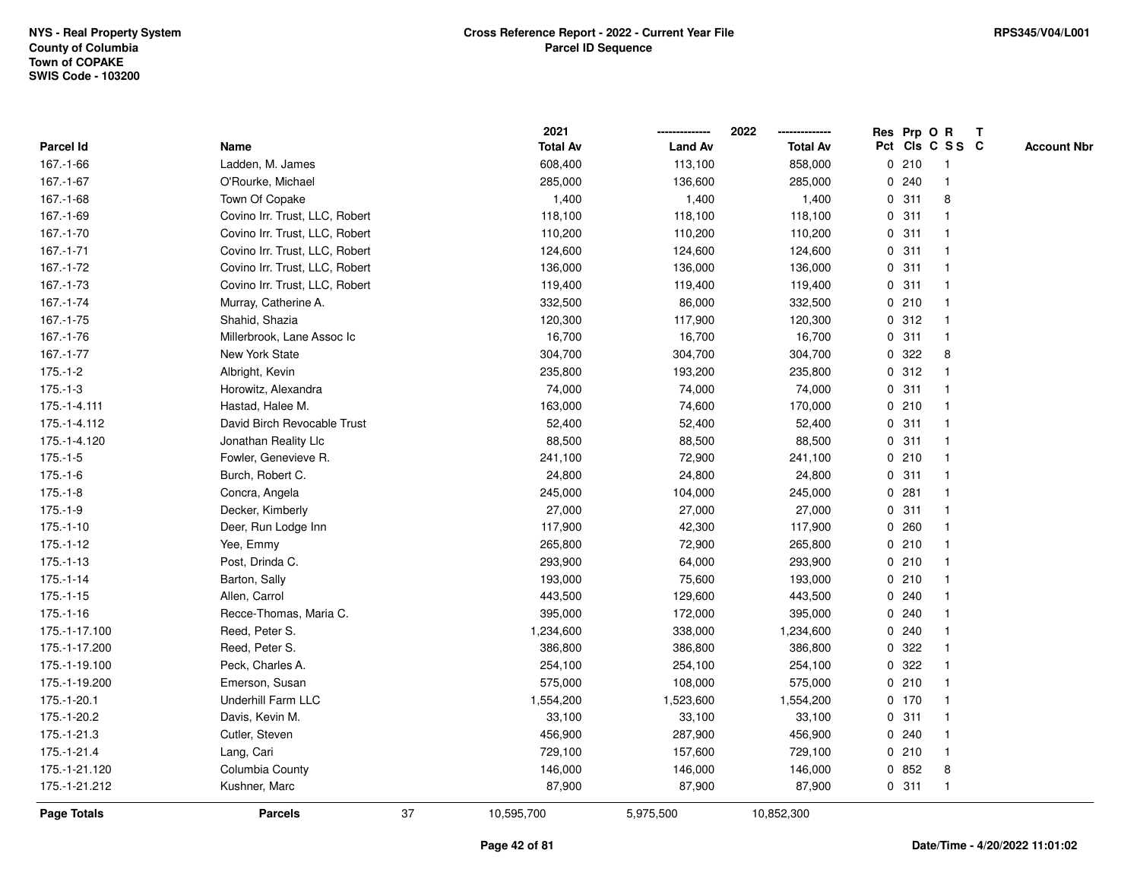|                    |                                |    | 2021            |                | 2022            |             |         | Res Prp O R     | Т |                    |
|--------------------|--------------------------------|----|-----------------|----------------|-----------------|-------------|---------|-----------------|---|--------------------|
| Parcel Id          | Name                           |    | <b>Total Av</b> | <b>Land Av</b> | <b>Total Av</b> |             |         | Pct Cls C S S C |   | <b>Account Nbr</b> |
| 167.-1-66          | Ladden, M. James               |    | 608,400         | 113,100        | 858,000         |             | 0210    | $\mathbf{1}$    |   |                    |
| $167 - 1 - 67$     | O'Rourke, Michael              |    | 285,000         | 136,600        | 285,000         |             | 0.240   | $\mathbf 1$     |   |                    |
| 167.-1-68          | Town Of Copake                 |    | 1,400           | 1,400          | 1,400           |             | 0.311   | 8               |   |                    |
| 167.-1-69          | Covino Irr. Trust, LLC, Robert |    | 118,100         | 118,100        | 118,100         |             | 0.311   |                 |   |                    |
| 167.-1-70          | Covino Irr. Trust, LLC, Robert |    | 110,200         | 110,200        | 110,200         |             | 0.311   |                 |   |                    |
| $167.-1-71$        | Covino Irr. Trust, LLC, Robert |    | 124,600         | 124,600        | 124,600         |             | 0.311   |                 |   |                    |
| 167.-1-72          | Covino Irr. Trust, LLC, Robert |    | 136,000         | 136,000        | 136,000         |             | 0.311   | -1              |   |                    |
| 167.-1-73          | Covino Irr. Trust, LLC, Robert |    | 119,400         | 119,400        | 119,400         |             | 0.311   | $\overline{1}$  |   |                    |
| 167.-1-74          | Murray, Catherine A.           |    | 332,500         | 86,000         | 332,500         |             | 0210    | -1              |   |                    |
| 167.-1-75          | Shahid, Shazia                 |    | 120,300         | 117,900        | 120,300         |             | 0.312   | $\mathbf 1$     |   |                    |
| 167.-1-76          | Millerbrook, Lane Assoc Ic     |    | 16,700          | 16,700         | 16,700          |             | 0.311   | -1              |   |                    |
| $167 - 1 - 77$     | New York State                 |    | 304,700         | 304,700        | 304,700         |             | 0.322   | 8               |   |                    |
| $175.-1-2$         | Albright, Kevin                |    | 235,800         | 193,200        | 235,800         |             | 0.312   |                 |   |                    |
| $175.-1-3$         | Horowitz, Alexandra            |    | 74,000          | 74,000         | 74,000          |             | 0.311   | -1              |   |                    |
| 175.-1-4.111       | Hastad, Halee M.               |    | 163,000         | 74,600         | 170,000         |             | 0210    | $\overline{1}$  |   |                    |
| 175.-1-4.112       | David Birch Revocable Trust    |    | 52,400          | 52,400         | 52,400          |             | 0.311   | $\mathbf{1}$    |   |                    |
| 175.-1-4.120       | Jonathan Reality Llc           |    | 88,500          | 88,500         | 88,500          |             | 0.311   | -1              |   |                    |
| $175.-1-5$         | Fowler, Genevieve R.           |    | 241,100         | 72,900         | 241,100         |             | 0210    | -1              |   |                    |
| $175.-1-6$         | Burch, Robert C.               |    | 24,800          | 24,800         | 24,800          |             | 0.311   |                 |   |                    |
| $175.-1-8$         | Concra, Angela                 |    | 245,000         | 104,000        | 245,000         |             | 0.281   |                 |   |                    |
| $175.-1-9$         | Decker, Kimberly               |    | 27,000          | 27,000         | 27,000          |             | 0.311   | $\overline{1}$  |   |                    |
| $175.-1-10$        | Deer, Run Lodge Inn            |    | 117,900         | 42,300         | 117,900         |             | 0.260   |                 |   |                    |
| $175.-1-12$        | Yee, Emmy                      |    | 265,800         | 72,900         | 265,800         |             | 0210    | $\mathbf{1}$    |   |                    |
| $175.-1-13$        | Post, Drinda C.                |    | 293,900         | 64,000         | 293,900         |             | 0210    | -1              |   |                    |
| $175.-1-14$        | Barton, Sally                  |    | 193,000         | 75,600         | 193,000         |             | 0210    | -1              |   |                    |
| $175.-1-15$        | Allen, Carrol                  |    | 443,500         | 129,600        | 443,500         |             | 0.240   |                 |   |                    |
| 175.-1-16          | Recce-Thomas, Maria C.         |    | 395,000         | 172,000        | 395,000         |             | 0.240   |                 |   |                    |
| 175.-1-17.100      | Reed, Peter S.                 |    | 1,234,600       | 338,000        | 1,234,600       |             | 0.240   | -1              |   |                    |
| 175.-1-17.200      | Reed, Peter S.                 |    | 386,800         | 386,800        | 386,800         |             | 0.322   |                 |   |                    |
| 175.-1-19.100      | Peck, Charles A.               |    | 254,100         | 254,100        | 254,100         | $\mathbf 0$ | 322     | -1              |   |                    |
| 175.-1-19.200      | Emerson, Susan                 |    | 575,000         | 108,000        | 575,000         |             | 0210    | $\mathbf 1$     |   |                    |
| 175.-1-20.1        | <b>Underhill Farm LLC</b>      |    | 1,554,200       | 1,523,600      | 1,554,200       |             | $0$ 170 | -1              |   |                    |
| 175.-1-20.2        | Davis, Kevin M.                |    | 33,100          | 33,100         | 33,100          |             | 0.311   |                 |   |                    |
| 175.-1-21.3        | Cutler, Steven                 |    | 456,900         | 287,900        | 456,900         |             | 0.240   |                 |   |                    |
| 175.-1-21.4        | Lang, Cari                     |    | 729,100         | 157,600        | 729,100         |             | 0210    | $\mathbf 1$     |   |                    |
| 175.-1-21.120      | Columbia County                |    | 146,000         | 146,000        | 146,000         |             | 0852    | 8               |   |                    |
| 175.-1-21.212      | Kushner, Marc                  |    | 87,900          | 87,900         | 87,900          |             | 0.311   | $\mathbf{1}$    |   |                    |
| <b>Page Totals</b> | <b>Parcels</b>                 | 37 | 10,595,700      | 5,975,500      | 10,852,300      |             |         |                 |   |                    |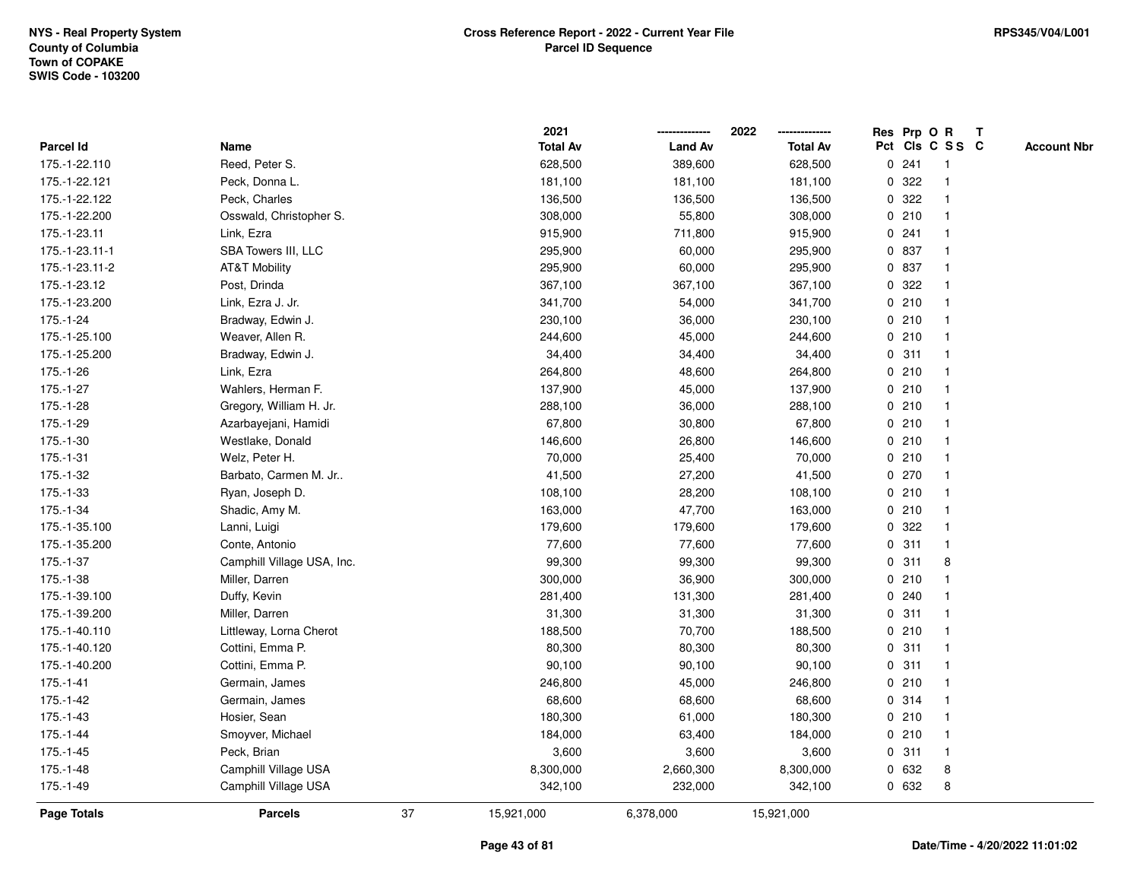|                |                            |    | 2021            |                | 2022            |             |       | Res Prp O R     | T |                    |
|----------------|----------------------------|----|-----------------|----------------|-----------------|-------------|-------|-----------------|---|--------------------|
| Parcel Id      | Name                       |    | <b>Total Av</b> | <b>Land Av</b> | <b>Total Av</b> |             |       | Pct Cls C S S C |   | <b>Account Nbr</b> |
| 175.-1-22.110  | Reed, Peter S.             |    | 628,500         | 389,600        | 628,500         |             | 0.241 | -1              |   |                    |
| 175.-1-22.121  | Peck, Donna L.             |    | 181,100         | 181,100        | 181,100         | 0           | 322   | -1              |   |                    |
| 175.-1-22.122  | Peck, Charles              |    | 136,500         | 136,500        | 136,500         |             | 0.322 | $\mathbf 1$     |   |                    |
| 175.-1-22.200  | Osswald, Christopher S.    |    | 308,000         | 55,800         | 308,000         |             | 0210  |                 |   |                    |
| 175.-1-23.11   | Link, Ezra                 |    | 915,900         | 711,800        | 915,900         |             | 0.241 |                 |   |                    |
| 175.-1-23.11-1 | SBA Towers III, LLC        |    | 295,900         | 60,000         | 295,900         |             | 0 837 |                 |   |                    |
| 175.-1-23.11-2 | <b>AT&amp;T Mobility</b>   |    | 295,900         | 60,000         | 295,900         |             | 0 837 |                 |   |                    |
| 175.-1-23.12   | Post, Drinda               |    | 367,100         | 367,100        | 367,100         | $\mathbf 0$ | 322   |                 |   |                    |
| 175.-1-23.200  | Link, Ezra J. Jr.          |    | 341,700         | 54,000         | 341,700         |             | 0210  | -1              |   |                    |
| 175.-1-24      | Bradway, Edwin J.          |    | 230,100         | 36,000         | 230,100         |             | 0210  | $\mathbf 1$     |   |                    |
| 175.-1-25.100  | Weaver, Allen R.           |    | 244,600         | 45,000         | 244,600         |             | 0210  |                 |   |                    |
| 175.-1-25.200  | Bradway, Edwin J.          |    | 34,400          | 34,400         | 34,400          |             | 0.311 |                 |   |                    |
| 175.-1-26      | Link, Ezra                 |    | 264,800         | 48,600         | 264,800         |             | 0210  |                 |   |                    |
| 175.-1-27      | Wahlers, Herman F.         |    | 137,900         | 45,000         | 137,900         |             | 0210  |                 |   |                    |
| 175.-1-28      | Gregory, William H. Jr.    |    | 288,100         | 36,000         | 288,100         |             | 0210  |                 |   |                    |
| 175.-1-29      | Azarbayejani, Hamidi       |    | 67,800          | 30,800         | 67,800          |             | 0210  | $\mathbf{1}$    |   |                    |
| $175.-1-30$    | Westlake, Donald           |    | 146,600         | 26,800         | 146,600         |             | 0210  | $\mathbf{1}$    |   |                    |
| 175.-1-31      | Welz, Peter H.             |    | 70,000          | 25,400         | 70,000          |             | 0210  |                 |   |                    |
| 175.-1-32      | Barbato, Carmen M. Jr      |    | 41,500          | 27,200         | 41,500          |             | 0270  |                 |   |                    |
| 175.-1-33      | Ryan, Joseph D.            |    | 108,100         | 28,200         | 108,100         |             | 0210  |                 |   |                    |
| 175.-1-34      | Shadic, Amy M.             |    | 163,000         | 47,700         | 163,000         |             | 0210  |                 |   |                    |
| 175.-1-35.100  | Lanni, Luigi               |    | 179,600         | 179,600        | 179,600         | 0           | 322   |                 |   |                    |
| 175.-1-35.200  | Conte, Antonio             |    | 77,600          | 77,600         | 77,600          | $\mathbf 0$ | 311   | $\mathbf{1}$    |   |                    |
| 175.-1-37      | Camphill Village USA, Inc. |    | 99,300          | 99,300         | 99,300          | $\mathbf 0$ | 311   | 8               |   |                    |
| 175.-1-38      | Miller, Darren             |    | 300,000         | 36,900         | 300,000         |             | 0210  |                 |   |                    |
| 175.-1-39.100  | Duffy, Kevin               |    | 281,400         | 131,300        | 281,400         |             | 0.240 |                 |   |                    |
| 175.-1-39.200  | Miller, Darren             |    | 31,300          | 31,300         | 31,300          |             | 0.311 |                 |   |                    |
| 175.-1-40.110  | Littleway, Lorna Cherot    |    | 188,500         | 70,700         | 188,500         |             | 0210  |                 |   |                    |
| 175.-1-40.120  | Cottini, Emma P.           |    | 80,300          | 80,300         | 80,300          | $\mathbf 0$ | 311   |                 |   |                    |
| 175.-1-40.200  | Cottini, Emma P.           |    | 90,100          | 90,100         | 90,100          | 0           | 311   | 1               |   |                    |
| 175.-1-41      | Germain, James             |    | 246,800         | 45,000         | 246,800         |             | 0210  | -1              |   |                    |
| 175.-1-42      | Germain, James             |    | 68,600          | 68,600         | 68,600          |             | 0.314 | -1              |   |                    |
| 175.-1-43      | Hosier, Sean               |    | 180,300         | 61,000         | 180,300         |             | 0210  |                 |   |                    |
| 175.-1-44      | Smoyver, Michael           |    | 184,000         | 63,400         | 184,000         |             | 0210  |                 |   |                    |
| $175.-1-45$    | Peck, Brian                |    | 3,600           | 3,600          | 3,600           |             | 0.311 | -1              |   |                    |
| 175.-1-48      | Camphill Village USA       |    | 8,300,000       | 2,660,300      | 8,300,000       |             | 0 632 | 8               |   |                    |
| 175.-1-49      | Camphill Village USA       |    | 342,100         | 232,000        | 342,100         |             | 0 632 | 8               |   |                    |
| Page Totals    | <b>Parcels</b>             | 37 | 15,921,000      | 6,378,000      | 15,921,000      |             |       |                 |   |                    |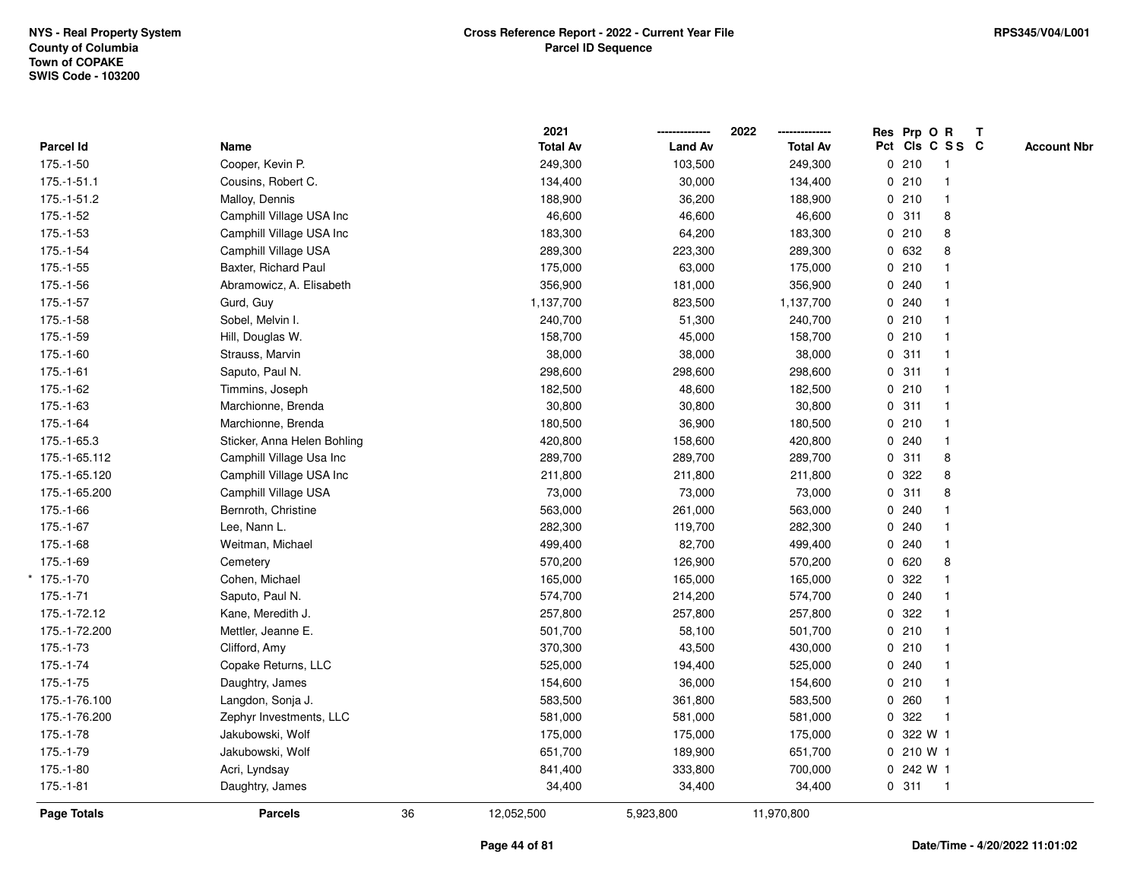|               |                             |    | 2021            |                | 2022<br>-------------- | Res Prp O R |                 | $\mathbf{T}$ |                    |
|---------------|-----------------------------|----|-----------------|----------------|------------------------|-------------|-----------------|--------------|--------------------|
| Parcel Id     | Name                        |    | <b>Total Av</b> | <b>Land Av</b> | <b>Total Av</b>        |             | Pct Cls C S S C |              | <b>Account Nbr</b> |
| $175.-1-50$   | Cooper, Kevin P.            |    | 249,300         | 103,500        | 249,300                | 0210        | -1              |              |                    |
| $175.-1-51.1$ | Cousins, Robert C.          |    | 134,400         | 30,000         | 134,400                | 0210        |                 |              |                    |
| 175.-1-51.2   | Malloy, Dennis              |    | 188,900         | 36,200         | 188,900                | 0210        | $\mathbf{1}$    |              |                    |
| $175.-1-52$   | Camphill Village USA Inc    |    | 46,600          | 46,600         | 46,600                 | 0.311       | 8               |              |                    |
| $175.-1-53$   | Camphill Village USA Inc    |    | 183,300         | 64,200         | 183,300                | 0210        | 8               |              |                    |
| 175.-1-54     | Camphill Village USA        |    | 289,300         | 223,300        | 289,300                | 0 632       | 8               |              |                    |
| $175.-1-55$   | Baxter, Richard Paul        |    | 175,000         | 63,000         | 175,000                | 0210        |                 |              |                    |
| 175.-1-56     | Abramowicz, A. Elisabeth    |    | 356,900         | 181,000        | 356,900                | 0.240       |                 |              |                    |
| $175.-1-57$   | Gurd, Guy                   |    | 1,137,700       | 823,500        | 1,137,700              | 0.240       |                 |              |                    |
| $175.-1-58$   | Sobel, Melvin I.            |    | 240,700         | 51,300         | 240,700                | 0210        |                 |              |                    |
| 175.-1-59     | Hill, Douglas W.            |    | 158,700         | 45,000         | 158,700                | 0210        | $\mathbf{1}$    |              |                    |
| $175.-1-60$   | Strauss, Marvin             |    | 38,000          | 38,000         | 38,000                 | 0.311       | $\mathbf{1}$    |              |                    |
| $175.-1-61$   | Saputo, Paul N.             |    | 298,600         | 298,600        | 298,600                | 0.311       | $\mathbf 1$     |              |                    |
| 175.-1-62     | Timmins, Joseph             |    | 182,500         | 48,600         | 182,500                | 0210        |                 |              |                    |
| $175.-1-63$   | Marchionne, Brenda          |    | 30,800          | 30,800         | 30,800                 | 0.311       |                 |              |                    |
| 175.-1-64     | Marchionne, Brenda          |    | 180,500         | 36,900         | 180,500                | 0210        | $\mathbf{1}$    |              |                    |
| 175.-1-65.3   | Sticker, Anna Helen Bohling |    | 420,800         | 158,600        | 420,800                | 0.240       | $\mathbf{1}$    |              |                    |
| 175.-1-65.112 | Camphill Village Usa Inc    |    | 289,700         | 289,700        | 289,700                | 0.311       | 8               |              |                    |
| 175.-1-65.120 | Camphill Village USA Inc    |    | 211,800         | 211,800        | 211,800                | 0.322       | 8               |              |                    |
| 175.-1-65.200 | Camphill Village USA        |    | 73,000          | 73,000         | 73,000                 | 0.311       | 8               |              |                    |
| 175.-1-66     | Bernroth, Christine         |    | 563,000         | 261,000        | 563,000                | 0.240       |                 |              |                    |
| 175.-1-67     | Lee, Nann L.                |    | 282,300         | 119,700        | 282,300                | 0.240       |                 |              |                    |
| 175.-1-68     | Weitman, Michael            |    | 499,400         | 82,700         | 499,400                | 0.240       | $\overline{1}$  |              |                    |
| 175.-1-69     | Cemetery                    |    | 570,200         | 126,900        | 570,200                | 0 620       | 8               |              |                    |
| $*$ 175.-1-70 | Cohen, Michael              |    | 165,000         | 165,000        | 165,000                | 0.322       |                 |              |                    |
| $175.-1-71$   | Saputo, Paul N.             |    | 574,700         | 214,200        | 574,700                | 0.240       |                 |              |                    |
| 175.-1-72.12  | Kane, Meredith J.           |    | 257,800         | 257,800        | 257,800                | 0 322       |                 |              |                    |
| 175.-1-72.200 | Mettler, Jeanne E.          |    | 501,700         | 58,100         | 501,700                | 0210        |                 |              |                    |
| 175.-1-73     | Clifford, Amy               |    | 370,300         | 43,500         | 430,000                | 0210        | $\mathbf{1}$    |              |                    |
| 175.-1-74     | Copake Returns, LLC         |    | 525,000         | 194,400        | 525,000                | 0.240       |                 |              |                    |
| 175.-1-75     | Daughtry, James             |    | 154,600         | 36,000         | 154,600                | 0210        | $\overline{1}$  |              |                    |
| 175.-1-76.100 | Langdon, Sonja J.           |    | 583,500         | 361,800        | 583,500                | 0.260       | $\mathbf{1}$    |              |                    |
| 175.-1-76.200 | Zephyr Investments, LLC     |    | 581,000         | 581,000        | 581,000                | 0.322       | $\overline{1}$  |              |                    |
| 175.-1-78     | Jakubowski, Wolf            |    | 175,000         | 175,000        | 175,000                | 0 322 W 1   |                 |              |                    |
| 175.-1-79     | Jakubowski, Wolf            |    | 651,700         | 189,900        | 651,700                | 0 210 W 1   |                 |              |                    |
| 175.-1-80     | Acri, Lyndsay               |    | 841,400         | 333,800        | 700,000                | 0 242 W 1   |                 |              |                    |
| $175.-1-81$   | Daughtry, James             |    | 34,400          | 34,400         | 34,400                 | 0.311       | $\overline{1}$  |              |                    |
| Page Totals   | <b>Parcels</b>              | 36 | 12,052,500      | 5,923,800      | 11,970,800             |             |                 |              |                    |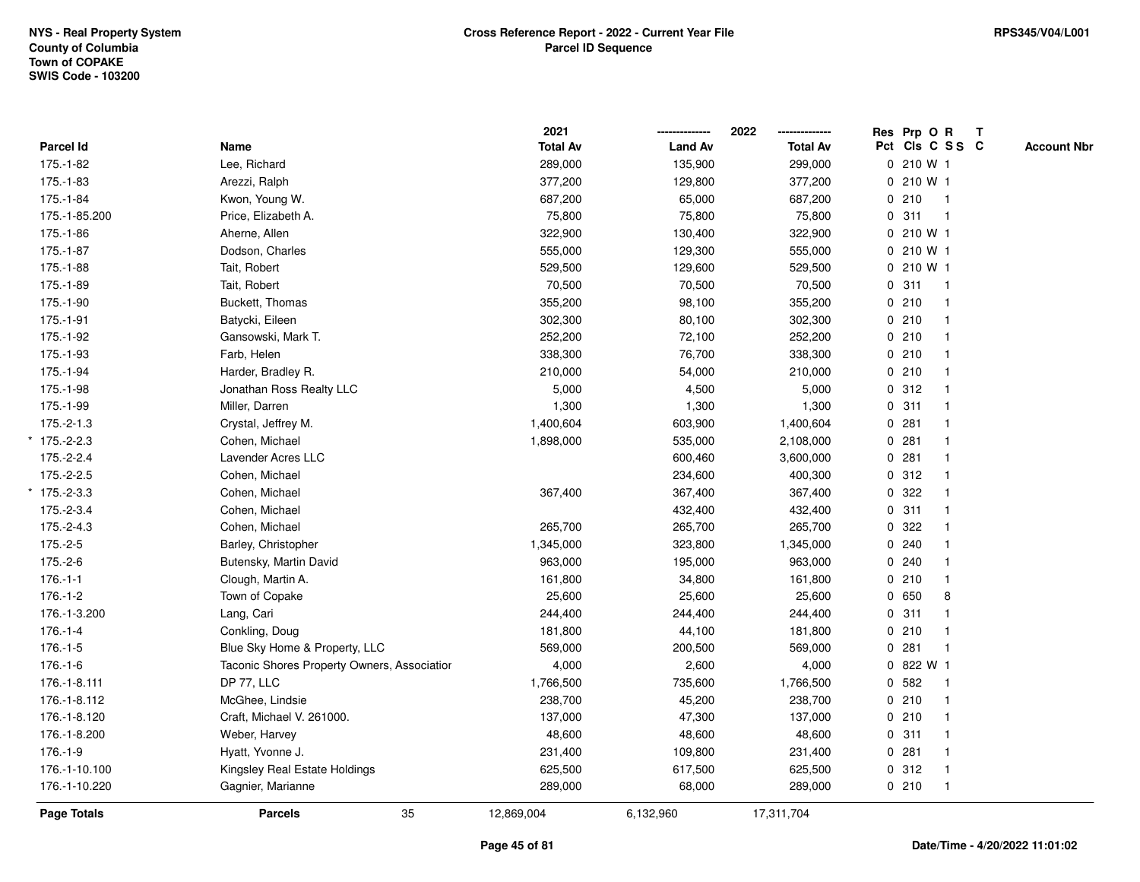|                |                                             | 2021            |                | 2022            |       | Res Prp O R     | T |                    |
|----------------|---------------------------------------------|-----------------|----------------|-----------------|-------|-----------------|---|--------------------|
| Parcel Id      | Name                                        | <b>Total Av</b> | <b>Land Av</b> | <b>Total Av</b> |       | Pct Cls C S S C |   | <b>Account Nbr</b> |
| 175.-1-82      | Lee, Richard                                | 289,000         | 135,900        | 299,000         |       | 0 210 W 1       |   |                    |
| 175.-1-83      | Arezzi, Ralph                               | 377,200         | 129,800        | 377,200         |       | 0 210 W 1       |   |                    |
| 175.-1-84      | Kwon, Young W.                              | 687,200         | 65,000         | 687,200         | 0210  | $\overline{1}$  |   |                    |
| 175.-1-85.200  | Price, Elizabeth A.                         | 75,800          | 75,800         | 75,800          | 0.311 |                 |   |                    |
| 175.-1-86      | Aherne, Allen                               | 322,900         | 130,400        | 322,900         |       | 0210W1          |   |                    |
| 175.-1-87      | Dodson, Charles                             | 555,000         | 129,300        | 555,000         |       | 0 210 W 1       |   |                    |
| 175.-1-88      | Tait, Robert                                | 529,500         | 129,600        | 529,500         |       | 0 210 W 1       |   |                    |
| 175.-1-89      | Tait, Robert                                | 70,500          | 70,500         | 70,500          | 0.311 | $\overline{1}$  |   |                    |
| 175.-1-90      | Buckett, Thomas                             | 355,200         | 98,100         | 355,200         | 0210  |                 |   |                    |
| 175.-1-91      | Batycki, Eileen                             | 302,300         | 80,100         | 302,300         | 0210  | $\mathbf{1}$    |   |                    |
| 175.-1-92      | Gansowski, Mark T.                          | 252,200         | 72,100         | 252,200         | 0210  |                 |   |                    |
| 175.-1-93      | Farb, Helen                                 | 338,300         | 76,700         | 338,300         | 0210  |                 |   |                    |
| 175.-1-94      | Harder, Bradley R.                          | 210,000         | 54,000         | 210,000         | 0210  |                 |   |                    |
| 175.-1-98      | Jonathan Ross Realty LLC                    | 5,000           | 4,500          | 5,000           | 0.312 |                 |   |                    |
| 175.-1-99      | Miller, Darren                              | 1,300           | 1,300          | 1,300           | 0.311 |                 |   |                    |
| $175.-2-1.3$   | Crystal, Jeffrey M.                         | 1,400,604       | 603,900        | 1,400,604       | 0.281 | $\mathbf{1}$    |   |                    |
| $*$ 175.-2-2.3 | Cohen, Michael                              | 1,898,000       | 535,000        | 2,108,000       | 0.281 |                 |   |                    |
| 175.-2-2.4     | Lavender Acres LLC                          |                 | 600,460        | 3,600,000       | 0.281 |                 |   |                    |
| 175.-2-2.5     | Cohen, Michael                              |                 | 234,600        | 400,300         | 0.312 |                 |   |                    |
| $175.-2-3.3$   | Cohen, Michael                              | 367,400         | 367,400        | 367,400         | 0.322 |                 |   |                    |
| 175.-2-3.4     | Cohen, Michael                              |                 | 432,400        | 432,400         | 0.311 |                 |   |                    |
| 175.-2-4.3     | Cohen, Michael                              | 265,700         | 265,700        | 265,700         | 0 322 |                 |   |                    |
| $175.-2-5$     | Barley, Christopher                         | 1,345,000       | 323,800        | 1,345,000       | 0.240 |                 |   |                    |
| 175.-2-6       | Butensky, Martin David                      | 963,000         | 195,000        | 963,000         | 0.240 |                 |   |                    |
| $176.-1-1$     | Clough, Martin A.                           | 161,800         | 34,800         | 161,800         | 0210  |                 |   |                    |
| $176.-1-2$     | Town of Copake                              | 25,600          | 25,600         | 25,600          | 0 650 | 8               |   |                    |
| 176.-1-3.200   | Lang, Cari                                  | 244,400         | 244,400        | 244,400         | 0.311 |                 |   |                    |
| $176.-1-4$     | Conkling, Doug                              | 181,800         | 44,100         | 181,800         | 0210  |                 |   |                    |
| $176.-1-5$     | Blue Sky Home & Property, LLC               | 569,000         | 200,500        | 569,000         | 0.281 |                 |   |                    |
| $176.-1-6$     | Taconic Shores Property Owners, Associatior | 4,000           | 2,600          | 4,000           |       | 0 822 W 1       |   |                    |
| 176.-1-8.111   | <b>DP 77, LLC</b>                           | 1,766,500       | 735,600        | 1,766,500       | 0 582 |                 |   |                    |
| 176.-1-8.112   | McGhee, Lindsie                             | 238,700         | 45,200         | 238,700         | 0210  | $\mathbf 1$     |   |                    |
| 176.-1-8.120   | Craft, Michael V. 261000.                   | 137,000         | 47,300         | 137,000         | 0210  |                 |   |                    |
| 176.-1-8.200   | Weber, Harvey                               | 48,600          | 48,600         | 48,600          | 0.311 |                 |   |                    |
| $176.-1-9$     | Hyatt, Yvonne J.                            | 231,400         | 109,800        | 231,400         | 0.281 |                 |   |                    |
| 176.-1-10.100  | Kingsley Real Estate Holdings               | 625,500         | 617,500        | 625,500         | 0.312 | $\mathbf{1}$    |   |                    |
| 176.-1-10.220  | Gagnier, Marianne                           | 289,000         | 68,000         | 289,000         | 0210  | $\mathbf{1}$    |   |                    |
| Page Totals    | 35<br><b>Parcels</b>                        | 12,869,004      | 6,132,960      | 17,311,704      |       |                 |   |                    |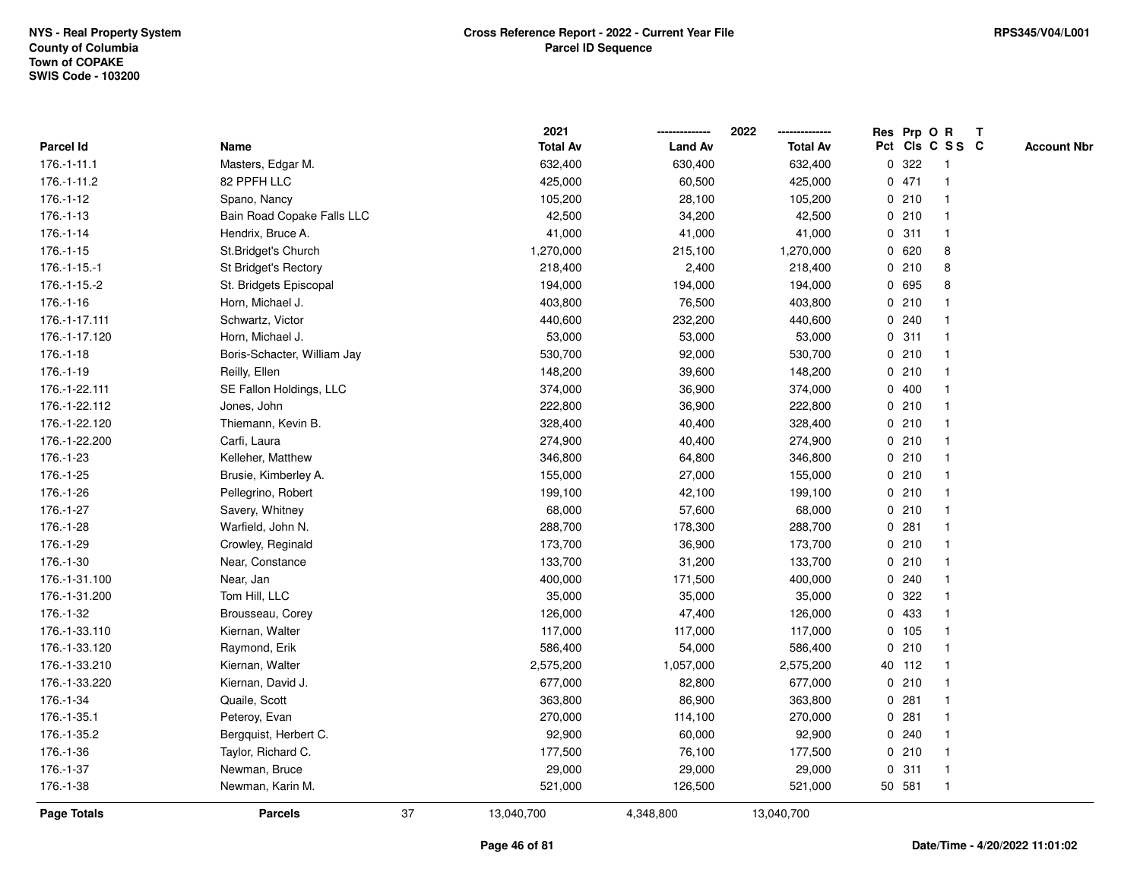|                    |                                   |    | 2021            |                | 2022            |             | Res Prp O R |                 | T |                    |
|--------------------|-----------------------------------|----|-----------------|----------------|-----------------|-------------|-------------|-----------------|---|--------------------|
| Parcel Id          | Name                              |    | <b>Total Av</b> | <b>Land Av</b> | <b>Total Av</b> |             |             | Pct Cls C S S C |   | <b>Account Nbr</b> |
| $176.-1-11.1$      | Masters, Edgar M.                 |    | 632,400         | 630,400        | 632,400         | 0           | 322         | $\mathbf{1}$    |   |                    |
| 176.-1-11.2        | 82 PPFH LLC                       |    | 425,000         | 60,500         | 425,000         |             | 0471        |                 |   |                    |
| 176.-1-12          | Spano, Nancy                      |    | 105,200         | 28,100         | 105,200         |             | 0210        | $\mathbf{1}$    |   |                    |
| $176.-1-13$        | <b>Bain Road Copake Falls LLC</b> |    | 42,500          | 34,200         | 42,500          |             | 0210        |                 |   |                    |
| $176.-1-14$        | Hendrix, Bruce A.                 |    | 41,000          | 41,000         | 41,000          |             | 0.311       |                 |   |                    |
| $176.-1-15$        | St.Bridget's Church               |    | 1,270,000       | 215,100        | 1,270,000       |             | 0620        | 8               |   |                    |
| $176.-1-15.-1$     | St Bridget's Rectory              |    | 218,400         | 2,400          | 218,400         |             | 0210        | 8               |   |                    |
| $176.-1-15.-2$     | St. Bridgets Episcopal            |    | 194,000         | 194,000        | 194,000         | 0           | 695         | 8               |   |                    |
| 176.-1-16          | Horn, Michael J.                  |    | 403,800         | 76,500         | 403,800         |             | 0210        |                 |   |                    |
| 176.-1-17.111      | Schwartz, Victor                  |    | 440,600         | 232,200        | 440,600         |             | 0.240       |                 |   |                    |
| 176.-1-17.120      | Horn, Michael J.                  |    | 53,000          | 53,000         | 53,000          |             | 0.311       |                 |   |                    |
| $176.-1-18$        | Boris-Schacter, William Jay       |    | 530,700         | 92,000         | 530,700         |             | 0210        |                 |   |                    |
| 176.-1-19          | Reilly, Ellen                     |    | 148,200         | 39,600         | 148,200         |             | 0210        |                 |   |                    |
| 176.-1-22.111      | SE Fallon Holdings, LLC           |    | 374,000         | 36,900         | 374,000         |             | 0400        |                 |   |                    |
| 176.-1-22.112      | Jones, John                       |    | 222,800         | 36,900         | 222,800         | 0           | 210         | -1              |   |                    |
| 176.-1-22.120      | Thiemann, Kevin B.                |    | 328,400         | 40,400         | 328,400         | 0           | 210         |                 |   |                    |
| 176.-1-22.200      | Carfi, Laura                      |    | 274,900         | 40,400         | 274,900         |             | 0210        | $\mathbf 1$     |   |                    |
| 176.-1-23          | Kelleher, Matthew                 |    | 346,800         | 64,800         | 346,800         |             | 0210        |                 |   |                    |
| 176.-1-25          | Brusie, Kimberley A.              |    | 155,000         | 27,000         | 155,000         |             | 0210        |                 |   |                    |
| 176.-1-26          | Pellegrino, Robert                |    | 199,100         | 42,100         | 199,100         |             | 0210        |                 |   |                    |
| 176.-1-27          | Savery, Whitney                   |    | 68,000          | 57,600         | 68,000          |             | 0210        | $\mathbf 1$     |   |                    |
| 176.-1-28          | Warfield, John N.                 |    | 288,700         | 178,300        | 288,700         | 0           | 281         |                 |   |                    |
| 176.-1-29          | Crowley, Reginald                 |    | 173,700         | 36,900         | 173,700         | 0           | 210         | $\mathbf{1}$    |   |                    |
| 176.-1-30          | Near, Constance                   |    | 133,700         | 31,200         | 133,700         |             | 0210        |                 |   |                    |
| 176.-1-31.100      | Near, Jan                         |    | 400,000         | 171,500        | 400,000         |             | 0.240       |                 |   |                    |
| 176.-1-31.200      | Tom Hill, LLC                     |    | 35,000          | 35,000         | 35,000          |             | 0.322       |                 |   |                    |
| 176.-1-32          | Brousseau, Corey                  |    | 126,000         | 47,400         | 126,000         |             | 0 433       |                 |   |                    |
| 176.-1-33.110      | Kiernan, Walter                   |    | 117,000         | 117,000        | 117,000         |             | 0 105       |                 |   |                    |
| 176.-1-33.120      | Raymond, Erik                     |    | 586,400         | 54,000         | 586,400         | $\mathbf 0$ | 210         |                 |   |                    |
| 176.-1-33.210      | Kiernan, Walter                   |    | 2,575,200       | 1,057,000      | 2,575,200       |             | 40 112      | $\mathbf 1$     |   |                    |
| 176.-1-33.220      | Kiernan, David J.                 |    | 677,000         | 82,800         | 677,000         |             | 0210        | $\mathbf{1}$    |   |                    |
| 176.-1-34          | Quaile, Scott                     |    | 363,800         | 86,900         | 363,800         |             | 0.281       |                 |   |                    |
| 176.-1-35.1        | Peteroy, Evan                     |    | 270,000         | 114,100        | 270,000         |             | 0.281       |                 |   |                    |
| 176.-1-35.2        | Bergquist, Herbert C.             |    | 92,900          | 60,000         | 92,900          |             | 0.240       |                 |   |                    |
| 176.-1-36          | Taylor, Richard C.                |    | 177,500         | 76,100         | 177,500         |             | 0210        |                 |   |                    |
| 176.-1-37          | Newman, Bruce                     |    | 29,000          | 29,000         | 29,000          | $\mathbf 0$ | 311         | $\mathbf{1}$    |   |                    |
| 176.-1-38          | Newman, Karin M.                  |    | 521,000         | 126,500        | 521,000         |             | 50 581      | $\overline{1}$  |   |                    |
| <b>Page Totals</b> | <b>Parcels</b>                    | 37 | 13,040,700      | 4,348,800      | 13,040,700      |             |             |                 |   |                    |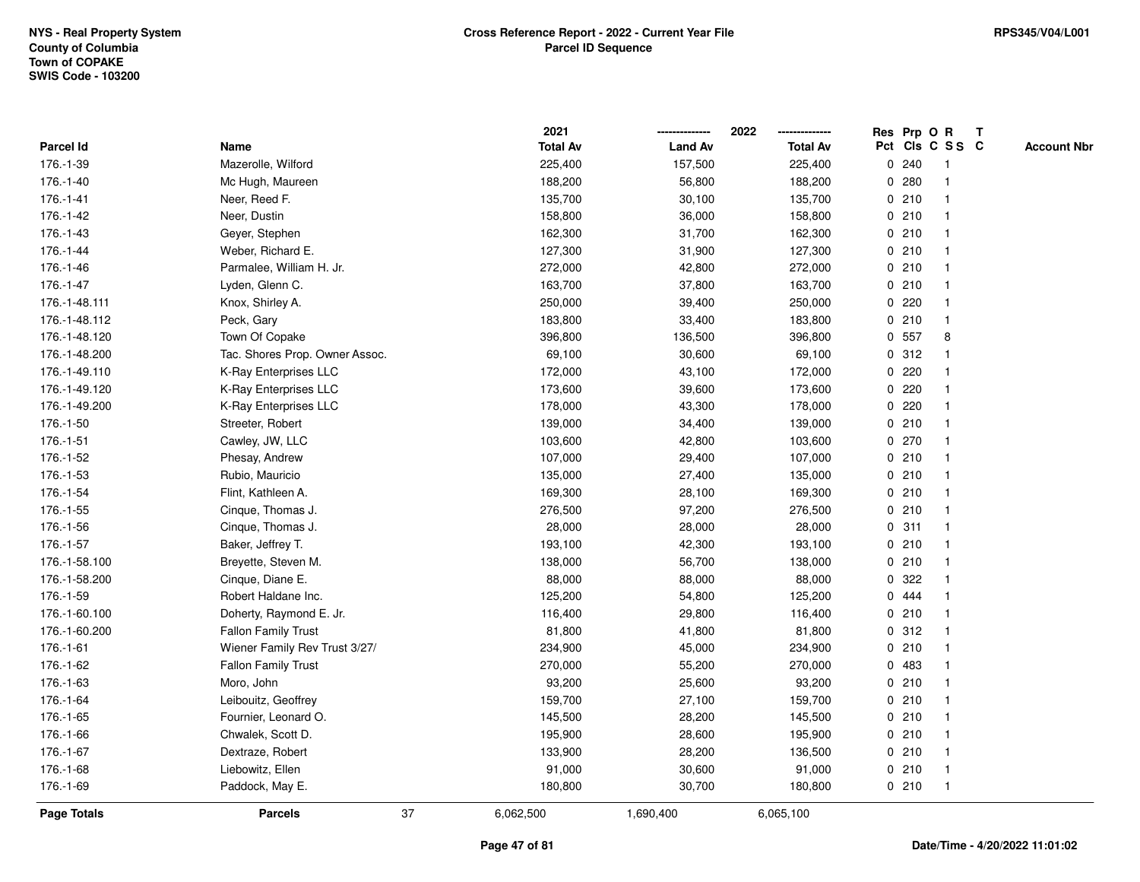|               |                                |    | 2021            |                | 2022            |             |       | Res Prp O R     | T |                    |
|---------------|--------------------------------|----|-----------------|----------------|-----------------|-------------|-------|-----------------|---|--------------------|
| Parcel Id     | Name                           |    | <b>Total Av</b> | <b>Land Av</b> | <b>Total Av</b> |             |       | Pct Cls C S S C |   | <b>Account Nbr</b> |
| 176.-1-39     | Mazerolle, Wilford             |    | 225,400         | 157,500        | 225,400         | 0           | 240   | -1              |   |                    |
| 176.-1-40     | Mc Hugh, Maureen               |    | 188,200         | 56,800         | 188,200         | 0           | 280   |                 |   |                    |
| 176.-1-41     | Neer, Reed F.                  |    | 135,700         | 30,100         | 135,700         |             | 0210  | -1              |   |                    |
| 176.-1-42     | Neer, Dustin                   |    | 158,800         | 36,000         | 158,800         |             | 0210  |                 |   |                    |
| 176.-1-43     | Geyer, Stephen                 |    | 162,300         | 31,700         | 162,300         |             | 0210  |                 |   |                    |
| 176.-1-44     | Weber, Richard E.              |    | 127,300         | 31,900         | 127,300         |             | 0210  |                 |   |                    |
| 176.-1-46     | Parmalee, William H. Jr.       |    | 272,000         | 42,800         | 272,000         |             | 0210  | -1              |   |                    |
| 176.-1-47     | Lyden, Glenn C.                |    | 163,700         | 37,800         | 163,700         | 0           | 210   |                 |   |                    |
| 176.-1-48.111 | Knox, Shirley A.               |    | 250,000         | 39,400         | 250,000         | 0           | 220   | -1              |   |                    |
| 176.-1-48.112 | Peck, Gary                     |    | 183,800         | 33,400         | 183,800         |             | 0210  | $\mathbf{1}$    |   |                    |
| 176.-1-48.120 | Town Of Copake                 |    | 396,800         | 136,500        | 396,800         |             | 0 557 | 8               |   |                    |
| 176.-1-48.200 | Tac. Shores Prop. Owner Assoc. |    | 69,100          | 30,600         | 69,100          |             | 0.312 |                 |   |                    |
| 176.-1-49.110 | K-Ray Enterprises LLC          |    | 172,000         | 43,100         | 172,000         |             | 0.220 |                 |   |                    |
| 176.-1-49.120 | K-Ray Enterprises LLC          |    | 173,600         | 39,600         | 173,600         |             | 0220  |                 |   |                    |
| 176.-1-49.200 | K-Ray Enterprises LLC          |    | 178,000         | 43,300         | 178,000         | $\mathbf 0$ | 220   |                 |   |                    |
| 176.-1-50     | Streeter, Robert               |    | 139,000         | 34,400         | 139,000         | 0           | 210   | $\mathbf{1}$    |   |                    |
| 176.-1-51     | Cawley, JW, LLC                |    | 103,600         | 42,800         | 103,600         | $\mathbf 0$ | 270   | $\mathbf{1}$    |   |                    |
| 176.-1-52     | Phesay, Andrew                 |    | 107,000         | 29,400         | 107,000         |             | 0210  |                 |   |                    |
| 176.-1-53     | Rubio, Mauricio                |    | 135,000         | 27,400         | 135,000         |             | 0210  |                 |   |                    |
| 176.-1-54     | Flint, Kathleen A.             |    | 169,300         | 28,100         | 169,300         |             | 0210  |                 |   |                    |
| 176.-1-55     | Cinque, Thomas J.              |    | 276,500         | 97,200         | 276,500         |             | 0210  |                 |   |                    |
| 176.-1-56     | Cinque, Thomas J.              |    | 28,000          | 28,000         | 28,000          |             | 0.311 |                 |   |                    |
| 176.-1-57     | Baker, Jeffrey T.              |    | 193,100         | 42,300         | 193,100         | 0           | 210   | -1              |   |                    |
| 176.-1-58.100 | Breyette, Steven M.            |    | 138,000         | 56,700         | 138,000         | $\mathbf 0$ | 210   | $\mathbf{1}$    |   |                    |
| 176.-1-58.200 | Cinque, Diane E.               |    | 88,000          | 88,000         | 88,000          |             | 0 322 |                 |   |                    |
| 176.-1-59     | Robert Haldane Inc.            |    | 125,200         | 54,800         | 125,200         |             | 0 444 |                 |   |                    |
| 176.-1-60.100 | Doherty, Raymond E. Jr.        |    | 116,400         | 29,800         | 116,400         |             | 0210  |                 |   |                    |
| 176.-1-60.200 | <b>Fallon Family Trust</b>     |    | 81,800          | 41,800         | 81,800          |             | 0.312 |                 |   |                    |
| 176.-1-61     | Wiener Family Rev Trust 3/27/  |    | 234,900         | 45,000         | 234,900         |             | 0210  |                 |   |                    |
| 176.-1-62     | <b>Fallon Family Trust</b>     |    | 270,000         | 55,200         | 270,000         | 0           | 483   |                 |   |                    |
| 176.-1-63     | Moro, John                     |    | 93,200          | 25,600         | 93,200          | 0           | 210   | -1              |   |                    |
| 176.-1-64     | Leibouitz, Geoffrey            |    | 159,700         | 27,100         | 159,700         |             | 0210  | $\mathbf 1$     |   |                    |
| 176.-1-65     | Fournier, Leonard O.           |    | 145,500         | 28,200         | 145,500         |             | 0210  |                 |   |                    |
| 176.-1-66     | Chwalek, Scott D.              |    | 195,900         | 28,600         | 195,900         |             | 0210  |                 |   |                    |
| 176.-1-67     | Dextraze, Robert               |    | 133,900         | 28,200         | 136,500         |             | 0210  | $\mathbf{1}$    |   |                    |
| 176.-1-68     | Liebowitz, Ellen               |    | 91,000          | 30,600         | 91,000          |             | 0210  | -1              |   |                    |
| 176.-1-69     | Paddock, May E.                |    | 180,800         | 30,700         | 180,800         |             | 0210  | $\mathbf{1}$    |   |                    |
| Page Totals   | <b>Parcels</b>                 | 37 | 6,062,500       | 1,690,400      | 6,065,100       |             |       |                 |   |                    |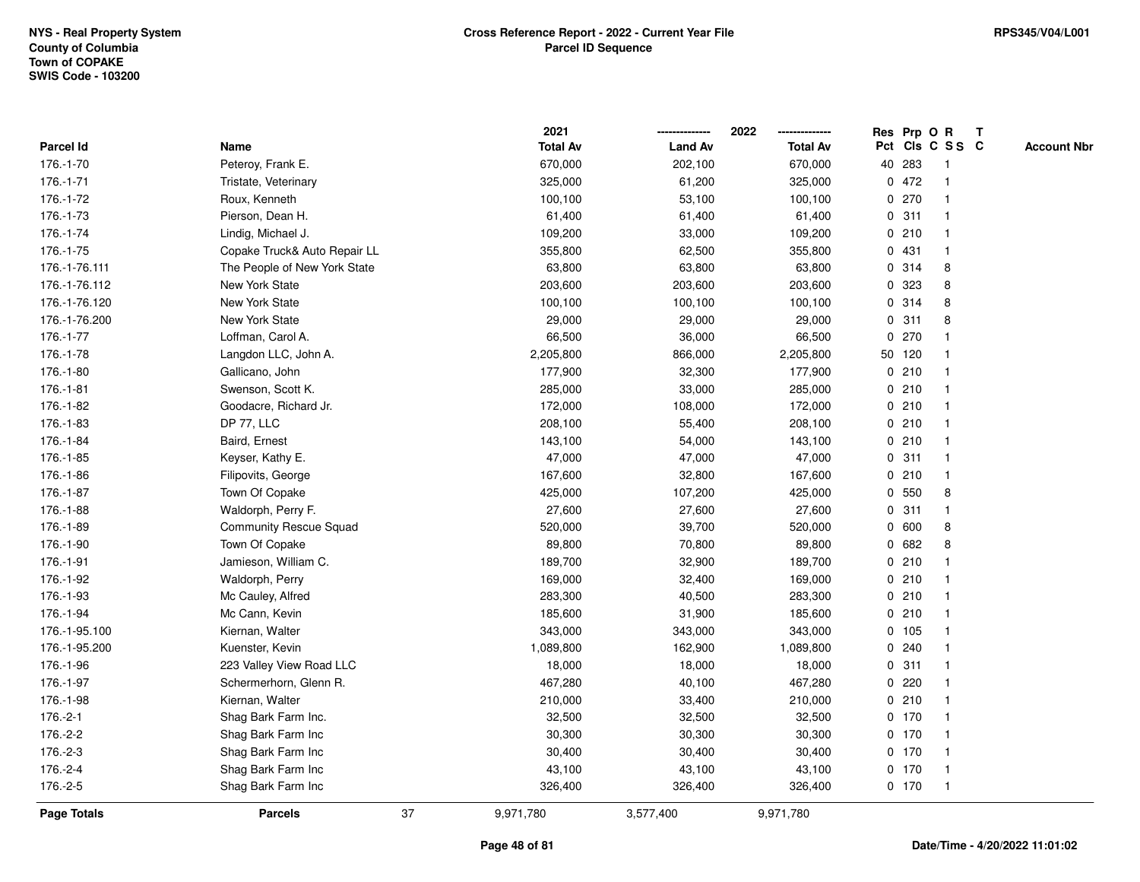|               |                               |    | 2021            |                | 2022            |   | Res Prp O R |                 | Т |                    |
|---------------|-------------------------------|----|-----------------|----------------|-----------------|---|-------------|-----------------|---|--------------------|
| Parcel Id     | Name                          |    | <b>Total Av</b> | <b>Land Av</b> | <b>Total Av</b> |   |             | Pct Cls C S S C |   | <b>Account Nbr</b> |
| 176.-1-70     | Peteroy, Frank E.             |    | 670,000         | 202,100        | 670,000         |   | 40 283      | -1              |   |                    |
| 176.-1-71     | Tristate, Veterinary          |    | 325,000         | 61,200         | 325,000         | 0 | 472         | -1              |   |                    |
| 176.-1-72     | Roux, Kenneth                 |    | 100,100         | 53,100         | 100,100         |   | 0270        | $\mathbf 1$     |   |                    |
| 176.-1-73     | Pierson, Dean H.              |    | 61,400          | 61,400         | 61,400          |   | 0.311       |                 |   |                    |
| 176.-1-74     | Lindig, Michael J.            |    | 109,200         | 33,000         | 109,200         |   | 0210        |                 |   |                    |
| 176.-1-75     | Copake Truck& Auto Repair LL  |    | 355,800         | 62,500         | 355,800         |   | 0431        |                 |   |                    |
| 176.-1-76.111 | The People of New York State  |    | 63,800          | 63,800         | 63,800          |   | 0.314       | 8               |   |                    |
| 176.-1-76.112 | New York State                |    | 203,600         | 203,600        | 203,600         | 0 | 323         | 8               |   |                    |
| 176.-1-76.120 | New York State                |    | 100,100         | 100,100        | 100,100         | 0 | 314         | 8               |   |                    |
| 176.-1-76.200 | New York State                |    | 29,000          | 29,000         | 29,000          |   | 0.311       | 8               |   |                    |
| 176.-1-77     | Loffman, Carol A.             |    | 66,500          | 36,000         | 66,500          |   | 0270        |                 |   |                    |
| 176.-1-78     | Langdon LLC, John A.          |    | 2,205,800       | 866,000        | 2,205,800       |   | 50 120      |                 |   |                    |
| 176.-1-80     | Gallicano, John               |    | 177,900         | 32,300         | 177,900         |   | 0210        |                 |   |                    |
| 176.-1-81     | Swenson, Scott K.             |    | 285,000         | 33,000         | 285,000         |   | 0210        |                 |   |                    |
| 176.-1-82     | Goodacre, Richard Jr.         |    | 172,000         | 108,000        | 172,000         |   | 0210        |                 |   |                    |
| 176.-1-83     | DP 77, LLC                    |    | 208,100         | 55,400         | 208,100         |   | 0210        | -1              |   |                    |
| 176.-1-84     | Baird, Ernest                 |    | 143,100         | 54,000         | 143,100         |   | 0210        | -1              |   |                    |
| 176.-1-85     | Keyser, Kathy E.              |    | 47,000          | 47,000         | 47,000          |   | 0.311       |                 |   |                    |
| 176.-1-86     | Filipovits, George            |    | 167,600         | 32,800         | 167,600         |   | 0210        |                 |   |                    |
| 176.-1-87     | Town Of Copake                |    | 425,000         | 107,200        | 425,000         |   | 0 550       | 8               |   |                    |
| 176.-1-88     | Waldorph, Perry F.            |    | 27,600          | 27,600         | 27,600          |   | 0.311       |                 |   |                    |
| 176.-1-89     | <b>Community Rescue Squad</b> |    | 520,000         | 39,700         | 520,000         | 0 | 600         | 8               |   |                    |
| 176.-1-90     | Town Of Copake                |    | 89,800          | 70,800         | 89,800          | 0 | 682         | 8               |   |                    |
| 176.-1-91     | Jamieson, William C.          |    | 189,700         | 32,900         | 189,700         |   | 0210        |                 |   |                    |
| 176.-1-92     | Waldorph, Perry               |    | 169,000         | 32,400         | 169,000         |   | 0210        |                 |   |                    |
| 176.-1-93     | Mc Cauley, Alfred             |    | 283,300         | 40,500         | 283,300         |   | 0210        |                 |   |                    |
| 176.-1-94     | Mc Cann, Kevin                |    | 185,600         | 31,900         | 185,600         |   | 0210        |                 |   |                    |
| 176.-1-95.100 | Kiernan, Walter               |    | 343,000         | 343,000        | 343,000         |   | 0 105       |                 |   |                    |
| 176.-1-95.200 | Kuenster, Kevin               |    | 1,089,800       | 162,900        | 1,089,800       | 0 | 240         |                 |   |                    |
| 176.-1-96     | 223 Valley View Road LLC      |    | 18,000          | 18,000         | 18,000          | 0 | 311         | -1              |   |                    |
| 176.-1-97     | Schermerhorn, Glenn R.        |    | 467,280         | 40,100         | 467,280         | 0 | 220         |                 |   |                    |
| 176.-1-98     | Kiernan, Walter               |    | 210,000         | 33,400         | 210,000         |   | 0210        | -1              |   |                    |
| 176.-2-1      | Shag Bark Farm Inc.           |    | 32,500          | 32,500         | 32,500          |   | $0$ 170     |                 |   |                    |
| 176.-2-2      | Shag Bark Farm Inc            |    | 30,300          | 30,300         | 30,300          |   | $0$ 170     |                 |   |                    |
| 176.-2-3      | Shag Bark Farm Inc            |    | 30,400          | 30,400         | 30,400          |   | $0$ 170     |                 |   |                    |
| 176.-2-4      | Shag Bark Farm Inc            |    | 43,100          | 43,100         | 43,100          |   | $0$ 170     | $\mathbf 1$     |   |                    |
| 176.-2-5      | Shag Bark Farm Inc            |    | 326,400         | 326,400        | 326,400         |   | $0$ 170     | $\mathbf{1}$    |   |                    |
| Page Totals   | <b>Parcels</b>                | 37 | 9,971,780       | 3,577,400      | 9,971,780       |   |             |                 |   |                    |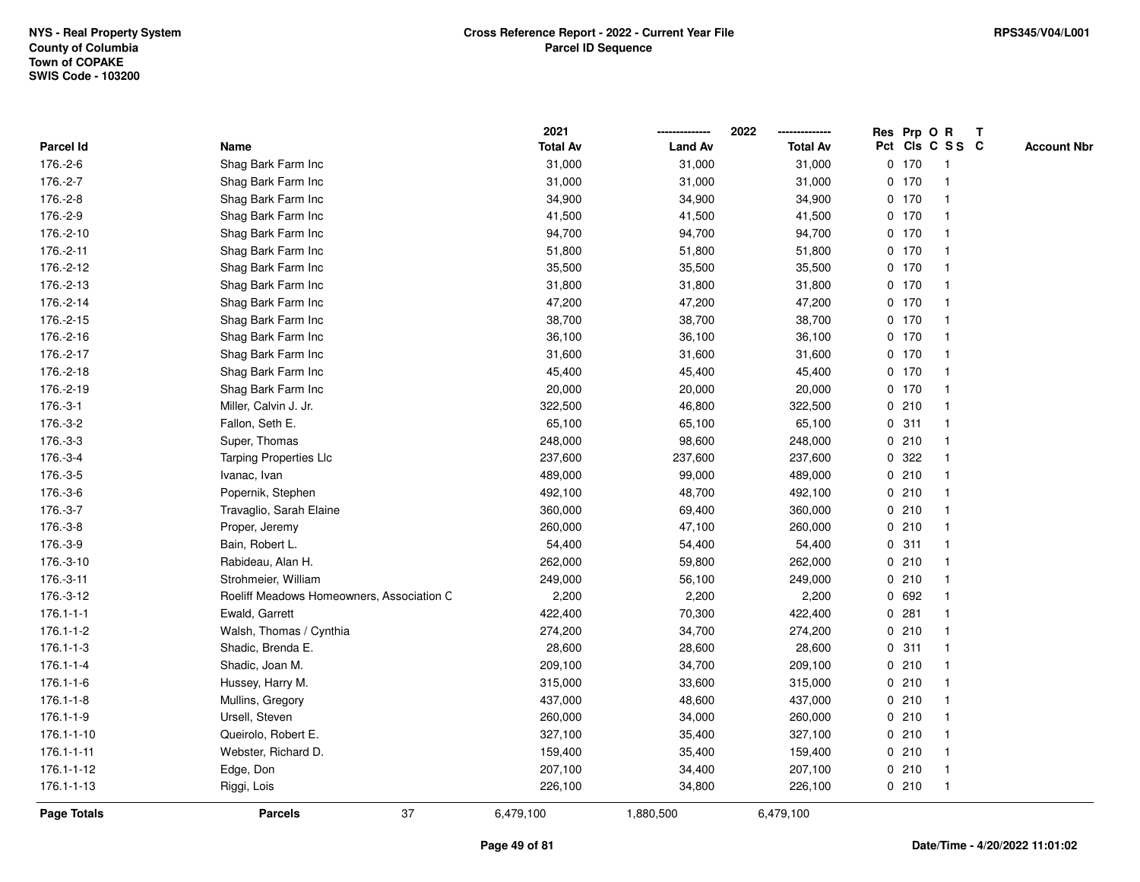|                    |                                           | 2021            |                | 2022            |   |         | Res Prp O R     | $\mathsf{T}$ |                    |
|--------------------|-------------------------------------------|-----------------|----------------|-----------------|---|---------|-----------------|--------------|--------------------|
| Parcel Id          | Name                                      | <b>Total Av</b> | <b>Land Av</b> | <b>Total Av</b> |   |         | Pct Cls C S S C |              | <b>Account Nbr</b> |
| 176.-2-6           | Shag Bark Farm Inc                        | 31,000          | 31,000         | 31,000          |   | 0, 170  |                 |              |                    |
| 176.-2-7           | Shag Bark Farm Inc                        | 31,000          | 31,000         | 31,000          |   | $0$ 170 |                 |              |                    |
| 176.-2-8           | Shag Bark Farm Inc                        | 34,900          | 34,900         | 34,900          |   | $0$ 170 | -1              |              |                    |
| 176.-2-9           | Shag Bark Farm Inc                        | 41,500          | 41,500         | 41,500          |   | 0, 170  | $\mathbf{1}$    |              |                    |
| 176.-2-10          | Shag Bark Farm Inc                        | 94,700          | 94,700         | 94,700          |   | $0$ 170 | $\mathbf{1}$    |              |                    |
| 176.-2-11          | Shag Bark Farm Inc                        | 51,800          | 51,800         | 51,800          |   | $0$ 170 | -1              |              |                    |
| 176.-2-12          | Shag Bark Farm Inc                        | 35,500          | 35,500         | 35,500          |   | $0$ 170 |                 |              |                    |
| 176.-2-13          | Shag Bark Farm Inc                        | 31,800          | 31,800         | 31,800          |   | $0$ 170 |                 |              |                    |
| 176.-2-14          | Shag Bark Farm Inc                        | 47,200          | 47,200         | 47,200          |   | 0 170   | $\overline{1}$  |              |                    |
| 176.-2-15          | Shag Bark Farm Inc                        | 38,700          | 38,700         | 38,700          |   | $0$ 170 | $\overline{1}$  |              |                    |
| 176.-2-16          | Shag Bark Farm Inc                        | 36,100          | 36,100         | 36,100          |   | 0, 170  | $\mathbf{1}$    |              |                    |
| 176.-2-17          | Shag Bark Farm Inc                        | 31,600          | 31,600         | 31,600          |   | $0$ 170 | $\mathbf{1}$    |              |                    |
| 176.-2-18          | Shag Bark Farm Inc                        | 45,400          | 45,400         | 45,400          |   | $0$ 170 | $\mathbf 1$     |              |                    |
| 176.-2-19          | Shag Bark Farm Inc                        | 20,000          | 20,000         | 20,000          |   | $0$ 170 |                 |              |                    |
| 176.-3-1           | Miller, Calvin J. Jr.                     | 322,500         | 46,800         | 322,500         |   | 0210    |                 |              |                    |
| 176.-3-2           | Fallon, Seth E.                           | 65,100          | 65,100         | 65,100          |   | 0.311   | -1              |              |                    |
| 176.-3-3           | Super, Thomas                             | 248,000         | 98,600         | 248,000         |   | 0210    | $\mathbf{1}$    |              |                    |
| 176.-3-4           | <b>Tarping Properties Llc</b>             | 237,600         | 237,600        | 237,600         | 0 | 322     | -1              |              |                    |
| 176.-3-5           | Ivanac, Ivan                              | 489,000         | 99,000         | 489,000         |   | 0210    | $\mathbf{1}$    |              |                    |
| 176.-3-6           | Popernik, Stephen                         | 492,100         | 48,700         | 492,100         |   | 0210    |                 |              |                    |
| 176.-3-7           | Travaglio, Sarah Elaine                   | 360,000         | 69,400         | 360,000         |   | 0210    |                 |              |                    |
| 176.-3-8           | Proper, Jeremy                            | 260,000         | 47,100         | 260,000         |   | 0210    |                 |              |                    |
| 176.-3-9           | Bain, Robert L.                           | 54,400          | 54,400         | 54,400          |   | 0.311   | $\mathbf 1$     |              |                    |
| 176.-3-10          | Rabideau, Alan H.                         | 262,000         | 59,800         | 262,000         |   | 0210    | $\mathbf{1}$    |              |                    |
| 176.-3-11          | Strohmeier, William                       | 249,000         | 56,100         | 249,000         |   | 0210    | $\mathbf 1$     |              |                    |
| 176.-3-12          | Roeliff Meadows Homeowners, Association C | 2,200           | 2,200          | 2,200           |   | 0 692   | -1              |              |                    |
| $176.1 - 1 - 1$    | Ewald, Garrett                            | 422,400         | 70,300         | 422,400         |   | 0.281   |                 |              |                    |
| 176.1-1-2          | Walsh, Thomas / Cynthia                   | 274,200         | 34,700         | 274,200         |   | 0210    |                 |              |                    |
| $176.1 - 1 - 3$    | Shadic, Brenda E.                         | 28,600          | 28,600         | 28,600          |   | 0.311   | -1              |              |                    |
| $176.1 - 1 - 4$    | Shadic, Joan M.                           | 209,100         | 34,700         | 209,100         |   | 0210    | -1              |              |                    |
| $176.1 - 1 - 6$    | Hussey, Harry M.                          | 315,000         | 33,600         | 315,000         |   | 0210    | $\mathbf{1}$    |              |                    |
| $176.1 - 1 - 8$    | Mullins, Gregory                          | 437,000         | 48,600         | 437,000         |   | 0210    | $\mathbf 1$     |              |                    |
| $176.1 - 1 - 9$    | Ursell, Steven                            | 260,000         | 34,000         | 260,000         |   | 0210    | -1              |              |                    |
| 176.1-1-10         | Queirolo, Robert E.                       | 327,100         | 35,400         | 327,100         |   | 0210    |                 |              |                    |
| 176.1-1-11         | Webster, Richard D.                       | 159,400         | 35,400         | 159,400         |   | 0210    |                 |              |                    |
| 176.1-1-12         | Edge, Don                                 | 207,100         | 34,400         | 207,100         |   | 0210    | $\mathbf{1}$    |              |                    |
| 176.1-1-13         | Riggi, Lois                               | 226,100         | 34,800         | 226,100         |   | 0210    | $\mathbf{1}$    |              |                    |
| <b>Page Totals</b> | 37<br><b>Parcels</b>                      | 6,479,100       | 1,880,500      | 6,479,100       |   |         |                 |              |                    |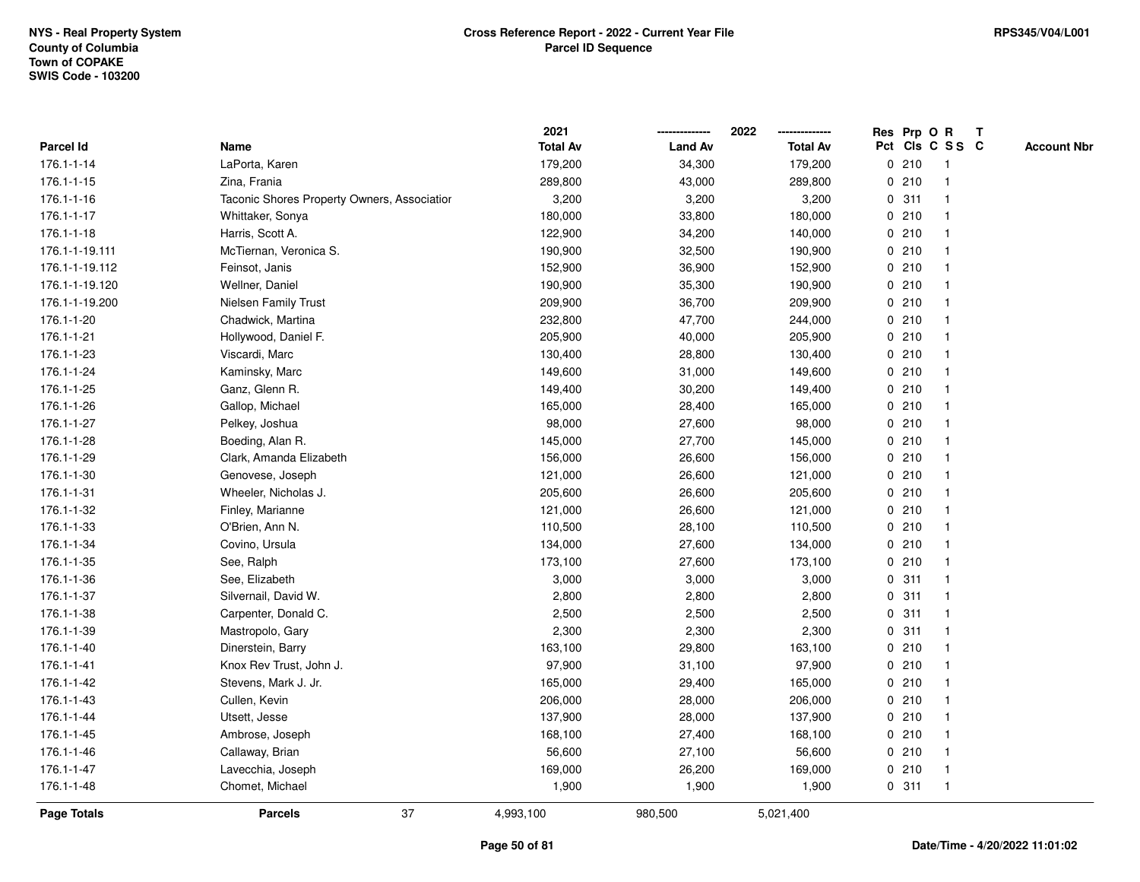|                |                                             | 2021            |                | 2022<br>-------------- | Res Prp O R     |              | Т |                    |
|----------------|---------------------------------------------|-----------------|----------------|------------------------|-----------------|--------------|---|--------------------|
| Parcel Id      | Name                                        | <b>Total Av</b> | <b>Land Av</b> | <b>Total Av</b>        | Pct Cls C S S C |              |   | <b>Account Nbr</b> |
| 176.1-1-14     | LaPorta, Karen                              | 179,200         | 34,300         | 179,200                | 0210            | $\mathbf{1}$ |   |                    |
| 176.1-1-15     | Zina, Frania                                | 289,800         | 43,000         | 289,800                | 0210            | 1            |   |                    |
| 176.1-1-16     | Taconic Shores Property Owners, Associatior | 3,200           | 3,200          | 3,200                  | 0.311           | $\mathbf{1}$ |   |                    |
| 176.1-1-17     | Whittaker, Sonya                            | 180,000         | 33,800         | 180,000                | 0210            | 1            |   |                    |
| 176.1-1-18     | Harris, Scott A.                            | 122,900         | 34,200         | 140,000                | 0210            | 1            |   |                    |
| 176.1-1-19.111 | McTiernan, Veronica S.                      | 190,900         | 32,500         | 190,900                | 0210            |              |   |                    |
| 176.1-1-19.112 | Feinsot, Janis                              | 152,900         | 36,900         | 152,900                | 0210            | $\mathbf{1}$ |   |                    |
| 176.1-1-19.120 | Wellner, Daniel                             | 190,900         | 35,300         | 190,900                | 0210            | 1            |   |                    |
| 176.1-1-19.200 | <b>Nielsen Family Trust</b>                 | 209,900         | 36,700         | 209,900                | 0210            | $\mathbf{1}$ |   |                    |
| 176.1-1-20     | Chadwick, Martina                           | 232,800         | 47,700         | 244,000                | 0210            | $\mathbf{1}$ |   |                    |
| 176.1-1-21     | Hollywood, Daniel F.                        | 205,900         | 40,000         | 205,900                | 0210            | $\mathbf{1}$ |   |                    |
| 176.1-1-23     | Viscardi, Marc                              | 130,400         | 28,800         | 130,400                | 0210            | 1            |   |                    |
| 176.1-1-24     | Kaminsky, Marc                              | 149,600         | 31,000         | 149,600                | 0210            | 1            |   |                    |
| 176.1-1-25     | Ganz, Glenn R.                              | 149,400         | 30,200         | 149,400                | 0210            | 1            |   |                    |
| 176.1-1-26     | Gallop, Michael                             | 165,000         | 28,400         | 165,000                | 0210            | $\mathbf 1$  |   |                    |
| 176.1-1-27     | Pelkey, Joshua                              | 98,000          | 27,600         | 98,000                 | 0210            | 1            |   |                    |
| 176.1-1-28     | Boeding, Alan R.                            | 145,000         | 27,700         | 145,000                | 0210            | $\mathbf{1}$ |   |                    |
| 176.1-1-29     | Clark, Amanda Elizabeth                     | 156,000         | 26,600         | 156,000                | 0210            | 1            |   |                    |
| 176.1-1-30     | Genovese, Joseph                            | 121,000         | 26,600         | 121,000                | 0210            | 1            |   |                    |
| 176.1-1-31     | Wheeler, Nicholas J.                        | 205,600         | 26,600         | 205,600                | 0210            | 1            |   |                    |
| 176.1-1-32     | Finley, Marianne                            | 121,000         | 26,600         | 121,000                | 0210            | $\mathbf 1$  |   |                    |
| 176.1-1-33     | O'Brien, Ann N.                             | 110,500         | 28,100         | 110,500                | 0210            | $\mathbf 1$  |   |                    |
| 176.1-1-34     | Covino, Ursula                              | 134,000         | 27,600         | 134,000                | 0210            | $\mathbf 1$  |   |                    |
| 176.1-1-35     | See, Ralph                                  | 173,100         | 27,600         | 173,100                | 0210            | $\mathbf{1}$ |   |                    |
| 176.1-1-36     | See, Elizabeth                              | 3,000           | 3,000          | 3,000                  | 0.311           | 1            |   |                    |
| 176.1-1-37     | Silvernail, David W.                        | 2,800           | 2,800          | 2,800                  | 0.311           | 1            |   |                    |
| 176.1-1-38     | Carpenter, Donald C.                        | 2,500           | 2,500          | 2,500                  | 0.311           | 1            |   |                    |
| 176.1-1-39     | Mastropolo, Gary                            | 2,300           | 2,300          | 2,300                  | 0.311           | 1            |   |                    |
| 176.1-1-40     | Dinerstein, Barry                           | 163,100         | 29,800         | 163,100                | 0210            | $\mathbf 1$  |   |                    |
| 176.1-1-41     | Knox Rev Trust, John J.                     | 97,900          | 31,100         | 97,900                 | 0210            | 1            |   |                    |
| 176.1-1-42     | Stevens, Mark J. Jr.                        | 165,000         | 29,400         | 165,000                | 0210            | 1            |   |                    |
| 176.1-1-43     | Cullen, Kevin                               | 206,000         | 28,000         | 206,000                | 0210            | 1            |   |                    |
| 176.1-1-44     | Utsett, Jesse                               | 137,900         | 28,000         | 137,900                | 0210            | 1            |   |                    |
| 176.1-1-45     | Ambrose, Joseph                             | 168,100         | 27,400         | 168,100                | 0210            | $\mathbf 1$  |   |                    |
| 176.1-1-46     | Callaway, Brian                             | 56,600          | 27,100         | 56,600                 | 0210            | 1            |   |                    |
| 176.1-1-47     | Lavecchia, Joseph                           | 169,000         | 26,200         | 169,000                | 0210            | $\mathbf{1}$ |   |                    |
| 176.1-1-48     | Chomet, Michael                             | 1,900           | 1,900          | 1,900                  | 0.311           | $\mathbf{1}$ |   |                    |
| Page Totals    | 37<br><b>Parcels</b>                        | 4,993,100       | 980,500        | 5,021,400              |                 |              |   |                    |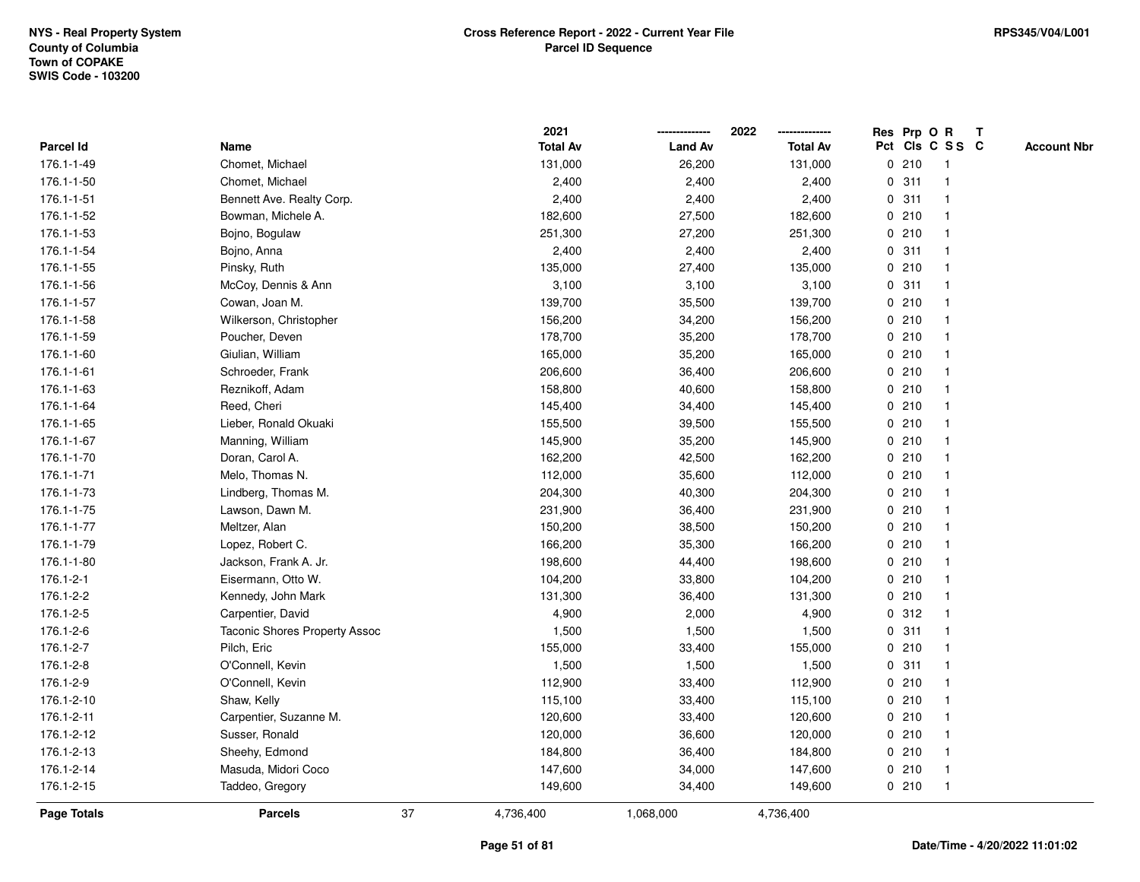|                  |                                      |    | 2021            |                | 2022            |   |       | Res Prp O R             | $\mathbf{T}$       |
|------------------|--------------------------------------|----|-----------------|----------------|-----------------|---|-------|-------------------------|--------------------|
| <b>Parcel Id</b> | Name                                 |    | <b>Total Av</b> | <b>Land Av</b> | <b>Total Av</b> |   |       | Pct Cls C S S C         | <b>Account Nbr</b> |
| 176.1-1-49       | Chomet, Michael                      |    | 131,000         | 26,200         | 131,000         |   | 0210  |                         |                    |
| 176.1-1-50       | Chomet, Michael                      |    | 2,400           | 2,400          | 2,400           | 0 | 311   |                         |                    |
| 176.1-1-51       | Bennett Ave. Realty Corp.            |    | 2,400           | 2,400          | 2,400           |   | 0.311 |                         |                    |
| 176.1-1-52       | Bowman, Michele A.                   |    | 182,600         | 27,500         | 182,600         | 0 | 210   | -1                      |                    |
| 176.1-1-53       | Bojno, Bogulaw                       |    | 251,300         | 27,200         | 251,300         |   | 0210  |                         |                    |
| 176.1-1-54       | Bojno, Anna                          |    | 2,400           | 2,400          | 2,400           |   | 0.311 |                         |                    |
| 176.1-1-55       | Pinsky, Ruth                         |    | 135,000         | 27,400         | 135,000         |   | 0210  |                         |                    |
| 176.1-1-56       | McCoy, Dennis & Ann                  |    | 3,100           | 3,100          | 3,100           |   | 0.311 |                         |                    |
| 176.1-1-57       | Cowan, Joan M.                       |    | 139,700         | 35,500         | 139,700         |   | 0210  |                         |                    |
| 176.1-1-58       | Wilkerson, Christopher               |    | 156,200         | 34,200         | 156,200         |   | 0210  |                         |                    |
| 176.1-1-59       | Poucher, Deven                       |    | 178,700         | 35,200         | 178,700         |   | 0210  | -1                      |                    |
| 176.1-1-60       | Giulian, William                     |    | 165,000         | 35,200         | 165,000         |   | 0210  | $\mathbf 1$             |                    |
| 176.1-1-61       | Schroeder, Frank                     |    | 206,600         | 36,400         | 206,600         |   | 0210  |                         |                    |
| 176.1-1-63       | Reznikoff, Adam                      |    | 158,800         | 40,600         | 158,800         |   | 0210  |                         |                    |
| 176.1-1-64       | Reed, Cheri                          |    | 145,400         | 34,400         | 145,400         |   | 0210  |                         |                    |
| 176.1-1-65       | Lieber, Ronald Okuaki                |    | 155,500         | 39,500         | 155,500         |   | 0210  |                         |                    |
| 176.1-1-67       | Manning, William                     |    | 145,900         | 35,200         | 145,900         | 0 | 210   |                         |                    |
| 176.1-1-70       | Doran, Carol A.                      |    | 162,200         | 42,500         | 162,200         |   | 0210  |                         |                    |
| 176.1-1-71       | Melo, Thomas N.                      |    | 112,000         | 35,600         | 112,000         |   | 0210  | -1                      |                    |
| 176.1-1-73       | Lindberg, Thomas M.                  |    | 204,300         | 40,300         | 204,300         |   | 0210  |                         |                    |
| 176.1-1-75       | Lawson, Dawn M.                      |    | 231,900         | 36,400         | 231,900         |   | 0210  |                         |                    |
| 176.1-1-77       | Meltzer, Alan                        |    | 150,200         | 38,500         | 150,200         |   | 0210  |                         |                    |
| 176.1-1-79       | Lopez, Robert C.                     |    | 166,200         | 35,300         | 166,200         |   | 0210  |                         |                    |
| 176.1-1-80       | Jackson, Frank A. Jr.                |    | 198,600         | 44,400         | 198,600         | 0 | 210   | $\overline{\mathbf{1}}$ |                    |
| 176.1-2-1        | Eisermann, Otto W.                   |    | 104,200         | 33,800         | 104,200         |   | 0210  | -1                      |                    |
| 176.1-2-2        | Kennedy, John Mark                   |    | 131,300         | 36,400         | 131,300         |   | 0210  | -1                      |                    |
| 176.1-2-5        | Carpentier, David                    |    | 4,900           | 2,000          | 4,900           |   | 0.312 |                         |                    |
| 176.1-2-6        | <b>Taconic Shores Property Assoc</b> |    | 1,500           | 1,500          | 1,500           |   | 0.311 |                         |                    |
| 176.1-2-7        | Pilch, Eric                          |    | 155,000         | 33,400         | 155,000         |   | 0210  |                         |                    |
| 176.1-2-8        | O'Connell, Kevin                     |    | 1,500           | 1,500          | 1,500           | 0 | 311   |                         |                    |
| 176.1-2-9        | O'Connell, Kevin                     |    | 112,900         | 33,400         | 112,900         | 0 | 210   | -1                      |                    |
| 176.1-2-10       | Shaw, Kelly                          |    | 115,100         | 33,400         | 115,100         |   | 0210  | -1                      |                    |
| 176.1-2-11       | Carpentier, Suzanne M.               |    | 120,600         | 33,400         | 120,600         |   | 0210  |                         |                    |
| 176.1-2-12       | Susser, Ronald                       |    | 120,000         | 36,600         | 120,000         |   | 0210  |                         |                    |
| 176.1-2-13       | Sheehy, Edmond                       |    | 184,800         | 36,400         | 184,800         |   | 0210  |                         |                    |
| 176.1-2-14       | Masuda, Midori Coco                  |    | 147,600         | 34,000         | 147,600         |   | 0210  | $\mathbf 1$             |                    |
| 176.1-2-15       | Taddeo, Gregory                      |    | 149,600         | 34,400         | 149,600         |   | 0210  | -1                      |                    |
| Page Totals      | <b>Parcels</b>                       | 37 | 4,736,400       | 1,068,000      | 4,736,400       |   |       |                         |                    |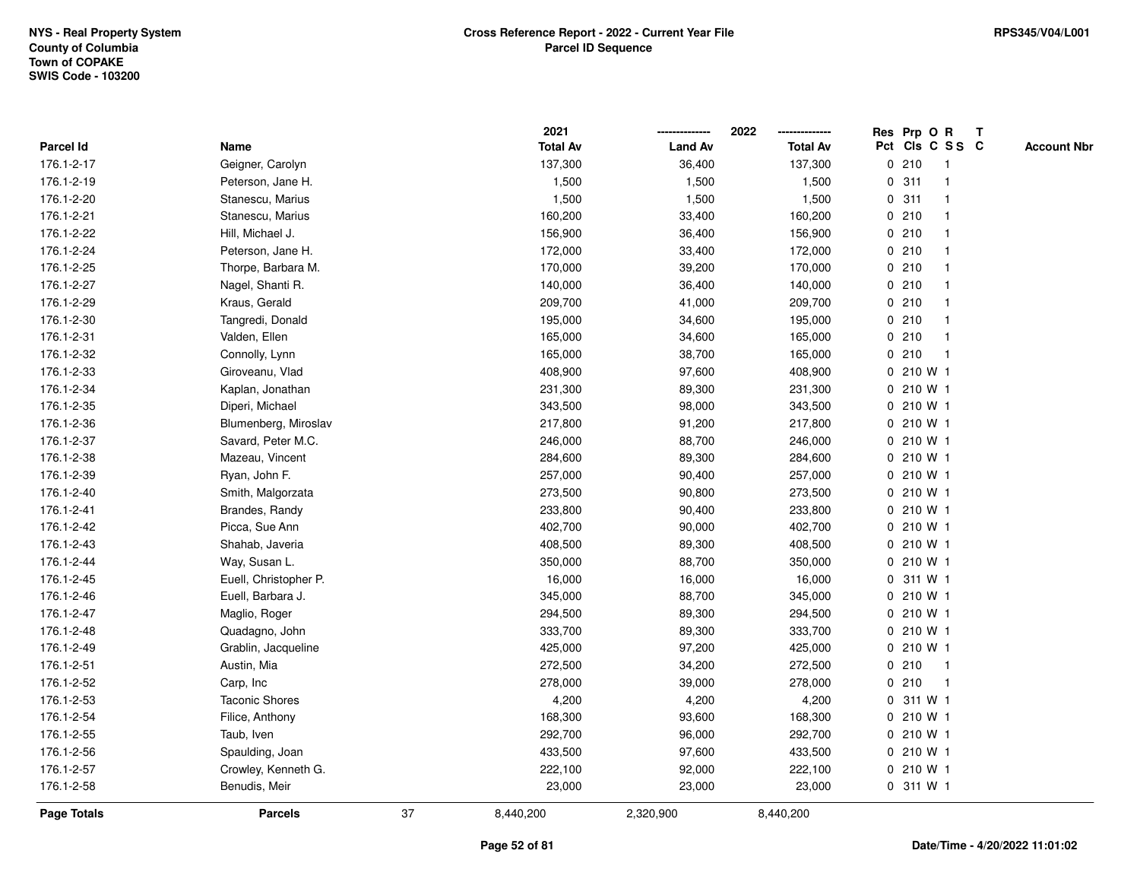|                    |                       |    | 2021            |                | 2022            |             | Res Prp O R     |              | T |                    |
|--------------------|-----------------------|----|-----------------|----------------|-----------------|-------------|-----------------|--------------|---|--------------------|
| Parcel Id          | Name                  |    | <b>Total Av</b> | <b>Land Av</b> | <b>Total Av</b> |             | Pct Cls C S S C |              |   | <b>Account Nbr</b> |
| 176.1-2-17         | Geigner, Carolyn      |    | 137,300         | 36,400         | 137,300         | 0           | 210             | $\mathbf{1}$ |   |                    |
| 176.1-2-19         | Peterson, Jane H.     |    | 1,500           | 1,500          | 1,500           | 0           | 311             | $\mathbf{1}$ |   |                    |
| 176.1-2-20         | Stanescu, Marius      |    | 1,500           | 1,500          | 1,500           |             | 0.311           | $\mathbf 1$  |   |                    |
| 176.1-2-21         | Stanescu, Marius      |    | 160,200         | 33,400         | 160,200         |             | 0210            |              |   |                    |
| 176.1-2-22         | Hill, Michael J.      |    | 156,900         | 36,400         | 156,900         |             | 0210            |              |   |                    |
| 176.1-2-24         | Peterson, Jane H.     |    | 172,000         | 33,400         | 172,000         |             | 0210            |              |   |                    |
| 176.1-2-25         | Thorpe, Barbara M.    |    | 170,000         | 39,200         | 170,000         |             | 0210            | $\mathbf 1$  |   |                    |
| 176.1-2-27         | Nagel, Shanti R.      |    | 140,000         | 36,400         | 140,000         | 0           | 210             |              |   |                    |
| 176.1-2-29         | Kraus, Gerald         |    | 209,700         | 41,000         | 209,700         |             | 0210            | -1           |   |                    |
| 176.1-2-30         | Tangredi, Donald      |    | 195,000         | 34,600         | 195,000         |             | 0210            | -1           |   |                    |
| 176.1-2-31         | Valden, Ellen         |    | 165,000         | 34,600         | 165,000         |             | 0210            |              |   |                    |
| 176.1-2-32         | Connolly, Lynn        |    | 165,000         | 38,700         | 165,000         |             | 0210            |              |   |                    |
| 176.1-2-33         | Giroveanu, Vlad       |    | 408,900         | 97,600         | 408,900         |             | 0210 W1         |              |   |                    |
| 176.1-2-34         | Kaplan, Jonathan      |    | 231,300         | 89,300         | 231,300         |             | 0 210 W 1       |              |   |                    |
| 176.1-2-35         | Diperi, Michael       |    | 343,500         | 98,000         | 343,500         | 0           | 210 W 1         |              |   |                    |
| 176.1-2-36         | Blumenberg, Miroslav  |    | 217,800         | 91,200         | 217,800         | 0           | 210 W 1         |              |   |                    |
| 176.1-2-37         | Savard, Peter M.C.    |    | 246,000         | 88,700         | 246,000         |             | 0 210 W 1       |              |   |                    |
| 176.1-2-38         | Mazeau, Vincent       |    | 284,600         | 89,300         | 284,600         |             | 0 210 W 1       |              |   |                    |
| 176.1-2-39         | Ryan, John F.         |    | 257,000         | 90,400         | 257,000         |             | 0 210 W 1       |              |   |                    |
| 176.1-2-40         | Smith, Malgorzata     |    | 273,500         | 90,800         | 273,500         |             | 0 210 W 1       |              |   |                    |
| 176.1-2-41         | Brandes, Randy        |    | 233,800         | 90,400         | 233,800         |             | 0 210 W 1       |              |   |                    |
| 176.1-2-42         | Picca, Sue Ann        |    | 402,700         | 90,000         | 402,700         | $\mathbf 0$ | 210 W 1         |              |   |                    |
| 176.1-2-43         | Shahab, Javeria       |    | 408,500         | 89,300         | 408,500         |             | 0 210 W 1       |              |   |                    |
| 176.1-2-44         | Way, Susan L.         |    | 350,000         | 88,700         | 350,000         |             | 0 210 W 1       |              |   |                    |
| 176.1-2-45         | Euell, Christopher P. |    | 16,000          | 16,000         | 16,000          |             | 0 311 W 1       |              |   |                    |
| 176.1-2-46         | Euell, Barbara J.     |    | 345,000         | 88,700         | 345,000         |             | $0, 210$ W 1    |              |   |                    |
| 176.1-2-47         | Maglio, Roger         |    | 294,500         | 89,300         | 294,500         |             | 0 210 W 1       |              |   |                    |
| 176.1-2-48         | Quadagno, John        |    | 333,700         | 89,300         | 333,700         |             | 0 210 W 1       |              |   |                    |
| 176.1-2-49         | Grablin, Jacqueline   |    | 425,000         | 97,200         | 425,000         | 0           | 210 W 1         |              |   |                    |
| 176.1-2-51         | Austin, Mia           |    | 272,500         | 34,200         | 272,500         | 0           | 210             | $\mathbf{1}$ |   |                    |
| 176.1-2-52         | Carp, Inc             |    | 278,000         | 39,000         | 278,000         | 0           | 210             | $\mathbf{1}$ |   |                    |
| 176.1-2-53         | <b>Taconic Shores</b> |    | 4,200           | 4,200          | 4,200           |             | 0 311 W 1       |              |   |                    |
| 176.1-2-54         | Filice, Anthony       |    | 168,300         | 93,600         | 168,300         |             | $0, 210$ W 1    |              |   |                    |
| 176.1-2-55         | Taub, Iven            |    | 292,700         | 96,000         | 292,700         |             | 0 210 W 1       |              |   |                    |
| 176.1-2-56         | Spaulding, Joan       |    | 433,500         | 97,600         | 433,500         |             | 0 210 W 1       |              |   |                    |
| 176.1-2-57         | Crowley, Kenneth G.   |    | 222,100         | 92,000         | 222,100         |             | 0 210 W 1       |              |   |                    |
| 176.1-2-58         | Benudis, Meir         |    | 23,000          | 23,000         | 23,000          |             | 0 311 W 1       |              |   |                    |
| <b>Page Totals</b> | <b>Parcels</b>        | 37 | 8,440,200       | 2,320,900      | 8,440,200       |             |                 |              |   |                    |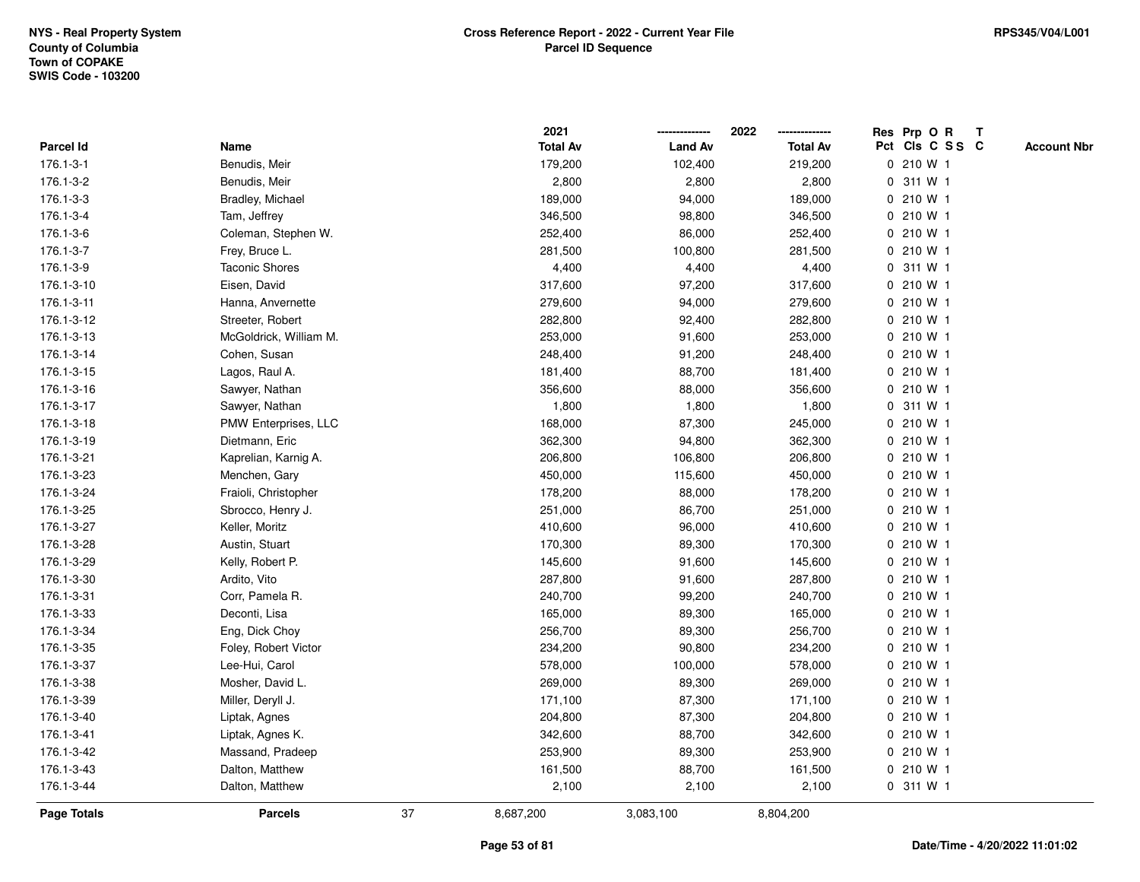|                  |                        |    | 2021            |                | 2022            | Res Prp O R<br>Т                      |
|------------------|------------------------|----|-----------------|----------------|-----------------|---------------------------------------|
| <b>Parcel Id</b> | Name                   |    | <b>Total Av</b> | <b>Land Av</b> | <b>Total Av</b> | Pct Cls C S S C<br><b>Account Nbr</b> |
| 176.1-3-1        | Benudis, Meir          |    | 179,200         | 102,400        | 219,200         | 0 210 W 1                             |
| 176.1-3-2        | Benudis, Meir          |    | 2,800           | 2,800          | 2,800           | 311 W 1<br>0                          |
| 176.1-3-3        | Bradley, Michael       |    | 189,000         | 94,000         | 189,000         | 0210W1                                |
| 176.1-3-4        | Tam, Jeffrey           |    | 346,500         | 98,800         | 346,500         | 0 210 W 1                             |
| 176.1-3-6        | Coleman, Stephen W.    |    | 252,400         | 86,000         | 252,400         | 0 210 W 1                             |
| 176.1-3-7        | Frey, Bruce L.         |    | 281,500         | 100,800        | 281,500         | 0 210 W 1                             |
| 176.1-3-9        | <b>Taconic Shores</b>  |    | 4,400           | 4,400          | 4,400           | 0 311 W 1                             |
| 176.1-3-10       | Eisen, David           |    | 317,600         | 97,200         | 317,600         | 0 210 W 1                             |
| 176.1-3-11       | Hanna, Anvernette      |    | 279,600         | 94,000         | 279,600         | 0 210 W 1                             |
| 176.1-3-12       | Streeter, Robert       |    | 282,800         | 92,400         | 282,800         | 0 210 W 1                             |
| 176.1-3-13       | McGoldrick, William M. |    | 253,000         | 91,600         | 253,000         | 0 210 W 1                             |
| 176.1-3-14       | Cohen, Susan           |    | 248,400         | 91,200         | 248,400         | 0 210 W 1                             |
| 176.1-3-15       | Lagos, Raul A.         |    | 181,400         | 88,700         | 181,400         | 0 210 W 1                             |
| 176.1-3-16       | Sawyer, Nathan         |    | 356,600         | 88,000         | 356,600         | 0 210 W 1                             |
| 176.1-3-17       | Sawyer, Nathan         |    | 1,800           | 1,800          | 1,800           | 0 311 W 1                             |
| 176.1-3-18       | PMW Enterprises, LLC   |    | 168,000         | 87,300         | 245,000         | 0 210 W 1                             |
| 176.1-3-19       | Dietmann, Eric         |    | 362,300         | 94,800         | 362,300         | 0 210 W 1                             |
| 176.1-3-21       | Kaprelian, Karnig A.   |    | 206,800         | 106,800        | 206,800         | 0 210 W 1                             |
| 176.1-3-23       | Menchen, Gary          |    | 450,000         | 115,600        | 450,000         | 0 210 W 1                             |
| 176.1-3-24       | Fraioli, Christopher   |    | 178,200         | 88,000         | 178,200         | 0 210 W 1                             |
| 176.1-3-25       | Sbrocco, Henry J.      |    | 251,000         | 86,700         | 251,000         | 0 210 W 1                             |
| 176.1-3-27       | Keller, Moritz         |    | 410,600         | 96,000         | 410,600         | 0 210 W 1                             |
| 176.1-3-28       | Austin, Stuart         |    | 170,300         | 89,300         | 170,300         | 0 210 W 1                             |
| 176.1-3-29       | Kelly, Robert P.       |    | 145,600         | 91,600         | 145,600         | 0 210 W 1                             |
| 176.1-3-30       | Ardito, Vito           |    | 287,800         | 91,600         | 287,800         | 0 210 W 1                             |
| 176.1-3-31       | Corr, Pamela R.        |    | 240,700         | 99,200         | 240,700         | 0 210 W 1                             |
| 176.1-3-33       | Deconti, Lisa          |    | 165,000         | 89,300         | 165,000         | 0 210 W 1                             |
| 176.1-3-34       | Eng, Dick Choy         |    | 256,700         | 89,300         | 256,700         | 0 210 W 1                             |
| 176.1-3-35       | Foley, Robert Victor   |    | 234,200         | 90,800         | 234,200         | 0 210 W 1                             |
| 176.1-3-37       | Lee-Hui, Carol         |    | 578,000         | 100,000        | 578,000         | 0 210 W 1                             |
| 176.1-3-38       | Mosher, David L.       |    | 269,000         | 89,300         | 269,000         | 0 210 W 1                             |
| 176.1-3-39       | Miller, Deryll J.      |    | 171,100         | 87,300         | 171,100         | 0 210 W 1                             |
| 176.1-3-40       | Liptak, Agnes          |    | 204,800         | 87,300         | 204,800         | 0 210 W 1                             |
| 176.1-3-41       | Liptak, Agnes K.       |    | 342,600         | 88,700         | 342,600         | 0 210 W 1                             |
| 176.1-3-42       | Massand, Pradeep       |    | 253,900         | 89,300         | 253,900         | 0 210 W 1                             |
| 176.1-3-43       | Dalton, Matthew        |    | 161,500         | 88,700         | 161,500         | 0 210 W 1                             |
| 176.1-3-44       | Dalton, Matthew        |    | 2,100           | 2,100          | 2,100           | 0 311 W 1                             |
| Page Totals      | <b>Parcels</b>         | 37 | 8,687,200       | 3,083,100      | 8,804,200       |                                       |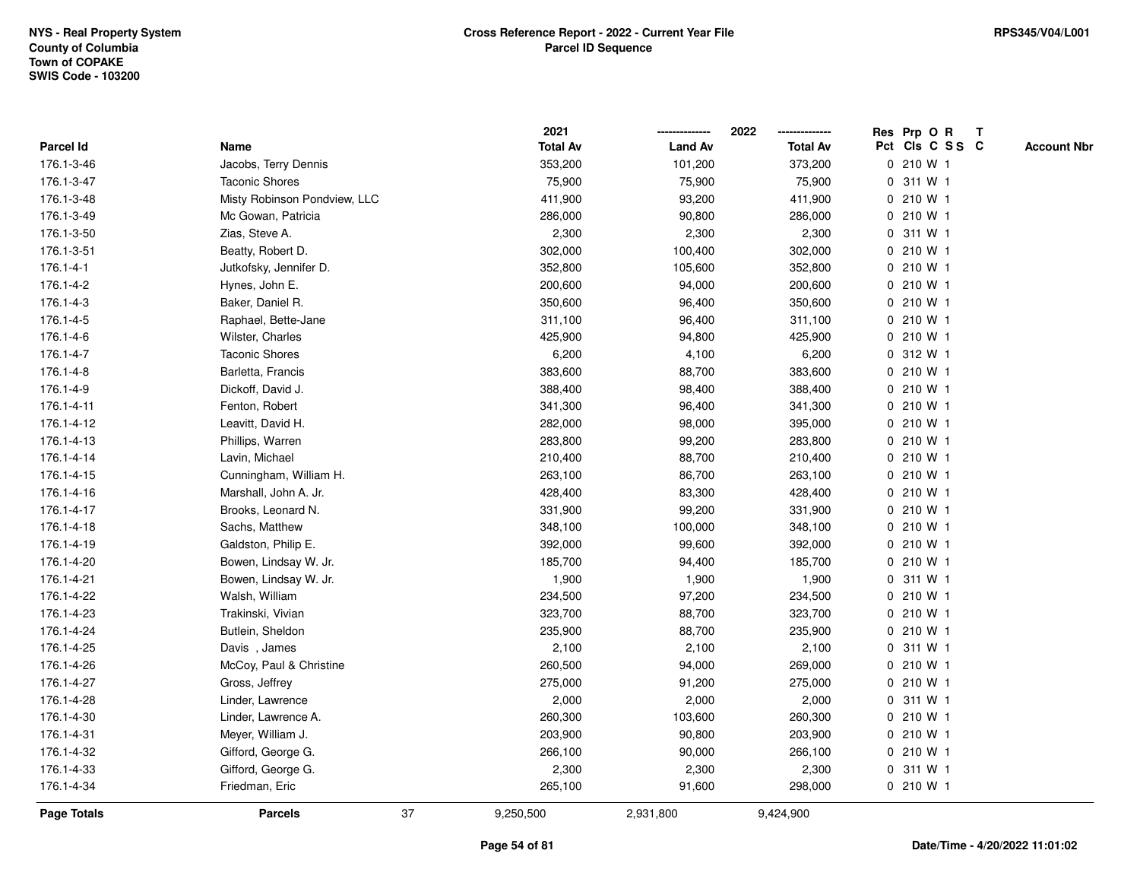|                 |                              |    | 2021            |                | 2022            |   | Res Prp O R     | Т |                    |
|-----------------|------------------------------|----|-----------------|----------------|-----------------|---|-----------------|---|--------------------|
| Parcel Id       | Name                         |    | <b>Total Av</b> | <b>Land Av</b> | <b>Total Av</b> |   | Pct Cls C S S C |   | <b>Account Nbr</b> |
| 176.1-3-46      | Jacobs, Terry Dennis         |    | 353,200         | 101,200        | 373,200         |   | 0 210 W 1       |   |                    |
| 176.1-3-47      | <b>Taconic Shores</b>        |    | 75,900          | 75,900         | 75,900          | 0 | 311 W 1         |   |                    |
| 176.1-3-48      | Misty Robinson Pondview, LLC |    | 411,900         | 93,200         | 411,900         |   | $0, 210$ W 1    |   |                    |
| 176.1-3-49      | Mc Gowan, Patricia           |    | 286,000         | 90,800         | 286,000         |   | 0 210 W 1       |   |                    |
| 176.1-3-50      | Zias, Steve A.               |    | 2,300           | 2,300          | 2,300           |   | 0 311 W 1       |   |                    |
| 176.1-3-51      | Beatty, Robert D.            |    | 302,000         | 100,400        | 302,000         |   | 0 210 W 1       |   |                    |
| $176.1 - 4 - 1$ | Jutkofsky, Jennifer D.       |    | 352,800         | 105,600        | 352,800         |   | 0 210 W 1       |   |                    |
| 176.1-4-2       | Hynes, John E.               |    | 200,600         | 94,000         | 200,600         |   | 0 210 W 1       |   |                    |
| 176.1-4-3       | Baker, Daniel R.             |    | 350,600         | 96,400         | 350,600         |   | 0 210 W 1       |   |                    |
| 176.1-4-5       | Raphael, Bette-Jane          |    | 311,100         | 96,400         | 311,100         |   | 0 210 W 1       |   |                    |
| 176.1-4-6       | Wilster, Charles             |    | 425,900         | 94,800         | 425,900         |   | 0 210 W 1       |   |                    |
| 176.1-4-7       | <b>Taconic Shores</b>        |    | 6,200           | 4,100          | 6,200           |   | 0 312 W 1       |   |                    |
| 176.1-4-8       | Barletta, Francis            |    | 383,600         | 88,700         | 383,600         |   | 0 210 W 1       |   |                    |
| 176.1-4-9       | Dickoff, David J.            |    | 388,400         | 98,400         | 388,400         |   | 0 210 W 1       |   |                    |
| 176.1-4-11      | Fenton, Robert               |    | 341,300         | 96,400         | 341,300         |   | 0 210 W 1       |   |                    |
| 176.1-4-12      | Leavitt, David H.            |    | 282,000         | 98,000         | 395,000         |   | 0 210 W 1       |   |                    |
| 176.1-4-13      | Phillips, Warren             |    | 283,800         | 99,200         | 283,800         |   | 0 210 W 1       |   |                    |
| 176.1-4-14      | Lavin, Michael               |    | 210,400         | 88,700         | 210,400         |   | 0 210 W 1       |   |                    |
| 176.1-4-15      | Cunningham, William H.       |    | 263,100         | 86,700         | 263,100         |   | 0 210 W 1       |   |                    |
| 176.1-4-16      | Marshall, John A. Jr.        |    | 428,400         | 83,300         | 428,400         |   | 0 210 W 1       |   |                    |
| 176.1-4-17      | Brooks, Leonard N.           |    | 331,900         | 99,200         | 331,900         |   | 0 210 W 1       |   |                    |
| 176.1-4-18      | Sachs, Matthew               |    | 348,100         | 100,000        | 348,100         |   | 0 210 W 1       |   |                    |
| 176.1-4-19      | Galdston, Philip E.          |    | 392,000         | 99,600         | 392,000         |   | 0 210 W 1       |   |                    |
| 176.1-4-20      | Bowen, Lindsay W. Jr.        |    | 185,700         | 94,400         | 185,700         |   | 0 210 W 1       |   |                    |
| 176.1-4-21      | Bowen, Lindsay W. Jr.        |    | 1,900           | 1,900          | 1,900           |   | 0 311 W 1       |   |                    |
| 176.1-4-22      | Walsh, William               |    | 234,500         | 97,200         | 234,500         |   | 0 210 W 1       |   |                    |
| 176.1-4-23      | Trakinski, Vivian            |    | 323,700         | 88,700         | 323,700         |   | 0 210 W 1       |   |                    |
| 176.1-4-24      | Butlein, Sheldon             |    | 235,900         | 88,700         | 235,900         |   | 0 210 W 1       |   |                    |
| 176.1-4-25      | Davis, James                 |    | 2,100           | 2,100          | 2,100           |   | 0 311 W 1       |   |                    |
| 176.1-4-26      | McCoy, Paul & Christine      |    | 260,500         | 94,000         | 269,000         |   | 0 210 W 1       |   |                    |
| 176.1-4-27      | Gross, Jeffrey               |    | 275,000         | 91,200         | 275,000         | 0 | 210 W 1         |   |                    |
| 176.1-4-28      | Linder, Lawrence             |    | 2,000           | 2,000          | 2,000           |   | 0 311 W 1       |   |                    |
| 176.1-4-30      | Linder, Lawrence A.          |    | 260,300         | 103,600        | 260,300         |   | 0 210 W 1       |   |                    |
| 176.1-4-31      | Meyer, William J.            |    | 203,900         | 90,800         | 203,900         |   | 0 210 W 1       |   |                    |
| 176.1-4-32      | Gifford, George G.           |    | 266,100         | 90,000         | 266,100         |   | 0 210 W 1       |   |                    |
| 176.1-4-33      | Gifford, George G.           |    | 2,300           | 2,300          | 2,300           |   | 0 311 W 1       |   |                    |
| 176.1-4-34      | Friedman, Eric               |    | 265,100         | 91,600         | 298,000         |   | 0 210 W 1       |   |                    |
| Page Totals     | <b>Parcels</b>               | 37 | 9,250,500       | 2,931,800      | 9,424,900       |   |                 |   |                    |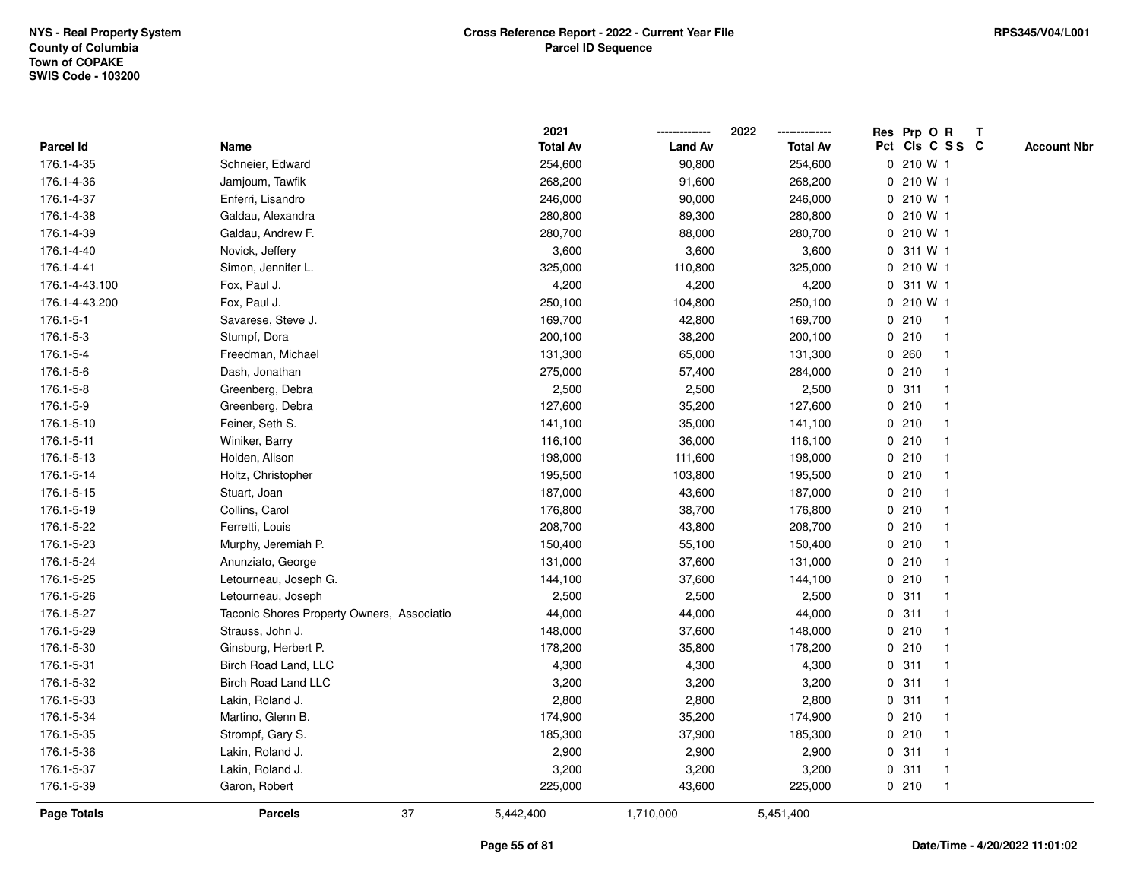|                  |                                            | 2021            |                | 2022            | Res Prp O R        |              | $\mathbf{T}$ |                    |
|------------------|--------------------------------------------|-----------------|----------------|-----------------|--------------------|--------------|--------------|--------------------|
| <b>Parcel Id</b> | Name                                       | <b>Total Av</b> | <b>Land Av</b> | <b>Total Av</b> | Pct Cls C S S C    |              |              | <b>Account Nbr</b> |
| 176.1-4-35       | Schneier, Edward                           | 254,600         | 90,800         | 254,600         | 0 210 W 1          |              |              |                    |
| 176.1-4-36       | Jamjoum, Tawfik                            | 268,200         | 91,600         | 268,200         | 0 210 W 1          |              |              |                    |
| 176.1-4-37       | Enferri, Lisandro                          | 246,000         | 90,000         | 246,000         | 0 210 W 1          |              |              |                    |
| 176.1-4-38       | Galdau, Alexandra                          | 280,800         | 89,300         | 280,800         | 0 210 W 1          |              |              |                    |
| 176.1-4-39       | Galdau, Andrew F.                          | 280,700         | 88,000         | 280,700         | 0 210 W 1          |              |              |                    |
| 176.1-4-40       | Novick, Jeffery                            | 3,600           | 3,600          | 3,600           | 0 311 W 1          |              |              |                    |
| 176.1-4-41       | Simon, Jennifer L.                         | 325,000         | 110,800        | 325,000         | 0 210 W 1          |              |              |                    |
| 176.1-4-43.100   | Fox, Paul J.                               | 4,200           | 4,200          | 4,200           | 0 311 W 1          |              |              |                    |
| 176.1-4-43.200   | Fox, Paul J.                               | 250,100         | 104,800        | 250,100         | 0 210 W 1          |              |              |                    |
| 176.1-5-1        | Savarese, Steve J.                         | 169,700         | 42,800         | 169,700         | 0210               | $\mathbf{1}$ |              |                    |
| 176.1-5-3        | Stumpf, Dora                               | 200,100         | 38,200         | 200,100         | 0210               | $\mathbf{1}$ |              |                    |
| 176.1-5-4        | Freedman, Michael                          | 131,300         | 65,000         | 131,300         | 0.260              | $\mathbf 1$  |              |                    |
| 176.1-5-6        | Dash, Jonathan                             | 275,000         | 57,400         | 284,000         | 0210               |              |              |                    |
| 176.1-5-8        | Greenberg, Debra                           | 2,500           | 2,500          | 2,500           | 0.311              |              |              |                    |
| 176.1-5-9        | Greenberg, Debra                           | 127,600         | 35,200         | 127,600         | 0210               |              |              |                    |
| 176.1-5-10       | Feiner, Seth S.                            | 141,100         | 35,000         | 141,100         | 0210               | -1           |              |                    |
| 176.1-5-11       | Winiker, Barry                             | 116,100         | 36,000         | 116,100         | 0210               | $\mathbf{1}$ |              |                    |
| 176.1-5-13       | Holden, Alison                             | 198,000         | 111,600        | 198,000         | 0210               | $\mathbf 1$  |              |                    |
| 176.1-5-14       | Holtz, Christopher                         | 195,500         | 103,800        | 195,500         | 0210               | -1           |              |                    |
| 176.1-5-15       | Stuart, Joan                               | 187,000         | 43,600         | 187,000         | 0210               |              |              |                    |
| 176.1-5-19       | Collins, Carol                             | 176,800         | 38,700         | 176,800         | 0210               |              |              |                    |
| 176.1-5-22       | Ferretti, Louis                            | 208,700         | 43,800         | 208,700         | 0210               |              |              |                    |
| 176.1-5-23       | Murphy, Jeremiah P.                        | 150,400         | 55,100         | 150,400         | 0210               |              |              |                    |
| 176.1-5-24       | Anunziato, George                          | 131,000         | 37,600         | 131,000         | 0210               | $\mathbf{1}$ |              |                    |
| 176.1-5-25       | Letourneau, Joseph G.                      | 144,100         | 37,600         | 144,100         | 0210               | $\mathbf{1}$ |              |                    |
| 176.1-5-26       | Letourneau, Joseph                         | 2,500           | 2,500          | 2,500           | 0.311              |              |              |                    |
| 176.1-5-27       | Taconic Shores Property Owners, Associatio | 44,000          | 44,000         | 44,000          | 0.311              |              |              |                    |
| 176.1-5-29       | Strauss, John J.                           | 148,000         | 37,600         | 148,000         | 0210               |              |              |                    |
| 176.1-5-30       | Ginsburg, Herbert P.                       | 178,200         | 35,800         | 178,200         | 0210               |              |              |                    |
| 176.1-5-31       | Birch Road Land, LLC                       | 4,300           | 4,300          | 4,300           | 311<br>$\mathbf 0$ | -1           |              |                    |
| 176.1-5-32       | <b>Birch Road Land LLC</b>                 | 3,200           | 3,200          | 3,200           | 311<br>0           | -1           |              |                    |
| 176.1-5-33       | Lakin, Roland J.                           | 2,800           | 2,800          | 2,800           | 0.311              | $\mathbf 1$  |              |                    |
| 176.1-5-34       | Martino, Glenn B.                          | 174,900         | 35,200         | 174,900         | 0210               |              |              |                    |
| 176.1-5-35       | Strompf, Gary S.                           | 185,300         | 37,900         | 185,300         | 0210               |              |              |                    |
| 176.1-5-36       | Lakin, Roland J.                           | 2,900           | 2,900          | 2,900           | 0.311              |              |              |                    |
| 176.1-5-37       | Lakin, Roland J.                           | 3,200           | 3,200          | 3,200           | 0.311              | $\mathbf{1}$ |              |                    |
| 176.1-5-39       | Garon, Robert                              | 225,000         | 43,600         | 225,000         | 0210               | $\mathbf{1}$ |              |                    |
| Page Totals      | 37<br><b>Parcels</b>                       | 5,442,400       | 1,710,000      | 5,451,400       |                    |              |              |                    |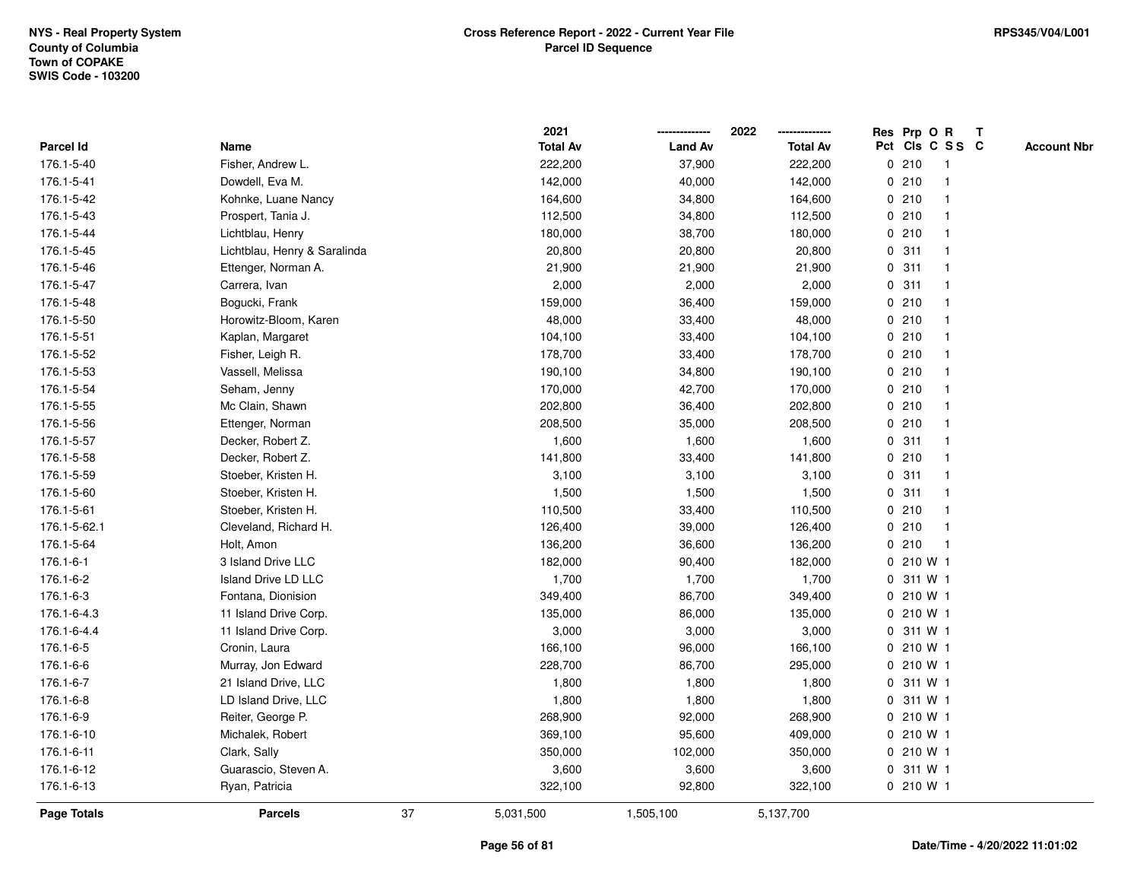|                  |                              |    | 2021            |                | 2022            |              |           | Res Prp O R     | $\mathbf{T}$ |                    |
|------------------|------------------------------|----|-----------------|----------------|-----------------|--------------|-----------|-----------------|--------------|--------------------|
| <b>Parcel Id</b> | Name                         |    | <b>Total Av</b> | <b>Land Av</b> | <b>Total Av</b> |              |           | Pct Cls C S S C |              | <b>Account Nbr</b> |
| 176.1-5-40       | Fisher, Andrew L.            |    | 222,200         | 37,900         | 222,200         |              | 0210      |                 |              |                    |
| 176.1-5-41       | Dowdell, Eva M.              |    | 142,000         | 40,000         | 142,000         |              | 0210      |                 |              |                    |
| 176.1-5-42       | Kohnke, Luane Nancy          |    | 164,600         | 34,800         | 164,600         |              | 0210      |                 |              |                    |
| 176.1-5-43       | Prospert, Tania J.           |    | 112,500         | 34,800         | 112,500         |              | 0210      | $\mathbf 1$     |              |                    |
| 176.1-5-44       | Lichtblau, Henry             |    | 180,000         | 38,700         | 180,000         |              | 0210      |                 |              |                    |
| 176.1-5-45       | Lichtblau, Henry & Saralinda |    | 20,800          | 20,800         | 20,800          |              | 0.311     |                 |              |                    |
| 176.1-5-46       | Ettenger, Norman A.          |    | 21,900          | 21,900         | 21,900          |              | 0.311     |                 |              |                    |
| 176.1-5-47       | Carrera, Ivan                |    | 2,000           | 2,000          | 2,000           |              | 0.311     |                 |              |                    |
| 176.1-5-48       | Bogucki, Frank               |    | 159,000         | 36,400         | 159,000         |              | 0210      |                 |              |                    |
| 176.1-5-50       | Horowitz-Bloom, Karen        |    | 48,000          | 33,400         | 48,000          |              | 0210      |                 |              |                    |
| 176.1-5-51       | Kaplan, Margaret             |    | 104,100         | 33,400         | 104,100         |              | 0210      | -1              |              |                    |
| 176.1-5-52       | Fisher, Leigh R.             |    | 178,700         | 33,400         | 178,700         |              | 0210      | $\mathbf 1$     |              |                    |
| 176.1-5-53       | Vassell, Melissa             |    | 190,100         | 34,800         | 190,100         |              | 0210      |                 |              |                    |
| 176.1-5-54       | Seham, Jenny                 |    | 170,000         | 42,700         | 170,000         |              | 0210      |                 |              |                    |
| 176.1-5-55       | Mc Clain, Shawn              |    | 202,800         | 36,400         | 202,800         |              | 0210      |                 |              |                    |
| 176.1-5-56       | Ettenger, Norman             |    | 208,500         | 35,000         | 208,500         |              | 0210      |                 |              |                    |
| 176.1-5-57       | Decker, Robert Z.            |    | 1,600           | 1,600          | 1,600           | 0            | 311       |                 |              |                    |
| 176.1-5-58       | Decker, Robert Z.            |    | 141,800         | 33,400         | 141,800         |              | 0210      |                 |              |                    |
| 176.1-5-59       | Stoeber, Kristen H.          |    | 3,100           | 3,100          | 3,100           |              | 0.311     |                 |              |                    |
| 176.1-5-60       | Stoeber, Kristen H.          |    | 1,500           | 1,500          | 1,500           |              | 0.311     |                 |              |                    |
| 176.1-5-61       | Stoeber, Kristen H.          |    | 110,500         | 33,400         | 110,500         |              | 0210      |                 |              |                    |
| 176.1-5-62.1     | Cleveland, Richard H.        |    | 126,400         | 39,000         | 126,400         |              | 0210      |                 |              |                    |
| 176.1-5-64       | Holt, Amon                   |    | 136,200         | 36,600         | 136,200         |              | 0210      | $\mathbf{1}$    |              |                    |
| 176.1-6-1        | 3 Island Drive LLC           |    | 182,000         | 90,400         | 182,000         | $\mathbf{0}$ | 210 W 1   |                 |              |                    |
| 176.1-6-2        | Island Drive LD LLC          |    | 1,700           | 1,700          | 1,700           | 0            | 311 W 1   |                 |              |                    |
| 176.1-6-3        | Fontana, Dionision           |    | 349,400         | 86,700         | 349,400         |              | 0 210 W 1 |                 |              |                    |
| 176.1-6-4.3      | 11 Island Drive Corp.        |    | 135,000         | 86,000         | 135,000         |              | 0 210 W 1 |                 |              |                    |
| 176.1-6-4.4      | 11 Island Drive Corp.        |    | 3,000           | 3,000          | 3,000           |              | 0 311 W 1 |                 |              |                    |
| 176.1-6-5        | Cronin, Laura                |    | 166,100         | 96,000         | 166,100         |              | 0 210 W 1 |                 |              |                    |
| 176.1-6-6        | Murray, Jon Edward           |    | 228,700         | 86,700         | 295,000         |              | 0 210 W 1 |                 |              |                    |
| 176.1-6-7        | 21 Island Drive, LLC         |    | 1,800           | 1,800          | 1,800           | $\mathbf 0$  | 311 W 1   |                 |              |                    |
| 176.1-6-8        | LD Island Drive, LLC         |    | 1,800           | 1,800          | 1,800           |              | 0 311 W 1 |                 |              |                    |
| 176.1-6-9        | Reiter, George P.            |    | 268,900         | 92,000         | 268,900         |              | 0210W1    |                 |              |                    |
| 176.1-6-10       | Michalek, Robert             |    | 369,100         | 95,600         | 409,000         |              | 0 210 W 1 |                 |              |                    |
| 176.1-6-11       | Clark, Sally                 |    | 350,000         | 102,000        | 350,000         |              | 0 210 W 1 |                 |              |                    |
| 176.1-6-12       | Guarascio, Steven A.         |    | 3,600           | 3,600          | 3,600           |              | 0 311 W 1 |                 |              |                    |
| 176.1-6-13       | Ryan, Patricia               |    | 322,100         | 92,800         | 322,100         |              | 0 210 W 1 |                 |              |                    |
| Page Totals      | <b>Parcels</b>               | 37 | 5,031,500       | 1,505,100      | 5,137,700       |              |           |                 |              |                    |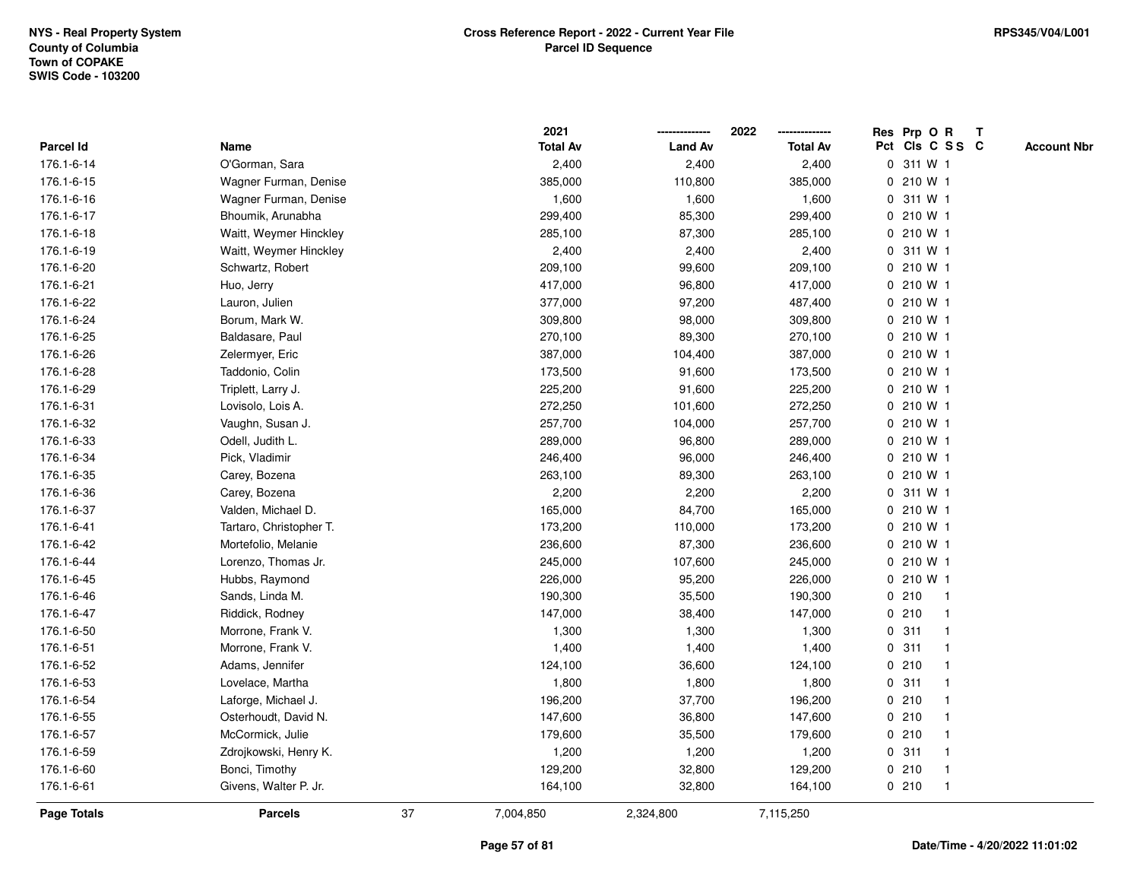|             |                         |    | 2021            |                | 2022            |             | Res Prp O R |                 | $\mathbf{T}$ |                    |
|-------------|-------------------------|----|-----------------|----------------|-----------------|-------------|-------------|-----------------|--------------|--------------------|
| Parcel Id   | Name                    |    | <b>Total Av</b> | <b>Land Av</b> | <b>Total Av</b> |             |             | Pct Cls C S S C |              | <b>Account Nbr</b> |
| 176.1-6-14  | O'Gorman, Sara          |    | 2,400           | 2,400          | 2,400           |             | 0 311 W 1   |                 |              |                    |
| 176.1-6-15  | Wagner Furman, Denise   |    | 385,000         | 110,800        | 385,000         |             | 0 210 W 1   |                 |              |                    |
| 176.1-6-16  | Wagner Furman, Denise   |    | 1,600           | 1,600          | 1,600           |             | 0 311 W 1   |                 |              |                    |
| 176.1-6-17  | Bhoumik, Arunabha       |    | 299,400         | 85,300         | 299,400         |             | 0.210 W1    |                 |              |                    |
| 176.1-6-18  | Waitt, Weymer Hinckley  |    | 285,100         | 87,300         | 285,100         | 0           | 210 W 1     |                 |              |                    |
| 176.1-6-19  | Waitt, Weymer Hinckley  |    | 2,400           | 2,400          | 2,400           |             | 0 311 W 1   |                 |              |                    |
| 176.1-6-20  | Schwartz, Robert        |    | 209,100         | 99,600         | 209,100         |             | 0 210 W 1   |                 |              |                    |
| 176.1-6-21  | Huo, Jerry              |    | 417,000         | 96,800         | 417,000         |             | 0 210 W 1   |                 |              |                    |
| 176.1-6-22  | Lauron, Julien          |    | 377,000         | 97,200         | 487,400         |             | 0 210 W 1   |                 |              |                    |
| 176.1-6-24  | Borum, Mark W.          |    | 309,800         | 98,000         | 309,800         |             | 0 210 W 1   |                 |              |                    |
| 176.1-6-25  | Baldasare, Paul         |    | 270,100         | 89,300         | 270,100         |             | 0 210 W 1   |                 |              |                    |
| 176.1-6-26  | Zelermyer, Eric         |    | 387,000         | 104,400        | 387,000         |             | 0 210 W 1   |                 |              |                    |
| 176.1-6-28  | Taddonio, Colin         |    | 173,500         | 91,600         | 173,500         |             | 0 210 W 1   |                 |              |                    |
| 176.1-6-29  | Triplett, Larry J.      |    | 225,200         | 91,600         | 225,200         |             | 0.210 W1    |                 |              |                    |
| 176.1-6-31  | Lovisolo, Lois A.       |    | 272,250         | 101,600        | 272,250         |             | 0 210 W 1   |                 |              |                    |
| 176.1-6-32  | Vaughn, Susan J.        |    | 257,700         | 104,000        | 257,700         |             | 0 210 W 1   |                 |              |                    |
| 176.1-6-33  | Odell, Judith L.        |    | 289,000         | 96,800         | 289,000         |             | 0 210 W 1   |                 |              |                    |
| 176.1-6-34  | Pick, Vladimir          |    | 246,400         | 96,000         | 246,400         |             | 0 210 W 1   |                 |              |                    |
| 176.1-6-35  | Carey, Bozena           |    | 263,100         | 89,300         | 263,100         |             | 0 210 W 1   |                 |              |                    |
| 176.1-6-36  | Carey, Bozena           |    | 2,200           | 2,200          | 2,200           |             | 0 311 W 1   |                 |              |                    |
| 176.1-6-37  | Valden, Michael D.      |    | 165,000         | 84,700         | 165,000         |             | 0 210 W 1   |                 |              |                    |
| 176.1-6-41  | Tartaro, Christopher T. |    | 173,200         | 110,000        | 173,200         |             | 0 210 W 1   |                 |              |                    |
| 176.1-6-42  | Mortefolio, Melanie     |    | 236,600         | 87,300         | 236,600         |             | 0 210 W 1   |                 |              |                    |
| 176.1-6-44  | Lorenzo, Thomas Jr.     |    | 245,000         | 107,600        | 245,000         |             | 0 210 W 1   |                 |              |                    |
| 176.1-6-45  | Hubbs, Raymond          |    | 226,000         | 95,200         | 226,000         |             | 0 210 W 1   |                 |              |                    |
| 176.1-6-46  | Sands, Linda M.         |    | 190,300         | 35,500         | 190,300         |             | 0210        | $\mathbf{1}$    |              |                    |
| 176.1-6-47  | Riddick, Rodney         |    | 147,000         | 38,400         | 147,000         |             | 0210        |                 |              |                    |
| 176.1-6-50  | Morrone, Frank V.       |    | 1,300           | 1,300          | 1,300           |             | 0.311       |                 |              |                    |
| 176.1-6-51  | Morrone, Frank V.       |    | 1,400           | 1,400          | 1,400           |             | 0.311       |                 |              |                    |
| 176.1-6-52  | Adams, Jennifer         |    | 124,100         | 36,600         | 124,100         |             | 0210        |                 |              |                    |
| 176.1-6-53  | Lovelace, Martha        |    | 1,800           | 1,800          | 1,800           | $\mathbf 0$ | 311         | -1              |              |                    |
| 176.1-6-54  | Laforge, Michael J.     |    | 196,200         | 37,700         | 196,200         |             | 0210        |                 |              |                    |
| 176.1-6-55  | Osterhoudt, David N.    |    | 147,600         | 36,800         | 147,600         |             | 0210        |                 |              |                    |
| 176.1-6-57  | McCormick, Julie        |    | 179,600         | 35,500         | 179,600         |             | 0210        |                 |              |                    |
| 176.1-6-59  | Zdrojkowski, Henry K.   |    | 1,200           | 1,200          | 1,200           |             | 0.311       |                 |              |                    |
| 176.1-6-60  | Bonci, Timothy          |    | 129,200         | 32,800         | 129,200         |             | 0210        | $\mathbf{1}$    |              |                    |
| 176.1-6-61  | Givens, Walter P. Jr.   |    | 164,100         | 32,800         | 164,100         |             | 0210        | $\mathbf{1}$    |              |                    |
| Page Totals | <b>Parcels</b>          | 37 | 7,004,850       | 2,324,800      | 7,115,250       |             |             |                 |              |                    |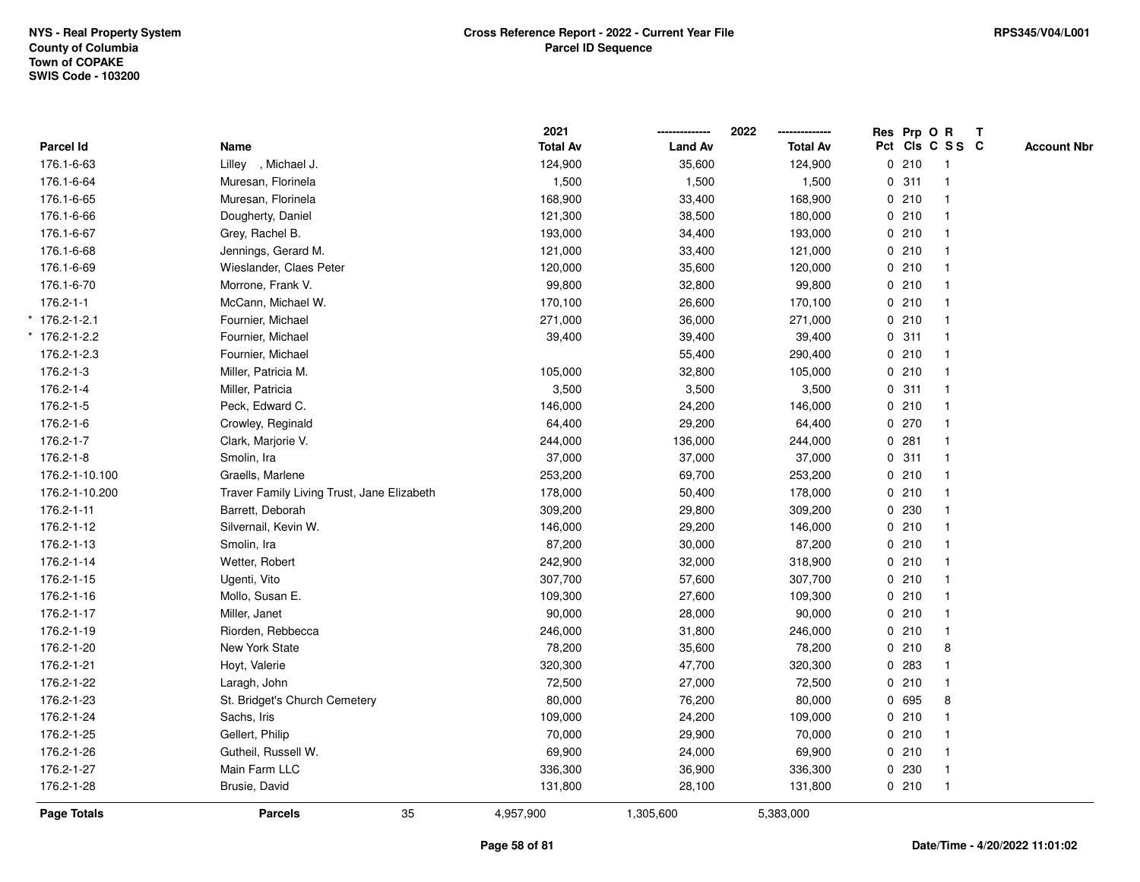|                   |                                            | 2021            |                | 2022            | Res Prp O R     |                | $\mathbf{T}$ |                    |
|-------------------|--------------------------------------------|-----------------|----------------|-----------------|-----------------|----------------|--------------|--------------------|
| Parcel Id         | Name                                       | <b>Total Av</b> | <b>Land Av</b> | <b>Total Av</b> | Pct Cls C S S C |                |              | <b>Account Nbr</b> |
| 176.1-6-63        | Lilley, Michael J.                         | 124,900         | 35,600         | 124,900         | 0210            | $\overline{1}$ |              |                    |
| 176.1-6-64        | Muresan, Florinela                         | 1,500           | 1,500          | 1,500           | 0.311           | $\mathbf{1}$   |              |                    |
| 176.1-6-65        | Muresan, Florinela                         | 168,900         | 33,400         | 168,900         | 0210            | $\mathbf{1}$   |              |                    |
| 176.1-6-66        | Dougherty, Daniel                          | 121,300         | 38,500         | 180,000         | 0210            | $\mathbf{1}$   |              |                    |
| 176.1-6-67        | Grey, Rachel B.                            | 193,000         | 34,400         | 193,000         | 0210            |                |              |                    |
| 176.1-6-68        | Jennings, Gerard M.                        | 121,000         | 33,400         | 121,000         | 0210            |                |              |                    |
| 176.1-6-69        | Wieslander, Claes Peter                    | 120,000         | 35,600         | 120,000         | 0210            | $\mathbf{1}$   |              |                    |
| 176.1-6-70        | Morrone, Frank V.                          | 99,800          | 32,800         | 99,800          | 0210            | $\mathbf{1}$   |              |                    |
| $176.2 - 1 - 1$   | McCann, Michael W.                         | 170,100         | 26,600         | 170,100         | 0210            | $\mathbf{1}$   |              |                    |
| $*$ 176.2-1-2.1   | Fournier, Michael                          | 271,000         | 36,000         | 271,000         | 0210            | $\mathbf{1}$   |              |                    |
| $176.2 - 1 - 2.2$ | Fournier, Michael                          | 39,400          | 39,400         | 39,400          | 0.311           | $\mathbf 1$    |              |                    |
| 176.2-1-2.3       | Fournier, Michael                          |                 | 55,400         | 290,400         | 0210            |                |              |                    |
| 176.2-1-3         | Miller, Patricia M.                        | 105,000         | 32,800         | 105,000         | 0210            |                |              |                    |
| 176.2-1-4         | Miller, Patricia                           | 3,500           | 3,500          | 3,500           | 0.311           | $\mathbf 1$    |              |                    |
| 176.2-1-5         | Peck, Edward C.                            | 146,000         | 24,200         | 146,000         | 0210            | $\mathbf{1}$   |              |                    |
| 176.2-1-6         | Crowley, Reginald                          | 64,400          | 29,200         | 64,400          | 0270            | $\mathbf{1}$   |              |                    |
| 176.2-1-7         | Clark, Marjorie V.                         | 244,000         | 136,000        | 244,000         | 0.281           | $\mathbf{1}$   |              |                    |
| 176.2-1-8         | Smolin, Ira                                | 37,000          | 37,000         | 37,000          | 0.311           | $\mathbf{1}$   |              |                    |
| 176.2-1-10.100    | Graells, Marlene                           | 253,200         | 69,700         | 253,200         | 0210            |                |              |                    |
| 176.2-1-10.200    | Traver Family Living Trust, Jane Elizabeth | 178,000         | 50,400         | 178,000         | 0210            |                |              |                    |
| 176.2-1-11        | Barrett, Deborah                           | 309,200         | 29,800         | 309,200         | 0 230           |                |              |                    |
| 176.2-1-12        | Silvernail, Kevin W.                       | 146,000         | 29,200         | 146,000         | 0210            | $\mathbf 1$    |              |                    |
| 176.2-1-13        | Smolin, Ira                                | 87,200          | 30,000         | 87,200          | 0210            | $\mathbf{1}$   |              |                    |
| 176.2-1-14        | Wetter, Robert                             | 242,900         | 32,000         | 318,900         | 0210            | $\mathbf{1}$   |              |                    |
| 176.2-1-15        | Ugenti, Vito                               | 307,700         | 57,600         | 307,700         | 0210            | $\mathbf{1}$   |              |                    |
| 176.2-1-16        | Mollo, Susan E.                            | 109,300         | 27,600         | 109,300         | 0210            |                |              |                    |
| 176.2-1-17        | Miller, Janet                              | 90,000          | 28,000         | 90,000          | 0210            |                |              |                    |
| 176.2-1-19        | Riorden, Rebbecca                          | 246,000         | 31,800         | 246,000         | 0210            | $\mathbf{1}$   |              |                    |
| 176.2-1-20        | New York State                             | 78,200          | 35,600         | 78,200          | 0210            | 8              |              |                    |
| 176.2-1-21        | Hoyt, Valerie                              | 320,300         | 47,700         | 320,300         | 0 283           | -1             |              |                    |
| 176.2-1-22        | Laragh, John                               | 72,500          | 27,000         | 72,500          | 0210            | $\mathbf{1}$   |              |                    |
| 176.2-1-23        | St. Bridget's Church Cemetery              | 80,000          | 76,200         | 80,000          | 0 695           | 8              |              |                    |
| 176.2-1-24        | Sachs, Iris                                | 109,000         | 24,200         | 109,000         | 0210            |                |              |                    |
| 176.2-1-25        | Gellert, Philip                            | 70,000          | 29,900         | 70,000          | 0210            |                |              |                    |
| 176.2-1-26        | Gutheil, Russell W.                        | 69,900          | 24,000         | 69,900          | 0210            | $\mathbf{1}$   |              |                    |
| 176.2-1-27        | Main Farm LLC                              | 336,300         | 36,900         | 336,300         | 0 230           | $\mathbf{1}$   |              |                    |
| 176.2-1-28        | Brusie, David                              | 131,800         | 28,100         | 131,800         | 0210            | $\mathbf{1}$   |              |                    |
| Page Totals       | 35<br><b>Parcels</b>                       | 4,957,900       | 1,305,600      | 5,383,000       |                 |                |              |                    |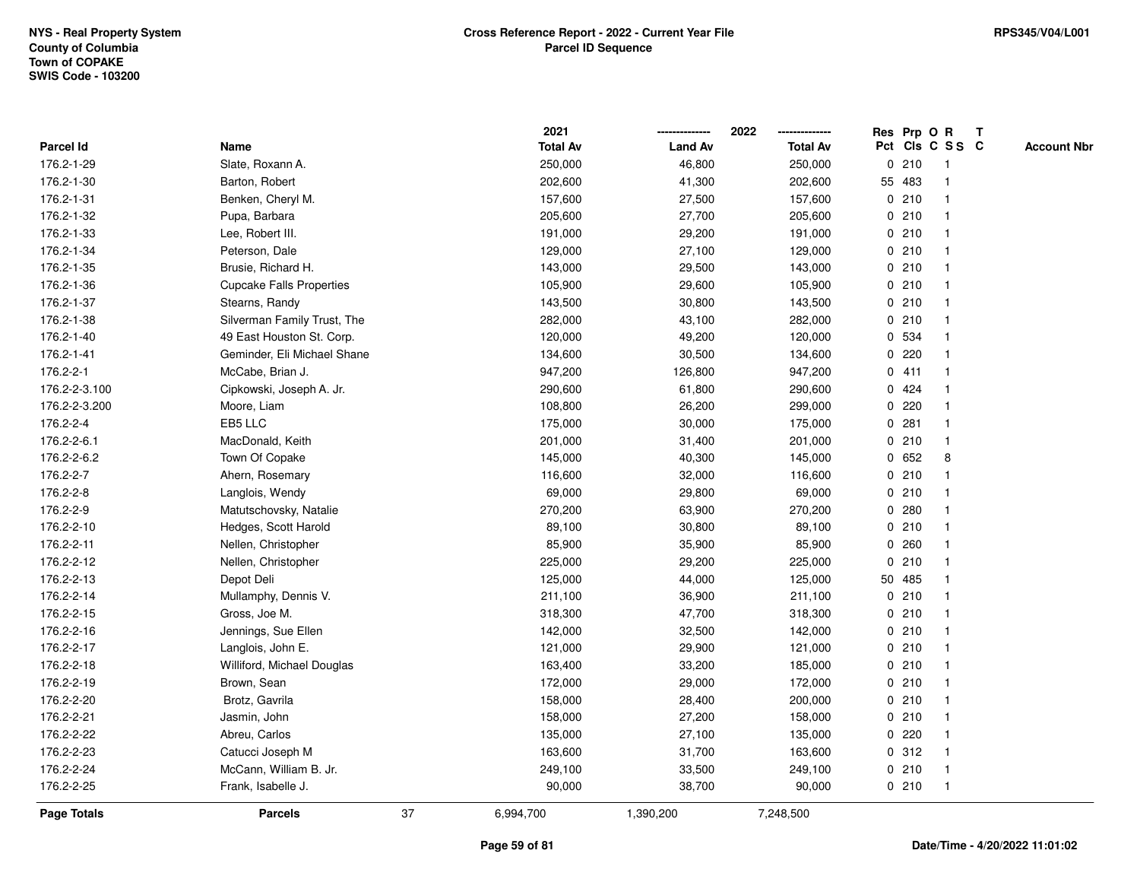|                    |                                 |    | 2021            |                | 2022            |              | Res Prp O R |                 | T |                    |
|--------------------|---------------------------------|----|-----------------|----------------|-----------------|--------------|-------------|-----------------|---|--------------------|
| Parcel Id          | Name                            |    | <b>Total Av</b> | <b>Land Av</b> | <b>Total Av</b> |              |             | Pct Cls C S S C |   | <b>Account Nbr</b> |
| 176.2-1-29         | Slate, Roxann A.                |    | 250,000         | 46,800         | 250,000         | 0            | 210         | $\mathbf{1}$    |   |                    |
| 176.2-1-30         | Barton, Robert                  |    | 202,600         | 41,300         | 202,600         |              | 55 483      |                 |   |                    |
| 176.2-1-31         | Benken, Cheryl M.               |    | 157,600         | 27,500         | 157,600         |              | 0210        | $\mathbf 1$     |   |                    |
| 176.2-1-32         | Pupa, Barbara                   |    | 205,600         | 27,700         | 205,600         |              | 0210        |                 |   |                    |
| 176.2-1-33         | Lee, Robert III.                |    | 191,000         | 29,200         | 191,000         |              | 0210        |                 |   |                    |
| 176.2-1-34         | Peterson, Dale                  |    | 129,000         | 27,100         | 129,000         |              | 0210        |                 |   |                    |
| 176.2-1-35         | Brusie, Richard H.              |    | 143,000         | 29,500         | 143,000         |              | 0210        |                 |   |                    |
| 176.2-1-36         | <b>Cupcake Falls Properties</b> |    | 105,900         | 29,600         | 105,900         | 0            | 210         |                 |   |                    |
| 176.2-1-37         | Stearns, Randy                  |    | 143,500         | 30,800         | 143,500         |              | 0210        |                 |   |                    |
| 176.2-1-38         | Silverman Family Trust, The     |    | 282,000         | 43,100         | 282,000         |              | 0210        |                 |   |                    |
| 176.2-1-40         | 49 East Houston St. Corp.       |    | 120,000         | 49,200         | 120,000         |              | 0 534       |                 |   |                    |
| 176.2-1-41         | Geminder, Eli Michael Shane     |    | 134,600         | 30,500         | 134,600         |              | 0.220       |                 |   |                    |
| 176.2-2-1          | McCabe, Brian J.                |    | 947,200         | 126,800        | 947,200         |              | 0411        |                 |   |                    |
| 176.2-2-3.100      | Cipkowski, Joseph A. Jr.        |    | 290,600         | 61,800         | 290,600         |              | 0424        |                 |   |                    |
| 176.2-2-3.200      | Moore, Liam                     |    | 108,800         | 26,200         | 299,000         | 0            | 220         |                 |   |                    |
| 176.2-2-4          | EB5 LLC                         |    | 175,000         | 30,000         | 175,000         | 0            | 281         | $\mathbf 1$     |   |                    |
| 176.2-2-6.1        | MacDonald, Keith                |    | 201,000         | 31,400         | 201,000         | 0            | 210         | $\mathbf{1}$    |   |                    |
| 176.2-2-6.2        | Town Of Copake                  |    | 145,000         | 40,300         | 145,000         |              | 0652        | 8               |   |                    |
| 176.2-2-7          | Ahern, Rosemary                 |    | 116,600         | 32,000         | 116,600         |              | 0210        |                 |   |                    |
| 176.2-2-8          | Langlois, Wendy                 |    | 69,000          | 29,800         | 69,000          |              | 0210        |                 |   |                    |
| 176.2-2-9          | Matutschovsky, Natalie          |    | 270,200         | 63,900         | 270,200         |              | 0.280       |                 |   |                    |
| 176.2-2-10         | Hedges, Scott Harold            |    | 89,100          | 30,800         | 89,100          |              | 0210        |                 |   |                    |
| 176.2-2-11         | Nellen, Christopher             |    | 85,900          | 35,900         | 85,900          | 0            | 260         |                 |   |                    |
| 176.2-2-12         | Nellen, Christopher             |    | 225,000         | 29,200         | 225,000         | $\mathbf{0}$ | 210         |                 |   |                    |
| 176.2-2-13         | Depot Deli                      |    | 125,000         | 44,000         | 125,000         |              | 50 485      |                 |   |                    |
| 176.2-2-14         | Mullamphy, Dennis V.            |    | 211,100         | 36,900         | 211,100         |              | 0210        |                 |   |                    |
| 176.2-2-15         | Gross, Joe M.                   |    | 318,300         | 47,700         | 318,300         |              | 0210        |                 |   |                    |
| 176.2-2-16         | Jennings, Sue Ellen             |    | 142,000         | 32,500         | 142,000         |              | 0210        |                 |   |                    |
| 176.2-2-17         | Langlois, John E.               |    | 121,000         | 29,900         | 121,000         |              | 0210        |                 |   |                    |
| 176.2-2-18         | Williford, Michael Douglas      |    | 163,400         | 33,200         | 185,000         |              | 0210        |                 |   |                    |
| 176.2-2-19         | Brown, Sean                     |    | 172,000         | 29,000         | 172,000         |              | 0210        |                 |   |                    |
| 176.2-2-20         | Brotz, Gavrila                  |    | 158,000         | 28,400         | 200,000         |              | 0210        |                 |   |                    |
| 176.2-2-21         | Jasmin, John                    |    | 158,000         | 27,200         | 158,000         |              | 0210        |                 |   |                    |
| 176.2-2-22         | Abreu, Carlos                   |    | 135,000         | 27,100         | 135,000         |              | $0$ 220     |                 |   |                    |
| 176.2-2-23         | Catucci Joseph M                |    | 163,600         | 31,700         | 163,600         |              | 0.312       |                 |   |                    |
| 176.2-2-24         | McCann, William B. Jr.          |    | 249,100         | 33,500         | 249,100         |              | 0210        | -1              |   |                    |
| 176.2-2-25         | Frank, Isabelle J.              |    | 90,000          | 38,700         | 90,000          |              | 0210        | $\overline{1}$  |   |                    |
| <b>Page Totals</b> | <b>Parcels</b>                  | 37 | 6,994,700       | 1,390,200      | 7,248,500       |              |             |                 |   |                    |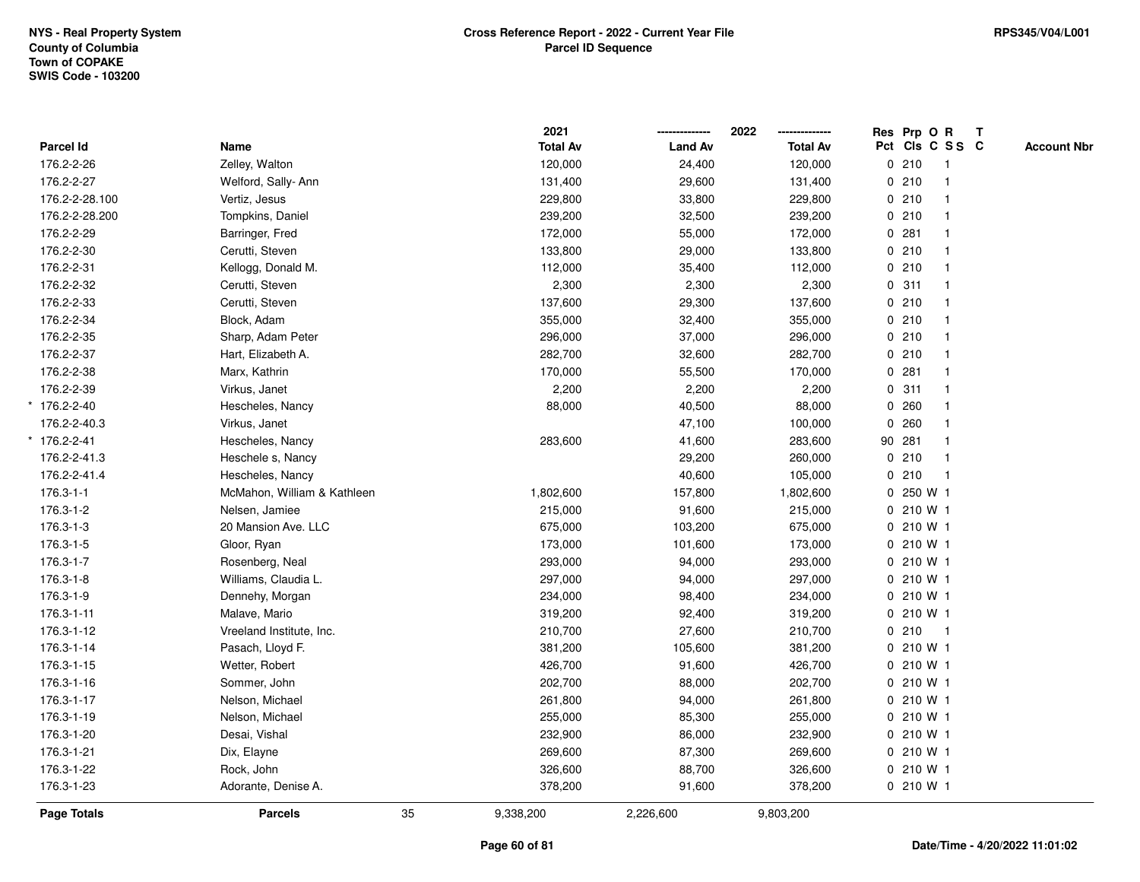|                  |                             |    | 2021            |                | 2022<br>-------------- | Res Prp O R     |                         | $\mathbf{T}$ |                    |
|------------------|-----------------------------|----|-----------------|----------------|------------------------|-----------------|-------------------------|--------------|--------------------|
| <b>Parcel Id</b> | Name                        |    | <b>Total Av</b> | <b>Land Av</b> | <b>Total Av</b>        | Pct Cls C S S C |                         |              | <b>Account Nbr</b> |
| 176.2-2-26       | Zelley, Walton              |    | 120,000         | 24,400         | 120,000                | 0210            | $\mathbf{1}$            |              |                    |
| 176.2-2-27       | Welford, Sally-Ann          |    | 131,400         | 29,600         | 131,400                | 0210            |                         |              |                    |
| 176.2-2-28.100   | Vertiz, Jesus               |    | 229,800         | 33,800         | 229,800                | 0210            | -1                      |              |                    |
| 176.2-2-28.200   | Tompkins, Daniel            |    | 239,200         | 32,500         | 239,200                | 0210            | $\mathbf{1}$            |              |                    |
| 176.2-2-29       | Barringer, Fred             |    | 172,000         | 55,000         | 172,000                | 0.281           | $\overline{1}$          |              |                    |
| 176.2-2-30       | Cerutti, Steven             |    | 133,800         | 29,000         | 133,800                | 0210            |                         |              |                    |
| 176.2-2-31       | Kellogg, Donald M.          |    | 112,000         | 35,400         | 112,000                | 0210            |                         |              |                    |
| 176.2-2-32       | Cerutti, Steven             |    | 2,300           | 2,300          | 2,300                  | 0.311           |                         |              |                    |
| 176.2-2-33       | Cerutti, Steven             |    | 137,600         | 29,300         | 137,600                | 0210            |                         |              |                    |
| 176.2-2-34       | Block, Adam                 |    | 355,000         | 32,400         | 355,000                | 0210            | $\overline{1}$          |              |                    |
| 176.2-2-35       | Sharp, Adam Peter           |    | 296,000         | 37,000         | 296,000                | 0210            | $\mathbf{1}$            |              |                    |
| 176.2-2-37       | Hart, Elizabeth A.          |    | 282,700         | 32,600         | 282,700                | 0210            | $\overline{1}$          |              |                    |
| 176.2-2-38       | Marx, Kathrin               |    | 170,000         | 55,500         | 170,000                | 0.281           |                         |              |                    |
| 176.2-2-39       | Virkus, Janet               |    | 2,200           | 2,200          | 2,200                  | 0.311           |                         |              |                    |
| * 176.2-2-40     | Hescheles, Nancy            |    | 88,000          | 40,500         | 88,000                 | 0.260           |                         |              |                    |
| 176.2-2-40.3     | Virkus, Janet               |    |                 | 47,100         | 100,000                | 0.260           |                         |              |                    |
| $*$ 176.2-2-41   | Hescheles, Nancy            |    | 283,600         | 41,600         | 283,600                | 90 281          | $\overline{\mathbf{1}}$ |              |                    |
| 176.2-2-41.3     | Heschele s, Nancy           |    |                 | 29,200         | 260,000                | 0210            | $\overline{\mathbf{1}}$ |              |                    |
| 176.2-2-41.4     | Hescheles, Nancy            |    |                 | 40,600         | 105,000                | 0210            | $\mathbf{1}$            |              |                    |
| $176.3 - 1 - 1$  | McMahon, William & Kathleen |    | 1,802,600       | 157,800        | 1,802,600              | 0 250 W 1       |                         |              |                    |
| 176.3-1-2        | Nelsen, Jamiee              |    | 215,000         | 91,600         | 215,000                | 0210W1          |                         |              |                    |
| 176.3-1-3        | 20 Mansion Ave. LLC         |    | 675,000         | 103,200        | 675,000                | 0 210 W 1       |                         |              |                    |
| 176.3-1-5        | Gloor, Ryan                 |    | 173,000         | 101,600        | 173,000                | 0 210 W 1       |                         |              |                    |
| 176.3-1-7        | Rosenberg, Neal             |    | 293,000         | 94,000         | 293,000                | 0 210 W 1       |                         |              |                    |
| 176.3-1-8        | Williams, Claudia L.        |    | 297,000         | 94,000         | 297,000                | 0 210 W 1       |                         |              |                    |
| 176.3-1-9        | Dennehy, Morgan             |    | 234,000         | 98,400         | 234,000                | 0 210 W 1       |                         |              |                    |
| 176.3-1-11       | Malave, Mario               |    | 319,200         | 92,400         | 319,200                | 0 210 W 1       |                         |              |                    |
| 176.3-1-12       | Vreeland Institute, Inc.    |    | 210,700         | 27,600         | 210,700                | 0210            | -1                      |              |                    |
| 176.3-1-14       | Pasach, Lloyd F.            |    | 381,200         | 105,600        | 381,200                | 0 210 W 1       |                         |              |                    |
| 176.3-1-15       | Wetter, Robert              |    | 426,700         | 91,600         | 426,700                | 0 210 W 1       |                         |              |                    |
| 176.3-1-16       | Sommer, John                |    | 202,700         | 88,000         | 202,700                | 0 210 W 1       |                         |              |                    |
| 176.3-1-17       | Nelson, Michael             |    | 261,800         | 94,000         | 261,800                | 0 210 W 1       |                         |              |                    |
| 176.3-1-19       | Nelson, Michael             |    | 255,000         | 85,300         | 255,000                | 0210W1          |                         |              |                    |
| 176.3-1-20       | Desai, Vishal               |    | 232,900         | 86,000         | 232,900                | 0 210 W 1       |                         |              |                    |
| 176.3-1-21       | Dix, Elayne                 |    | 269,600         | 87,300         | 269,600                | 0 210 W 1       |                         |              |                    |
| 176.3-1-22       | Rock, John                  |    | 326,600         | 88,700         | 326,600                | 0 210 W 1       |                         |              |                    |
| 176.3-1-23       | Adorante, Denise A.         |    | 378,200         | 91,600         | 378,200                | 0 210 W 1       |                         |              |                    |
| Page Totals      | <b>Parcels</b>              | 35 | 9,338,200       | 2,226,600      | 9,803,200              |                 |                         |              |                    |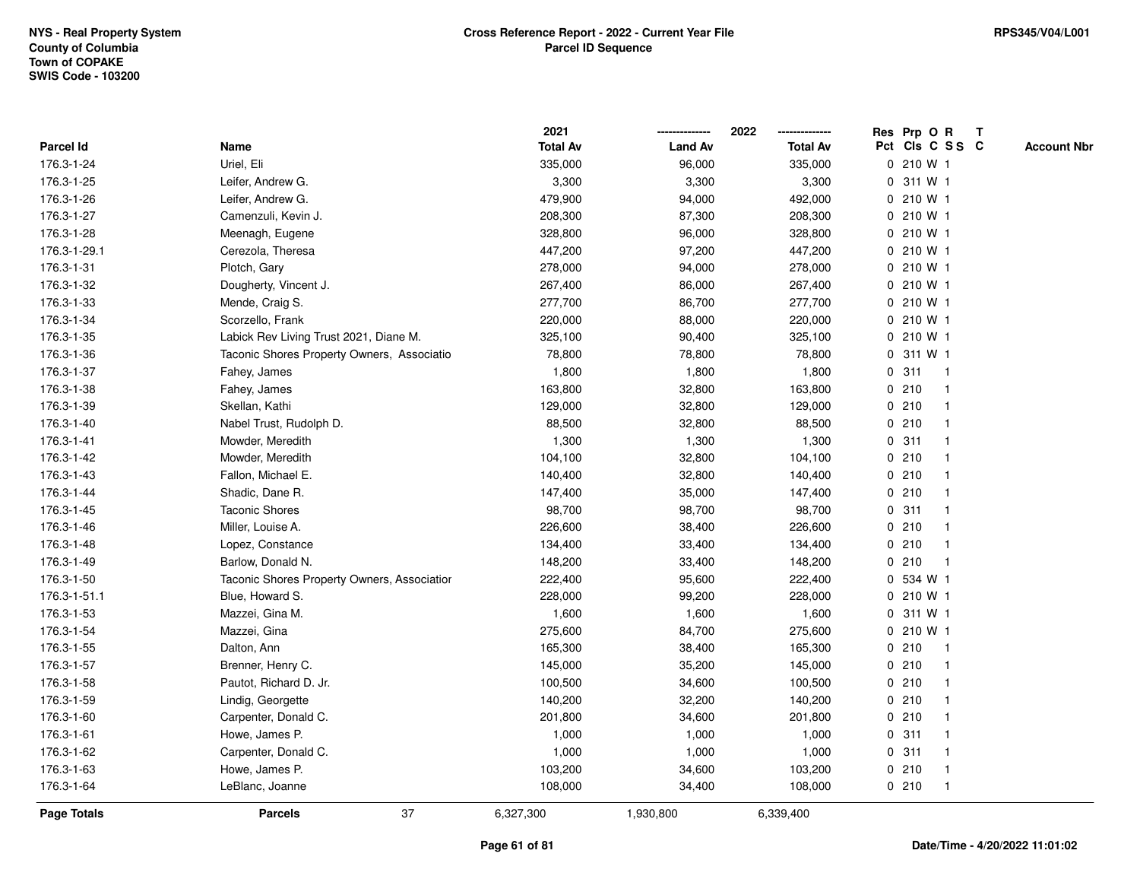|                    |                                             | 2021            |                | 2022            | Res Prp O R<br>Т                      |
|--------------------|---------------------------------------------|-----------------|----------------|-----------------|---------------------------------------|
| Parcel Id          | Name                                        | <b>Total Av</b> | <b>Land Av</b> | <b>Total Av</b> | Pct Cls C S S C<br><b>Account Nbr</b> |
| 176.3-1-24         | Uriel, Eli                                  | 335,000         | 96,000         | 335,000         | 0 210 W 1                             |
| 176.3-1-25         | Leifer, Andrew G.                           | 3,300           | 3,300          | 3,300           | 311 W 1<br>0                          |
| 176.3-1-26         | Leifer, Andrew G.                           | 479,900         | 94,000         | 492,000         | $0, 210$ W 1                          |
| 176.3-1-27         | Camenzuli, Kevin J.                         | 208,300         | 87,300         | 208,300         | 0 210 W 1                             |
| 176.3-1-28         | Meenagh, Eugene                             | 328,800         | 96,000         | 328,800         | 0 210 W 1                             |
| 176.3-1-29.1       | Cerezola, Theresa                           | 447,200         | 97,200         | 447,200         | 0 210 W 1                             |
| 176.3-1-31         | Plotch, Gary                                | 278,000         | 94,000         | 278,000         | 0 210 W 1                             |
| 176.3-1-32         | Dougherty, Vincent J.                       | 267,400         | 86,000         | 267,400         | 0 210 W 1                             |
| 176.3-1-33         | Mende, Craig S.                             | 277,700         | 86,700         | 277,700         | 0 210 W 1                             |
| 176.3-1-34         | Scorzello, Frank                            | 220,000         | 88,000         | 220,000         | 0 210 W 1                             |
| 176.3-1-35         | Labick Rev Living Trust 2021, Diane M.      | 325,100         | 90,400         | 325,100         | $0, 210$ W 1                          |
| 176.3-1-36         | Taconic Shores Property Owners, Associatio  | 78,800          | 78,800         | 78,800          | 0 311 W 1                             |
| 176.3-1-37         | Fahey, James                                | 1,800           | 1,800          | 1,800           | 0.311<br>-1                           |
| 176.3-1-38         | Fahey, James                                | 163,800         | 32,800         | 163,800         | 0210<br>-1                            |
| 176.3-1-39         | Skellan, Kathi                              | 129,000         | 32,800         | 129,000         | 0210<br>$\mathbf{1}$                  |
| 176.3-1-40         | Nabel Trust, Rudolph D.                     | 88,500          | 32,800         | 88,500          | 0210<br>$\mathbf{1}$                  |
| 176.3-1-41         | Mowder, Meredith                            | 1,300           | 1,300          | 1,300           | 0.311<br>$\mathbf{1}$                 |
| 176.3-1-42         | Mowder, Meredith                            | 104,100         | 32,800         | 104,100         | 0210<br>-1                            |
| 176.3-1-43         | Fallon, Michael E.                          | 140,400         | 32,800         | 140,400         | 0210                                  |
| 176.3-1-44         | Shadic, Dane R.                             | 147,400         | 35,000         | 147,400         | 0210                                  |
| 176.3-1-45         | <b>Taconic Shores</b>                       | 98,700          | 98,700         | 98,700          | 0.311<br>$\overline{\mathbf{1}}$      |
| 176.3-1-46         | Miller, Louise A.                           | 226,600         | 38,400         | 226,600         | 0210                                  |
| 176.3-1-48         | Lopez, Constance                            | 134,400         | 33,400         | 134,400         | 0210<br>$\mathbf{1}$                  |
| 176.3-1-49         | Barlow, Donald N.                           | 148,200         | 33,400         | 148,200         | 0210<br>$\mathbf{1}$                  |
| 176.3-1-50         | Taconic Shores Property Owners, Associatior | 222,400         | 95,600         | 222,400         | 0 534 W 1                             |
| 176.3-1-51.1       | Blue, Howard S.                             | 228,000         | 99,200         | 228,000         | 0 210 W 1                             |
| 176.3-1-53         | Mazzei, Gina M.                             | 1,600           | 1,600          | 1,600           | 0 311 W 1                             |
| 176.3-1-54         | Mazzei, Gina                                | 275,600         | 84,700         | 275,600         | 0 210 W 1                             |
| 176.3-1-55         | Dalton, Ann                                 | 165,300         | 38,400         | 165,300         | 0210<br>-1                            |
| 176.3-1-57         | Brenner, Henry C.                           | 145,000         | 35,200         | 145,000         | 0210<br>$\overline{1}$                |
| 176.3-1-58         | Pautot, Richard D. Jr.                      | 100,500         | 34,600         | 100,500         | 0210<br>$\mathbf 1$                   |
| 176.3-1-59         | Lindig, Georgette                           | 140,200         | 32,200         | 140,200         | 0210<br>$\mathbf 1$                   |
| 176.3-1-60         | Carpenter, Donald C.                        | 201,800         | 34,600         | 201,800         | 0210                                  |
| 176.3-1-61         | Howe, James P.                              | 1,000           | 1,000          | 1,000           | 0.311                                 |
| 176.3-1-62         | Carpenter, Donald C.                        | 1,000           | 1,000          | 1,000           | 0.311<br>$\mathbf 1$                  |
| 176.3-1-63         | Howe, James P.                              | 103,200         | 34,600         | 103,200         | 0210<br>$\mathbf{1}$                  |
| 176.3-1-64         | LeBlanc, Joanne                             | 108,000         | 34,400         | 108,000         | 0210<br>$\mathbf{1}$                  |
| <b>Page Totals</b> | 37<br><b>Parcels</b>                        | 6,327,300       | 1,930,800      | 6,339,400       |                                       |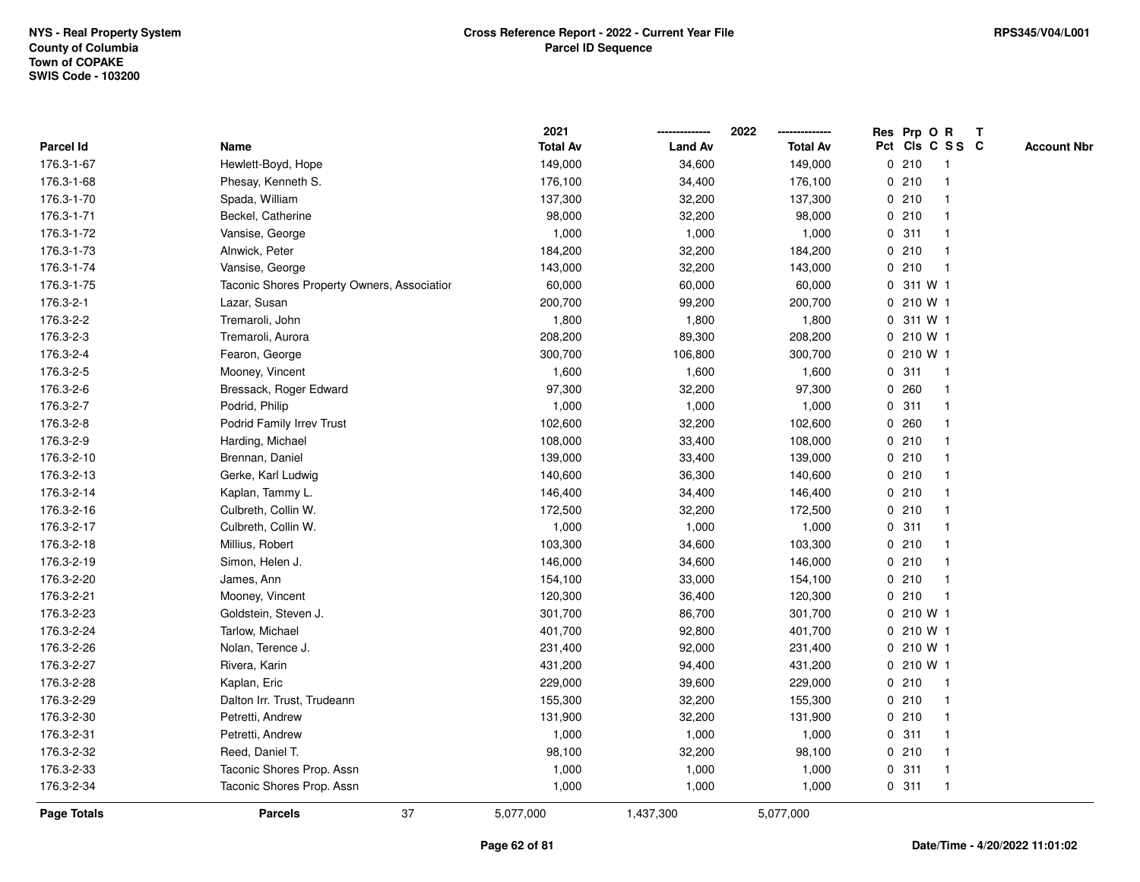|                  |                                             | 2021            |                | 2022            | Res Prp O R            |                         | $\mathbf{T}$       |
|------------------|---------------------------------------------|-----------------|----------------|-----------------|------------------------|-------------------------|--------------------|
| <b>Parcel Id</b> | Name                                        | <b>Total Av</b> | <b>Land Av</b> | <b>Total Av</b> | Pct Cls C S S C        |                         | <b>Account Nbr</b> |
| 176.3-1-67       | Hewlett-Boyd, Hope                          | 149,000         | 34,600         | 149,000         | 0210                   |                         |                    |
| 176.3-1-68       | Phesay, Kenneth S.                          | 176,100         | 34,400         | 176,100         | 0210                   |                         |                    |
| 176.3-1-70       | Spada, William                              | 137,300         | 32,200         | 137,300         | 0210                   |                         |                    |
| 176.3-1-71       | Beckel, Catherine                           | 98,000          | 32,200         | 98,000          | 0<br>210               | -1                      |                    |
| 176.3-1-72       | Vansise, George                             | 1,000           | 1,000          | 1,000           | 311<br>0               |                         |                    |
| 176.3-1-73       | Alnwick, Peter                              | 184,200         | 32,200         | 184,200         | 0210                   | -1                      |                    |
| 176.3-1-74       | Vansise, George                             | 143,000         | 32,200         | 143,000         | 0210                   |                         |                    |
| 176.3-1-75       | Taconic Shores Property Owners, Association | 60,000          | 60,000         | 60,000          | 0 311 W 1              |                         |                    |
| 176.3-2-1        | Lazar, Susan                                | 200,700         | 99,200         | 200,700         | 0 210 W 1              |                         |                    |
| 176.3-2-2        | Tremaroli, John                             | 1,800           | 1,800          | 1,800           | 311 W 1<br>0           |                         |                    |
| 176.3-2-3        | Tremaroli, Aurora                           | 208,200         | 89,300         | 208,200         | 210 W 1<br>$\mathbf 0$ |                         |                    |
| 176.3-2-4        | Fearon, George                              | 300,700         | 106,800        | 300,700         | 0 210 W 1              |                         |                    |
| 176.3-2-5        | Mooney, Vincent                             | 1,600           | 1,600          | 1,600           | 0.311                  | $\mathbf 1$             |                    |
| 176.3-2-6        | Bressack, Roger Edward                      | 97,300          | 32,200         | 97,300          | 0.260                  |                         |                    |
| 176.3-2-7        | Podrid, Philip                              | 1,000           | 1,000          | 1,000           | 0.311                  |                         |                    |
| 176.3-2-8        | Podrid Family Irrev Trust                   | 102,600         | 32,200         | 102,600         | 0.260                  |                         |                    |
| 176.3-2-9        | Harding, Michael                            | 108,000         | 33,400         | 108,000         | 210<br>0               |                         |                    |
| 176.3-2-10       | Brennan, Daniel                             | 139,000         | 33,400         | 139,000         | 0210                   |                         |                    |
| 176.3-2-13       | Gerke, Karl Ludwig                          | 140,600         | 36,300         | 140,600         | 0210                   |                         |                    |
| 176.3-2-14       | Kaplan, Tammy L.                            | 146,400         | 34,400         | 146,400         | 0210                   |                         |                    |
| 176.3-2-16       | Culbreth, Collin W.                         | 172,500         | 32,200         | 172,500         | 0210                   |                         |                    |
| 176.3-2-17       | Culbreth, Collin W.                         | 1,000           | 1,000          | 1,000           | 0.311                  |                         |                    |
| 176.3-2-18       | Millius, Robert                             | 103,300         | 34,600         | 103,300         | 0210                   |                         |                    |
| 176.3-2-19       | Simon, Helen J.                             | 146,000         | 34,600         | 146,000         | 210<br>0               | $\overline{\mathbf{1}}$ |                    |
| 176.3-2-20       | James, Ann                                  | 154,100         | 33,000         | 154,100         | 0210                   | $\mathbf 1$             |                    |
| 176.3-2-21       | Mooney, Vincent                             | 120,300         | 36,400         | 120,300         | 0210                   | -1                      |                    |
| 176.3-2-23       | Goldstein, Steven J.                        | 301,700         | 86,700         | 301,700         | 0 210 W 1              |                         |                    |
| 176.3-2-24       | Tarlow, Michael                             | 401,700         | 92,800         | 401,700         | 0 210 W 1              |                         |                    |
| 176.3-2-26       | Nolan, Terence J.                           | 231,400         | 92,000         | 231,400         | 0 210 W 1              |                         |                    |
| 176.3-2-27       | Rivera, Karin                               | 431,200         | 94,400         | 431,200         | 0 210 W 1              |                         |                    |
| 176.3-2-28       | Kaplan, Eric                                | 229,000         | 39,600         | 229,000         | 0210                   | $\overline{1}$          |                    |
| 176.3-2-29       | Dalton Irr. Trust, Trudeann                 | 155,300         | 32,200         | 155,300         | 0210                   | $\mathbf 1$             |                    |
| 176.3-2-30       | Petretti, Andrew                            | 131,900         | 32,200         | 131,900         | 0210                   |                         |                    |
| 176.3-2-31       | Petretti, Andrew                            | 1,000           | 1,000          | 1,000           | 0.311                  |                         |                    |
| 176.3-2-32       | Reed, Daniel T.                             | 98,100          | 32,200         | 98,100          | 0210                   |                         |                    |
| 176.3-2-33       | Taconic Shores Prop. Assn                   | 1,000           | 1,000          | 1,000           | 0.311                  | $\mathbf 1$             |                    |
| 176.3-2-34       | Taconic Shores Prop. Assn                   | 1,000           | 1,000          | 1,000           | 0.311                  | $\mathbf 1$             |                    |
| Page Totals      | 37<br><b>Parcels</b>                        | 5,077,000       | 1,437,300      | 5,077,000       |                        |                         |                    |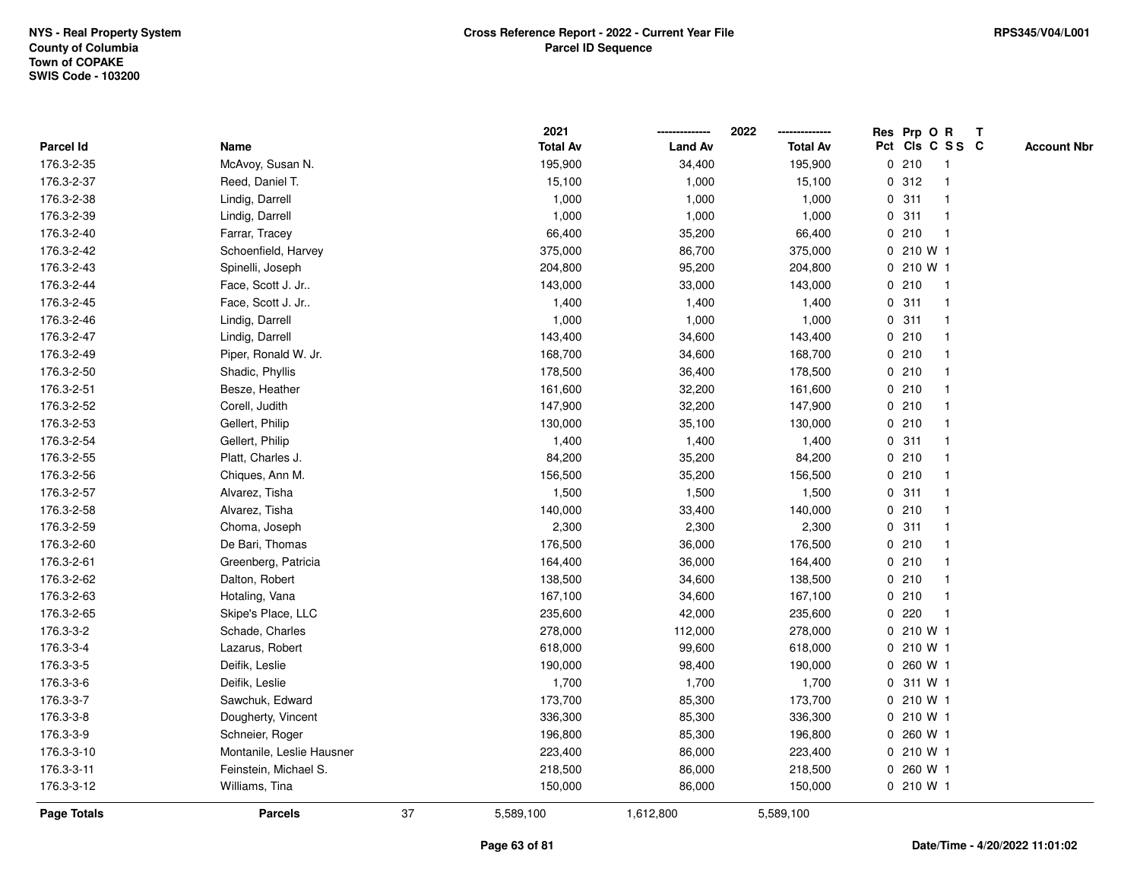|             |                           |    | 2021            |                | 2022            |             | Res Prp O R     |                         | Т |                    |
|-------------|---------------------------|----|-----------------|----------------|-----------------|-------------|-----------------|-------------------------|---|--------------------|
| Parcel Id   | Name                      |    | <b>Total Av</b> | <b>Land Av</b> | <b>Total Av</b> |             | Pct Cls C S S C |                         |   | <b>Account Nbr</b> |
| 176.3-2-35  | McAvoy, Susan N.          |    | 195,900         | 34,400         | 195,900         |             | 0210            | $\mathbf{1}$            |   |                    |
| 176.3-2-37  | Reed, Daniel T.           |    | 15,100          | 1,000          | 15,100          | 0           | 312             | $\mathbf 1$             |   |                    |
| 176.3-2-38  | Lindig, Darrell           |    | 1,000           | 1,000          | 1,000           |             | 0.311           | $\mathbf 1$             |   |                    |
| 176.3-2-39  | Lindig, Darrell           |    | 1,000           | 1,000          | 1,000           |             | 0.311           |                         |   |                    |
| 176.3-2-40  | Farrar, Tracey            |    | 66,400          | 35,200         | 66,400          |             | 0210            | -1                      |   |                    |
| 176.3-2-42  | Schoenfield, Harvey       |    | 375,000         | 86,700         | 375,000         |             | 0 210 W 1       |                         |   |                    |
| 176.3-2-43  | Spinelli, Joseph          |    | 204,800         | 95,200         | 204,800         |             | 0 210 W 1       |                         |   |                    |
| 176.3-2-44  | Face, Scott J. Jr         |    | 143,000         | 33,000         | 143,000         |             | 0210            | $\overline{\mathbf{1}}$ |   |                    |
| 176.3-2-45  | Face, Scott J. Jr         |    | 1,400           | 1,400          | 1,400           |             | 0.311           | $\mathbf{1}$            |   |                    |
| 176.3-2-46  | Lindig, Darrell           |    | 1,000           | 1,000          | 1,000           |             | 0.311           | $\mathbf 1$             |   |                    |
| 176.3-2-47  | Lindig, Darrell           |    | 143,400         | 34,600         | 143,400         |             | 0210            | -1                      |   |                    |
| 176.3-2-49  | Piper, Ronald W. Jr.      |    | 168,700         | 34,600         | 168,700         |             | 0210            |                         |   |                    |
| 176.3-2-50  | Shadic, Phyllis           |    | 178,500         | 36,400         | 178,500         |             | 0210            |                         |   |                    |
| 176.3-2-51  | Besze, Heather            |    | 161,600         | 32,200         | 161,600         |             | 0210            | -1                      |   |                    |
| 176.3-2-52  | Corell, Judith            |    | 147,900         | 32,200         | 147,900         |             | 0210            | -1                      |   |                    |
| 176.3-2-53  | Gellert, Philip           |    | 130,000         | 35,100         | 130,000         |             | 0210            | $\overline{1}$          |   |                    |
| 176.3-2-54  | Gellert, Philip           |    | 1,400           | 1,400          | 1,400           |             | 0.311           | -1                      |   |                    |
| 176.3-2-55  | Platt, Charles J.         |    | 84,200          | 35,200         | 84,200          |             | 0210            | -1                      |   |                    |
| 176.3-2-56  | Chiques, Ann M.           |    | 156,500         | 35,200         | 156,500         |             | 0210            |                         |   |                    |
| 176.3-2-57  | Alvarez, Tisha            |    | 1,500           | 1,500          | 1,500           |             | 0.311           |                         |   |                    |
| 176.3-2-58  | Alvarez, Tisha            |    | 140,000         | 33,400         | 140,000         |             | 0210            | $\overline{\mathbf{1}}$ |   |                    |
| 176.3-2-59  | Choma, Joseph             |    | 2,300           | 2,300          | 2,300           |             | 0.311           | -1                      |   |                    |
| 176.3-2-60  | De Bari, Thomas           |    | 176,500         | 36,000         | 176,500         |             | 0210            | -1                      |   |                    |
| 176.3-2-61  | Greenberg, Patricia       |    | 164,400         | 36,000         | 164,400         |             | 0210            | $\mathbf 1$             |   |                    |
| 176.3-2-62  | Dalton, Robert            |    | 138,500         | 34,600         | 138,500         |             | 0210            | -1                      |   |                    |
| 176.3-2-63  | Hotaling, Vana            |    | 167,100         | 34,600         | 167,100         |             | 0210            | -1                      |   |                    |
| 176.3-2-65  | Skipe's Place, LLC        |    | 235,600         | 42,000         | 235,600         |             | 0220            |                         |   |                    |
| 176.3-3-2   | Schade, Charles           |    | 278,000         | 112,000        | 278,000         |             | $0, 210$ W 1    |                         |   |                    |
| 176.3-3-4   | Lazarus, Robert           |    | 618,000         | 99,600         | 618,000         |             | 0 210 W 1       |                         |   |                    |
| 176.3-3-5   | Deifik, Leslie            |    | 190,000         | 98,400         | 190,000         | $\mathbf 0$ | 260 W 1         |                         |   |                    |
| 176.3-3-6   | Deifik, Leslie            |    | 1,700           | 1,700          | 1,700           | 0           | 311 W 1         |                         |   |                    |
| 176.3-3-7   | Sawchuk, Edward           |    | 173,700         | 85,300         | 173,700         |             | 0 210 W 1       |                         |   |                    |
| 176.3-3-8   | Dougherty, Vincent        |    | 336,300         | 85,300         | 336,300         |             | 0 210 W 1       |                         |   |                    |
| 176.3-3-9   | Schneier, Roger           |    | 196,800         | 85,300         | 196,800         |             | 0 260 W 1       |                         |   |                    |
| 176.3-3-10  | Montanile, Leslie Hausner |    | 223,400         | 86,000         | 223,400         |             | 0 210 W 1       |                         |   |                    |
| 176.3-3-11  | Feinstein, Michael S.     |    | 218,500         | 86,000         | 218,500         |             | 0 260 W 1       |                         |   |                    |
| 176.3-3-12  | Williams, Tina            |    | 150,000         | 86,000         | 150,000         |             | 0 210 W 1       |                         |   |                    |
| Page Totals | <b>Parcels</b>            | 37 | 5,589,100       | 1,612,800      | 5,589,100       |             |                 |                         |   |                    |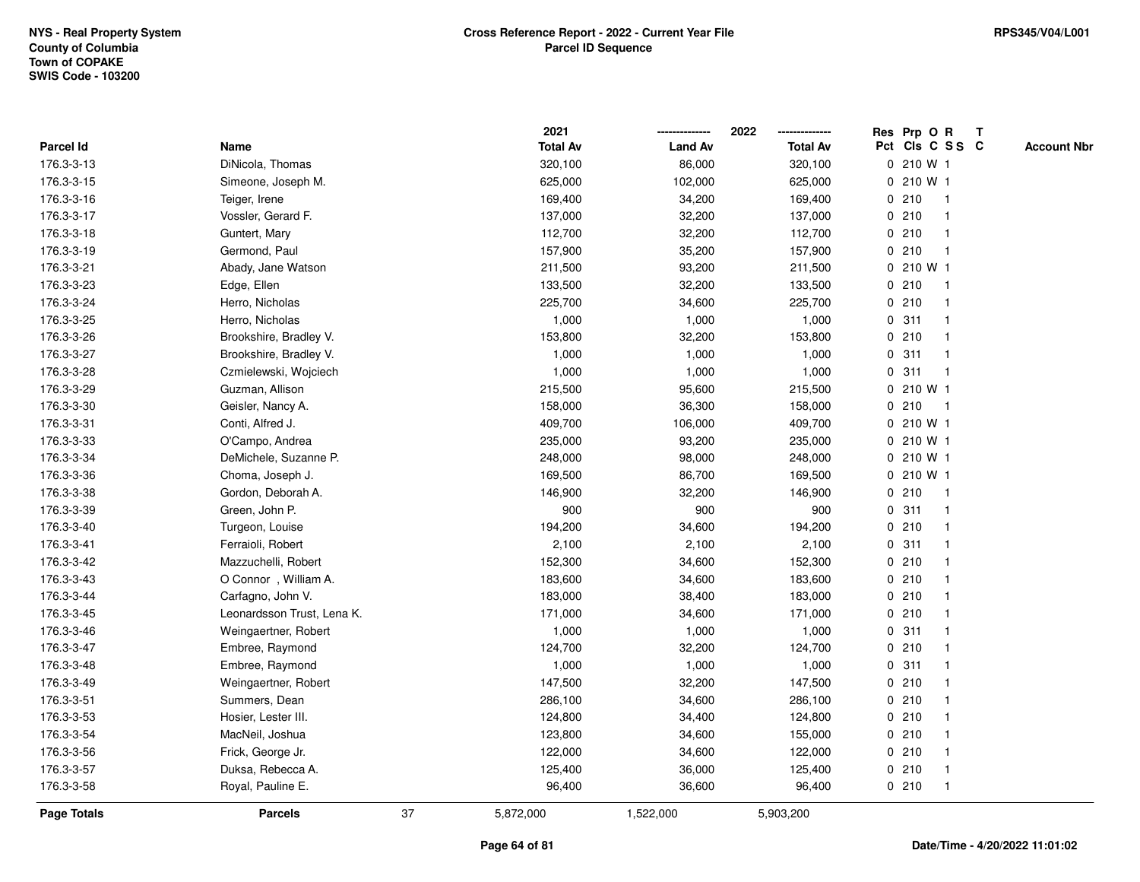|                    |                            |    | 2021            |                | 2022            |             | Res Prp O R     |              | Т |                    |
|--------------------|----------------------------|----|-----------------|----------------|-----------------|-------------|-----------------|--------------|---|--------------------|
| Parcel Id          | Name                       |    | <b>Total Av</b> | <b>Land Av</b> | <b>Total Av</b> |             | Pct Cls C S S C |              |   | <b>Account Nbr</b> |
| 176.3-3-13         | DiNicola, Thomas           |    | 320,100         | 86,000         | 320,100         |             | 0 210 W 1       |              |   |                    |
| 176.3-3-15         | Simeone, Joseph M.         |    | 625,000         | 102,000        | 625,000         | 0           | 210 W 1         |              |   |                    |
| 176.3-3-16         | Teiger, Irene              |    | 169,400         | 34,200         | 169,400         |             | 0210            | $\mathbf 1$  |   |                    |
| 176.3-3-17         | Vossler, Gerard F.         |    | 137,000         | 32,200         | 137,000         |             | 0210            |              |   |                    |
| 176.3-3-18         | Guntert, Mary              |    | 112,700         | 32,200         | 112,700         |             | 0210            |              |   |                    |
| 176.3-3-19         | Germond, Paul              |    | 157,900         | 35,200         | 157,900         |             | 0210            |              |   |                    |
| 176.3-3-21         | Abady, Jane Watson         |    | 211,500         | 93,200         | 211,500         |             | 0 210 W 1       |              |   |                    |
| 176.3-3-23         | Edge, Ellen                |    | 133,500         | 32,200         | 133,500         |             | 0210            | $\mathbf{1}$ |   |                    |
| 176.3-3-24         | Herro, Nicholas            |    | 225,700         | 34,600         | 225,700         |             | 0210            |              |   |                    |
| 176.3-3-25         | Herro, Nicholas            |    | 1,000           | 1,000          | 1,000           |             | 0.311           |              |   |                    |
| 176.3-3-26         | Brookshire, Bradley V.     |    | 153,800         | 32,200         | 153,800         |             | 0210            |              |   |                    |
| 176.3-3-27         | Brookshire, Bradley V.     |    | 1,000           | 1,000          | 1,000           |             | 0.311           |              |   |                    |
| 176.3-3-28         | Czmielewski, Wojciech      |    | 1,000           | 1,000          | 1,000           | $\mathbf 0$ | 311             |              |   |                    |
| 176.3-3-29         | Guzman, Allison            |    | 215,500         | 95,600         | 215,500         |             | 0 210 W 1       |              |   |                    |
| 176.3-3-30         | Geisler, Nancy A.          |    | 158,000         | 36,300         | 158,000         | $\mathbf 0$ | 210             | $\mathbf 1$  |   |                    |
| 176.3-3-31         | Conti, Alfred J.           |    | 409,700         | 106,000        | 409,700         |             | 0 210 W 1       |              |   |                    |
| 176.3-3-33         | O'Campo, Andrea            |    | 235,000         | 93,200         | 235,000         |             | 0 210 W 1       |              |   |                    |
| 176.3-3-34         | DeMichele, Suzanne P.      |    | 248,000         | 98,000         | 248,000         |             | 0 210 W 1       |              |   |                    |
| 176.3-3-36         | Choma, Joseph J.           |    | 169,500         | 86,700         | 169,500         |             | 0 210 W 1       |              |   |                    |
| 176.3-3-38         | Gordon, Deborah A.         |    | 146,900         | 32,200         | 146,900         |             | 0210            |              |   |                    |
| 176.3-3-39         | Green, John P.             |    | 900             | 900            | 900             |             | 0.311           |              |   |                    |
| 176.3-3-40         | Turgeon, Louise            |    | 194,200         | 34,600         | 194,200         |             | 0210            |              |   |                    |
| 176.3-3-41         | Ferraioli, Robert          |    | 2,100           | 2,100          | 2,100           | $\mathbf 0$ | 311             | $\mathbf 1$  |   |                    |
| 176.3-3-42         | Mazzuchelli, Robert        |    | 152,300         | 34,600         | 152,300         |             | 0210            |              |   |                    |
| 176.3-3-43         | O Connor, William A.       |    | 183,600         | 34,600         | 183,600         |             | 0210            |              |   |                    |
| 176.3-3-44         | Carfagno, John V.          |    | 183,000         | 38,400         | 183,000         |             | 0210            |              |   |                    |
| 176.3-3-45         | Leonardsson Trust, Lena K. |    | 171,000         | 34,600         | 171,000         |             | 0210            |              |   |                    |
| 176.3-3-46         | Weingaertner, Robert       |    | 1,000           | 1,000          | 1,000           |             | 0.311           |              |   |                    |
| 176.3-3-47         | Embree, Raymond            |    | 124,700         | 32,200         | 124,700         |             | 0210            |              |   |                    |
| 176.3-3-48         | Embree, Raymond            |    | 1,000           | 1,000          | 1,000           | 0           | 311             |              |   |                    |
| 176.3-3-49         | Weingaertner, Robert       |    | 147,500         | 32,200         | 147,500         | 0           | 210             |              |   |                    |
| 176.3-3-51         | Summers, Dean              |    | 286,100         | 34,600         | 286,100         |             | 0210            |              |   |                    |
| 176.3-3-53         | Hosier, Lester III.        |    | 124,800         | 34,400         | 124,800         |             | 0210            |              |   |                    |
| 176.3-3-54         | MacNeil, Joshua            |    | 123,800         | 34,600         | 155,000         |             | 0210            |              |   |                    |
| 176.3-3-56         | Frick, George Jr.          |    | 122,000         | 34,600         | 122,000         |             | 0210            |              |   |                    |
| 176.3-3-57         | Duksa, Rebecca A.          |    | 125,400         | 36,000         | 125,400         |             | 0210            |              |   |                    |
| 176.3-3-58         | Royal, Pauline E.          |    | 96,400          | 36,600         | 96,400          |             | 0210            | $\mathbf{1}$ |   |                    |
| <b>Page Totals</b> | <b>Parcels</b>             | 37 | 5,872,000       | 1,522,000      | 5,903,200       |             |                 |              |   |                    |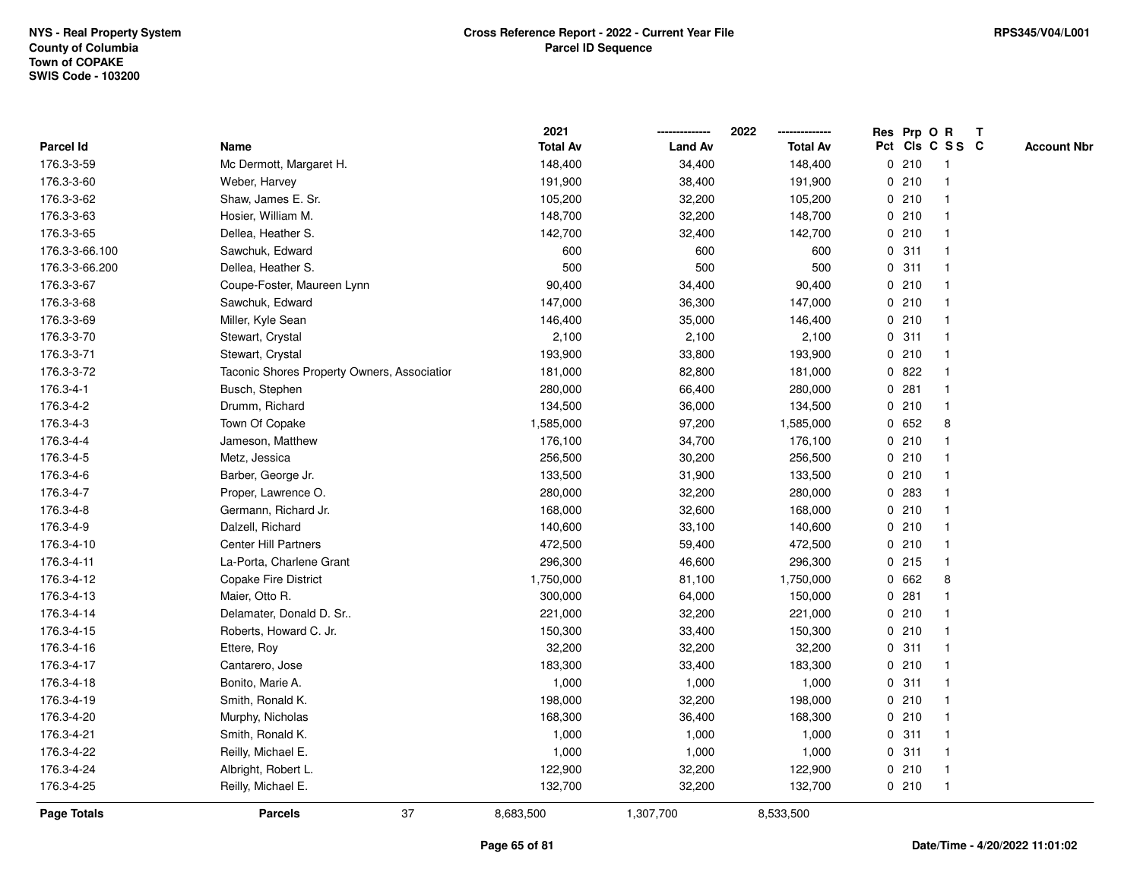|                |                                             | 2021            |                | 2022            |             |       | Res Prp O R             | $\mathbf{T}$ |                    |
|----------------|---------------------------------------------|-----------------|----------------|-----------------|-------------|-------|-------------------------|--------------|--------------------|
| Parcel Id      | Name                                        | <b>Total Av</b> | <b>Land Av</b> | <b>Total Av</b> |             |       | Pct Cls C S S C         |              | <b>Account Nbr</b> |
| 176.3-3-59     | Mc Dermott, Margaret H.                     | 148,400         | 34,400         | 148,400         |             | 0210  |                         |              |                    |
| 176.3-3-60     | Weber, Harvey                               | 191,900         | 38,400         | 191,900         |             | 0210  |                         |              |                    |
| 176.3-3-62     | Shaw, James E. Sr.                          | 105,200         | 32,200         | 105,200         |             | 0210  | -1                      |              |                    |
| 176.3-3-63     | Hosier, William M.                          | 148,700         | 32,200         | 148,700         | $\mathbf 0$ | 210   | $\overline{1}$          |              |                    |
| 176.3-3-65     | Dellea, Heather S.                          | 142,700         | 32,400         | 142,700         |             | 0210  | $\mathbf 1$             |              |                    |
| 176.3-3-66.100 | Sawchuk, Edward                             | 600             | 600            | 600             |             | 0.311 | -1                      |              |                    |
| 176.3-3-66.200 | Dellea, Heather S.                          | 500             | 500            | 500             |             | 0.311 |                         |              |                    |
| 176.3-3-67     | Coupe-Foster, Maureen Lynn                  | 90,400          | 34,400         | 90,400          |             | 0210  |                         |              |                    |
| 176.3-3-68     | Sawchuk, Edward                             | 147,000         | 36,300         | 147,000         |             | 0210  |                         |              |                    |
| 176.3-3-69     | Miller, Kyle Sean                           | 146,400         | 35,000         | 146,400         |             | 0210  |                         |              |                    |
| 176.3-3-70     | Stewart, Crystal                            | 2,100           | 2,100          | 2,100           | 0           | 311   | $\mathbf 1$             |              |                    |
| 176.3-3-71     | Stewart, Crystal                            | 193,900         | 33,800         | 193,900         |             | 0210  | $\mathbf 1$             |              |                    |
| 176.3-3-72     | Taconic Shores Property Owners, Associatior | 181,000         | 82,800         | 181,000         |             | 0822  |                         |              |                    |
| 176.3-4-1      | Busch, Stephen                              | 280,000         | 66,400         | 280,000         |             | 0.281 |                         |              |                    |
| 176.3-4-2      | Drumm, Richard                              | 134,500         | 36,000         | 134,500         |             | 0210  |                         |              |                    |
| 176.3-4-3      | Town Of Copake                              | 1,585,000       | 97,200         | 1,585,000       |             | 0652  | 8                       |              |                    |
| 176.3-4-4      | Jameson, Matthew                            | 176,100         | 34,700         | 176,100         | $\mathbf 0$ | 210   | $\overline{\mathbf{1}}$ |              |                    |
| 176.3-4-5      | Metz, Jessica                               | 256,500         | 30,200         | 256,500         |             | 0210  | -1                      |              |                    |
| 176.3-4-6      | Barber, George Jr.                          | 133,500         | 31,900         | 133,500         |             | 0210  | $\mathbf 1$             |              |                    |
| 176.3-4-7      | Proper, Lawrence O.                         | 280,000         | 32,200         | 280,000         |             | 0 283 |                         |              |                    |
| 176.3-4-8      | Germann, Richard Jr.                        | 168,000         | 32,600         | 168,000         |             | 0210  |                         |              |                    |
| 176.3-4-9      | Dalzell, Richard                            | 140,600         | 33,100         | 140,600         |             | 0210  |                         |              |                    |
| 176.3-4-10     | <b>Center Hill Partners</b>                 | 472,500         | 59,400         | 472,500         |             | 0210  | -1                      |              |                    |
| 176.3-4-11     | La-Porta, Charlene Grant                    | 296,300         | 46,600         | 296,300         | $\mathbf 0$ | 215   | $\mathbf{1}$            |              |                    |
| 176.3-4-12     | Copake Fire District                        | 1,750,000       | 81,100         | 1,750,000       | 0           | 662   | 8                       |              |                    |
| 176.3-4-13     | Maier, Otto R.                              | 300,000         | 64,000         | 150,000         |             | 0.281 | -1                      |              |                    |
| 176.3-4-14     | Delamater, Donald D. Sr                     | 221,000         | 32,200         | 221,000         |             | 0210  |                         |              |                    |
| 176.3-4-15     | Roberts, Howard C. Jr.                      | 150,300         | 33,400         | 150,300         |             | 0210  |                         |              |                    |
| 176.3-4-16     | Ettere, Roy                                 | 32,200          | 32,200         | 32,200          |             | 0.311 |                         |              |                    |
| 176.3-4-17     | Cantarero, Jose                             | 183,300         | 33,400         | 183,300         |             | 0210  |                         |              |                    |
| 176.3-4-18     | Bonito, Marie A.                            | 1,000           | 1,000          | 1,000           | $\mathbf 0$ | 311   | -1                      |              |                    |
| 176.3-4-19     | Smith, Ronald K.                            | 198,000         | 32,200         | 198,000         |             | 0210  | $\mathbf 1$             |              |                    |
| 176.3-4-20     | Murphy, Nicholas                            | 168,300         | 36,400         | 168,300         |             | 0210  |                         |              |                    |
| 176.3-4-21     | Smith, Ronald K.                            | 1,000           | 1,000          | 1,000           |             | 0.311 |                         |              |                    |
| 176.3-4-22     | Reilly, Michael E.                          | 1,000           | 1,000          | 1,000           |             | 0.311 |                         |              |                    |
| 176.3-4-24     | Albright, Robert L.                         | 122,900         | 32,200         | 122,900         |             | 0210  | $\mathbf 1$             |              |                    |
| 176.3-4-25     | Reilly, Michael E.                          | 132,700         | 32,200         | 132,700         |             | 0210  | $\mathbf 1$             |              |                    |
| Page Totals    | 37<br><b>Parcels</b>                        | 8,683,500       | 1,307,700      | 8,533,500       |             |       |                         |              |                    |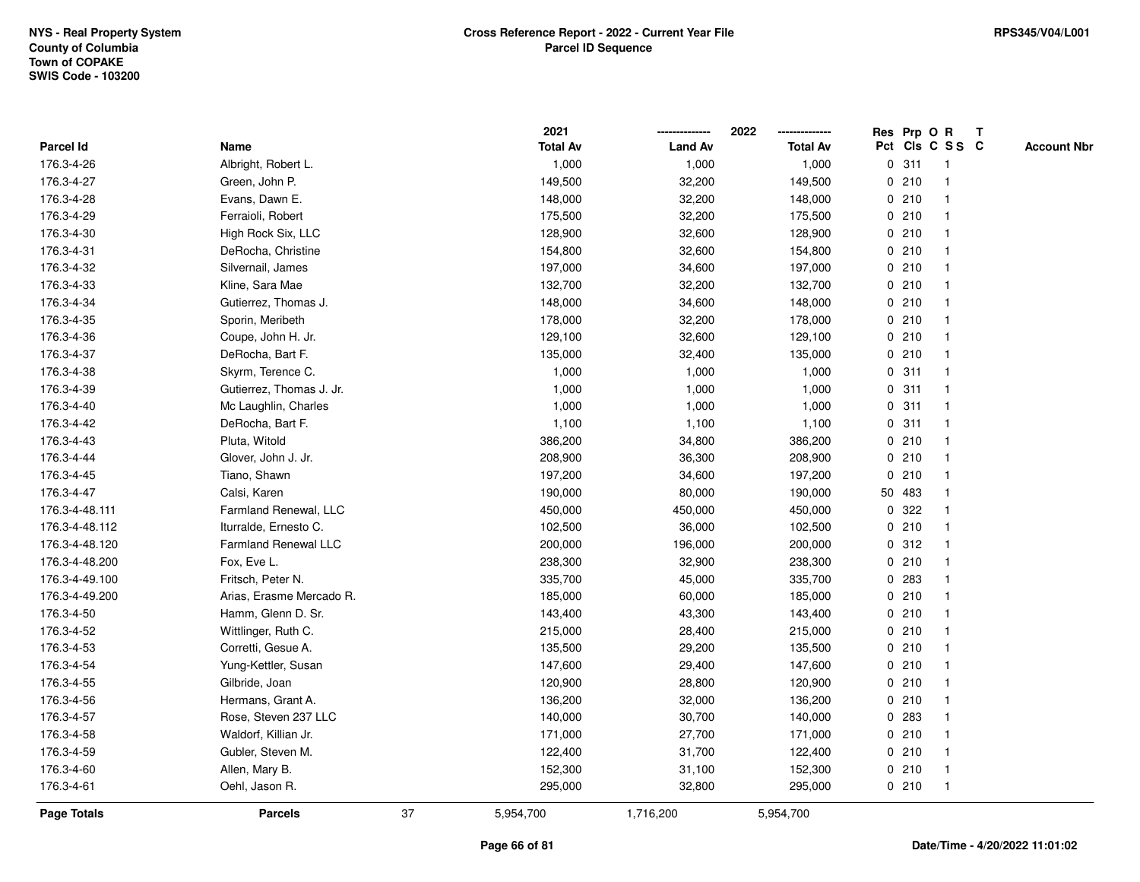|                |                             |    | 2021            |                | 2022            |              |        | Res Prp O R     | T |                    |
|----------------|-----------------------------|----|-----------------|----------------|-----------------|--------------|--------|-----------------|---|--------------------|
| Parcel Id      | Name                        |    | <b>Total Av</b> | <b>Land Av</b> | <b>Total Av</b> |              |        | Pct Cls C S S C |   | <b>Account Nbr</b> |
| 176.3-4-26     | Albright, Robert L.         |    | 1,000           | 1,000          | 1,000           | $\mathbf 0$  | 311    | -1              |   |                    |
| 176.3-4-27     | Green, John P.              |    | 149,500         | 32,200         | 149,500         | 0            | 210    | $\mathbf 1$     |   |                    |
| 176.3-4-28     | Evans, Dawn E.              |    | 148,000         | 32,200         | 148,000         |              | 0210   | $\mathbf 1$     |   |                    |
| 176.3-4-29     | Ferraioli, Robert           |    | 175,500         | 32,200         | 175,500         |              | 0210   |                 |   |                    |
| 176.3-4-30     | High Rock Six, LLC          |    | 128,900         | 32,600         | 128,900         |              | 0210   |                 |   |                    |
| 176.3-4-31     | DeRocha, Christine          |    | 154,800         | 32,600         | 154,800         |              | 0210   |                 |   |                    |
| 176.3-4-32     | Silvernail, James           |    | 197,000         | 34,600         | 197,000         |              | 0210   |                 |   |                    |
| 176.3-4-33     | Kline, Sara Mae             |    | 132,700         | 32,200         | 132,700         |              | 0210   | $\overline{1}$  |   |                    |
| 176.3-4-34     | Gutierrez, Thomas J.        |    | 148,000         | 34,600         | 148,000         |              | 0210   | -1              |   |                    |
| 176.3-4-35     | Sporin, Meribeth            |    | 178,000         | 32,200         | 178,000         |              | 0210   | $\mathbf 1$     |   |                    |
| 176.3-4-36     | Coupe, John H. Jr.          |    | 129,100         | 32,600         | 129,100         |              | 0210   |                 |   |                    |
| 176.3-4-37     | DeRocha, Bart F.            |    | 135,000         | 32,400         | 135,000         |              | 0210   |                 |   |                    |
| 176.3-4-38     | Skyrm, Terence C.           |    | 1,000           | 1,000          | 1,000           |              | 0.311  |                 |   |                    |
| 176.3-4-39     | Gutierrez, Thomas J. Jr.    |    | 1,000           | 1,000          | 1,000           |              | 0.311  | $\mathbf 1$     |   |                    |
| 176.3-4-40     | Mc Laughlin, Charles        |    | 1,000           | 1,000          | 1,000           | $\mathbf 0$  | 311    | $\overline{1}$  |   |                    |
| 176.3-4-42     | DeRocha, Bart F.            |    | 1,100           | 1,100          | 1,100           | $\mathbf 0$  | 311    | $\overline{1}$  |   |                    |
| 176.3-4-43     | Pluta, Witold               |    | 386,200         | 34,800         | 386,200         |              | 0210   | $\mathbf{1}$    |   |                    |
| 176.3-4-44     | Glover, John J. Jr.         |    | 208,900         | 36,300         | 208,900         |              | 0210   |                 |   |                    |
| 176.3-4-45     | Tiano, Shawn                |    | 197,200         | 34,600         | 197,200         |              | 0210   |                 |   |                    |
| 176.3-4-47     | Calsi, Karen                |    | 190,000         | 80,000         | 190,000         |              | 50 483 |                 |   |                    |
| 176.3-4-48.111 | Farmland Renewal, LLC       |    | 450,000         | 450,000        | 450,000         |              | 0 322  |                 |   |                    |
| 176.3-4-48.112 | Iturralde, Ernesto C.       |    | 102,500         | 36,000         | 102,500         | 0            | 210    |                 |   |                    |
| 176.3-4-48.120 | <b>Farmland Renewal LLC</b> |    | 200,000         | 196,000        | 200,000         |              | 0.312  | -1              |   |                    |
| 176.3-4-48.200 | Fox, Eve L.                 |    | 238,300         | 32,900         | 238,300         | $\mathbf{0}$ | 210    | $\overline{1}$  |   |                    |
| 176.3-4-49.100 | Fritsch, Peter N.           |    | 335,700         | 45,000         | 335,700         |              | 0 283  |                 |   |                    |
| 176.3-4-49.200 | Arias, Erasme Mercado R.    |    | 185,000         | 60,000         | 185,000         |              | 0210   |                 |   |                    |
| 176.3-4-50     | Hamm, Glenn D. Sr.          |    | 143,400         | 43,300         | 143,400         |              | 0210   |                 |   |                    |
| 176.3-4-52     | Wittlinger, Ruth C.         |    | 215,000         | 28,400         | 215,000         |              | 0210   |                 |   |                    |
| 176.3-4-53     | Corretti, Gesue A.          |    | 135,500         | 29,200         | 135,500         |              | 0210   |                 |   |                    |
| 176.3-4-54     | Yung-Kettler, Susan         |    | 147,600         | 29,400         | 147,600         | 0            | 210    | 1               |   |                    |
| 176.3-4-55     | Gilbride, Joan              |    | 120,900         | 28,800         | 120,900         |              | 0210   | -1              |   |                    |
| 176.3-4-56     | Hermans, Grant A.           |    | 136,200         | 32,000         | 136,200         |              | 0210   | $\mathbf 1$     |   |                    |
| 176.3-4-57     | Rose, Steven 237 LLC        |    | 140,000         | 30,700         | 140,000         |              | 0 283  |                 |   |                    |
| 176.3-4-58     | Waldorf, Killian Jr.        |    | 171,000         | 27,700         | 171,000         |              | 0210   |                 |   |                    |
| 176.3-4-59     | Gubler, Steven M.           |    | 122,400         | 31,700         | 122,400         |              | 0210   |                 |   |                    |
| 176.3-4-60     | Allen, Mary B.              |    | 152,300         | 31,100         | 152,300         |              | 0210   | -1              |   |                    |
| 176.3-4-61     | Oehl, Jason R.              |    | 295,000         | 32,800         | 295,000         |              | 0210   | $\overline{1}$  |   |                    |
| Page Totals    | <b>Parcels</b>              | 37 | 5,954,700       | 1,716,200      | 5,954,700       |              |        |                 |   |                    |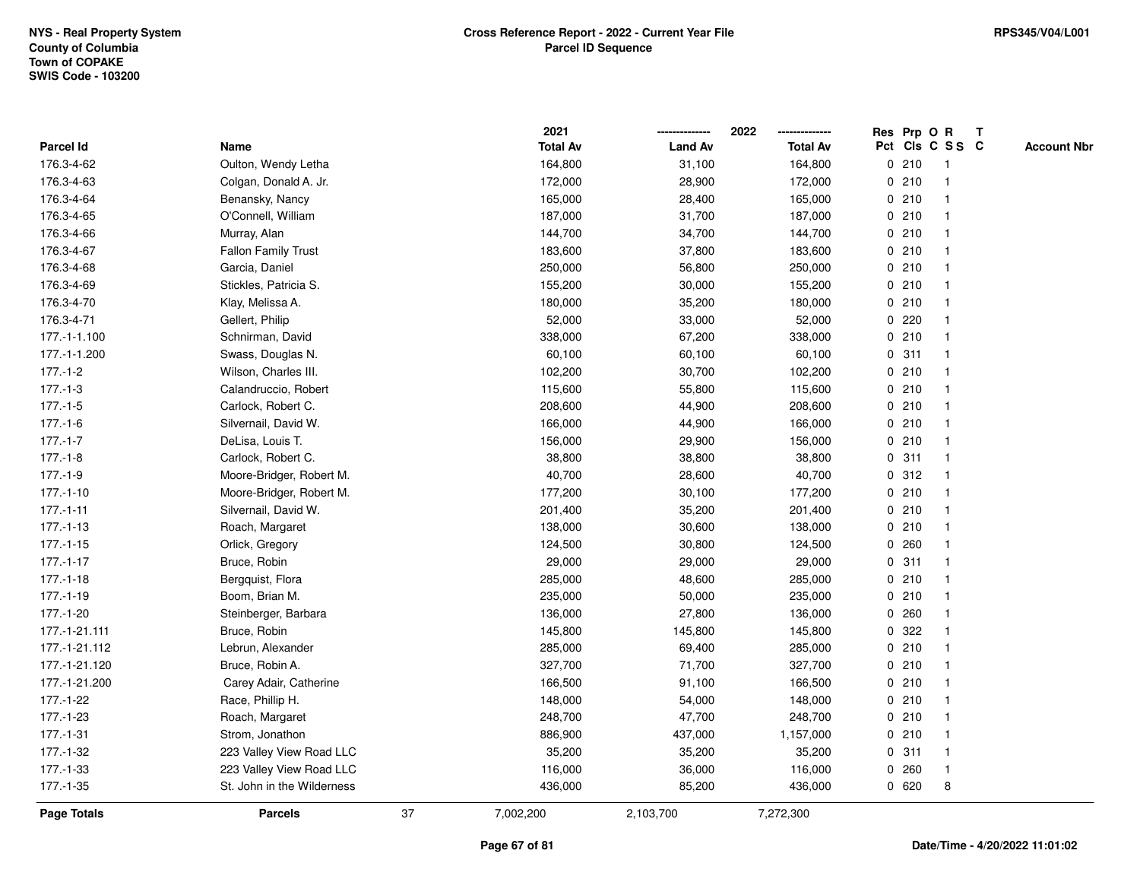|                |                            |    | 2021            |                | 2022            |             | Res Prp O R |                 | T |                    |
|----------------|----------------------------|----|-----------------|----------------|-----------------|-------------|-------------|-----------------|---|--------------------|
| Parcel Id      | Name                       |    | <b>Total Av</b> | <b>Land Av</b> | <b>Total Av</b> |             |             | Pct Cls C S S C |   | <b>Account Nbr</b> |
| 176.3-4-62     | Oulton, Wendy Letha        |    | 164,800         | 31,100         | 164,800         | 0           | 210         | $\mathbf{1}$    |   |                    |
| 176.3-4-63     | Colgan, Donald A. Jr.      |    | 172,000         | 28,900         | 172,000         | $\mathbf 0$ | 210         |                 |   |                    |
| 176.3-4-64     | Benansky, Nancy            |    | 165,000         | 28,400         | 165,000         |             | 0210        | -1              |   |                    |
| 176.3-4-65     | O'Connell, William         |    | 187,000         | 31,700         | 187,000         |             | 0210        |                 |   |                    |
| 176.3-4-66     | Murray, Alan               |    | 144,700         | 34,700         | 144,700         |             | 0210        |                 |   |                    |
| 176.3-4-67     | <b>Fallon Family Trust</b> |    | 183,600         | 37,800         | 183,600         |             | 0210        |                 |   |                    |
| 176.3-4-68     | Garcia, Daniel             |    | 250,000         | 56,800         | 250,000         |             | 0210        |                 |   |                    |
| 176.3-4-69     | Stickles, Patricia S.      |    | 155,200         | 30,000         | 155,200         | 0           | 210         |                 |   |                    |
| 176.3-4-70     | Klay, Melissa A.           |    | 180,000         | 35,200         | 180,000         | 0           | 210         |                 |   |                    |
| 176.3-4-71     | Gellert, Philip            |    | 52,000          | 33,000         | 52,000          |             | 0.220       |                 |   |                    |
| 177.-1-1.100   | Schnirman, David           |    | 338,000         | 67,200         | 338,000         |             | 0210        |                 |   |                    |
| 177.-1-1.200   | Swass, Douglas N.          |    | 60,100          | 60,100         | 60,100          |             | 0.311       |                 |   |                    |
| $177.-1-2$     | Wilson, Charles III.       |    | 102,200         | 30,700         | 102,200         |             | 0210        |                 |   |                    |
| $177.-1-3$     | Calandruccio, Robert       |    | 115,600         | 55,800         | 115,600         |             | 0210        |                 |   |                    |
| $177.-1-5$     | Carlock, Robert C.         |    | 208,600         | 44,900         | 208,600         | 0           | 210         |                 |   |                    |
| $177.-1-6$     | Silvernail, David W.       |    | 166,000         | 44,900         | 166,000         | $\mathbf 0$ | 210         | $\mathbf{1}$    |   |                    |
| $177.-1-7$     | DeLisa, Louis T.           |    | 156,000         | 29,900         | 156,000         |             | 0210        |                 |   |                    |
| 177.-1-8       | Carlock, Robert C.         |    | 38,800          | 38,800         | 38,800          |             | 0.311       |                 |   |                    |
| $177.-1-9$     | Moore-Bridger, Robert M.   |    | 40,700          | 28,600         | 40,700          |             | 0.312       |                 |   |                    |
| $177.-1-10$    | Moore-Bridger, Robert M.   |    | 177,200         | 30,100         | 177,200         |             | 0210        |                 |   |                    |
| $177.-1-11$    | Silvernail, David W.       |    | 201,400         | 35,200         | 201,400         |             | 0210        |                 |   |                    |
| $177.-1-13$    | Roach, Margaret            |    | 138,000         | 30,600         | 138,000         |             | 0210        |                 |   |                    |
| $177 - 1 - 15$ | Orlick, Gregory            |    | 124,500         | 30,800         | 124,500         | 0           | 260         |                 |   |                    |
| $177 - 1 - 17$ | Bruce, Robin               |    | 29,000          | 29,000         | 29,000          | $\mathbf 0$ | 311         |                 |   |                    |
| $177.-1-18$    | Bergquist, Flora           |    | 285,000         | 48,600         | 285,000         |             | 0210        |                 |   |                    |
| $177.-1-19$    | Boom, Brian M.             |    | 235,000         | 50,000         | 235,000         |             | 0210        |                 |   |                    |
| 177.-1-20      | Steinberger, Barbara       |    | 136,000         | 27,800         | 136,000         |             | 0.260       |                 |   |                    |
| 177.-1-21.111  | Bruce, Robin               |    | 145,800         | 145,800        | 145,800         |             | 0.322       |                 |   |                    |
| 177.-1-21.112  | Lebrun, Alexander          |    | 285,000         | 69,400         | 285,000         |             | 0210        |                 |   |                    |
| 177.-1-21.120  | Bruce, Robin A.            |    | 327,700         | 71,700         | 327,700         | $\mathbf 0$ | 210         |                 |   |                    |
| 177.-1-21.200  | Carey Adair, Catherine     |    | 166,500         | 91,100         | 166,500         |             | 0210        |                 |   |                    |
| 177.-1-22      | Race, Phillip H.           |    | 148,000         | 54,000         | 148,000         |             | 0210        |                 |   |                    |
| 177.-1-23      | Roach, Margaret            |    | 248,700         | 47,700         | 248,700         |             | 0210        |                 |   |                    |
| 177.-1-31      | Strom, Jonathon            |    | 886,900         | 437,000        | 1,157,000       |             | 0210        |                 |   |                    |
| 177.-1-32      | 223 Valley View Road LLC   |    | 35,200          | 35,200         | 35,200          |             | 0.311       | $\mathbf{1}$    |   |                    |
| 177.-1-33      | 223 Valley View Road LLC   |    | 116,000         | 36,000         | 116,000         | 0           | 260         | $\mathbf{1}$    |   |                    |
| 177.-1-35      | St. John in the Wilderness |    | 436,000         | 85,200         | 436,000         |             | 0620        | 8               |   |                    |
| Page Totals    | <b>Parcels</b>             | 37 | 7,002,200       | 2,103,700      | 7,272,300       |             |             |                 |   |                    |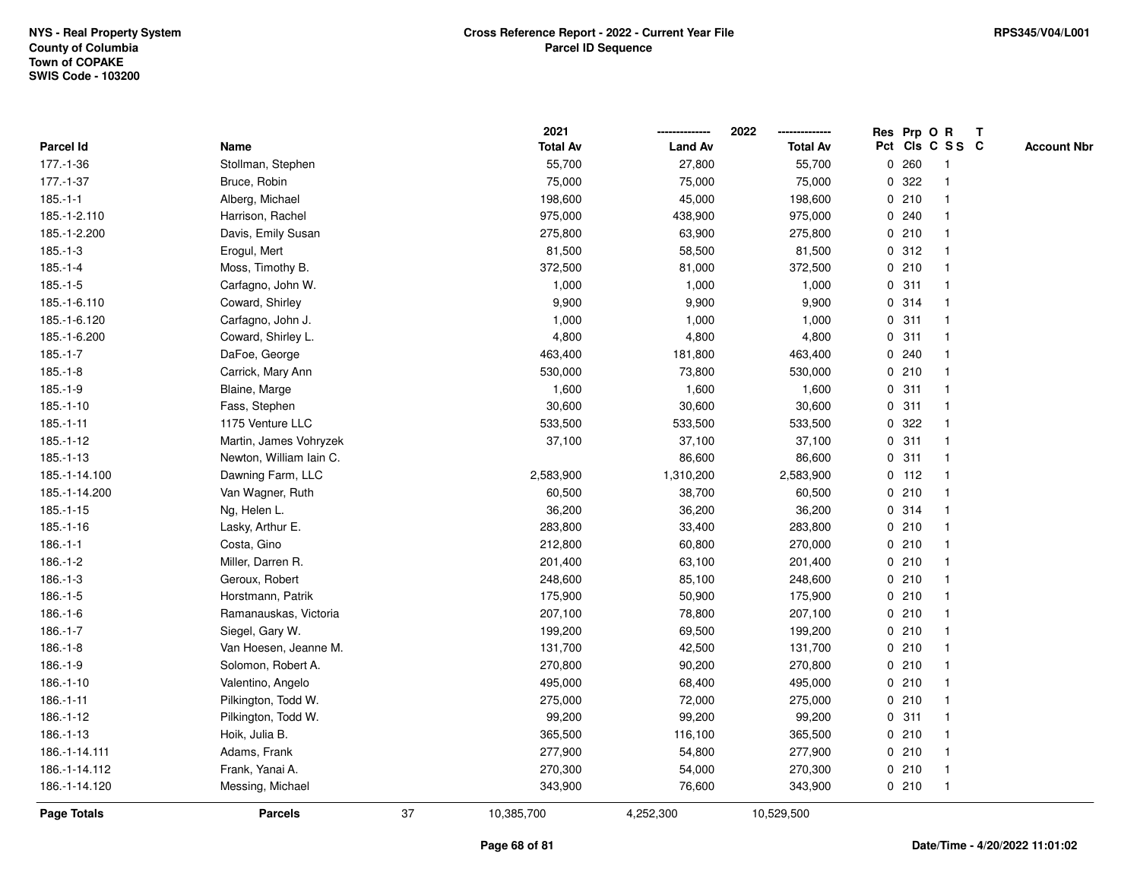|               |                         |    | 2021            |                | 2022            |              |         | Res Prp O R     | T |                    |
|---------------|-------------------------|----|-----------------|----------------|-----------------|--------------|---------|-----------------|---|--------------------|
| Parcel Id     | Name                    |    | <b>Total Av</b> | <b>Land Av</b> | <b>Total Av</b> |              |         | Pct Cls C S S C |   | <b>Account Nbr</b> |
| 177.-1-36     | Stollman, Stephen       |    | 55,700          | 27,800         | 55,700          | $\mathbf 0$  | 260     | -1              |   |                    |
| 177.-1-37     | Bruce, Robin            |    | 75,000          | 75,000         | 75,000          | 0            | 322     | -1              |   |                    |
| $185.-1-1$    | Alberg, Michael         |    | 198,600         | 45,000         | 198,600         |              | 0210    | $\mathbf 1$     |   |                    |
| 185.-1-2.110  | Harrison, Rachel        |    | 975,000         | 438,900        | 975,000         |              | 0.240   |                 |   |                    |
| 185.-1-2.200  | Davis, Emily Susan      |    | 275,800         | 63,900         | 275,800         |              | 0210    |                 |   |                    |
| $185.-1-3$    | Erogul, Mert            |    | 81,500          | 58,500         | 81,500          |              | 0.312   |                 |   |                    |
| $185.-1-4$    | Moss, Timothy B.        |    | 372,500         | 81,000         | 372,500         |              | 0210    |                 |   |                    |
| $185.-1-5$    | Carfagno, John W.       |    | 1,000           | 1,000          | 1,000           | 0            | 311     | $\mathbf{1}$    |   |                    |
| 185.-1-6.110  | Coward, Shirley         |    | 9,900           | 9,900          | 9,900           |              | 0 314   | -1              |   |                    |
| 185.-1-6.120  | Carfagno, John J.       |    | 1,000           | 1,000          | 1,000           |              | 0.311   | -1              |   |                    |
| 185.-1-6.200  | Coward, Shirley L.      |    | 4,800           | 4,800          | 4,800           |              | 0.311   |                 |   |                    |
| $185.-1-7$    | DaFoe, George           |    | 463,400         | 181,800        | 463,400         |              | 0.240   |                 |   |                    |
| $185.-1-8$    | Carrick, Mary Ann       |    | 530,000         | 73,800         | 530,000         |              | 0210    |                 |   |                    |
| $185.-1-9$    | Blaine, Marge           |    | 1,600           | 1,600          | 1,600           |              | 0.311   | 1               |   |                    |
| $185.-1-10$   | Fass, Stephen           |    | 30,600          | 30,600         | 30,600          | 0            | 311     | $\mathbf{1}$    |   |                    |
| $185.-1-11$   | 1175 Venture LLC        |    | 533,500         | 533,500        | 533,500         | $\mathbf{0}$ | 322     | $\overline{1}$  |   |                    |
| $185.-1-12$   | Martin, James Vohryzek  |    | 37,100          | 37,100         | 37,100          | $\mathbf 0$  | 311     | $\overline{1}$  |   |                    |
| 185.-1-13     | Newton, William Iain C. |    |                 | 86,600         | 86,600          |              | 0.311   | 1               |   |                    |
| 185.-1-14.100 | Dawning Farm, LLC       |    | 2,583,900       | 1,310,200      | 2,583,900       |              | $0$ 112 |                 |   |                    |
| 185.-1-14.200 | Van Wagner, Ruth        |    | 60,500          | 38,700         | 60,500          |              | 0210    |                 |   |                    |
| $185.-1-15$   | Ng, Helen L.            |    | 36,200          | 36,200         | 36,200          |              | 0.314   |                 |   |                    |
| $185.-1-16$   | Lasky, Arthur E.        |    | 283,800         | 33,400         | 283,800         |              | 0210    | -1              |   |                    |
| $186.-1-1$    | Costa, Gino             |    | 212,800         | 60,800         | 270,000         |              | 0210    | -1              |   |                    |
| $186.-1-2$    | Miller, Darren R.       |    | 201,400         | 63,100         | 201,400         |              | 0210    | $\overline{1}$  |   |                    |
| $186.-1-3$    | Geroux, Robert          |    | 248,600         | 85,100         | 248,600         |              | 0210    | -1              |   |                    |
| $186.-1-5$    | Horstmann, Patrik       |    | 175,900         | 50,900         | 175,900         |              | 0210    |                 |   |                    |
| $186.-1-6$    | Ramanauskas, Victoria   |    | 207,100         | 78,800         | 207,100         |              | 0210    |                 |   |                    |
| $186.-1-7$    | Siegel, Gary W.         |    | 199,200         | 69,500         | 199,200         |              | 0210    |                 |   |                    |
| $186.-1-8$    | Van Hoesen, Jeanne M.   |    | 131,700         | 42,500         | 131,700         |              | 0210    | $\mathbf{1}$    |   |                    |
| $186.-1-9$    | Solomon, Robert A.      |    | 270,800         | 90,200         | 270,800         | 0            | 210     | 1               |   |                    |
| 186.-1-10     | Valentino, Angelo       |    | 495,000         | 68,400         | 495,000         | 0            | 210     | -1              |   |                    |
| $186.-1-11$   | Pilkington, Todd W.     |    | 275,000         | 72,000         | 275,000         |              | 0210    | -1              |   |                    |
| 186.-1-12     | Pilkington, Todd W.     |    | 99,200          | 99,200         | 99,200          |              | 0.311   |                 |   |                    |
| 186.-1-13     | Hoik, Julia B.          |    | 365,500         | 116,100        | 365,500         |              | 0210    |                 |   |                    |
| 186.-1-14.111 | Adams, Frank            |    | 277,900         | 54,800         | 277,900         |              | 0210    | 1               |   |                    |
| 186.-1-14.112 | Frank, Yanai A.         |    | 270,300         | 54,000         | 270,300         |              | 0210    | -1              |   |                    |
| 186.-1-14.120 | Messing, Michael        |    | 343,900         | 76,600         | 343,900         |              | 0210    | $\overline{1}$  |   |                    |
| Page Totals   | <b>Parcels</b>          | 37 | 10,385,700      | 4,252,300      | 10,529,500      |              |         |                 |   |                    |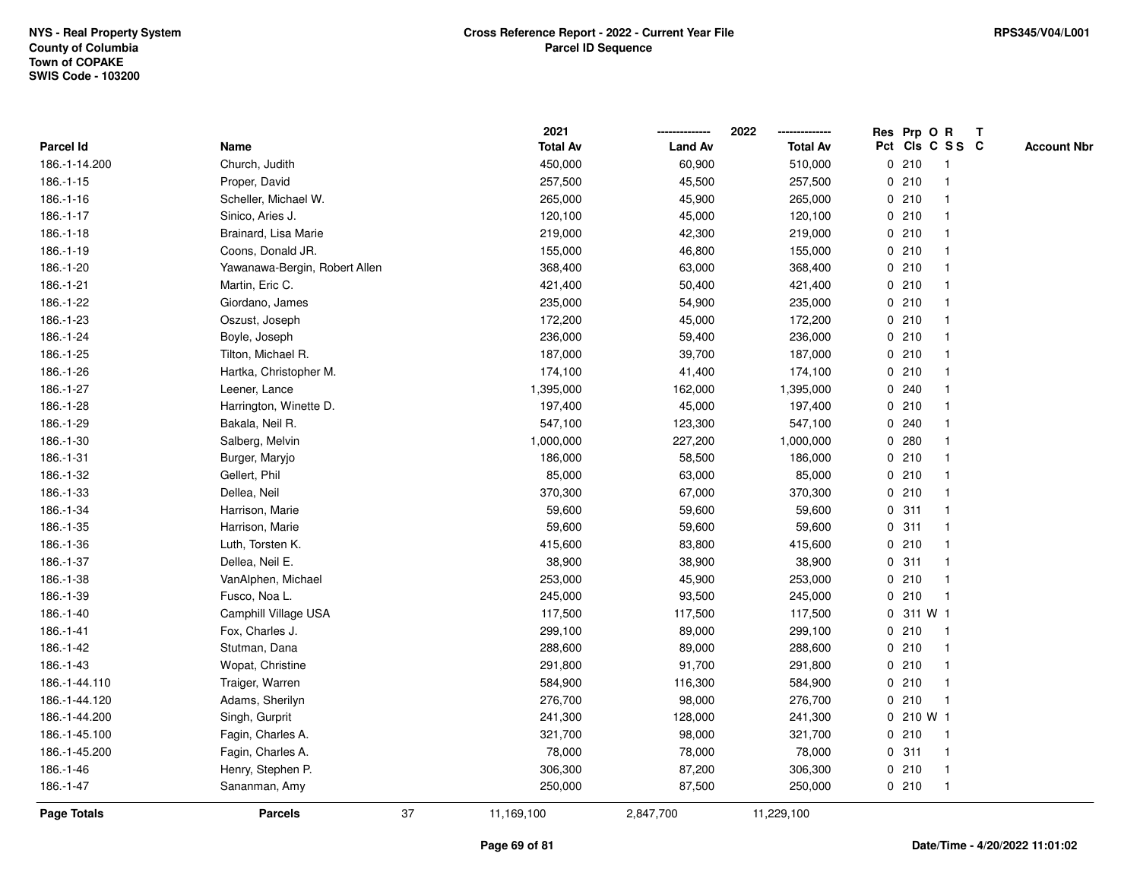|               |                               |    | 2021            |                | 2022            |             |           | Res Prp O R     | $\mathsf{T}$ |                    |
|---------------|-------------------------------|----|-----------------|----------------|-----------------|-------------|-----------|-----------------|--------------|--------------------|
| Parcel Id     | Name                          |    | <b>Total Av</b> | <b>Land Av</b> | <b>Total Av</b> |             |           | Pct Cls C S S C |              | <b>Account Nbr</b> |
| 186.-1-14.200 | Church, Judith                |    | 450,000         | 60,900         | 510,000         |             | 0210      |                 |              |                    |
| 186.-1-15     | Proper, David                 |    | 257,500         | 45,500         | 257,500         |             | 0210      |                 |              |                    |
| 186.-1-16     | Scheller, Michael W.          |    | 265,000         | 45,900         | 265,000         |             | 0210      | -1              |              |                    |
| 186.-1-17     | Sinico, Aries J.              |    | 120,100         | 45,000         | 120,100         | $\mathbf 0$ | 210       | $\mathbf{1}$    |              |                    |
| $186.-1-18$   | Brainard, Lisa Marie          |    | 219,000         | 42,300         | 219,000         |             | 0210      | -1              |              |                    |
| 186.-1-19     | Coons, Donald JR.             |    | 155,000         | 46,800         | 155,000         |             | 0210      | -1              |              |                    |
| 186.-1-20     | Yawanawa-Bergin, Robert Allen |    | 368,400         | 63,000         | 368,400         |             | 0210      |                 |              |                    |
| 186.-1-21     | Martin, Eric C.               |    | 421,400         | 50,400         | 421,400         |             | 0210      |                 |              |                    |
| 186.-1-22     | Giordano, James               |    | 235,000         | 54,900         | 235,000         |             | 0210      | -1              |              |                    |
| 186.-1-23     | Oszust, Joseph                |    | 172,200         | 45,000         | 172,200         |             | 0210      |                 |              |                    |
| 186.-1-24     | Boyle, Joseph                 |    | 236,000         | 59,400         | 236,000         |             | 0210      | $\mathbf{1}$    |              |                    |
| 186.-1-25     | Tilton, Michael R.            |    | 187,000         | 39,700         | 187,000         |             | 0210      | $\mathbf{1}$    |              |                    |
| 186.-1-26     | Hartka, Christopher M.        |    | 174,100         | 41,400         | 174,100         |             | 0210      | -1              |              |                    |
| 186.-1-27     | Leener, Lance                 |    | 1,395,000       | 162,000        | 1,395,000       |             | 0.240     |                 |              |                    |
| 186.-1-28     | Harrington, Winette D.        |    | 197,400         | 45,000         | 197,400         |             | 0210      |                 |              |                    |
| 186.-1-29     | Bakala, Neil R.               |    | 547,100         | 123,300        | 547,100         |             | 0.240     |                 |              |                    |
| 186.-1-30     | Salberg, Melvin               |    | 1,000,000       | 227,200        | 1,000,000       | 0           | 280       |                 |              |                    |
| 186.-1-31     | Burger, Maryjo                |    | 186,000         | 58,500         | 186,000         |             | 0210      | -1              |              |                    |
| 186.-1-32     | Gellert, Phil                 |    | 85,000          | 63,000         | 85,000          |             | 0210      | -1              |              |                    |
| 186.-1-33     | Dellea, Neil                  |    | 370,300         | 67,000         | 370,300         |             | 0210      |                 |              |                    |
| 186.-1-34     | Harrison, Marie               |    | 59,600          | 59,600         | 59,600          |             | 0.311     |                 |              |                    |
| 186.-1-35     | Harrison, Marie               |    | 59,600          | 59,600         | 59,600          |             | 0.311     |                 |              |                    |
| 186.-1-36     | Luth, Torsten K.              |    | 415,600         | 83,800         | 415,600         |             | 0210      |                 |              |                    |
| 186.-1-37     | Dellea, Neil E.               |    | 38,900          | 38,900         | 38,900          | 0           | 311       | $\mathbf{1}$    |              |                    |
| 186.-1-38     | VanAlphen, Michael            |    | 253,000         | 45,900         | 253,000         | 0           | 210       | $\mathbf 1$     |              |                    |
| 186.-1-39     | Fusco, Noa L.                 |    | 245,000         | 93,500         | 245,000         |             | 0210      | $\mathbf{1}$    |              |                    |
| 186.-1-40     | Camphill Village USA          |    | 117,500         | 117,500        | 117,500         |             | 0 311 W 1 |                 |              |                    |
| 186.-1-41     | Fox, Charles J.               |    | 299,100         | 89,000         | 299,100         |             | 0210      |                 |              |                    |
| 186.-1-42     | Stutman, Dana                 |    | 288,600         | 89,000         | 288,600         |             | 0210      | -1              |              |                    |
| 186.-1-43     | Wopat, Christine              |    | 291,800         | 91,700         | 291,800         |             | 0210      | -1              |              |                    |
| 186.-1-44.110 | Traiger, Warren               |    | 584,900         | 116,300        | 584,900         |             | 0210      | $\mathbf{1}$    |              |                    |
| 186.-1-44.120 | Adams, Sherilyn               |    | 276,700         | 98,000         | 276,700         |             | 0210      | $\mathbf 1$     |              |                    |
| 186.-1-44.200 | Singh, Gurprit                |    | 241,300         | 128,000        | 241,300         |             | 0 210 W 1 |                 |              |                    |
| 186.-1-45.100 | Fagin, Charles A.             |    | 321,700         | 98,000         | 321,700         |             | 0210      | -1              |              |                    |
| 186.-1-45.200 | Fagin, Charles A.             |    | 78,000          | 78,000         | 78,000          |             | 0.311     | -1              |              |                    |
| 186.-1-46     | Henry, Stephen P.             |    | 306,300         | 87,200         | 306,300         |             | 0210      | $\mathbf{1}$    |              |                    |
| 186.-1-47     | Sananman, Amy                 |    | 250,000         | 87,500         | 250,000         |             | 0210      | -1              |              |                    |
| Page Totals   | <b>Parcels</b>                | 37 | 11,169,100      | 2,847,700      | 11,229,100      |             |           |                 |              |                    |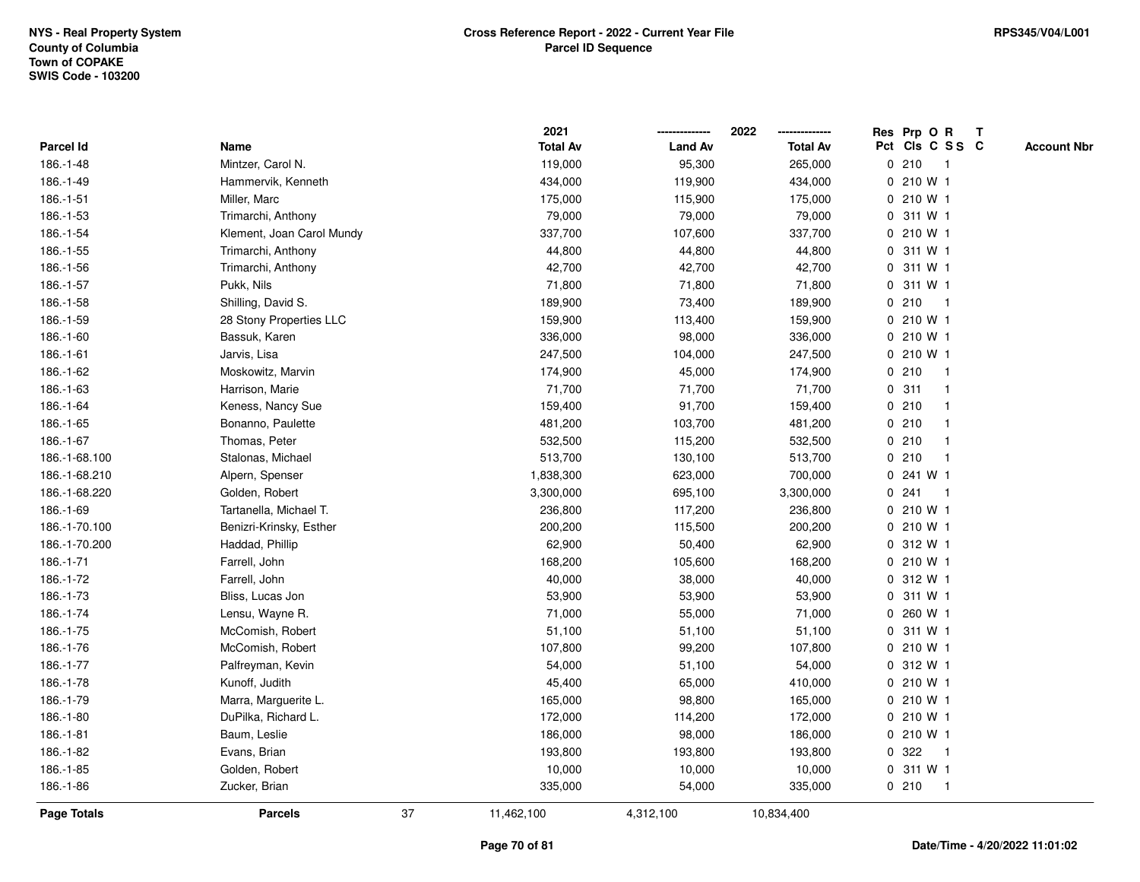|               |                           |    | 2021            |                | 2022            | Res Prp O R<br>Т                      |
|---------------|---------------------------|----|-----------------|----------------|-----------------|---------------------------------------|
| Parcel Id     | Name                      |    | <b>Total Av</b> | <b>Land Av</b> | <b>Total Av</b> | Pct Cls C S S C<br><b>Account Nbr</b> |
| 186.-1-48     | Mintzer, Carol N.         |    | 119,000         | 95,300         | 265,000         | 0210<br>$\overline{\phantom{0}}$ 1    |
| 186.-1-49     | Hammervik, Kenneth        |    | 434,000         | 119,900        | 434,000         | 0 210 W 1                             |
| 186.-1-51     | Miller, Marc              |    | 175,000         | 115,900        | 175,000         | $0, 210$ W 1                          |
| 186.-1-53     | Trimarchi, Anthony        |    | 79,000          | 79,000         | 79,000          | 0 311 W 1                             |
| 186.-1-54     | Klement, Joan Carol Mundy |    | 337,700         | 107,600        | 337,700         | 0 210 W 1                             |
| 186.-1-55     | Trimarchi, Anthony        |    | 44,800          | 44,800         | 44,800          | 0 311 W 1                             |
| 186.-1-56     | Trimarchi, Anthony        |    | 42,700          | 42,700         | 42,700          | 0 311 W 1                             |
| 186.-1-57     | Pukk, Nils                |    | 71,800          | 71,800         | 71,800          | 311 W 1<br>0                          |
| 186.-1-58     | Shilling, David S.        |    | 189,900         | 73,400         | 189,900         | 210<br>0<br>$\overline{1}$            |
| 186.-1-59     | 28 Stony Properties LLC   |    | 159,900         | 113,400        | 159,900         | 0 210 W 1                             |
| 186.-1-60     | Bassuk, Karen             |    | 336,000         | 98,000         | 336,000         | 0 210 W 1                             |
| 186.-1-61     | Jarvis, Lisa              |    | 247,500         | 104,000        | 247,500         | 0 210 W 1                             |
| 186.-1-62     | Moskowitz, Marvin         |    | 174,900         | 45,000         | 174,900         | 0210                                  |
| 186.-1-63     | Harrison, Marie           |    | 71,700          | 71,700         | 71,700          | 0.311<br>-1                           |
| 186.-1-64     | Keness, Nancy Sue         |    | 159,400         | 91,700         | 159,400         | 0210<br>-1                            |
| 186.-1-65     | Bonanno, Paulette         |    | 481,200         | 103,700        | 481,200         | 0210<br>-1                            |
| 186.-1-67     | Thomas, Peter             |    | 532,500         | 115,200        | 532,500         | 0210<br>$\mathbf{1}$                  |
| 186.-1-68.100 | Stalonas, Michael         |    | 513,700         | 130,100        | 513,700         | 0210<br>-1                            |
| 186.-1-68.210 | Alpern, Spenser           |    | 1,838,300       | 623,000        | 700,000         | 0 241 W 1                             |
| 186.-1-68.220 | Golden, Robert            |    | 3,300,000       | 695,100        | 3,300,000       | 0.241<br>-1                           |
| 186.-1-69     | Tartanella, Michael T.    |    | 236,800         | 117,200        | 236,800         | 0 210 W 1                             |
| 186.-1-70.100 | Benizri-Krinsky, Esther   |    | 200,200         | 115,500        | 200,200         | 0 210 W 1                             |
| 186.-1-70.200 | Haddad, Phillip           |    | 62,900          | 50,400         | 62,900          | 0 312 W 1                             |
| 186.-1-71     | Farrell, John             |    | 168,200         | 105,600        | 168,200         | 0 210 W 1                             |
| 186.-1-72     | Farrell, John             |    | 40,000          | 38,000         | 40,000          | 0 312 W 1                             |
| 186.-1-73     | Bliss, Lucas Jon          |    | 53,900          | 53,900         | 53,900          | 0 311 W 1                             |
| 186.-1-74     | Lensu, Wayne R.           |    | 71,000          | 55,000         | 71,000          | 0 260 W 1                             |
| 186.-1-75     | McComish, Robert          |    | 51,100          | 51,100         | 51,100          | 0 311 W 1                             |
| 186.-1-76     | McComish, Robert          |    | 107,800         | 99,200         | 107,800         | $0, 210$ W 1                          |
| 186.-1-77     | Palfreyman, Kevin         |    | 54,000          | 51,100         | 54,000          | 0 312 W 1                             |
| 186.-1-78     | Kunoff, Judith            |    | 45,400          | 65,000         | 410,000         | 0 210 W 1                             |
| 186.-1-79     | Marra, Marguerite L.      |    | 165,000         | 98,800         | 165,000         | 0 210 W 1                             |
| 186.-1-80     | DuPilka, Richard L.       |    | 172,000         | 114,200        | 172,000         | $0, 210$ W 1                          |
| 186.-1-81     | Baum, Leslie              |    | 186,000         | 98,000         | 186,000         | 0 210 W 1                             |
| 186.-1-82     | Evans, Brian              |    | 193,800         | 193,800        | 193,800         | 0.322<br>$\mathbf{1}$                 |
| 186.-1-85     | Golden, Robert            |    | 10,000          | 10,000         | 10,000          | 0 311 W 1                             |
| 186.-1-86     | Zucker, Brian             |    | 335,000         | 54,000         | 335,000         | 0210<br>$\overline{1}$                |
| Page Totals   | <b>Parcels</b>            | 37 | 11,462,100      | 4,312,100      | 10,834,400      |                                       |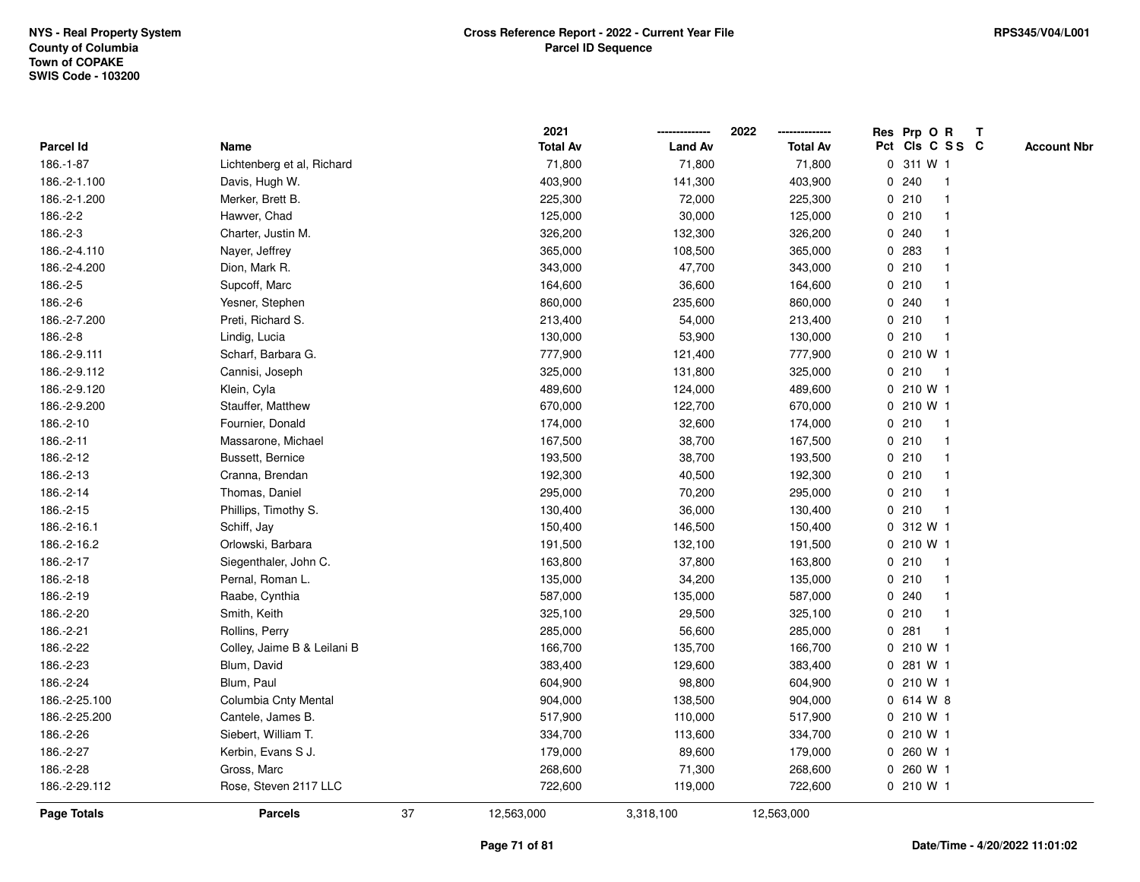|                    |                             |    | 2021            |                | 2022            |   | Res Prp O R     |              | Т |                    |
|--------------------|-----------------------------|----|-----------------|----------------|-----------------|---|-----------------|--------------|---|--------------------|
| Parcel Id          | Name                        |    | <b>Total Av</b> | <b>Land Av</b> | <b>Total Av</b> |   | Pct Cls C S S C |              |   | <b>Account Nbr</b> |
| 186.-1-87          | Lichtenberg et al, Richard  |    | 71,800          | 71,800         | 71,800          |   | 0 311 W 1       |              |   |                    |
| 186.-2-1.100       | Davis, Hugh W.              |    | 403,900         | 141,300        | 403,900         | 0 | 240             | $\mathbf{1}$ |   |                    |
| 186.-2-1.200       | Merker, Brett B.            |    | 225,300         | 72,000         | 225,300         |   | 0210            | $\mathbf{1}$ |   |                    |
| 186.-2-2           | Hawver, Chad                |    | 125,000         | 30,000         | 125,000         |   | 0210            | -1           |   |                    |
| 186.-2-3           | Charter, Justin M.          |    | 326,200         | 132,300        | 326,200         |   | 0.240           |              |   |                    |
| 186.-2-4.110       | Nayer, Jeffrey              |    | 365,000         | 108,500        | 365,000         |   | 0 283           |              |   |                    |
| 186.-2-4.200       | Dion, Mark R.               |    | 343,000         | 47,700         | 343,000         |   | 0210            | $\mathbf 1$  |   |                    |
| 186.-2-5           | Supcoff, Marc               |    | 164,600         | 36,600         | 164,600         |   | 0210            | $\mathbf{1}$ |   |                    |
| 186.-2-6           | Yesner, Stephen             |    | 860,000         | 235,600        | 860,000         |   | 0.240           | $\mathbf{1}$ |   |                    |
| 186.-2-7.200       | Preti, Richard S.           |    | 213,400         | 54,000         | 213,400         |   | 0210            | $\mathbf{1}$ |   |                    |
| 186.-2-8           | Lindig, Lucia               |    | 130,000         | 53,900         | 130,000         |   | 0210            | $\mathbf{1}$ |   |                    |
| 186.-2-9.111       | Scharf, Barbara G.          |    | 777,900         | 121,400        | 777,900         |   | 0 210 W 1       |              |   |                    |
| 186.-2-9.112       | Cannisi, Joseph             |    | 325,000         | 131,800        | 325,000         |   | 0210            | $\mathbf{1}$ |   |                    |
| 186.-2-9.120       | Klein, Cyla                 |    | 489,600         | 124,000        | 489,600         |   | 0 210 W 1       |              |   |                    |
| 186.-2-9.200       | Stauffer, Matthew           |    | 670,000         | 122,700        | 670,000         |   | 0 210 W 1       |              |   |                    |
| 186.-2-10          | Fournier, Donald            |    | 174,000         | 32,600         | 174,000         |   | 0210            | $\mathbf{1}$ |   |                    |
| 186.-2-11          | Massarone, Michael          |    | 167,500         | 38,700         | 167,500         |   | 0210            | $\mathbf{1}$ |   |                    |
| 186.-2-12          | Bussett, Bernice            |    | 193,500         | 38,700         | 193,500         |   | 0210            | $\mathbf{1}$ |   |                    |
| 186.-2-13          | Cranna, Brendan             |    | 192,300         | 40,500         | 192,300         |   | 0210            | $\mathbf 1$  |   |                    |
| 186.-2-14          | Thomas, Daniel              |    | 295,000         | 70,200         | 295,000         |   | 0210            | $\mathbf 1$  |   |                    |
| 186.-2-15          | Phillips, Timothy S.        |    | 130,400         | 36,000         | 130,400         |   | 0210            | $\mathbf{1}$ |   |                    |
| 186.-2-16.1        | Schiff, Jay                 |    | 150,400         | 146,500        | 150,400         |   | 0 312 W 1       |              |   |                    |
| 186.-2-16.2        | Orlowski, Barbara           |    | 191,500         | 132,100        | 191,500         |   | 0 210 W 1       |              |   |                    |
| 186.-2-17          | Siegenthaler, John C.       |    | 163,800         | 37,800         | 163,800         |   | 0210            | $\mathbf{1}$ |   |                    |
| 186.-2-18          | Pernal, Roman L.            |    | 135,000         | 34,200         | 135,000         |   | 0210            | $\mathbf{1}$ |   |                    |
| 186.-2-19          | Raabe, Cynthia              |    | 587,000         | 135,000        | 587,000         |   | 0.240           | -1           |   |                    |
| 186.-2-20          | Smith, Keith                |    | 325,100         | 29,500         | 325,100         |   | 0210            | 1            |   |                    |
| 186.-2-21          | Rollins, Perry              |    | 285,000         | 56,600         | 285,000         | 0 | 281             | $\mathbf{1}$ |   |                    |
| 186.-2-22          | Colley, Jaime B & Leilani B |    | 166,700         | 135,700        | 166,700         |   | 0 210 W 1       |              |   |                    |
| 186.-2-23          | Blum, David                 |    | 383,400         | 129,600        | 383,400         | 0 | 281 W 1         |              |   |                    |
| 186.-2-24          | Blum, Paul                  |    | 604,900         | 98,800         | 604,900         |   | 0210W1          |              |   |                    |
| 186.-2-25.100      | Columbia Cnty Mental        |    | 904,000         | 138,500        | 904,000         |   | 0 614 W 8       |              |   |                    |
| 186.-2-25.200      | Cantele, James B.           |    | 517,900         | 110,000        | 517,900         |   | 0 210 W 1       |              |   |                    |
| 186.-2-26          | Siebert, William T.         |    | 334,700         | 113,600        | 334,700         |   | 0 210 W 1       |              |   |                    |
| 186.-2-27          | Kerbin, Evans S J.          |    | 179,000         | 89,600         | 179,000         |   | 0 260 W 1       |              |   |                    |
| 186.-2-28          | Gross, Marc                 |    | 268,600         | 71,300         | 268,600         |   | 0 260 W 1       |              |   |                    |
| 186.-2-29.112      | Rose, Steven 2117 LLC       |    | 722,600         | 119,000        | 722,600         |   | 0 210 W 1       |              |   |                    |
| <b>Page Totals</b> | <b>Parcels</b>              | 37 | 12,563,000      | 3,318,100      | 12,563,000      |   |                 |              |   |                    |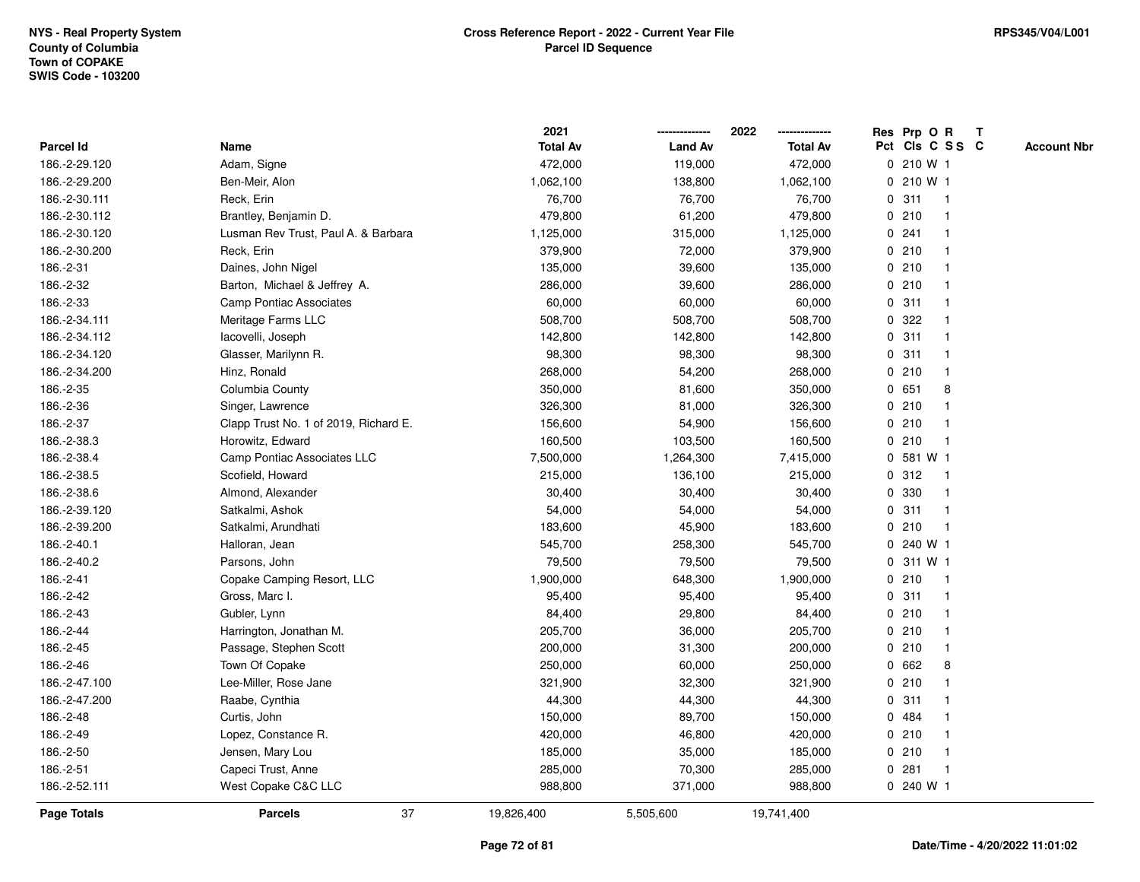|                  |                                       | 2021            |                | 2022            | Res Prp O R<br>T                      |
|------------------|---------------------------------------|-----------------|----------------|-----------------|---------------------------------------|
| <b>Parcel Id</b> | Name                                  | <b>Total Av</b> | <b>Land Av</b> | <b>Total Av</b> | Pct Cls C S S C<br><b>Account Nbr</b> |
| 186.-2-29.120    | Adam, Signe                           | 472,000         | 119,000        | 472,000         | 0 210 W 1                             |
| 186.-2-29.200    | Ben-Meir, Alon                        | 1,062,100       | 138,800        | 1,062,100       | 210 W 1<br>$\mathbf 0$                |
| 186.-2-30.111    | Reck, Erin                            | 76,700          | 76,700         | 76,700          | 0.311<br>$\mathbf{1}$                 |
| 186.-2-30.112    | Brantley, Benjamin D.                 | 479,800         | 61,200         | 479,800         | 0210<br>$\mathbf{1}$                  |
| 186.-2-30.120    | Lusman Rev Trust, Paul A. & Barbara   | 1,125,000       | 315,000        | 1,125,000       | 0.241                                 |
| 186.-2-30.200    | Reck, Erin                            | 379,900         | 72,000         | 379,900         | 0210<br>$\mathbf{1}$                  |
| 186.-2-31        | Daines, John Nigel                    | 135,000         | 39,600         | 135,000         | 0210<br>$\mathbf{1}$                  |
| 186.-2-32        | Barton, Michael & Jeffrey A.          | 286,000         | 39,600         | 286,000         | 0210<br>$\mathbf{1}$                  |
| 186.-2-33        | <b>Camp Pontiac Associates</b>        | 60,000          | 60,000         | 60,000          | 311<br>0<br>$\mathbf{1}$              |
| 186.-2-34.111    | Meritage Farms LLC                    | 508,700         | 508,700        | 508,700         | 0.322<br>$\mathbf{1}$                 |
| 186.-2-34.112    | lacovelli, Joseph                     | 142,800         | 142,800        | 142,800         | 0.311<br>$\mathbf 1$                  |
| 186.-2-34.120    | Glasser, Marilynn R.                  | 98,300          | 98,300         | 98,300          | 0.311                                 |
| 186.-2-34.200    | Hinz, Ronald                          | 268,000         | 54,200         | 268,000         | 0210<br>$\mathbf{1}$                  |
| 186.-2-35        | Columbia County                       | 350,000         | 81,600         | 350,000         | 0 651<br>8                            |
| 186.-2-36        | Singer, Lawrence                      | 326,300         | 81,000         | 326,300         | 210<br>0<br>$\mathbf{1}$              |
| 186.-2-37        | Clapp Trust No. 1 of 2019, Richard E. | 156,600         | 54,900         | 156,600         | 210<br>0<br>$\mathbf{1}$              |
| 186.-2-38.3      | Horowitz, Edward                      | 160,500         | 103,500        | 160,500         | 0210<br>$\mathbf{1}$                  |
| 186.-2-38.4      | Camp Pontiac Associates LLC           | 7,500,000       | 1,264,300      | 7,415,000       | 0 581 W 1                             |
| 186.-2-38.5      | Scofield, Howard                      | 215,000         | 136,100        | 215,000         | 0.312<br>1                            |
| 186.-2-38.6      | Almond, Alexander                     | 30,400          | 30,400         | 30,400          | 0 330                                 |
| 186.-2-39.120    | Satkalmi, Ashok                       | 54,000          | 54,000         | 54,000          | 0.311<br>$\mathbf{1}$                 |
| 186.-2-39.200    | Satkalmi, Arundhati                   | 183,600         | 45,900         | 183,600         | 210<br>$\mathbf{0}$<br>$\mathbf{1}$   |
| 186.-2-40.1      | Halloran, Jean                        | 545,700         | 258,300        | 545,700         | 240 W 1<br>$\Omega$                   |
| 186.-2-40.2      | Parsons, John                         | 79,500          | 79,500         | 79,500          | 311 W 1<br>0                          |
| 186.-2-41        | Copake Camping Resort, LLC            | 1,900,000       | 648,300        | 1,900,000       | 0210<br>$\mathbf{1}$                  |
| 186.-2-42        | Gross, Marc I.                        | 95,400          | 95,400         | 95,400          | 0.311                                 |
| 186.-2-43        | Gubler, Lynn                          | 84,400          | 29,800         | 84,400          | 0210                                  |
| 186.-2-44        | Harrington, Jonathan M.               | 205,700         | 36,000         | 205,700         | 0210<br>$\mathbf{1}$                  |
| 186.-2-45        | Passage, Stephen Scott                | 200,000         | 31,300         | 200,000         | 0210<br>$\mathbf{1}$                  |
| 186.-2-46        | Town Of Copake                        | 250,000         | 60,000         | 250,000         | $\mathbf{0}$<br>662<br>8              |
| 186.-2-47.100    | Lee-Miller, Rose Jane                 | 321,900         | 32,300         | 321,900         | 0210<br>$\mathbf{1}$                  |
| 186.-2-47.200    | Raabe, Cynthia                        | 44,300          | 44,300         | 44,300          | 0.311<br>$\mathbf 1$                  |
| 186.-2-48        | Curtis, John                          | 150,000         | 89,700         | 150,000         | 0.484                                 |
| 186.-2-49        | Lopez, Constance R.                   | 420,000         | 46,800         | 420,000         | 0210                                  |
| 186.-2-50        | Jensen, Mary Lou                      | 185,000         | 35,000         | 185,000         | 0210<br>$\overline{1}$                |
| 186.-2-51        | Capeci Trust, Anne                    | 285,000         | 70,300         | 285,000         | 281<br>0<br>$\mathbf{1}$              |
| 186.-2-52.111    | West Copake C&C LLC                   | 988,800         | 371,000        | 988,800         | 0 240 W 1                             |
| Page Totals      | 37<br><b>Parcels</b>                  | 19,826,400      | 5,505,600      | 19,741,400      |                                       |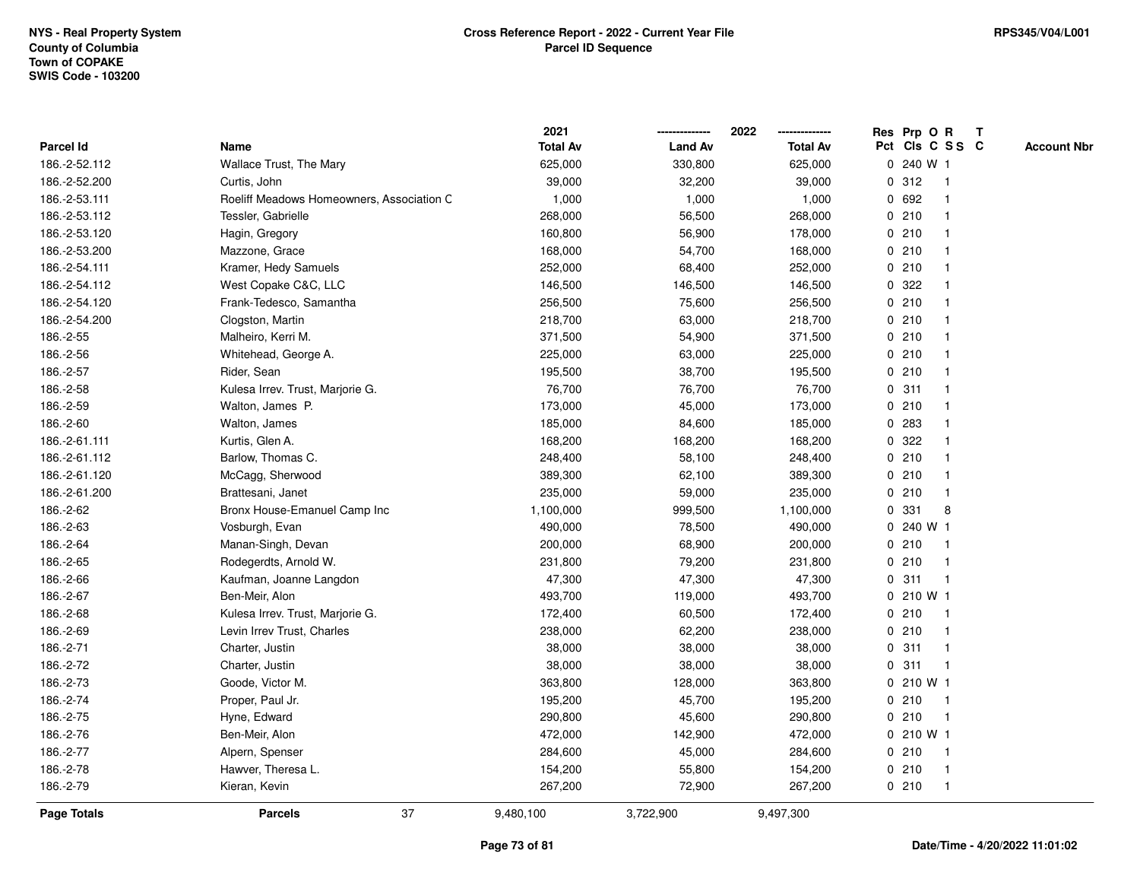|               |                                           | 2021            |                | 2022            | Res Prp O R<br>Т                      |
|---------------|-------------------------------------------|-----------------|----------------|-----------------|---------------------------------------|
| Parcel Id     | Name                                      | <b>Total Av</b> | <b>Land Av</b> | <b>Total Av</b> | Pct Cls C S S C<br><b>Account Nbr</b> |
| 186.-2-52.112 | Wallace Trust, The Mary                   | 625,000         | 330,800        | 625,000         | 0 240 W 1                             |
| 186.-2-52.200 | Curtis, John                              | 39,000          | 32,200         | 39,000          | 312<br>0<br>$\mathbf{1}$              |
| 186.-2-53.111 | Roeliff Meadows Homeowners, Association C | 1,000           | 1,000          | 1,000           | 0 692<br>1                            |
| 186.-2-53.112 | Tessler, Gabrielle                        | 268,000         | 56,500         | 268,000         | 0210<br>-1                            |
| 186.-2-53.120 | Hagin, Gregory                            | 160,800         | 56,900         | 178,000         | 0210                                  |
| 186.-2-53.200 | Mazzone, Grace                            | 168,000         | 54,700         | 168,000         | 0210                                  |
| 186.-2-54.111 | Kramer, Hedy Samuels                      | 252,000         | 68,400         | 252,000         | 0210<br>$\mathbf{1}$                  |
| 186.-2-54.112 | West Copake C&C, LLC                      | 146,500         | 146,500        | 146,500         | 322<br>0<br>$\mathbf{1}$              |
| 186.-2-54.120 | Frank-Tedesco, Samantha                   | 256,500         | 75,600         | 256,500         | 0210<br>1                             |
| 186.-2-54.200 | Clogston, Martin                          | 218,700         | 63,000         | 218,700         | 0210<br>$\mathbf{1}$                  |
| 186.-2-55     | Malheiro, Kerri M.                        | 371,500         | 54,900         | 371,500         | 0210<br>$\mathbf 1$                   |
| 186.-2-56     | Whitehead, George A.                      | 225,000         | 63,000         | 225,000         | 0210                                  |
| 186.-2-57     | Rider, Sean                               | 195,500         | 38,700         | 195,500         | 0210                                  |
| 186.-2-58     | Kulesa Irrev. Trust, Marjorie G.          | 76,700          | 76,700         | 76,700          | 0.311<br>$\mathbf 1$                  |
| 186.-2-59     | Walton, James P.                          | 173,000         | 45,000         | 173,000         | 0210<br>$\mathbf{1}$                  |
| 186.-2-60     | Walton, James                             | 185,000         | 84,600         | 185,000         | 0.283<br>$\mathbf{1}$                 |
| 186.-2-61.111 | Kurtis, Glen A.                           | 168,200         | 168,200        | 168,200         | 322<br>0<br>$\mathbf{1}$              |
| 186.-2-61.112 | Barlow, Thomas C.                         | 248,400         | 58,100         | 248,400         | 0210<br>-1                            |
| 186.-2-61.120 | McCagg, Sherwood                          | 389,300         | 62,100         | 389,300         | 0210<br>1                             |
| 186.-2-61.200 | Brattesani, Janet                         | 235,000         | 59,000         | 235,000         | 0210<br>$\mathbf 1$                   |
| 186.-2-62     | Bronx House-Emanuel Camp Inc              | 1,100,000       | 999,500        | 1,100,000       | 331<br>8<br>0                         |
| 186.-2-63     | Vosburgh, Evan                            | 490,000         | 78,500         | 490,000         | 0 240 W 1                             |
| 186.-2-64     | Manan-Singh, Devan                        | 200,000         | 68,900         | 200,000         | 0210<br>$\overline{1}$                |
| 186.-2-65     | Rodegerdts, Arnold W.                     | 231,800         | 79,200         | 231,800         | 0210<br>$\mathbf{1}$                  |
| 186.-2-66     | Kaufman, Joanne Langdon                   | 47,300          | 47,300         | 47,300          | 0.311<br>1                            |
| 186.-2-67     | Ben-Meir, Alon                            | 493,700         | 119,000        | 493,700         | 0 210 W 1                             |
| 186.-2-68     | Kulesa Irrev. Trust, Marjorie G.          | 172,400         | 60,500         | 172,400         | 0210                                  |
| 186.-2-69     | Levin Irrev Trust, Charles                | 238,000         | 62,200         | 238,000         | 0210<br>1                             |
| 186.-2-71     | Charter, Justin                           | 38,000          | 38,000         | 38,000          | 311<br>0<br>$\mathbf{1}$              |
| 186.-2-72     | Charter, Justin                           | 38,000          | 38,000         | 38,000          | 311<br>0<br>$\mathbf{1}$              |
| 186.-2-73     | Goode, Victor M.                          | 363,800         | 128,000        | 363,800         | $0, 210$ W 1                          |
| 186.-2-74     | Proper, Paul Jr.                          | 195,200         | 45,700         | 195,200         | 0210<br>$\mathbf{1}$                  |
| 186.-2-75     | Hyne, Edward                              | 290,800         | 45,600         | 290,800         | 0210<br>$\mathbf 1$                   |
| 186.-2-76     | Ben-Meir, Alon                            | 472,000         | 142,900        | 472,000         | 0 210 W 1                             |
| 186.-2-77     | Alpern, Spenser                           | 284,600         | 45,000         | 284,600         | 0210<br>1                             |
| 186.-2-78     | Hawver, Theresa L.                        | 154,200         | 55,800         | 154,200         | 0210<br>$\mathbf{1}$                  |
| 186.-2-79     | Kieran, Kevin                             | 267,200         | 72,900         | 267,200         | 0210<br>$\mathbf{1}$                  |
| Page Totals   | 37<br><b>Parcels</b>                      | 9,480,100       | 3,722,900      | 9,497,300       |                                       |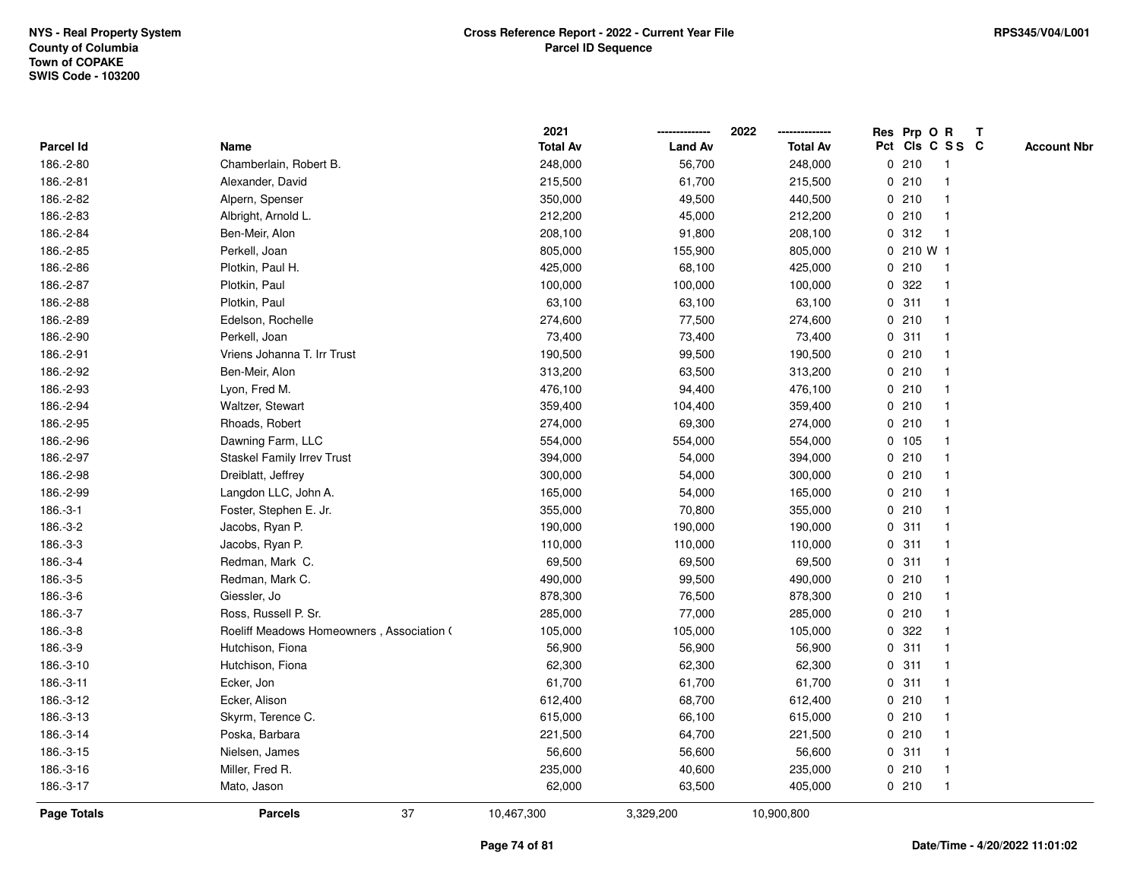|                    |                                           | 2021            |                | 2022            | Res Prp O R<br>Т                    |                    |
|--------------------|-------------------------------------------|-----------------|----------------|-----------------|-------------------------------------|--------------------|
| Parcel Id          | Name                                      | <b>Total Av</b> | <b>Land Av</b> | <b>Total Av</b> | Pct Cls C S S C                     | <b>Account Nbr</b> |
| 186.-2-80          | Chamberlain, Robert B.                    | 248,000         | 56,700         | 248,000         | 0210<br>$\mathbf{1}$                |                    |
| 186.-2-81          | Alexander, David                          | 215,500         | 61,700         | 215,500         | 0210<br>-1                          |                    |
| 186.-2-82          | Alpern, Spenser                           | 350,000         | 49,500         | 440,500         | 0210<br>$\mathbf 1$                 |                    |
| 186.-2-83          | Albright, Arnold L.                       | 212,200         | 45,000         | 212,200         | 0210<br>-1                          |                    |
| 186.-2-84          | Ben-Meir, Alon                            | 208,100         | 91,800         | 208,100         | 0.312                               |                    |
| 186.-2-85          | Perkell, Joan                             | 805,000         | 155,900        | 805,000         | 0 210 W 1                           |                    |
| 186.-2-86          | Plotkin, Paul H.                          | 425,000         | 68,100         | 425,000         | 0210<br>-1                          |                    |
| 186.-2-87          | Plotkin, Paul                             | 100,000         | 100,000        | 100,000         | 322<br>$\mathbf 0$                  |                    |
| 186.-2-88          | Plotkin, Paul                             | 63,100          | 63,100         | 63,100          | 0.311<br>-1                         |                    |
| 186.-2-89          | Edelson, Rochelle                         | 274,600         | 77,500         | 274,600         | 0210<br>$\mathbf 1$                 |                    |
| 186.-2-90          | Perkell, Joan                             | 73,400          | 73,400         | 73,400          | 0.311<br>-1                         |                    |
| 186.-2-91          | Vriens Johanna T. Irr Trust               | 190,500         | 99,500         | 190,500         | 0210                                |                    |
| 186.-2-92          | Ben-Meir, Alon                            | 313,200         | 63,500         | 313,200         | 0210                                |                    |
| 186.-2-93          | Lyon, Fred M.                             | 476,100         | 94,400         | 476,100         | 0210                                |                    |
| 186.-2-94          | Waltzer, Stewart                          | 359,400         | 104,400        | 359,400         | 0210                                |                    |
| 186.-2-95          | Rhoads, Robert                            | 274,000         | 69,300         | 274,000         | 0210<br>$\mathbf{1}$                |                    |
| 186.-2-96          | Dawning Farm, LLC                         | 554,000         | 554,000        | 554,000         | 0 105<br>$\mathbf{1}$               |                    |
| 186.-2-97          | Staskel Family Irrev Trust                | 394,000         | 54,000         | 394,000         | 0210                                |                    |
| 186.-2-98          | Dreiblatt, Jeffrey                        | 300,000         | 54,000         | 300,000         | 0210                                |                    |
| 186.-2-99          | Langdon LLC, John A.                      | 165,000         | 54,000         | 165,000         | 0210                                |                    |
| $186.-3-1$         | Foster, Stephen E. Jr.                    | 355,000         | 70,800         | 355,000         | 0210                                |                    |
| 186.-3-2           | Jacobs, Ryan P.                           | 190,000         | 190,000        | 190,000         | 0.311                               |                    |
| 186.-3-3           | Jacobs, Ryan P.                           | 110,000         | 110,000        | 110,000         | 0.311<br>$\mathbf{1}$               |                    |
| 186.-3-4           | Redman, Mark C.                           | 69,500          | 69,500         | 69,500          | 0.311<br>-1                         |                    |
| 186.-3-5           | Redman, Mark C.                           | 490,000         | 99,500         | 490,000         | 0210<br>-1                          |                    |
| 186.-3-6           | Giessler, Jo                              | 878,300         | 76,500         | 878,300         | 0210                                |                    |
| 186.-3-7           | Ross, Russell P. Sr.                      | 285,000         | 77,000         | 285,000         | 0210                                |                    |
| 186.-3-8           | Roeliff Meadows Homeowners, Association ( | 105,000         | 105,000        | 105,000         | 0.322                               |                    |
| 186.-3-9           | Hutchison, Fiona                          | 56,900          | 56,900         | 56,900          | 311<br>0<br>$\overline{\mathbf{1}}$ |                    |
| 186.-3-10          | Hutchison, Fiona                          | 62,300          | 62,300         | 62,300          | 311<br>$\mathbf 0$<br>-1            |                    |
| 186.-3-11          | Ecker, Jon                                | 61,700          | 61,700         | 61,700          | 0.311<br>-1                         |                    |
| 186.-3-12          | Ecker, Alison                             | 612,400         | 68,700         | 612,400         | 0210<br>-1                          |                    |
| 186.-3-13          | Skyrm, Terence C.                         | 615,000         | 66,100         | 615,000         | 0210                                |                    |
| 186.-3-14          | Poska, Barbara                            | 221,500         | 64,700         | 221,500         | 0210                                |                    |
| 186.-3-15          | Nielsen, James                            | 56,600          | 56,600         | 56,600          | 0.311<br>$\mathbf 1$                |                    |
| 186.-3-16          | Miller, Fred R.                           | 235,000         | 40,600         | 235,000         | 0210<br>$\mathbf 1$                 |                    |
| 186.-3-17          | Mato, Jason                               | 62,000          | 63,500         | 405,000         | 0210<br>$\mathbf{1}$                |                    |
| <b>Page Totals</b> | 37<br><b>Parcels</b>                      | 10,467,300      | 3,329,200      | 10,900,800      |                                     |                    |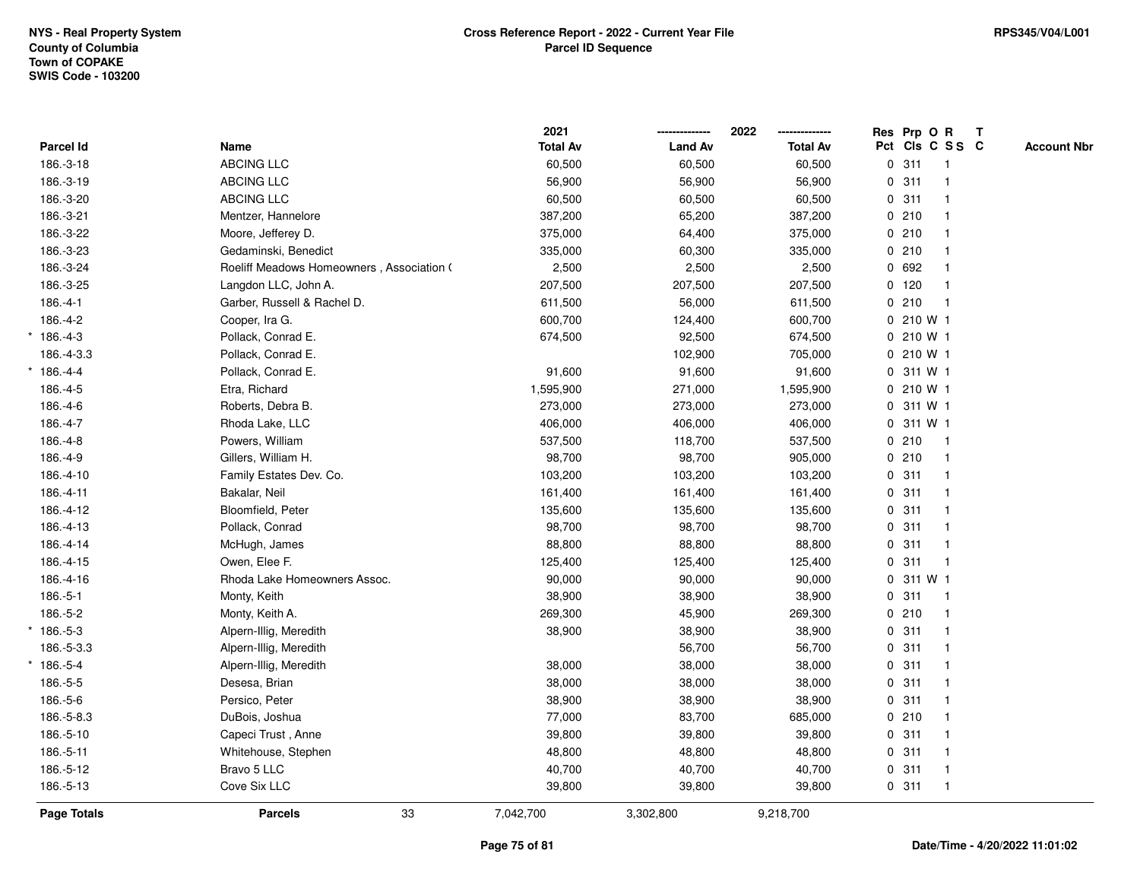|             |                                           | 2021            |                | 2022            | Res Prp O R     |                | T |                    |
|-------------|-------------------------------------------|-----------------|----------------|-----------------|-----------------|----------------|---|--------------------|
| Parcel Id   | Name                                      | <b>Total Av</b> | <b>Land Av</b> | <b>Total Av</b> | Pct Cls C S S C |                |   | <b>Account Nbr</b> |
| 186.-3-18   | <b>ABCING LLC</b>                         | 60,500          | 60,500         | 60,500          | 0.311           | $\mathbf{1}$   |   |                    |
| 186.-3-19   | <b>ABCING LLC</b>                         | 56,900          | 56,900         | 56,900          | 0.311           |                |   |                    |
| 186.-3-20   | <b>ABCING LLC</b>                         | 60,500          | 60,500         | 60,500          | 0.311           |                |   |                    |
| 186.-3-21   | Mentzer, Hannelore                        | 387,200         | 65,200         | 387,200         | 0210            |                |   |                    |
| 186.-3-22   | Moore, Jefferey D.                        | 375,000         | 64,400         | 375,000         | 0210            |                |   |                    |
| 186.-3-23   | Gedaminski, Benedict                      | 335,000         | 60,300         | 335,000         | 0210            |                |   |                    |
| 186.-3-24   | Roeliff Meadows Homeowners, Association ( | 2,500           | 2,500          | 2,500           | 0 692           |                |   |                    |
| 186.-3-25   | Langdon LLC, John A.                      | 207,500         | 207,500        | 207,500         | 0 120           |                |   |                    |
| 186.-4-1    | Garber, Russell & Rachel D.               | 611,500         | 56,000         | 611,500         | 0210            | $\overline{1}$ |   |                    |
| 186.-4-2    | Cooper, Ira G.                            | 600,700         | 124,400        | 600,700         | 0 210 W 1       |                |   |                    |
| 186.-4-3    | Pollack, Conrad E.                        | 674,500         | 92,500         | 674,500         | 0210W1          |                |   |                    |
| 186.-4-3.3  | Pollack, Conrad E.                        |                 | 102,900        | 705,000         | 0 210 W 1       |                |   |                    |
| $*186.-4-4$ | Pollack, Conrad E.                        | 91,600          | 91,600         | 91,600          | 0 311 W 1       |                |   |                    |
| 186.-4-5    | Etra, Richard                             | 1,595,900       | 271,000        | 1,595,900       | 0 210 W 1       |                |   |                    |
| 186.-4-6    | Roberts, Debra B.                         | 273,000         | 273,000        | 273,000         | 0 311 W 1       |                |   |                    |
| 186.-4-7    | Rhoda Lake, LLC                           | 406,000         | 406,000        | 406,000         | 0 311 W 1       |                |   |                    |
| 186.-4-8    | Powers, William                           | 537,500         | 118,700        | 537,500         | 0210            | $\mathbf{1}$   |   |                    |
| 186.-4-9    | Gillers, William H.                       | 98,700          | 98,700         | 905,000         | 0210            |                |   |                    |
| 186.-4-10   | Family Estates Dev. Co.                   | 103,200         | 103,200        | 103,200         | 0.311           |                |   |                    |
| 186.-4-11   | Bakalar, Neil                             | 161,400         | 161,400        | 161,400         | 0.311           |                |   |                    |
| 186.-4-12   | Bloomfield, Peter                         | 135,600         | 135,600        | 135,600         | 0.311           |                |   |                    |
| 186.-4-13   | Pollack, Conrad                           | 98,700          | 98,700         | 98,700          | 0.311           |                |   |                    |
| 186.-4-14   | McHugh, James                             | 88,800          | 88,800         | 88,800          | 0.311           | $\overline{1}$ |   |                    |
| 186.-4-15   | Owen, Elee F.                             | 125,400         | 125,400        | 125,400         | 0.311           | $\overline{1}$ |   |                    |
| 186.-4-16   | Rhoda Lake Homeowners Assoc.              | 90,000          | 90,000         | 90,000          | 0 311 W 1       |                |   |                    |
| 186.-5-1    | Monty, Keith                              | 38,900          | 38,900         | 38,900          | 0.311           |                |   |                    |
| 186.-5-2    | Monty, Keith A.                           | 269,300         | 45,900         | 269,300         | 0210            |                |   |                    |
| $*186.-5-3$ | Alpern-Illig, Meredith                    | 38,900          | 38,900         | 38,900          | 0.311           |                |   |                    |
| 186.-5-3.3  | Alpern-Illig, Meredith                    |                 | 56,700         | 56,700          | 0.311           |                |   |                    |
| $*186.-5-4$ | Alpern-Illig, Meredith                    | 38,000          | 38,000         | 38,000          | 0.311           |                |   |                    |
| 186.-5-5    | Desesa, Brian                             | 38,000          | 38,000         | 38,000          | 0.311           |                |   |                    |
| 186.-5-6    | Persico, Peter                            | 38,900          | 38,900         | 38,900          | 0.311           |                |   |                    |
| 186.-5-8.3  | DuBois, Joshua                            | 77,000          | 83,700         | 685,000         | 0210            |                |   |                    |
| 186.-5-10   | Capeci Trust, Anne                        | 39,800          | 39,800         | 39,800          | 0.311           |                |   |                    |
| 186.-5-11   | Whitehouse, Stephen                       | 48,800          | 48,800         | 48,800          | 0.311           |                |   |                    |
| 186.-5-12   | Bravo 5 LLC                               | 40,700          | 40,700         | 40,700          | 0.311           | $\mathbf 1$    |   |                    |
| 186.-5-13   | Cove Six LLC                              | 39,800          | 39,800         | 39,800          | 0.311           | $\mathbf{1}$   |   |                    |
| Page Totals | 33<br><b>Parcels</b>                      | 7,042,700       | 3,302,800      | 9,218,700       |                 |                |   |                    |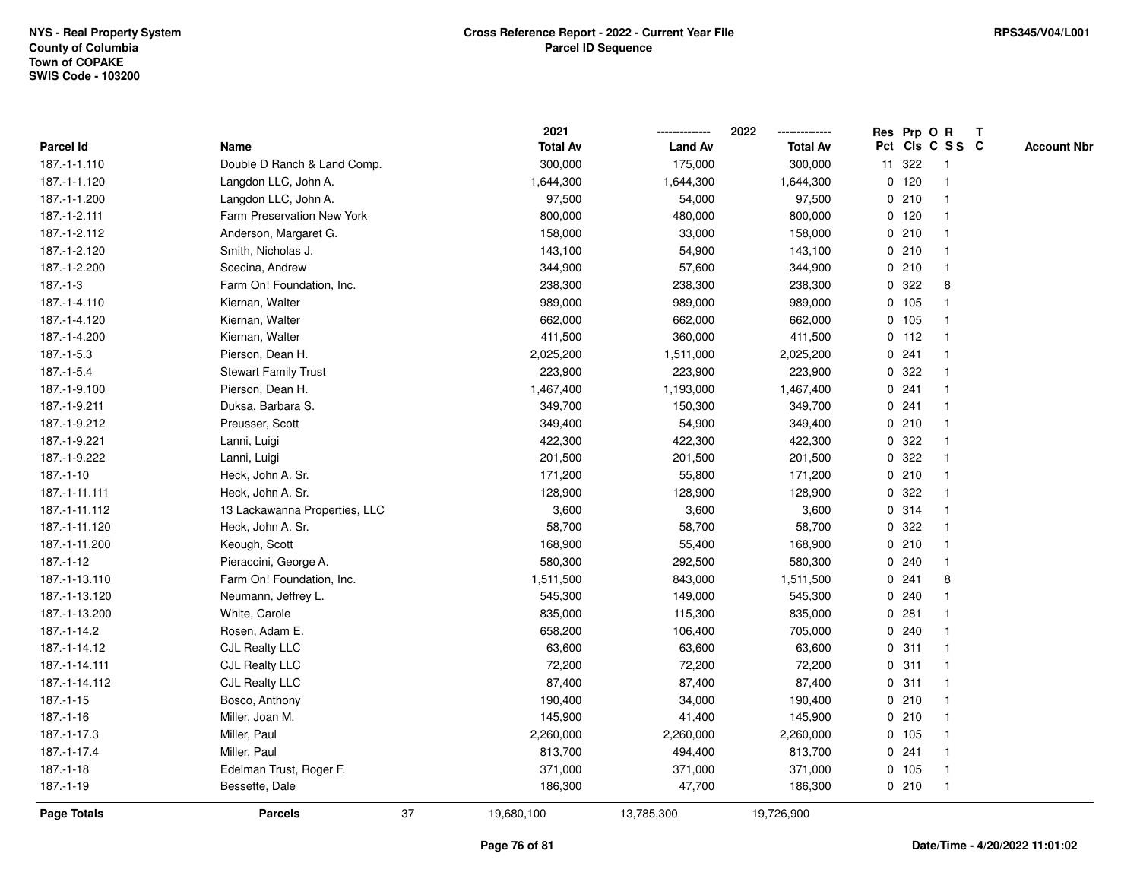|                 |                               |    | 2021            |                | 2022            |   |         | Res Prp O R     | T |                    |
|-----------------|-------------------------------|----|-----------------|----------------|-----------------|---|---------|-----------------|---|--------------------|
| Parcel Id       | Name                          |    | <b>Total Av</b> | <b>Land Av</b> | <b>Total Av</b> |   |         | Pct Cls C S S C |   | <b>Account Nbr</b> |
| 187.-1-1.110    | Double D Ranch & Land Comp.   |    | 300,000         | 175,000        | 300,000         |   | 11 322  | $\mathbf{1}$    |   |                    |
| 187.-1-1.120    | Langdon LLC, John A.          |    | 1,644,300       | 1,644,300      | 1,644,300       |   | $0$ 120 | $\mathbf{1}$    |   |                    |
| 187.-1-1.200    | Langdon LLC, John A.          |    | 97,500          | 54,000         | 97,500          |   | 0210    | $\mathbf{1}$    |   |                    |
| 187.-1-2.111    | Farm Preservation New York    |    | 800,000         | 480,000        | 800,000         |   | $0$ 120 | -1              |   |                    |
| 187.-1-2.112    | Anderson, Margaret G.         |    | 158,000         | 33,000         | 158,000         |   | 0210    |                 |   |                    |
| 187.-1-2.120    | Smith, Nicholas J.            |    | 143,100         | 54,900         | 143,100         |   | 0210    |                 |   |                    |
| 187.-1-2.200    | Scecina, Andrew               |    | 344,900         | 57,600         | 344,900         |   | 0210    | $\mathbf{1}$    |   |                    |
| $187 - 1 - 3$   | Farm On! Foundation, Inc.     |    | 238,300         | 238,300        | 238,300         | 0 | 322     | 8               |   |                    |
| 187.-1-4.110    | Kiernan, Walter               |    | 989,000         | 989,000        | 989,000         |   | 0 105   | 1               |   |                    |
| 187.-1-4.120    | Kiernan, Walter               |    | 662,000         | 662,000        | 662,000         |   | 0 105   | $\mathbf{1}$    |   |                    |
| 187.-1-4.200    | Kiernan, Walter               |    | 411,500         | 360,000        | 411,500         |   | $0$ 112 | $\mathbf 1$     |   |                    |
| $187.-1-5.3$    | Pierson, Dean H.              |    | 2,025,200       | 1,511,000      | 2,025,200       |   | 0.241   |                 |   |                    |
| $187.-1-5.4$    | <b>Stewart Family Trust</b>   |    | 223,900         | 223,900        | 223,900         |   | 0.322   |                 |   |                    |
| 187.-1-9.100    | Pierson, Dean H.              |    | 1,467,400       | 1,193,000      | 1,467,400       |   | 0.241   | $\mathbf 1$     |   |                    |
| 187.-1-9.211    | Duksa, Barbara S.             |    | 349,700         | 150,300        | 349,700         |   | 0.241   | $\mathbf 1$     |   |                    |
| 187.-1-9.212    | Preusser, Scott               |    | 349,400         | 54,900         | 349,400         |   | 0210    | $\mathbf{1}$    |   |                    |
| 187.-1-9.221    | Lanni, Luigi                  |    | 422,300         | 422,300        | 422,300         |   | 0.322   | $\mathbf{1}$    |   |                    |
| 187.-1-9.222    | Lanni, Luigi                  |    | 201,500         | 201,500        | 201,500         |   | 0.322   | 1               |   |                    |
| $187. - 1 - 10$ | Heck, John A. Sr.             |    | 171,200         | 55,800         | 171,200         |   | 0210    | 1               |   |                    |
| 187.-1-11.111   | Heck, John A. Sr.             |    | 128,900         | 128,900        | 128,900         |   | 0.322   |                 |   |                    |
| 187.-1-11.112   | 13 Lackawanna Properties, LLC |    | 3,600           | 3,600          | 3,600           |   | 0.314   | $\mathbf{1}$    |   |                    |
| 187.-1-11.120   | Heck, John A. Sr.             |    | 58,700          | 58,700         | 58,700          |   | 0.322   | $\mathbf{1}$    |   |                    |
| 187.-1-11.200   | Keough, Scott                 |    | 168,900         | 55,400         | 168,900         |   | 0210    | $\mathbf{1}$    |   |                    |
| $187. - 1 - 12$ | Pieraccini, George A.         |    | 580,300         | 292,500        | 580,300         |   | 0.240   | $\mathbf{1}$    |   |                    |
| 187.-1-13.110   | Farm On! Foundation, Inc.     |    | 1,511,500       | 843,000        | 1,511,500       |   | 0.241   | 8               |   |                    |
| 187.-1-13.120   | Neumann, Jeffrey L.           |    | 545,300         | 149,000        | 545,300         |   | 0.240   |                 |   |                    |
| 187.-1-13.200   | White, Carole                 |    | 835,000         | 115,300        | 835,000         |   | 0.281   |                 |   |                    |
| 187.-1-14.2     | Rosen, Adam E.                |    | 658,200         | 106,400        | 705,000         |   | 0.240   | $\mathbf 1$     |   |                    |
| 187.-1-14.12    | <b>CJL Realty LLC</b>         |    | 63,600          | 63,600         | 63,600          |   | 0.311   | $\mathbf{1}$    |   |                    |
| 187.-1-14.111   | <b>CJL Realty LLC</b>         |    | 72,200          | 72,200         | 72,200          | 0 | 311     | $\mathbf{1}$    |   |                    |
| 187.-1-14.112   | <b>CJL Realty LLC</b>         |    | 87,400          | 87,400         | 87,400          |   | 0.311   | $\mathbf 1$     |   |                    |
| $187. - 1 - 15$ | Bosco, Anthony                |    | 190,400         | 34,000         | 190,400         |   | 0210    | $\mathbf 1$     |   |                    |
| $187. - 1 - 16$ | Miller, Joan M.               |    | 145,900         | 41,400         | 145,900         |   | 0210    | 1               |   |                    |
| 187.-1-17.3     | Miller, Paul                  |    | 2,260,000       | 2,260,000      | 2,260,000       |   | 0, 105  |                 |   |                    |
| 187.-1-17.4     | Miller, Paul                  |    | 813,700         | 494,400        | 813,700         |   | 0.241   | $\mathbf 1$     |   |                    |
| $187.-1-18$     | Edelman Trust, Roger F.       |    | 371,000         | 371,000        | 371,000         |   | 0 105   | $\mathbf{1}$    |   |                    |
| $187.-1-19$     | Bessette, Dale                |    | 186,300         | 47,700         | 186,300         |   | 0210    | $\mathbf{1}$    |   |                    |
| Page Totals     | <b>Parcels</b>                | 37 | 19,680,100      | 13,785,300     | 19,726,900      |   |         |                 |   |                    |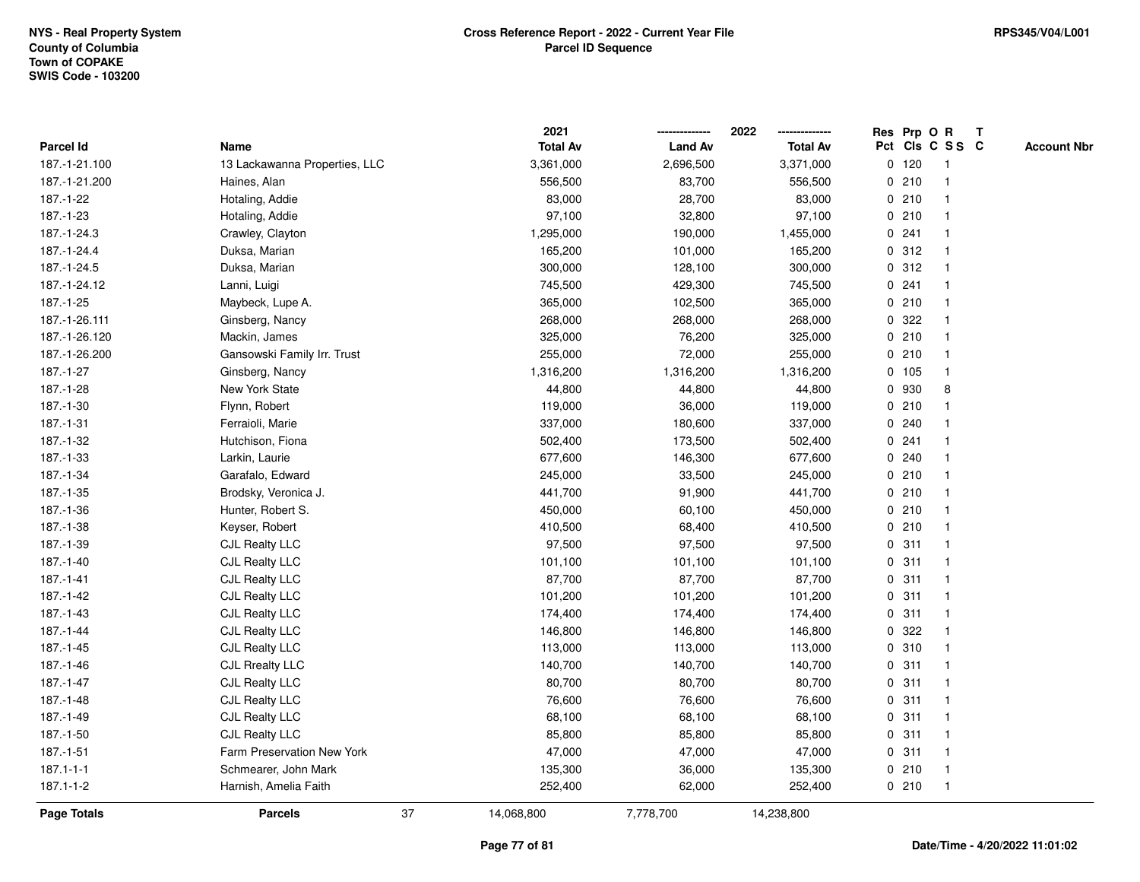|                 |                               |    | 2021            |                | 2022            |             | Res Prp O R |                 | Т |                    |
|-----------------|-------------------------------|----|-----------------|----------------|-----------------|-------------|-------------|-----------------|---|--------------------|
| Parcel Id       | Name                          |    | <b>Total Av</b> | <b>Land Av</b> | <b>Total Av</b> |             |             | Pct Cls C S S C |   | <b>Account Nbr</b> |
| 187.-1-21.100   | 13 Lackawanna Properties, LLC |    | 3,361,000       | 2,696,500      | 3,371,000       |             | $0$ 120     | $\mathbf{1}$    |   |                    |
| 187.-1-21.200   | Haines, Alan                  |    | 556,500         | 83,700         | 556,500         |             | 0210        | $\overline{1}$  |   |                    |
| 187.-1-22       | Hotaling, Addie               |    | 83,000          | 28,700         | 83,000          |             | 0210        | $\mathbf{1}$    |   |                    |
| 187.-1-23       | Hotaling, Addie               |    | 97,100          | 32,800         | 97,100          |             | 0210        | 1               |   |                    |
| 187.-1-24.3     | Crawley, Clayton              |    | 1,295,000       | 190,000        | 1,455,000       |             | 0.241       |                 |   |                    |
| 187.-1-24.4     | Duksa, Marian                 |    | 165,200         | 101,000        | 165,200         |             | 0.312       | $\mathbf{1}$    |   |                    |
| 187.-1-24.5     | Duksa, Marian                 |    | 300,000         | 128,100        | 300,000         |             | 0.312       | -1              |   |                    |
| 187.-1-24.12    | Lanni, Luigi                  |    | 745,500         | 429,300        | 745,500         | 0           | 241         | $\overline{1}$  |   |                    |
| 187.-1-25       | Maybeck, Lupe A.              |    | 365,000         | 102,500        | 365,000         |             | 0210        | $\overline{1}$  |   |                    |
| 187.-1-26.111   | Ginsberg, Nancy               |    | 268,000         | 268,000        | 268,000         |             | 0.322       | 1               |   |                    |
| 187.-1-26.120   | Mackin, James                 |    | 325,000         | 76,200         | 325,000         |             | 0210        |                 |   |                    |
| 187.-1-26.200   | Gansowski Family Irr. Trust   |    | 255,000         | 72,000         | 255,000         |             | 0210        |                 |   |                    |
| 187.-1-27       | Ginsberg, Nancy               |    | 1,316,200       | 1,316,200      | 1,316,200       |             | 0 105       | 1               |   |                    |
| 187.-1-28       | New York State                |    | 44,800          | 44,800         | 44,800          |             | 0 930       | 8               |   |                    |
| 187.-1-30       | Flynn, Robert                 |    | 119,000         | 36,000         | 119,000         | 0           | 210         | $\mathbf{1}$    |   |                    |
| 187.-1-31       | Ferraioli, Marie              |    | 337,000         | 180,600        | 337,000         |             | 0.240       | $\mathbf{1}$    |   |                    |
| 187.-1-32       | Hutchison, Fiona              |    | 502,400         | 173,500        | 502,400         |             | 0.241       |                 |   |                    |
| 187.-1-33       | Larkin, Laurie                |    | 677,600         | 146,300        | 677,600         |             | 0.240       |                 |   |                    |
| 187.-1-34       | Garafalo, Edward              |    | 245,000         | 33,500         | 245,000         |             | 0210        |                 |   |                    |
| 187.-1-35       | Brodsky, Veronica J.          |    | 441,700         | 91,900         | 441,700         |             | 0210        |                 |   |                    |
| 187.-1-36       | Hunter, Robert S.             |    | 450,000         | 60,100         | 450,000         |             | 0210        | $\overline{1}$  |   |                    |
| 187.-1-38       | Keyser, Robert                |    | 410,500         | 68,400         | 410,500         | $\mathbf 0$ | 210         | $\overline{1}$  |   |                    |
| 187.-1-39       | <b>CJL Realty LLC</b>         |    | 97,500          | 97,500         | 97,500          | 0           | 311         | -1              |   |                    |
| 187.-1-40       | <b>CJL Realty LLC</b>         |    | 101,100         | 101,100        | 101,100         |             | 0.311       | $\mathbf 1$     |   |                    |
| $187 - 1 - 41$  | <b>CJL Realty LLC</b>         |    | 87,700          | 87,700         | 87,700          |             | 0.311       |                 |   |                    |
| 187.-1-42       | <b>CJL Realty LLC</b>         |    | 101,200         | 101,200        | 101,200         |             | 0.311       |                 |   |                    |
| 187.-1-43       | <b>CJL Realty LLC</b>         |    | 174,400         | 174,400        | 174,400         |             | 0.311       | 1               |   |                    |
| 187.-1-44       | <b>CJL Realty LLC</b>         |    | 146,800         | 146,800        | 146,800         | 0           | 322         | $\mathbf{1}$    |   |                    |
| 187.-1-45       | <b>CJL Realty LLC</b>         |    | 113,000         | 113,000        | 113,000         | 0           | 310         | $\overline{1}$  |   |                    |
| 187.-1-46       | <b>CJL Rrealty LLC</b>        |    | 140,700         | 140,700        | 140,700         | 0           | 311         | $\mathbf{1}$    |   |                    |
| 187.-1-47       | CJL Realty LLC                |    | 80,700          | 80,700         | 80,700          |             | 0.311       | $\mathbf 1$     |   |                    |
| 187.-1-48       | <b>CJL Realty LLC</b>         |    | 76,600          | 76,600         | 76,600          |             | 0.311       |                 |   |                    |
| 187.-1-49       | <b>CJL Realty LLC</b>         |    | 68,100          | 68,100         | 68,100          |             | 0.311       | 1               |   |                    |
| 187.-1-50       | CJL Realty LLC                |    | 85,800          | 85,800         | 85,800          |             | 0.311       | $\mathbf{1}$    |   |                    |
| 187.-1-51       | Farm Preservation New York    |    | 47,000          | 47,000         | 47,000          |             | 0.311       | $\overline{1}$  |   |                    |
| $187.1 - 1 - 1$ | Schmearer, John Mark          |    | 135,300         | 36,000         | 135,300         | 0           | 210         | $\overline{1}$  |   |                    |
| 187.1-1-2       | Harnish, Amelia Faith         |    | 252,400         | 62,000         | 252,400         |             | 0210        | $\overline{1}$  |   |                    |
| Page Totals     | <b>Parcels</b>                | 37 | 14,068,800      | 7,778,700      | 14,238,800      |             |             |                 |   |                    |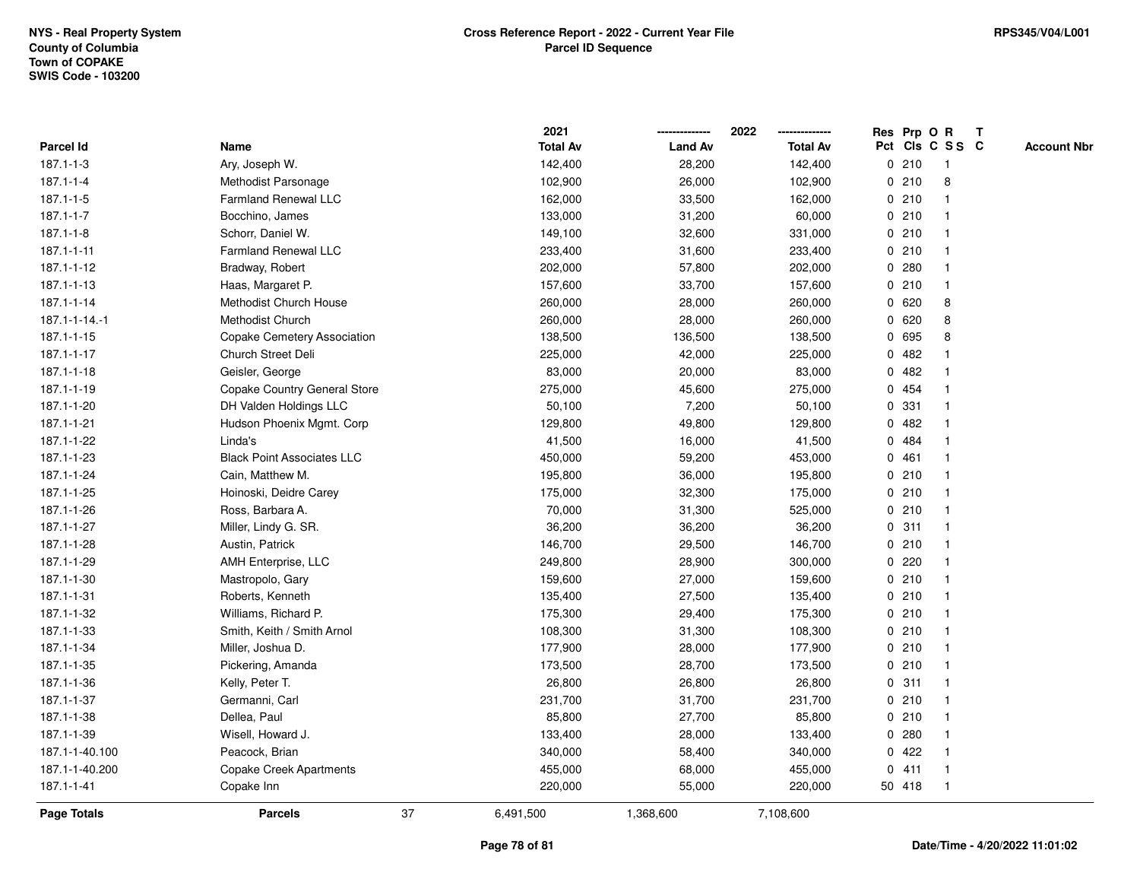|                 |                                   |    | 2021            |                | 2022            |             | Res Prp O R |                         | T |                    |
|-----------------|-----------------------------------|----|-----------------|----------------|-----------------|-------------|-------------|-------------------------|---|--------------------|
| Parcel Id       | Name                              |    | <b>Total Av</b> | <b>Land Av</b> | <b>Total Av</b> |             |             | Pct Cls C S S C         |   | <b>Account Nbr</b> |
| 187.1-1-3       | Ary, Joseph W.                    |    | 142,400         | 28,200         | 142,400         | 0           | 210         | $\mathbf{1}$            |   |                    |
| $187.1 - 1 - 4$ | Methodist Parsonage               |    | 102,900         | 26,000         | 102,900         | 0           | 210         | 8                       |   |                    |
| $187.1 - 1 - 5$ | <b>Farmland Renewal LLC</b>       |    | 162,000         | 33,500         | 162,000         |             | 0210        | -1                      |   |                    |
| $187.1 - 1 - 7$ | Bocchino, James                   |    | 133,000         | 31,200         | 60,000          |             | 0210        |                         |   |                    |
| $187.1 - 1 - 8$ | Schorr, Daniel W.                 |    | 149,100         | 32,600         | 331,000         |             | 0210        |                         |   |                    |
| 187.1-1-11      | Farmland Renewal LLC              |    | 233,400         | 31,600         | 233,400         |             | 0210        |                         |   |                    |
| 187.1-1-12      | Bradway, Robert                   |    | 202,000         | 57,800         | 202,000         |             | 0.280       |                         |   |                    |
| 187.1-1-13      | Haas, Margaret P.                 |    | 157,600         | 33,700         | 157,600         | 0           | 210         | $\overline{\mathbf{1}}$ |   |                    |
| 187.1-1-14      | Methodist Church House            |    | 260,000         | 28,000         | 260,000         | 0           | 620         | 8                       |   |                    |
| 187.1-1-14.-1   | Methodist Church                  |    | 260,000         | 28,000         | 260,000         |             | 0620        | 8                       |   |                    |
| 187.1-1-15      | Copake Cemetery Association       |    | 138,500         | 136,500        | 138,500         |             | 0 695       | 8                       |   |                    |
| 187.1-1-17      | <b>Church Street Deli</b>         |    | 225,000         | 42,000         | 225,000         |             | 0.482       |                         |   |                    |
| 187.1-1-18      | Geisler, George                   |    | 83,000          | 20,000         | 83,000          |             | 0.482       |                         |   |                    |
| 187.1-1-19      | Copake Country General Store      |    | 275,000         | 45,600         | 275,000         |             | 0 454       |                         |   |                    |
| 187.1-1-20      | DH Valden Holdings LLC            |    | 50,100          | 7,200          | 50,100          | 0           | 331         |                         |   |                    |
| 187.1-1-21      | Hudson Phoenix Mgmt. Corp         |    | 129,800         | 49,800         | 129,800         | $\mathbf 0$ | 482         |                         |   |                    |
| 187.1-1-22      | Linda's                           |    | 41,500          | 16,000         | 41,500          |             | 0 484       | $\mathbf{1}$            |   |                    |
| 187.1-1-23      | <b>Black Point Associates LLC</b> |    | 450,000         | 59,200         | 453,000         |             | 0461        |                         |   |                    |
| 187.1-1-24      | Cain, Matthew M.                  |    | 195,800         | 36,000         | 195,800         |             | 0210        |                         |   |                    |
| 187.1-1-25      | Hoinoski, Deidre Carey            |    | 175,000         | 32,300         | 175,000         |             | 0210        |                         |   |                    |
| 187.1-1-26      | Ross, Barbara A.                  |    | 70,000          | 31,300         | 525,000         |             | 0210        |                         |   |                    |
| 187.1-1-27      | Miller, Lindy G. SR.              |    | 36,200          | 36,200         | 36,200          |             | 0.311       |                         |   |                    |
| 187.1-1-28      | Austin, Patrick                   |    | 146,700         | 29,500         | 146,700         | 0           | 210         | -1                      |   |                    |
| 187.1-1-29      | AMH Enterprise, LLC               |    | 249,800         | 28,900         | 300,000         | $\mathbf 0$ | 220         |                         |   |                    |
| 187.1-1-30      | Mastropolo, Gary                  |    | 159,600         | 27,000         | 159,600         |             | 0210        |                         |   |                    |
| 187.1-1-31      | Roberts, Kenneth                  |    | 135,400         | 27,500         | 135,400         |             | 0210        |                         |   |                    |
| 187.1-1-32      | Williams, Richard P.              |    | 175,300         | 29,400         | 175,300         |             | 0210        |                         |   |                    |
| 187.1-1-33      | Smith, Keith / Smith Arnol        |    | 108,300         | 31,300         | 108,300         |             | 0210        |                         |   |                    |
| 187.1-1-34      | Miller, Joshua D.                 |    | 177,900         | 28,000         | 177,900         |             | 0210        |                         |   |                    |
| 187.1-1-35      | Pickering, Amanda                 |    | 173,500         | 28,700         | 173,500         | $\mathbf 0$ | 210         | -1                      |   |                    |
| 187.1-1-36      | Kelly, Peter T.                   |    | 26,800          | 26,800         | 26,800          | 0           | 311         | -1                      |   |                    |
| 187.1-1-37      | Germanni, Carl                    |    | 231,700         | 31,700         | 231,700         |             | 0210        | $\mathbf 1$             |   |                    |
| 187.1-1-38      | Dellea, Paul                      |    | 85,800          | 27,700         | 85,800          |             | 0210        |                         |   |                    |
| 187.1-1-39      | Wisell, Howard J.                 |    | 133,400         | 28,000         | 133,400         |             | 0.280       |                         |   |                    |
| 187.1-1-40.100  | Peacock, Brian                    |    | 340,000         | 58,400         | 340,000         |             | 0422        |                         |   |                    |
| 187.1-1-40.200  | Copake Creek Apartments           |    | 455,000         | 68,000         | 455,000         | 0           | 411         | -1                      |   |                    |
| 187.1-1-41      | Copake Inn                        |    | 220,000         | 55,000         | 220,000         |             | 50 418      | $\mathbf{1}$            |   |                    |
| Page Totals     | <b>Parcels</b>                    | 37 | 6,491,500       | 1,368,600      | 7,108,600       |             |             |                         |   |                    |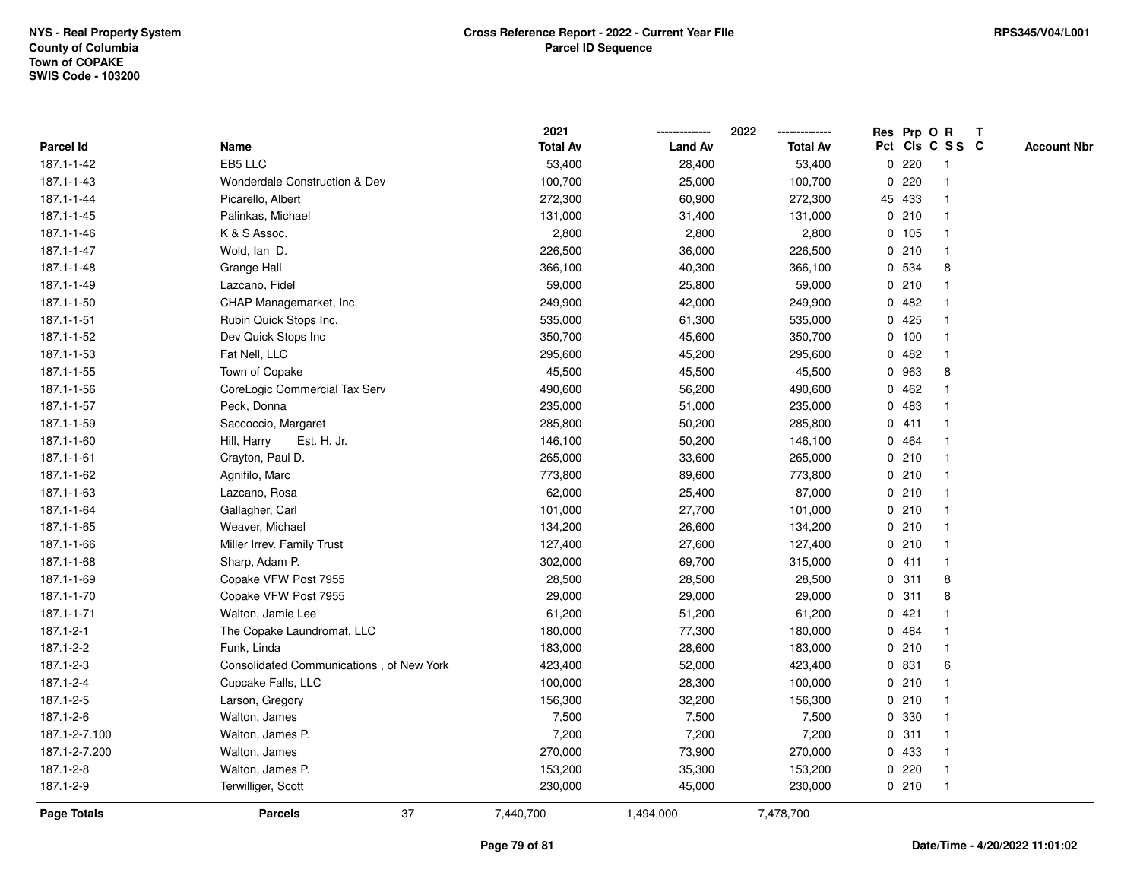|                  |                                          | 2021            |                | 2022<br>-------------- |   |        | Res Prp O R             | T |                    |
|------------------|------------------------------------------|-----------------|----------------|------------------------|---|--------|-------------------------|---|--------------------|
| <b>Parcel Id</b> | Name                                     | <b>Total Av</b> | <b>Land Av</b> | <b>Total Av</b>        |   |        | Pct Cls C S S C         |   | <b>Account Nbr</b> |
| 187.1-1-42       | EB5 LLC                                  | 53,400          | 28,400         | 53,400                 | 0 | 220    | -1                      |   |                    |
| 187.1-1-43       | <b>Wonderdale Construction &amp; Dev</b> | 100,700         | 25,000         | 100,700                | 0 | 220    | $\overline{1}$          |   |                    |
| 187.1-1-44       | Picarello, Albert                        | 272,300         | 60,900         | 272,300                |   | 45 433 | $\mathbf{1}$            |   |                    |
| 187.1-1-45       | Palinkas, Michael                        | 131,000         | 31,400         | 131,000                |   | 0210   | -1                      |   |                    |
| 187.1-1-46       | K & S Assoc.                             | 2,800           | 2,800          | 2,800                  |   | 0, 105 |                         |   |                    |
| 187.1-1-47       | Wold, lan D.                             | 226,500         | 36,000         | 226,500                |   | 0210   |                         |   |                    |
| 187.1-1-48       | Grange Hall                              | 366,100         | 40,300         | 366,100                |   | 0 534  | 8                       |   |                    |
| 187.1-1-49       | Lazcano, Fidel                           | 59,000          | 25,800         | 59,000                 | 0 | 210    | $\mathbf{1}$            |   |                    |
| 187.1-1-50       | CHAP Managemarket, Inc.                  | 249,900         | 42,000         | 249,900                |   | 0.482  | -1                      |   |                    |
| 187.1-1-51       | Rubin Quick Stops Inc.                   | 535,000         | 61,300         | 535,000                |   | 0425   | -1                      |   |                    |
| 187.1-1-52       | Dev Quick Stops Inc                      | 350,700         | 45,600         | 350,700                |   | 0, 100 | -1                      |   |                    |
| 187.1-1-53       | Fat Nell, LLC                            | 295,600         | 45,200         | 295,600                |   | 0.482  |                         |   |                    |
| 187.1-1-55       | Town of Copake                           | 45,500          | 45,500         | 45,500                 |   | 0 963  | 8                       |   |                    |
| 187.1-1-56       | CoreLogic Commercial Tax Serv            | 490,600         | 56,200         | 490,600                | 0 | 462    |                         |   |                    |
| 187.1-1-57       | Peck, Donna                              | 235,000         | 51,000         | 235,000                | 0 | 483    | -1                      |   |                    |
| 187.1-1-59       | Saccoccio, Margaret                      | 285,800         | 50,200         | 285,800                |   | 0411   | $\overline{1}$          |   |                    |
| 187.1-1-60       | Hill, Harry<br>Est. H. Jr.               | 146,100         | 50,200         | 146,100                |   | 0 464  | 1                       |   |                    |
| 187.1-1-61       | Crayton, Paul D.                         | 265,000         | 33,600         | 265,000                |   | 0210   |                         |   |                    |
| 187.1-1-62       | Agnifilo, Marc                           | 773,800         | 89,600         | 773,800                |   | 0210   |                         |   |                    |
| 187.1-1-63       | Lazcano, Rosa                            | 62,000          | 25,400         | 87,000                 |   | 0210   |                         |   |                    |
| 187.1-1-64       | Gallagher, Carl                          | 101,000         | 27,700         | 101,000                |   | 0210   | 1                       |   |                    |
| 187.1-1-65       | Weaver, Michael                          | 134,200         | 26,600         | 134,200                |   | 0210   | -1                      |   |                    |
| 187.1-1-66       | Miller Irrev. Family Trust               | 127,400         | 27,600         | 127,400                |   | 0210   | $\overline{1}$          |   |                    |
| 187.1-1-68       | Sharp, Adam P.                           | 302,000         | 69,700         | 315,000                |   | 0411   | $\overline{1}$          |   |                    |
| 187.1-1-69       | Copake VFW Post 7955                     | 28,500          | 28,500         | 28,500                 |   | 0.311  | 8                       |   |                    |
| 187.1-1-70       | Copake VFW Post 7955                     | 29,000          | 29,000         | 29,000                 |   | 0.311  | 8                       |   |                    |
| 187.1-1-71       | Walton, Jamie Lee                        | 61,200          | 51,200         | 61,200                 |   | 0421   |                         |   |                    |
| 187.1-2-1        | The Copake Laundromat, LLC               | 180,000         | 77,300         | 180,000                |   | 0 484  |                         |   |                    |
| 187.1-2-2        | Funk, Linda                              | 183,000         | 28,600         | 183,000                |   | 0210   | $\overline{\mathbf{1}}$ |   |                    |
| 187.1-2-3        | Consolidated Communications, of New York | 423,400         | 52,000         | 423,400                |   | 0 831  | 6                       |   |                    |
| 187.1-2-4        | Cupcake Falls, LLC                       | 100,000         | 28,300         | 100,000                |   | 0210   | 1                       |   |                    |
| 187.1-2-5        | Larson, Gregory                          | 156,300         | 32,200         | 156,300                |   | 0210   |                         |   |                    |
| 187.1-2-6        | Walton, James                            | 7,500           | 7,500          | 7,500                  |   | 0 330  |                         |   |                    |
| 187.1-2-7.100    | Walton, James P.                         | 7,200           | 7,200          | 7,200                  |   | 0.311  |                         |   |                    |
| 187.1-2-7.200    | Walton, James                            | 270,000         | 73,900         | 270,000                |   | 0 433  | -1                      |   |                    |
| 187.1-2-8        | Walton, James P.                         | 153,200         | 35,300         | 153,200                | 0 | 220    | -1                      |   |                    |
| 187.1-2-9        | Terwilliger, Scott                       | 230,000         | 45,000         | 230,000                |   | 0210   | $\overline{1}$          |   |                    |
| Page Totals      | 37<br><b>Parcels</b>                     | 7,440,700       | 1,494,000      | 7,478,700              |   |        |                         |   |                    |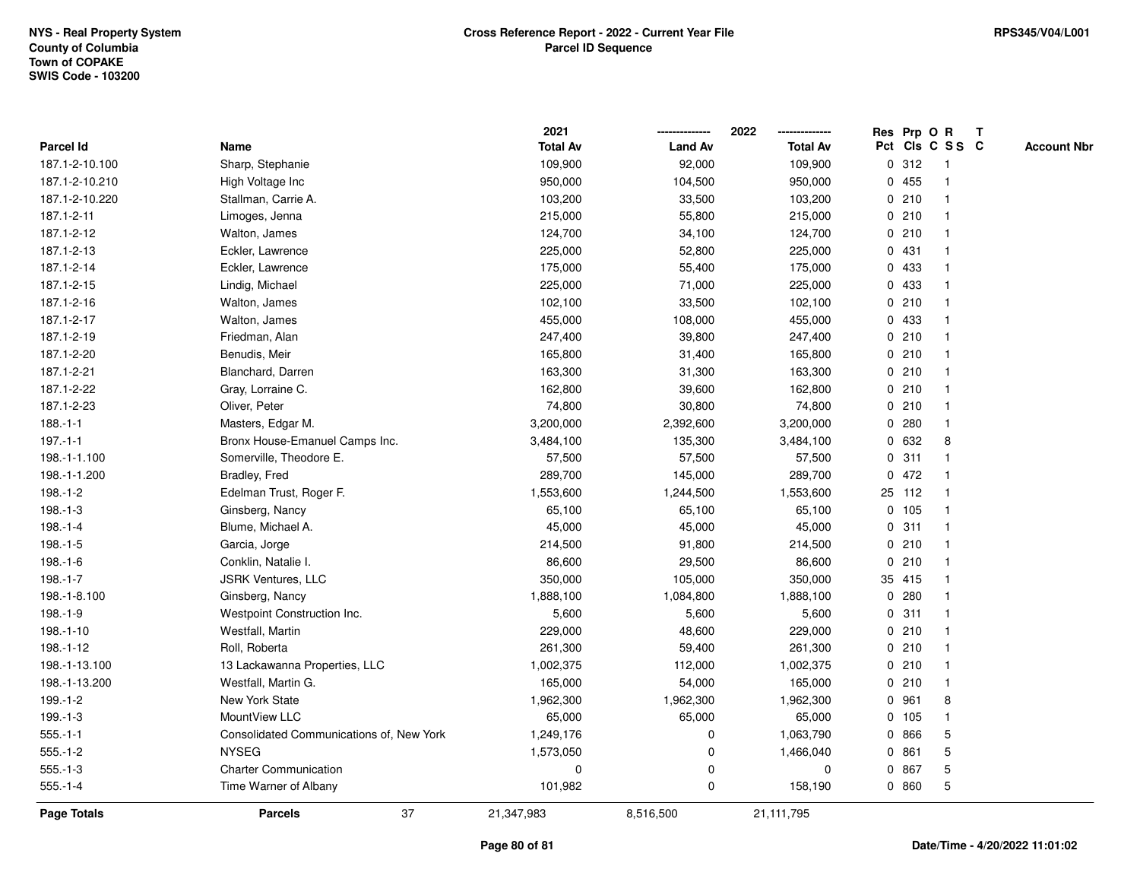|                    |                                          | 2021            |                | 2022            |              |        | Res Prp O R     | $\mathbf{T}$       |
|--------------------|------------------------------------------|-----------------|----------------|-----------------|--------------|--------|-----------------|--------------------|
| Parcel Id          | Name                                     | <b>Total Av</b> | <b>Land Av</b> | <b>Total Av</b> |              |        | Pct Cls C S S C | <b>Account Nbr</b> |
| 187.1-2-10.100     | Sharp, Stephanie                         | 109,900         | 92,000         | 109,900         |              | 0.312  | -1              |                    |
| 187.1-2-10.210     | High Voltage Inc                         | 950,000         | 104,500        | 950,000         |              | 0455   |                 |                    |
| 187.1-2-10.220     | Stallman, Carrie A.                      | 103,200         | 33,500         | 103,200         |              | 0210   | $\mathbf 1$     |                    |
| 187.1-2-11         | Limoges, Jenna                           | 215,000         | 55,800         | 215,000         |              | 0210   | $\mathbf{1}$    |                    |
| 187.1-2-12         | Walton, James                            | 124,700         | 34,100         | 124,700         |              | 0210   | $\mathbf{1}$    |                    |
| 187.1-2-13         | Eckler, Lawrence                         | 225,000         | 52,800         | 225,000         |              | 0431   | $\mathbf{1}$    |                    |
| 187.1-2-14         | Eckler, Lawrence                         | 175,000         | 55,400         | 175,000         |              | 0 433  | $\mathbf 1$     |                    |
| 187.1-2-15         | Lindig, Michael                          | 225,000         | 71,000         | 225,000         |              | 0 433  |                 |                    |
| 187.1-2-16         | Walton, James                            | 102,100         | 33,500         | 102,100         |              | 0210   | $\mathbf 1$     |                    |
| 187.1-2-17         | Walton, James                            | 455,000         | 108,000        | 455,000         |              | 0 433  | $\mathbf 1$     |                    |
| 187.1-2-19         | Friedman, Alan                           | 247,400         | 39,800         | 247,400         |              | 0210   | $\mathbf{1}$    |                    |
| 187.1-2-20         | Benudis, Meir                            | 165,800         | 31,400         | 165,800         |              | 0210   | $\mathbf{1}$    |                    |
| 187.1-2-21         | Blanchard, Darren                        | 163,300         | 31,300         | 163,300         |              | 0210   | $\mathbf 1$     |                    |
| 187.1-2-22         | Gray, Lorraine C.                        | 162,800         | 39,600         | 162,800         |              | 0210   | -1              |                    |
| 187.1-2-23         | Oliver, Peter                            | 74,800          | 30,800         | 74,800          |              | 0210   | $\mathbf 1$     |                    |
| $188.-1-1$         | Masters, Edgar M.                        | 3,200,000       | 2,392,600      | 3,200,000       |              | 0.280  | $\mathbf{1}$    |                    |
| $197.-1-1$         | Bronx House-Emanuel Camps Inc.           | 3,484,100       | 135,300        | 3,484,100       |              | 0 632  | 8               |                    |
| 198.-1-1.100       | Somerville, Theodore E.                  | 57,500          | 57,500         | 57,500          | 0            | 311    | $\mathbf{1}$    |                    |
| 198.-1-1.200       | Bradley, Fred                            | 289,700         | 145,000        | 289,700         | $\mathbf{0}$ | 472    | $\mathbf 1$     |                    |
| $198.-1-2$         | Edelman Trust, Roger F.                  | 1,553,600       | 1,244,500      | 1,553,600       |              | 25 112 | $\mathbf{1}$    |                    |
| $198.-1-3$         | Ginsberg, Nancy                          | 65,100          | 65,100         | 65,100          |              | 0 105  | $\mathbf 1$     |                    |
| $198.-1-4$         | Blume, Michael A.                        | 45,000          | 45,000         | 45,000          |              | 0.311  |                 |                    |
| $198.-1-5$         | Garcia, Jorge                            | 214,500         | 91,800         | 214,500         |              | 0210   | $\mathbf 1$     |                    |
| $198.-1-6$         | Conklin, Natalie I.                      | 86,600          | 29,500         | 86,600          |              | 0210   | $\mathbf{1}$    |                    |
| $198.-1-7$         | <b>JSRK Ventures, LLC</b>                | 350,000         | 105,000        | 350,000         |              | 35 415 | $\mathbf{1}$    |                    |
| 198.-1-8.100       | Ginsberg, Nancy                          | 1,888,100       | 1,084,800      | 1,888,100       |              | 0.280  | $\mathbf{1}$    |                    |
| $198.-1-9$         | Westpoint Construction Inc.              | 5,600           | 5,600          | 5,600           |              | 0.311  | $\mathbf 1$     |                    |
| $198.-1-10$        | Westfall, Martin                         | 229,000         | 48,600         | 229,000         |              | 0210   | -1              |                    |
| 198.-1-12          | Roll, Roberta                            | 261,300         | 59,400         | 261,300         |              | 0210   |                 |                    |
| 198.-1-13.100      | 13 Lackawanna Properties, LLC            | 1,002,375       | 112,000        | 1,002,375       |              | 0210   | $\mathbf{1}$    |                    |
| 198.-1-13.200      | Westfall, Martin G.                      | 165,000         | 54,000         | 165,000         | 0            | 210    | $\mathbf{1}$    |                    |
| $199.-1-2$         | New York State                           | 1,962,300       | 1,962,300      | 1,962,300       |              | 0 961  | 8               |                    |
| $199.-1-3$         | MountView LLC                            | 65,000          | 65,000         | 65,000          |              | 0 105  | $\mathbf{1}$    |                    |
| $555.-1-1$         | Consolidated Communications of, New York | 1,249,176       | 0              | 1,063,790       |              | 0 866  | 5               |                    |
| $555.-1-2$         | <b>NYSEG</b>                             | 1,573,050       | $\mathbf 0$    | 1,466,040       |              | 0861   | 5               |                    |
| $555.-1-3$         | <b>Charter Communication</b>             | 0               | $\pmb{0}$      | 0               | 0            | 867    | 5               |                    |
| $555.-1-4$         | Time Warner of Albany                    | 101,982         | 0              | 158,190         |              | 0 860  | 5               |                    |
| <b>Page Totals</b> | 37<br><b>Parcels</b>                     | 21,347,983      | 8,516,500      | 21,111,795      |              |        |                 |                    |